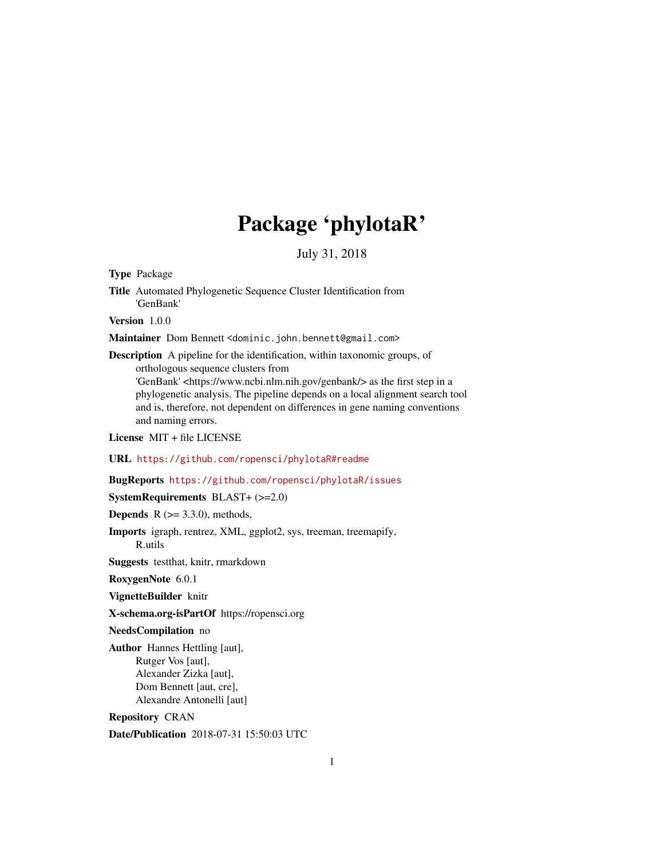# Package 'phylotaR'

July 31, 2018

Type Package

Title Automated Phylogenetic Sequence Cluster Identification from 'GenBank'

Version 1.0.0

Maintainer Dom Bennett <dominic.john.bennett@gmail.com>

Description A pipeline for the identification, within taxonomic groups, of orthologous sequence clusters from 'GenBank' <https://www.ncbi.nlm.nih.gov/genbank/> as the first step in a phylogenetic analysis. The pipeline depends on a local alignment search tool and is, therefore, not dependent on differences in gene naming conventions and naming errors.

License MIT + file LICENSE

URL <https://github.com/ropensci/phylotaR#readme>

### BugReports <https://github.com/ropensci/phylotaR/issues>

SystemRequirements BLAST+ (>=2.0)

**Depends**  $R$  ( $>= 3.3.0$ ), methods,

Imports igraph, rentrez, XML, ggplot2, sys, treeman, treemapify, R.utils

Suggests testthat, knitr, rmarkdown

RoxygenNote 6.0.1

VignetteBuilder knitr

X-schema.org-isPartOf https://ropensci.org

NeedsCompilation no

Author Hannes Hettling [aut], Rutger Vos [aut], Alexander Zizka [aut], Dom Bennett [aut, cre], Alexandre Antonelli [aut]

Repository CRAN

Date/Publication 2018-07-31 15:50:03 UTC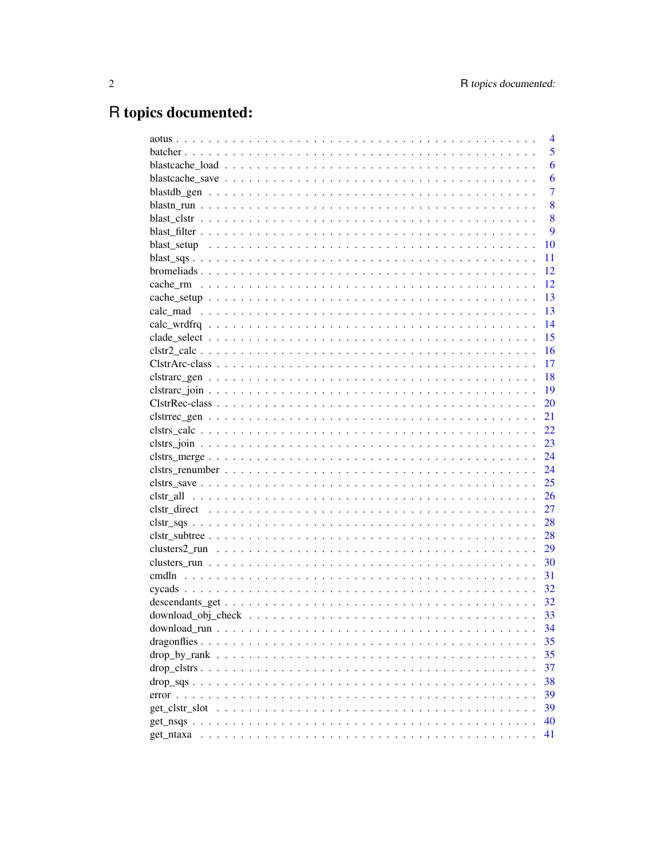# R topics documented:

|                                                                                                                            | $\overline{4}$ |
|----------------------------------------------------------------------------------------------------------------------------|----------------|
|                                                                                                                            | 5              |
|                                                                                                                            | 6              |
|                                                                                                                            | 6              |
|                                                                                                                            | $\overline{7}$ |
|                                                                                                                            | 8              |
|                                                                                                                            | 8              |
|                                                                                                                            | 9              |
|                                                                                                                            | 10             |
|                                                                                                                            | 11             |
|                                                                                                                            | 12             |
|                                                                                                                            | 12             |
|                                                                                                                            | 13             |
|                                                                                                                            | 13             |
|                                                                                                                            | 14             |
|                                                                                                                            | 15             |
|                                                                                                                            | 16             |
|                                                                                                                            | 17             |
|                                                                                                                            | 18             |
|                                                                                                                            | 19             |
|                                                                                                                            | 20             |
|                                                                                                                            | 21             |
|                                                                                                                            | 22             |
|                                                                                                                            | 23             |
|                                                                                                                            | 24             |
|                                                                                                                            | 24             |
| $clstrs\_save \dots \dots \dots \dots \dots \dots \dots \dots \dots \dots \dots \dots \dots \dots \dots \dots \dots \dots$ | 25             |
|                                                                                                                            | 26             |
|                                                                                                                            | 27             |
| $clstr\_sqs$                                                                                                               | 28             |
| $clstr\_subtree$                                                                                                           | 28             |
|                                                                                                                            | 29             |
|                                                                                                                            | 30             |
|                                                                                                                            | 31             |
|                                                                                                                            | 32             |
|                                                                                                                            | 32             |
|                                                                                                                            | 33             |
|                                                                                                                            | 34             |
|                                                                                                                            | 35             |
|                                                                                                                            | 35             |
|                                                                                                                            | 37             |
|                                                                                                                            | 38             |
|                                                                                                                            | 39             |
|                                                                                                                            | 39             |
|                                                                                                                            | 40             |
| get ntaxa<br>a constitution de la constitución de la constitución de la constitución de la constitución de la constitución | 41             |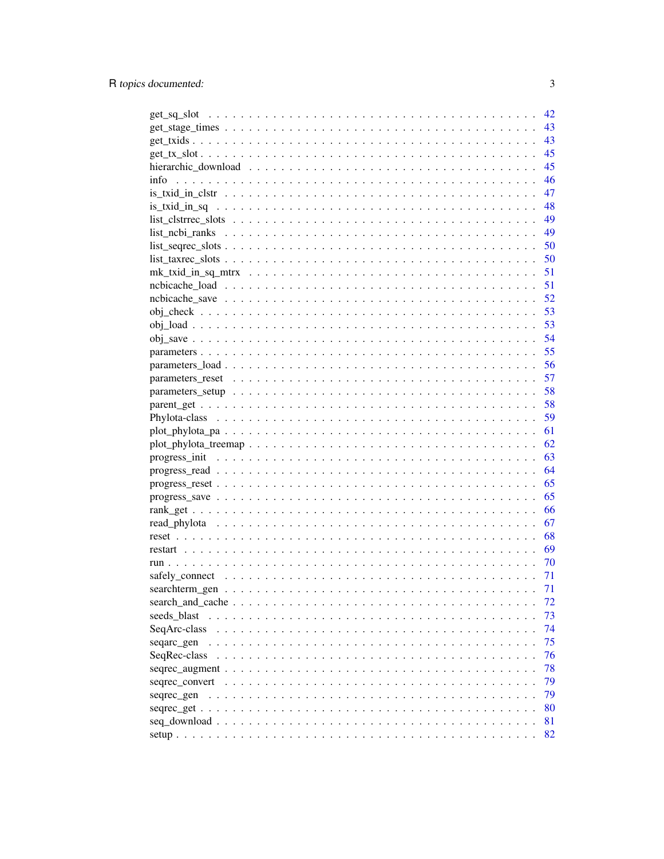|                                                                                                              | 42 |
|--------------------------------------------------------------------------------------------------------------|----|
|                                                                                                              | 43 |
|                                                                                                              | 43 |
|                                                                                                              | 45 |
|                                                                                                              | 45 |
| info                                                                                                         | 46 |
|                                                                                                              | 47 |
|                                                                                                              | 48 |
|                                                                                                              | 49 |
|                                                                                                              | 49 |
|                                                                                                              |    |
|                                                                                                              | 50 |
|                                                                                                              | 50 |
|                                                                                                              | 51 |
|                                                                                                              | 51 |
|                                                                                                              | 52 |
|                                                                                                              | 53 |
|                                                                                                              | 53 |
|                                                                                                              | 54 |
|                                                                                                              | 55 |
| parameters $load \ldots \ldots \ldots \ldots \ldots \ldots \ldots \ldots \ldots \ldots \ldots \ldots \ldots$ | 56 |
|                                                                                                              | 57 |
|                                                                                                              | 58 |
|                                                                                                              | 58 |
|                                                                                                              | 59 |
|                                                                                                              | 61 |
|                                                                                                              |    |
|                                                                                                              | 62 |
|                                                                                                              | 63 |
|                                                                                                              | 64 |
|                                                                                                              | 65 |
|                                                                                                              | 65 |
|                                                                                                              | 66 |
|                                                                                                              | 67 |
|                                                                                                              | 68 |
|                                                                                                              | 69 |
|                                                                                                              | 70 |
|                                                                                                              | 71 |
|                                                                                                              | 71 |
|                                                                                                              | 72 |
| seeds_blast                                                                                                  | 73 |
|                                                                                                              | 74 |
| SeqArc-class                                                                                                 |    |
| seqarc_gen                                                                                                   | 75 |
| SeqRec-class                                                                                                 | 76 |
|                                                                                                              | 78 |
| sequec_convert $\ldots \ldots \ldots \ldots \ldots \ldots \ldots \ldots \ldots \ldots \ldots \ldots \ldots$  | 79 |
| seqrec_gen                                                                                                   | 79 |
|                                                                                                              | 80 |
|                                                                                                              | 81 |
|                                                                                                              | 82 |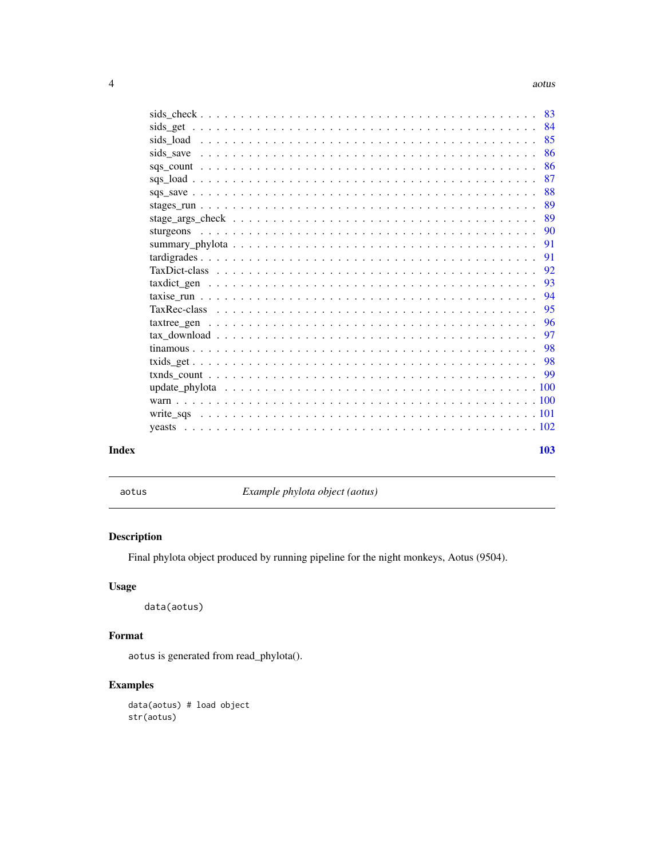<span id="page-3-0"></span>

|       | 83              |
|-------|-----------------|
|       | -84<br>sids_get |
|       | 85              |
|       | 86<br>sids save |
|       | 86              |
|       | 87              |
|       | 88              |
|       | 89              |
|       | 89              |
|       | 90              |
|       | 91              |
|       | 91              |
|       | 92              |
|       | 93              |
|       | 94              |
|       | 95              |
|       | 96              |
|       | 97              |
|       | 98              |
|       | -98             |
|       | -99             |
|       |                 |
|       |                 |
|       |                 |
|       |                 |
| Index | 103             |

aotus *Example phylota object (aotus)*

# Description

Final phylota object produced by running pipeline for the night monkeys, Aotus (9504).

# Usage

data(aotus)

# Format

aotus is generated from read\_phylota().

# Examples

data(aotus) # load object str(aotus)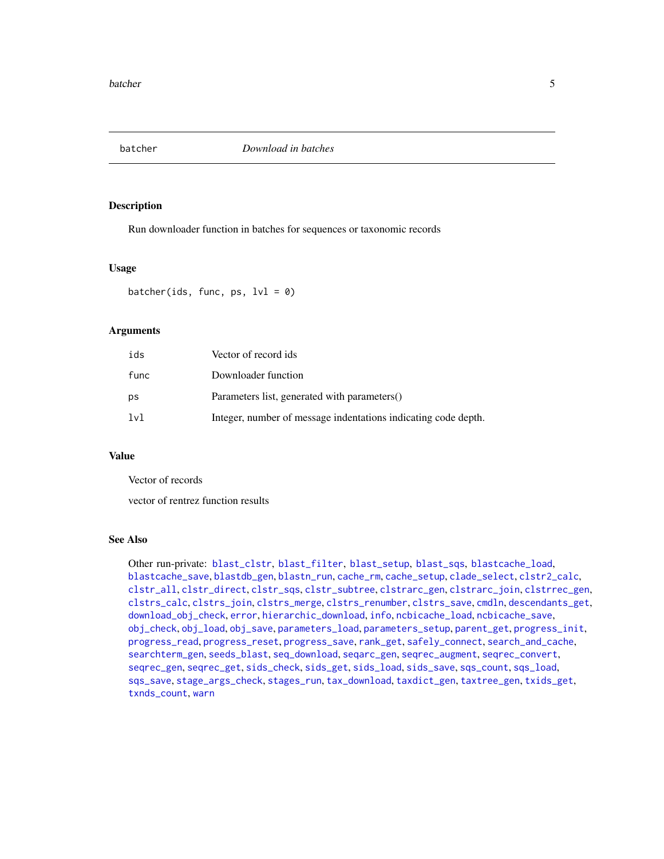<span id="page-4-1"></span><span id="page-4-0"></span>

Run downloader function in batches for sequences or taxonomic records

#### Usage

batcher(ids, func, ps,  $1vl = 0$ )

# Arguments

| ids  | Vector of record ids                                           |
|------|----------------------------------------------------------------|
| func | Downloader function                                            |
| ps   | Parameters list, generated with parameters()                   |
| 1v1  | Integer, number of message indentations indicating code depth. |

# Value

Vector of records

vector of rentrez function results

#### See Also

Other run-private: [blast\\_clstr](#page-7-1), [blast\\_filter](#page-8-1), [blast\\_setup](#page-9-1), [blast\\_sqs](#page-10-1), [blastcache\\_load](#page-5-1), [blastcache\\_save](#page-5-2), [blastdb\\_gen](#page-6-1), [blastn\\_run](#page-7-2), [cache\\_rm](#page-11-1), [cache\\_setup](#page-12-1), [clade\\_select](#page-14-1), [clstr2\\_calc](#page-15-1), [clstr\\_all](#page-25-1), [clstr\\_direct](#page-26-1), [clstr\\_sqs](#page-27-1), [clstr\\_subtree](#page-27-2), [clstrarc\\_gen](#page-17-1), [clstrarc\\_join](#page-18-1), [clstrrec\\_gen](#page-20-1), [clstrs\\_calc](#page-21-1), [clstrs\\_join](#page-22-1), [clstrs\\_merge](#page-23-1), [clstrs\\_renumber](#page-23-2), [clstrs\\_save](#page-24-1), [cmdln](#page-30-1), [descendants\\_get](#page-31-1), [download\\_obj\\_check](#page-32-1), [error](#page-38-1), [hierarchic\\_download](#page-44-1), [info](#page-45-1), [ncbicache\\_load](#page-50-1), [ncbicache\\_save](#page-51-1), [obj\\_check](#page-52-1), [obj\\_load](#page-52-2), [obj\\_save](#page-53-1), [parameters\\_load](#page-55-1), [parameters\\_setup](#page-57-1), [parent\\_get](#page-57-2), [progress\\_init](#page-62-1), [progress\\_read](#page-63-1), [progress\\_reset](#page-64-1), [progress\\_save](#page-64-2), [rank\\_get](#page-65-1), [safely\\_connect](#page-70-1), [search\\_and\\_cache](#page-71-1), [searchterm\\_gen](#page-70-2), [seeds\\_blast](#page-72-1), [seq\\_download](#page-80-1), [seqarc\\_gen](#page-74-1), [seqrec\\_augment](#page-77-1), [seqrec\\_convert](#page-78-1), [seqrec\\_gen](#page-78-2), [seqrec\\_get](#page-79-1), [sids\\_check](#page-82-1), [sids\\_get](#page-83-1), [sids\\_load](#page-84-1), [sids\\_save](#page-85-1), [sqs\\_count](#page-85-2), [sqs\\_load](#page-86-1), [sqs\\_save](#page-87-1), [stage\\_args\\_check](#page-88-1), [stages\\_run](#page-88-2), [tax\\_download](#page-96-1), [taxdict\\_gen](#page-92-1), [taxtree\\_gen](#page-95-1), [txids\\_get](#page-97-1), [txnds\\_count](#page-98-1), [warn](#page-99-1)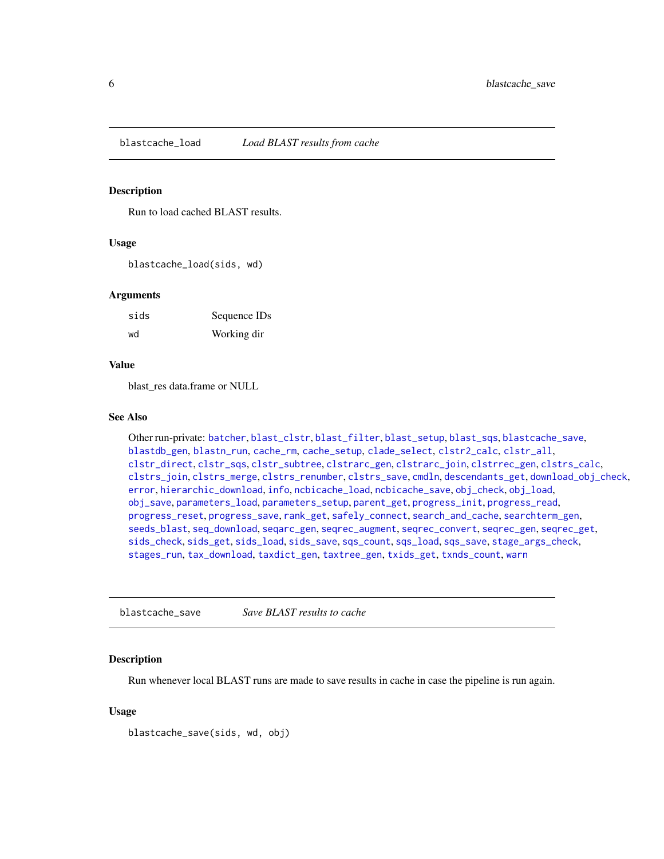<span id="page-5-1"></span><span id="page-5-0"></span>blastcache\_load *Load BLAST results from cache*

# Description

Run to load cached BLAST results.

#### Usage

blastcache\_load(sids, wd)

#### Arguments

| sids | Sequence IDs |
|------|--------------|
| wd   | Working dir  |

# Value

blast\_res data.frame or NULL

# See Also

Other run-private: [batcher](#page-4-1), [blast\\_clstr](#page-7-1), [blast\\_filter](#page-8-1), [blast\\_setup](#page-9-1), [blast\\_sqs](#page-10-1), [blastcache\\_save](#page-5-2), [blastdb\\_gen](#page-6-1), [blastn\\_run](#page-7-2), [cache\\_rm](#page-11-1), [cache\\_setup](#page-12-1), [clade\\_select](#page-14-1), [clstr2\\_calc](#page-15-1), [clstr\\_all](#page-25-1), [clstr\\_direct](#page-26-1), [clstr\\_sqs](#page-27-1), [clstr\\_subtree](#page-27-2), [clstrarc\\_gen](#page-17-1), [clstrarc\\_join](#page-18-1), [clstrrec\\_gen](#page-20-1), [clstrs\\_calc](#page-21-1), [clstrs\\_join](#page-22-1), [clstrs\\_merge](#page-23-1), [clstrs\\_renumber](#page-23-2), [clstrs\\_save](#page-24-1), [cmdln](#page-30-1), [descendants\\_get](#page-31-1), [download\\_obj\\_check](#page-32-1), [error](#page-38-1), [hierarchic\\_download](#page-44-1), [info](#page-45-1), [ncbicache\\_load](#page-50-1), [ncbicache\\_save](#page-51-1), [obj\\_check](#page-52-1), [obj\\_load](#page-52-2), [obj\\_save](#page-53-1), [parameters\\_load](#page-55-1), [parameters\\_setup](#page-57-1), [parent\\_get](#page-57-2), [progress\\_init](#page-62-1), [progress\\_read](#page-63-1), [progress\\_reset](#page-64-1), [progress\\_save](#page-64-2), [rank\\_get](#page-65-1), [safely\\_connect](#page-70-1), [search\\_and\\_cache](#page-71-1), [searchterm\\_gen](#page-70-2), [seeds\\_blast](#page-72-1), [seq\\_download](#page-80-1), [seqarc\\_gen](#page-74-1), [seqrec\\_augment](#page-77-1), [seqrec\\_convert](#page-78-1), [seqrec\\_gen](#page-78-2), [seqrec\\_get](#page-79-1), [sids\\_check](#page-82-1), [sids\\_get](#page-83-1), [sids\\_load](#page-84-1), [sids\\_save](#page-85-1), [sqs\\_count](#page-85-2), [sqs\\_load](#page-86-1), [sqs\\_save](#page-87-1), [stage\\_args\\_check](#page-88-1), [stages\\_run](#page-88-2), [tax\\_download](#page-96-1), [taxdict\\_gen](#page-92-1), [taxtree\\_gen](#page-95-1), [txids\\_get](#page-97-1), [txnds\\_count](#page-98-1), [warn](#page-99-1)

<span id="page-5-2"></span>blastcache\_save *Save BLAST results to cache*

# Description

Run whenever local BLAST runs are made to save results in cache in case the pipeline is run again.

# Usage

blastcache\_save(sids, wd, obj)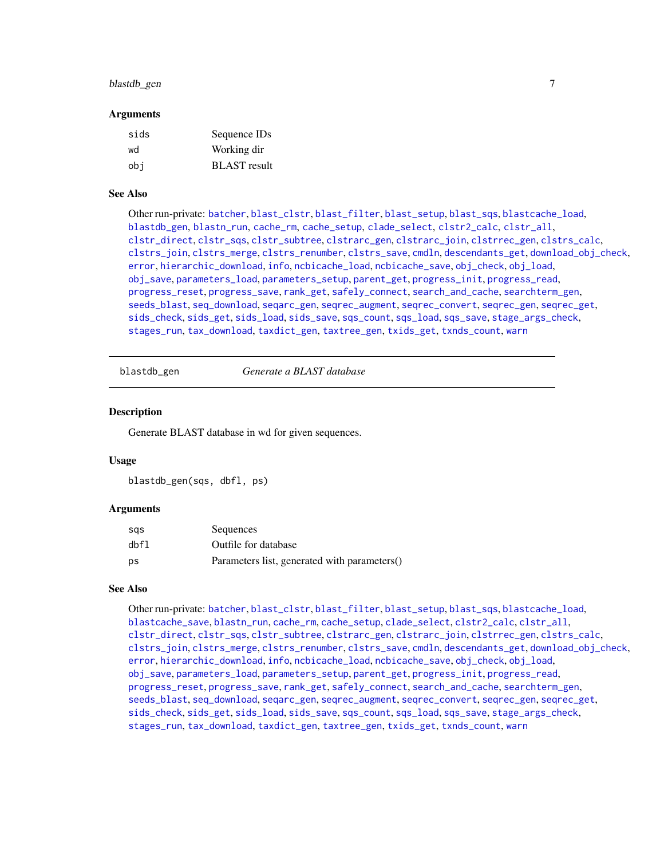# <span id="page-6-0"></span>blastdb\_gen 7

#### **Arguments**

| sids | Sequence IDs        |
|------|---------------------|
| wd   | Working dir         |
| obi  | <b>BLAST</b> result |

# See Also

Other run-private: [batcher](#page-4-1), [blast\\_clstr](#page-7-1), [blast\\_filter](#page-8-1), [blast\\_setup](#page-9-1), [blast\\_sqs](#page-10-1), [blastcache\\_load](#page-5-1), [blastdb\\_gen](#page-6-1), [blastn\\_run](#page-7-2), [cache\\_rm](#page-11-1), [cache\\_setup](#page-12-1), [clade\\_select](#page-14-1), [clstr2\\_calc](#page-15-1), [clstr\\_all](#page-25-1), [clstr\\_direct](#page-26-1), [clstr\\_sqs](#page-27-1), [clstr\\_subtree](#page-27-2), [clstrarc\\_gen](#page-17-1), [clstrarc\\_join](#page-18-1), [clstrrec\\_gen](#page-20-1), [clstrs\\_calc](#page-21-1), [clstrs\\_join](#page-22-1), [clstrs\\_merge](#page-23-1), [clstrs\\_renumber](#page-23-2), [clstrs\\_save](#page-24-1), [cmdln](#page-30-1), [descendants\\_get](#page-31-1), [download\\_obj\\_check](#page-32-1), [error](#page-38-1), [hierarchic\\_download](#page-44-1), [info](#page-45-1), [ncbicache\\_load](#page-50-1), [ncbicache\\_save](#page-51-1), [obj\\_check](#page-52-1), [obj\\_load](#page-52-2), [obj\\_save](#page-53-1), [parameters\\_load](#page-55-1), [parameters\\_setup](#page-57-1), [parent\\_get](#page-57-2), [progress\\_init](#page-62-1), [progress\\_read](#page-63-1), [progress\\_reset](#page-64-1), [progress\\_save](#page-64-2), [rank\\_get](#page-65-1), [safely\\_connect](#page-70-1), [search\\_and\\_cache](#page-71-1), [searchterm\\_gen](#page-70-2), [seeds\\_blast](#page-72-1), [seq\\_download](#page-80-1), [seqarc\\_gen](#page-74-1), [seqrec\\_augment](#page-77-1), [seqrec\\_convert](#page-78-1), [seqrec\\_gen](#page-78-2), [seqrec\\_get](#page-79-1), [sids\\_check](#page-82-1), [sids\\_get](#page-83-1), [sids\\_load](#page-84-1), [sids\\_save](#page-85-1), [sqs\\_count](#page-85-2), [sqs\\_load](#page-86-1), [sqs\\_save](#page-87-1), [stage\\_args\\_check](#page-88-1), [stages\\_run](#page-88-2), [tax\\_download](#page-96-1), [taxdict\\_gen](#page-92-1), [taxtree\\_gen](#page-95-1), [txids\\_get](#page-97-1), [txnds\\_count](#page-98-1), [warn](#page-99-1)

<span id="page-6-1"></span>blastdb\_gen *Generate a BLAST database*

# Description

Generate BLAST database in wd for given sequences.

# Usage

```
blastdb_gen(sqs, dbfl, ps)
```
#### Arguments

| sas  | Sequences                                    |
|------|----------------------------------------------|
| dbfl | Outfile for database                         |
| ps   | Parameters list, generated with parameters() |

# See Also

Other run-private: [batcher](#page-4-1), [blast\\_clstr](#page-7-1), [blast\\_filter](#page-8-1), [blast\\_setup](#page-9-1), [blast\\_sqs](#page-10-1), [blastcache\\_load](#page-5-1), [blastcache\\_save](#page-5-2), [blastn\\_run](#page-7-2), [cache\\_rm](#page-11-1), [cache\\_setup](#page-12-1), [clade\\_select](#page-14-1), [clstr2\\_calc](#page-15-1), [clstr\\_all](#page-25-1), [clstr\\_direct](#page-26-1), [clstr\\_sqs](#page-27-1), [clstr\\_subtree](#page-27-2), [clstrarc\\_gen](#page-17-1), [clstrarc\\_join](#page-18-1), [clstrrec\\_gen](#page-20-1), [clstrs\\_calc](#page-21-1), [clstrs\\_join](#page-22-1), [clstrs\\_merge](#page-23-1), [clstrs\\_renumber](#page-23-2), [clstrs\\_save](#page-24-1), [cmdln](#page-30-1), [descendants\\_get](#page-31-1), [download\\_obj\\_check](#page-32-1), [error](#page-38-1), [hierarchic\\_download](#page-44-1), [info](#page-45-1), [ncbicache\\_load](#page-50-1), [ncbicache\\_save](#page-51-1), [obj\\_check](#page-52-1), [obj\\_load](#page-52-2), [obj\\_save](#page-53-1), [parameters\\_load](#page-55-1), [parameters\\_setup](#page-57-1), [parent\\_get](#page-57-2), [progress\\_init](#page-62-1), [progress\\_read](#page-63-1), [progress\\_reset](#page-64-1), [progress\\_save](#page-64-2), [rank\\_get](#page-65-1), [safely\\_connect](#page-70-1), [search\\_and\\_cache](#page-71-1), [searchterm\\_gen](#page-70-2), [seeds\\_blast](#page-72-1), [seq\\_download](#page-80-1), [seqarc\\_gen](#page-74-1), [seqrec\\_augment](#page-77-1), [seqrec\\_convert](#page-78-1), [seqrec\\_gen](#page-78-2), [seqrec\\_get](#page-79-1), [sids\\_check](#page-82-1), [sids\\_get](#page-83-1), [sids\\_load](#page-84-1), [sids\\_save](#page-85-1), [sqs\\_count](#page-85-2), [sqs\\_load](#page-86-1), [sqs\\_save](#page-87-1), [stage\\_args\\_check](#page-88-1), [stages\\_run](#page-88-2), [tax\\_download](#page-96-1), [taxdict\\_gen](#page-92-1), [taxtree\\_gen](#page-95-1), [txids\\_get](#page-97-1), [txnds\\_count](#page-98-1), [warn](#page-99-1)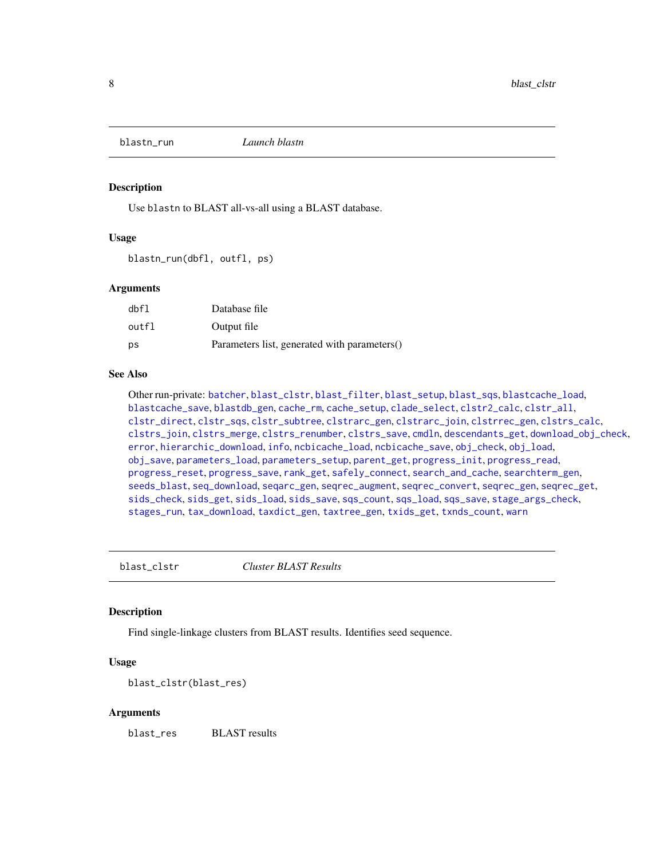<span id="page-7-2"></span><span id="page-7-0"></span>

Use blastn to BLAST all-vs-all using a BLAST database.

# Usage

blastn\_run(dbfl, outfl, ps)

#### Arguments

| dbfl  | Database file                                |
|-------|----------------------------------------------|
| outfl | Output file                                  |
| ps    | Parameters list, generated with parameters() |

# See Also

Other run-private: [batcher](#page-4-1), [blast\\_clstr](#page-7-1), [blast\\_filter](#page-8-1), [blast\\_setup](#page-9-1), [blast\\_sqs](#page-10-1), [blastcache\\_load](#page-5-1), [blastcache\\_save](#page-5-2), [blastdb\\_gen](#page-6-1), [cache\\_rm](#page-11-1), [cache\\_setup](#page-12-1), [clade\\_select](#page-14-1), [clstr2\\_calc](#page-15-1), [clstr\\_all](#page-25-1), [clstr\\_direct](#page-26-1), [clstr\\_sqs](#page-27-1), [clstr\\_subtree](#page-27-2), [clstrarc\\_gen](#page-17-1), [clstrarc\\_join](#page-18-1), [clstrrec\\_gen](#page-20-1), [clstrs\\_calc](#page-21-1), [clstrs\\_join](#page-22-1), [clstrs\\_merge](#page-23-1), [clstrs\\_renumber](#page-23-2), [clstrs\\_save](#page-24-1), [cmdln](#page-30-1), [descendants\\_get](#page-31-1), [download\\_obj\\_check](#page-32-1), [error](#page-38-1), [hierarchic\\_download](#page-44-1), [info](#page-45-1), [ncbicache\\_load](#page-50-1), [ncbicache\\_save](#page-51-1), [obj\\_check](#page-52-1), [obj\\_load](#page-52-2), [obj\\_save](#page-53-1), [parameters\\_load](#page-55-1), [parameters\\_setup](#page-57-1), [parent\\_get](#page-57-2), [progress\\_init](#page-62-1), [progress\\_read](#page-63-1), [progress\\_reset](#page-64-1), [progress\\_save](#page-64-2), [rank\\_get](#page-65-1), [safely\\_connect](#page-70-1), [search\\_and\\_cache](#page-71-1), [searchterm\\_gen](#page-70-2), [seeds\\_blast](#page-72-1), [seq\\_download](#page-80-1), [seqarc\\_gen](#page-74-1), [seqrec\\_augment](#page-77-1), [seqrec\\_convert](#page-78-1), [seqrec\\_gen](#page-78-2), [seqrec\\_get](#page-79-1), [sids\\_check](#page-82-1), [sids\\_get](#page-83-1), [sids\\_load](#page-84-1), [sids\\_save](#page-85-1), [sqs\\_count](#page-85-2), [sqs\\_load](#page-86-1), [sqs\\_save](#page-87-1), [stage\\_args\\_check](#page-88-1), [stages\\_run](#page-88-2), [tax\\_download](#page-96-1), [taxdict\\_gen](#page-92-1), [taxtree\\_gen](#page-95-1), [txids\\_get](#page-97-1), [txnds\\_count](#page-98-1), [warn](#page-99-1)

<span id="page-7-1"></span>blast\_clstr *Cluster BLAST Results*

#### Description

Find single-linkage clusters from BLAST results. Identifies seed sequence.

# Usage

blast\_clstr(blast\_res)

#### Arguments

blast\_res BLAST results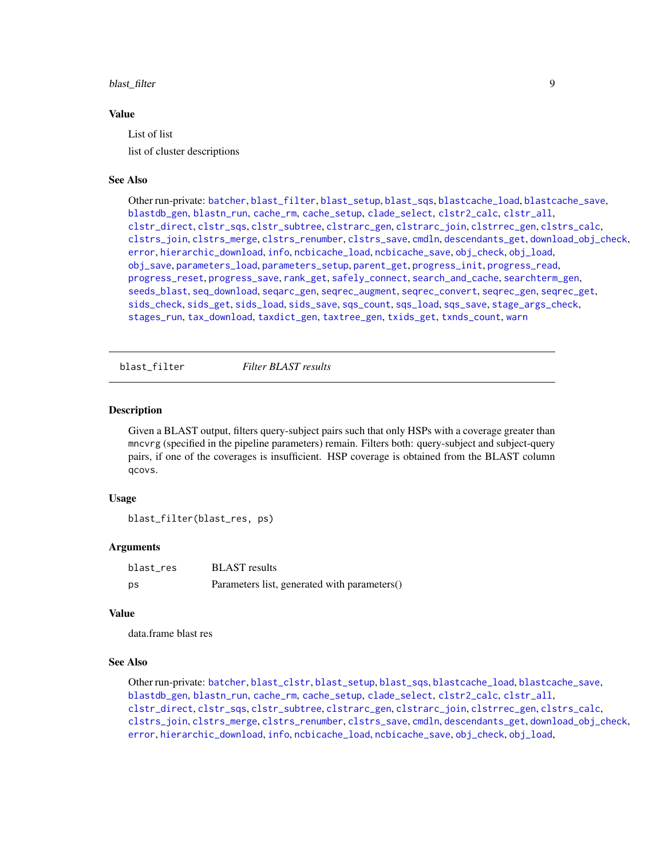#### <span id="page-8-0"></span>blast\_filter 9

#### Value

List of list

list of cluster descriptions

# See Also

Other run-private: [batcher](#page-4-1), [blast\\_filter](#page-8-1), [blast\\_setup](#page-9-1), [blast\\_sqs](#page-10-1), [blastcache\\_load](#page-5-1), [blastcache\\_save](#page-5-2), [blastdb\\_gen](#page-6-1), [blastn\\_run](#page-7-2), [cache\\_rm](#page-11-1), [cache\\_setup](#page-12-1), [clade\\_select](#page-14-1), [clstr2\\_calc](#page-15-1), [clstr\\_all](#page-25-1), [clstr\\_direct](#page-26-1), [clstr\\_sqs](#page-27-1), [clstr\\_subtree](#page-27-2), [clstrarc\\_gen](#page-17-1), [clstrarc\\_join](#page-18-1), [clstrrec\\_gen](#page-20-1), [clstrs\\_calc](#page-21-1), [clstrs\\_join](#page-22-1), [clstrs\\_merge](#page-23-1), [clstrs\\_renumber](#page-23-2), [clstrs\\_save](#page-24-1), [cmdln](#page-30-1), [descendants\\_get](#page-31-1), [download\\_obj\\_check](#page-32-1), [error](#page-38-1), [hierarchic\\_download](#page-44-1), [info](#page-45-1), [ncbicache\\_load](#page-50-1), [ncbicache\\_save](#page-51-1), [obj\\_check](#page-52-1), [obj\\_load](#page-52-2), [obj\\_save](#page-53-1), [parameters\\_load](#page-55-1), [parameters\\_setup](#page-57-1), [parent\\_get](#page-57-2), [progress\\_init](#page-62-1), [progress\\_read](#page-63-1), [progress\\_reset](#page-64-1), [progress\\_save](#page-64-2), [rank\\_get](#page-65-1), [safely\\_connect](#page-70-1), [search\\_and\\_cache](#page-71-1), [searchterm\\_gen](#page-70-2), [seeds\\_blast](#page-72-1), [seq\\_download](#page-80-1), [seqarc\\_gen](#page-74-1), [seqrec\\_augment](#page-77-1), [seqrec\\_convert](#page-78-1), [seqrec\\_gen](#page-78-2), [seqrec\\_get](#page-79-1), [sids\\_check](#page-82-1), [sids\\_get](#page-83-1), [sids\\_load](#page-84-1), [sids\\_save](#page-85-1), [sqs\\_count](#page-85-2), [sqs\\_load](#page-86-1), [sqs\\_save](#page-87-1), [stage\\_args\\_check](#page-88-1), [stages\\_run](#page-88-2), [tax\\_download](#page-96-1), [taxdict\\_gen](#page-92-1), [taxtree\\_gen](#page-95-1), [txids\\_get](#page-97-1), [txnds\\_count](#page-98-1), [warn](#page-99-1)

<span id="page-8-1"></span>blast\_filter *Filter BLAST results*

# **Description**

Given a BLAST output, filters query-subject pairs such that only HSPs with a coverage greater than mncvrg (specified in the pipeline parameters) remain. Filters both: query-subject and subject-query pairs, if one of the coverages is insufficient. HSP coverage is obtained from the BLAST column qcovs.

#### Usage

blast\_filter(blast\_res, ps)

# Arguments

| blast res | <b>BLAST</b> results                         |
|-----------|----------------------------------------------|
| ps        | Parameters list, generated with parameters() |

#### Value

data.frame blast res

# See Also

Other run-private: [batcher](#page-4-1), [blast\\_clstr](#page-7-1), [blast\\_setup](#page-9-1), [blast\\_sqs](#page-10-1), [blastcache\\_load](#page-5-1), [blastcache\\_save](#page-5-2), [blastdb\\_gen](#page-6-1), [blastn\\_run](#page-7-2), [cache\\_rm](#page-11-1), [cache\\_setup](#page-12-1), [clade\\_select](#page-14-1), [clstr2\\_calc](#page-15-1), [clstr\\_all](#page-25-1), [clstr\\_direct](#page-26-1), [clstr\\_sqs](#page-27-1), [clstr\\_subtree](#page-27-2), [clstrarc\\_gen](#page-17-1), [clstrarc\\_join](#page-18-1), [clstrrec\\_gen](#page-20-1), [clstrs\\_calc](#page-21-1), [clstrs\\_join](#page-22-1), [clstrs\\_merge](#page-23-1), [clstrs\\_renumber](#page-23-2), [clstrs\\_save](#page-24-1), [cmdln](#page-30-1), [descendants\\_get](#page-31-1), [download\\_obj\\_check](#page-32-1), [error](#page-38-1), [hierarchic\\_download](#page-44-1), [info](#page-45-1), [ncbicache\\_load](#page-50-1), [ncbicache\\_save](#page-51-1), [obj\\_check](#page-52-1), [obj\\_load](#page-52-2),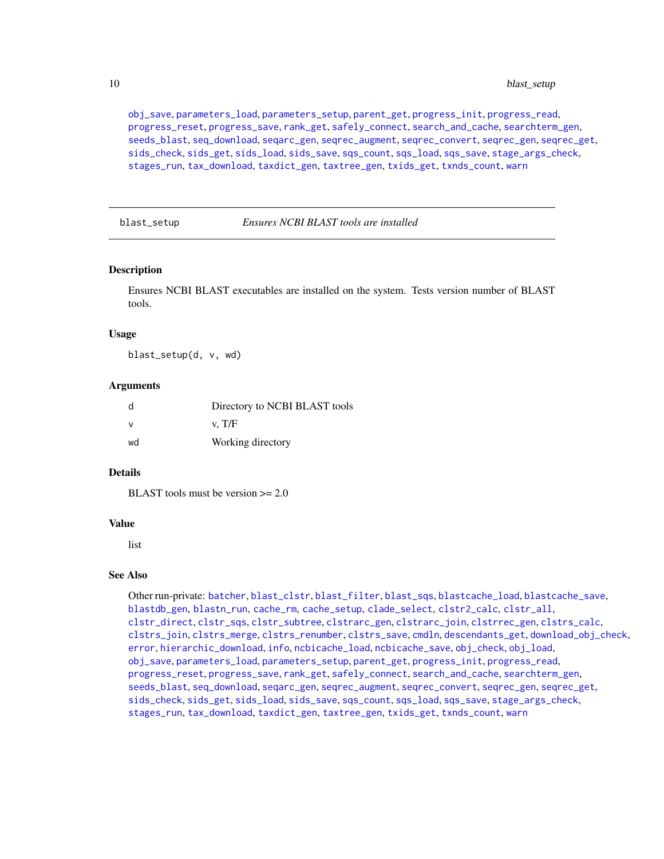[obj\\_save](#page-53-1), [parameters\\_load](#page-55-1), [parameters\\_setup](#page-57-1), [parent\\_get](#page-57-2), [progress\\_init](#page-62-1), [progress\\_read](#page-63-1), [progress\\_reset](#page-64-1), [progress\\_save](#page-64-2), [rank\\_get](#page-65-1), [safely\\_connect](#page-70-1), [search\\_and\\_cache](#page-71-1), [searchterm\\_gen](#page-70-2), [seeds\\_blast](#page-72-1), [seq\\_download](#page-80-1), [seqarc\\_gen](#page-74-1), [seqrec\\_augment](#page-77-1), [seqrec\\_convert](#page-78-1), [seqrec\\_gen](#page-78-2), [seqrec\\_get](#page-79-1), [sids\\_check](#page-82-1), [sids\\_get](#page-83-1), [sids\\_load](#page-84-1), [sids\\_save](#page-85-1), [sqs\\_count](#page-85-2), [sqs\\_load](#page-86-1), [sqs\\_save](#page-87-1), [stage\\_args\\_check](#page-88-1), [stages\\_run](#page-88-2), [tax\\_download](#page-96-1), [taxdict\\_gen](#page-92-1), [taxtree\\_gen](#page-95-1), [txids\\_get](#page-97-1), [txnds\\_count](#page-98-1), [warn](#page-99-1)

<span id="page-9-1"></span>blast\_setup *Ensures NCBI BLAST tools are installed*

#### **Description**

Ensures NCBI BLAST executables are installed on the system. Tests version number of BLAST tools.

#### Usage

blast\_setup(d, v, wd)

#### Arguments

|    | Directory to NCBI BLAST tools |
|----|-------------------------------|
|    | v. T/F                        |
| wd | Working directory             |

#### Details

BLAST tools must be version  $\geq 2.0$ 

#### Value

list

#### See Also

Other run-private: [batcher](#page-4-1), [blast\\_clstr](#page-7-1), [blast\\_filter](#page-8-1), [blast\\_sqs](#page-10-1), [blastcache\\_load](#page-5-1), [blastcache\\_save](#page-5-2), [blastdb\\_gen](#page-6-1), [blastn\\_run](#page-7-2), [cache\\_rm](#page-11-1), [cache\\_setup](#page-12-1), [clade\\_select](#page-14-1), [clstr2\\_calc](#page-15-1), [clstr\\_all](#page-25-1), [clstr\\_direct](#page-26-1), [clstr\\_sqs](#page-27-1), [clstr\\_subtree](#page-27-2), [clstrarc\\_gen](#page-17-1), [clstrarc\\_join](#page-18-1), [clstrrec\\_gen](#page-20-1), [clstrs\\_calc](#page-21-1), [clstrs\\_join](#page-22-1), [clstrs\\_merge](#page-23-1), [clstrs\\_renumber](#page-23-2), [clstrs\\_save](#page-24-1), [cmdln](#page-30-1), [descendants\\_get](#page-31-1), [download\\_obj\\_check](#page-32-1), [error](#page-38-1), [hierarchic\\_download](#page-44-1), [info](#page-45-1), [ncbicache\\_load](#page-50-1), [ncbicache\\_save](#page-51-1), [obj\\_check](#page-52-1), [obj\\_load](#page-52-2), [obj\\_save](#page-53-1), [parameters\\_load](#page-55-1), [parameters\\_setup](#page-57-1), [parent\\_get](#page-57-2), [progress\\_init](#page-62-1), [progress\\_read](#page-63-1), [progress\\_reset](#page-64-1), [progress\\_save](#page-64-2), [rank\\_get](#page-65-1), [safely\\_connect](#page-70-1), [search\\_and\\_cache](#page-71-1), [searchterm\\_gen](#page-70-2), [seeds\\_blast](#page-72-1), [seq\\_download](#page-80-1), [seqarc\\_gen](#page-74-1), [seqrec\\_augment](#page-77-1), [seqrec\\_convert](#page-78-1), [seqrec\\_gen](#page-78-2), [seqrec\\_get](#page-79-1), [sids\\_check](#page-82-1), [sids\\_get](#page-83-1), [sids\\_load](#page-84-1), [sids\\_save](#page-85-1), [sqs\\_count](#page-85-2), [sqs\\_load](#page-86-1), [sqs\\_save](#page-87-1), [stage\\_args\\_check](#page-88-1), [stages\\_run](#page-88-2), [tax\\_download](#page-96-1), [taxdict\\_gen](#page-92-1), [taxtree\\_gen](#page-95-1), [txids\\_get](#page-97-1), [txnds\\_count](#page-98-1), [warn](#page-99-1)

<span id="page-9-0"></span>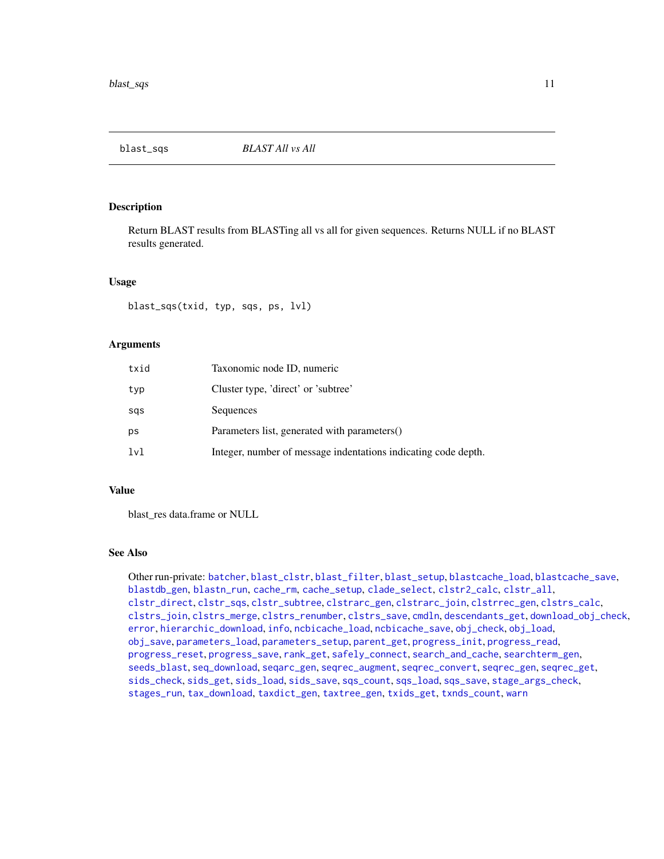<span id="page-10-1"></span><span id="page-10-0"></span>

Return BLAST results from BLASTing all vs all for given sequences. Returns NULL if no BLAST results generated.

# Usage

blast\_sqs(txid, typ, sqs, ps, lvl)

# Arguments

| txid | Taxonomic node ID, numeric                                     |
|------|----------------------------------------------------------------|
| typ  | Cluster type, 'direct' or 'subtree'                            |
| sas  | Sequences                                                      |
| ps   | Parameters list, generated with parameters()                   |
| lvl  | Integer, number of message indentations indicating code depth. |

# Value

blast\_res data.frame or NULL

# See Also

Other run-private: [batcher](#page-4-1), [blast\\_clstr](#page-7-1), [blast\\_filter](#page-8-1), [blast\\_setup](#page-9-1), [blastcache\\_load](#page-5-1), [blastcache\\_save](#page-5-2), [blastdb\\_gen](#page-6-1), [blastn\\_run](#page-7-2), [cache\\_rm](#page-11-1), [cache\\_setup](#page-12-1), [clade\\_select](#page-14-1), [clstr2\\_calc](#page-15-1), [clstr\\_all](#page-25-1), [clstr\\_direct](#page-26-1), [clstr\\_sqs](#page-27-1), [clstr\\_subtree](#page-27-2), [clstrarc\\_gen](#page-17-1), [clstrarc\\_join](#page-18-1), [clstrrec\\_gen](#page-20-1), [clstrs\\_calc](#page-21-1), [clstrs\\_join](#page-22-1), [clstrs\\_merge](#page-23-1), [clstrs\\_renumber](#page-23-2), [clstrs\\_save](#page-24-1), [cmdln](#page-30-1), [descendants\\_get](#page-31-1), [download\\_obj\\_check](#page-32-1), [error](#page-38-1), [hierarchic\\_download](#page-44-1), [info](#page-45-1), [ncbicache\\_load](#page-50-1), [ncbicache\\_save](#page-51-1), [obj\\_check](#page-52-1), [obj\\_load](#page-52-2), [obj\\_save](#page-53-1), [parameters\\_load](#page-55-1), [parameters\\_setup](#page-57-1), [parent\\_get](#page-57-2), [progress\\_init](#page-62-1), [progress\\_read](#page-63-1), [progress\\_reset](#page-64-1), [progress\\_save](#page-64-2), [rank\\_get](#page-65-1), [safely\\_connect](#page-70-1), [search\\_and\\_cache](#page-71-1), [searchterm\\_gen](#page-70-2), [seeds\\_blast](#page-72-1), [seq\\_download](#page-80-1), [seqarc\\_gen](#page-74-1), [seqrec\\_augment](#page-77-1), [seqrec\\_convert](#page-78-1), [seqrec\\_gen](#page-78-2), [seqrec\\_get](#page-79-1), [sids\\_check](#page-82-1), [sids\\_get](#page-83-1), [sids\\_load](#page-84-1), [sids\\_save](#page-85-1), [sqs\\_count](#page-85-2), [sqs\\_load](#page-86-1), [sqs\\_save](#page-87-1), [stage\\_args\\_check](#page-88-1), [stages\\_run](#page-88-2), [tax\\_download](#page-96-1), [taxdict\\_gen](#page-92-1), [taxtree\\_gen](#page-95-1), [txids\\_get](#page-97-1), [txnds\\_count](#page-98-1), [warn](#page-99-1)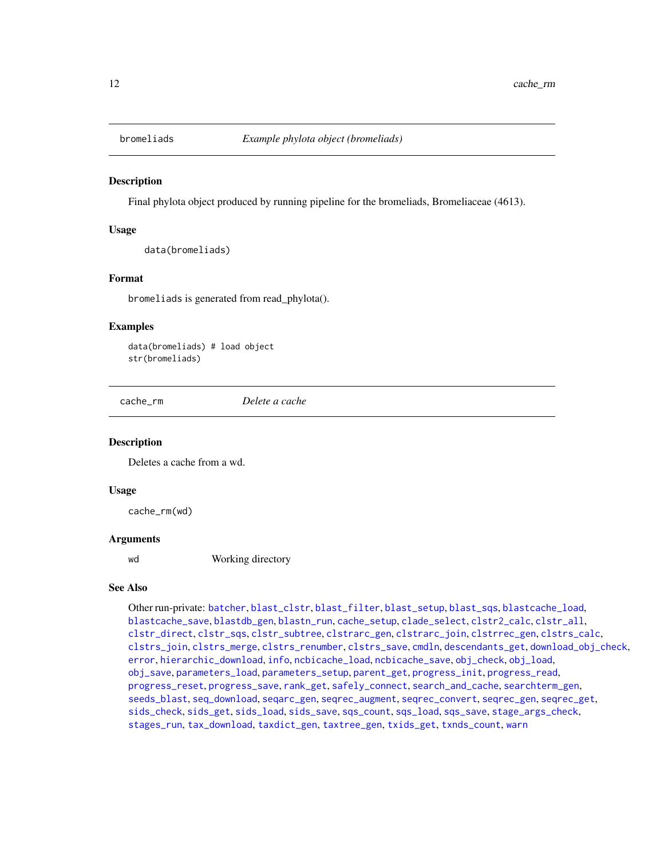<span id="page-11-0"></span>

Final phylota object produced by running pipeline for the bromeliads, Bromeliaceae (4613).

# Usage

```
data(bromeliads)
```
#### Format

bromeliads is generated from read\_phylota().

#### Examples

data(bromeliads) # load object str(bromeliads)

<span id="page-11-1"></span>cache\_rm *Delete a cache*

# **Description**

Deletes a cache from a wd.

#### Usage

cache\_rm(wd)

#### Arguments

wd Working directory

#### See Also

Other run-private: [batcher](#page-4-1), [blast\\_clstr](#page-7-1), [blast\\_filter](#page-8-1), [blast\\_setup](#page-9-1), [blast\\_sqs](#page-10-1), [blastcache\\_load](#page-5-1), [blastcache\\_save](#page-5-2), [blastdb\\_gen](#page-6-1), [blastn\\_run](#page-7-2), [cache\\_setup](#page-12-1), [clade\\_select](#page-14-1), [clstr2\\_calc](#page-15-1), [clstr\\_all](#page-25-1), [clstr\\_direct](#page-26-1), [clstr\\_sqs](#page-27-1), [clstr\\_subtree](#page-27-2), [clstrarc\\_gen](#page-17-1), [clstrarc\\_join](#page-18-1), [clstrrec\\_gen](#page-20-1), [clstrs\\_calc](#page-21-1), [clstrs\\_join](#page-22-1), [clstrs\\_merge](#page-23-1), [clstrs\\_renumber](#page-23-2), [clstrs\\_save](#page-24-1), [cmdln](#page-30-1), [descendants\\_get](#page-31-1), [download\\_obj\\_check](#page-32-1), [error](#page-38-1), [hierarchic\\_download](#page-44-1), [info](#page-45-1), [ncbicache\\_load](#page-50-1), [ncbicache\\_save](#page-51-1), [obj\\_check](#page-52-1), [obj\\_load](#page-52-2), [obj\\_save](#page-53-1), [parameters\\_load](#page-55-1), [parameters\\_setup](#page-57-1), [parent\\_get](#page-57-2), [progress\\_init](#page-62-1), [progress\\_read](#page-63-1), [progress\\_reset](#page-64-1), [progress\\_save](#page-64-2), [rank\\_get](#page-65-1), [safely\\_connect](#page-70-1), [search\\_and\\_cache](#page-71-1), [searchterm\\_gen](#page-70-2), [seeds\\_blast](#page-72-1), [seq\\_download](#page-80-1), [seqarc\\_gen](#page-74-1), [seqrec\\_augment](#page-77-1), [seqrec\\_convert](#page-78-1), [seqrec\\_gen](#page-78-2), [seqrec\\_get](#page-79-1), [sids\\_check](#page-82-1), [sids\\_get](#page-83-1), [sids\\_load](#page-84-1), [sids\\_save](#page-85-1), [sqs\\_count](#page-85-2), [sqs\\_load](#page-86-1), [sqs\\_save](#page-87-1), [stage\\_args\\_check](#page-88-1), [stages\\_run](#page-88-2), [tax\\_download](#page-96-1), [taxdict\\_gen](#page-92-1), [taxtree\\_gen](#page-95-1), [txids\\_get](#page-97-1), [txnds\\_count](#page-98-1), [warn](#page-99-1)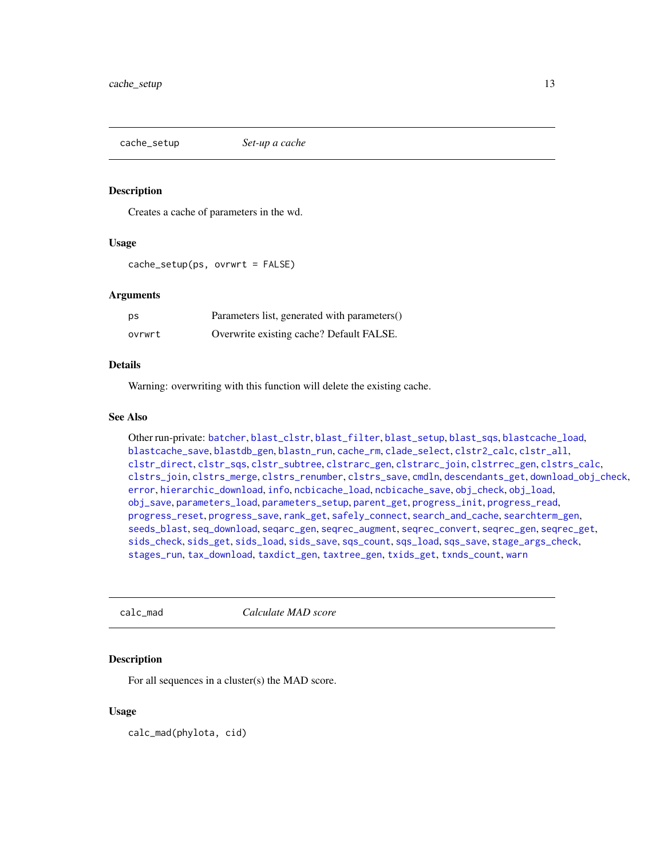<span id="page-12-1"></span><span id="page-12-0"></span>

Creates a cache of parameters in the wd.

# Usage

cache\_setup(ps, ovrwrt = FALSE)

# Arguments

| ps     | Parameters list, generated with parameters() |
|--------|----------------------------------------------|
| ovrwrt | Overwrite existing cache? Default FALSE.     |

# Details

Warning: overwriting with this function will delete the existing cache.

# See Also

```
Other run-private: batcher, blast_clstr, blast_filter, blast_setup, blast_sqs, blastcache_load,
blastcache_save, blastdb_gen, blastn_run, cache_rm, clade_select, clstr2_calc, clstr_all,
clstr_direct, clstr_sqs, clstr_subtree, clstrarc_gen, clstrarc_join, clstrrec_gen, clstrs_calc,
clstrs_join, clstrs_merge, clstrs_renumber, clstrs_save, cmdln, descendants_get, download_obj_check,
error, hierarchic_download, info, ncbicache_load, ncbicache_save, obj_check, obj_load,
obj_save, parameters_load, parameters_setup, parent_get, progress_init, progress_read,
progress_reset, progress_save, rank_get, safely_connect, search_and_cache, searchterm_gen,
seeds_blast, seq_download, seqarc_gen, seqrec_augment, seqrec_convert, seqrec_gen, seqrec_get,
sids_check, sids_get, sids_load, sids_save, sqs_count, sqs_load, sqs_save, stage_args_check,
stages_run, tax_download, taxdict_gen, taxtree_gen, txids_get, txnds_count, warn
```
<span id="page-12-2"></span>

calc\_mad *Calculate MAD score*

#### Description

For all sequences in a cluster(s) the MAD score.

# Usage

calc\_mad(phylota, cid)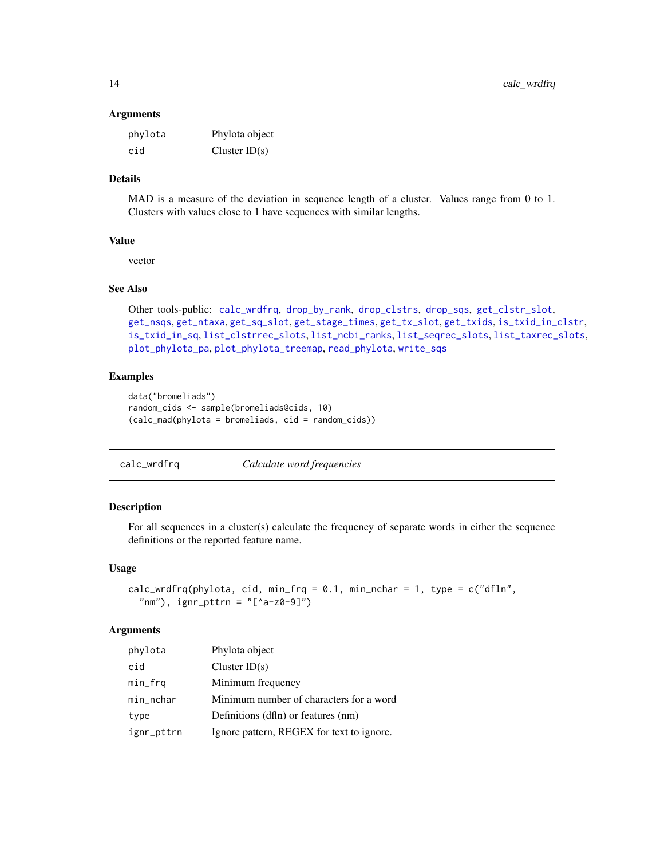#### <span id="page-13-0"></span>**Arguments**

| phylota | Phylota object  |
|---------|-----------------|
| cid     | Cluster $ID(s)$ |

# Details

MAD is a measure of the deviation in sequence length of a cluster. Values range from 0 to 1. Clusters with values close to 1 have sequences with similar lengths.

# Value

vector

#### See Also

```
Other tools-public: calc_wrdfrq, drop_by_rank, drop_clstrs, drop_sqs, get_clstr_slot,
get_nsqs, get_ntaxa, get_sq_slot, get_stage_times, get_tx_slot, get_txids, is_txid_in_clstr,
is_txid_in_sq, list_clstrrec_slots, list_ncbi_ranks, list_seqrec_slots, list_taxrec_slots,
plot_phylota_pa, plot_phylota_treemap, read_phylota, write_sqs
```
# Examples

```
data("bromeliads")
random_cids <- sample(bromeliads@cids, 10)
(calc_mad(phylota = bromeliads, cid = random_cids))
```
# <span id="page-13-1"></span>calc\_wrdfrq *Calculate word frequencies*

# Description

For all sequences in a cluster(s) calculate the frequency of separate words in either the sequence definitions or the reported feature name.

# Usage

```
calc_wrdfrq(phylota, cid, min_frq = 0.1, min_nchar = 1, type = c("df1n","nm"), ignr_pttrn = "[^a-z0-9]")
```
# Arguments

| phylota    | Phylota object                            |
|------------|-------------------------------------------|
| cid        | Cluster $ID(s)$                           |
| min_frq    | Minimum frequency                         |
| min_nchar  | Minimum number of characters for a word   |
| type       | Definitions (dfln) or features (nm)       |
| ignr_pttrn | Ignore pattern, REGEX for text to ignore. |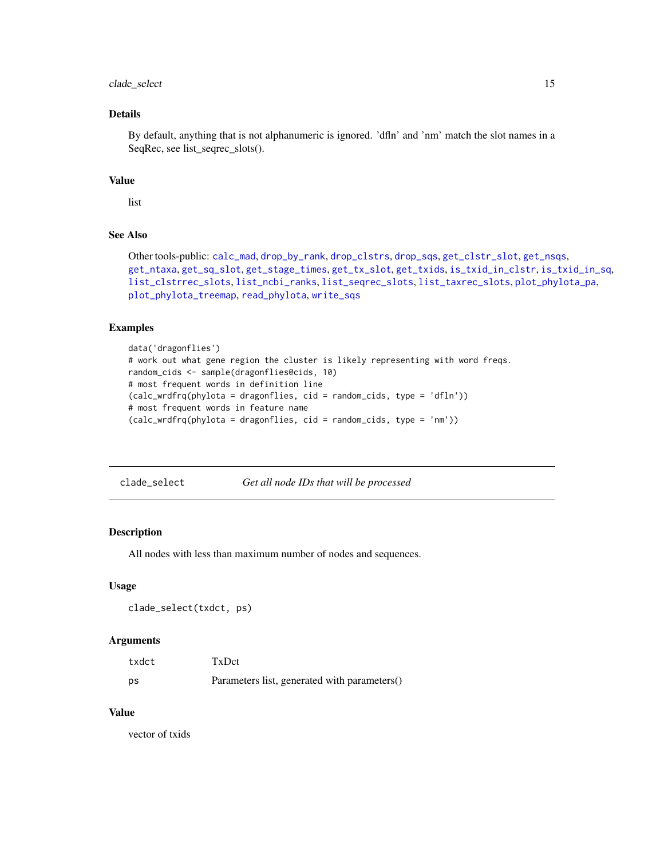# <span id="page-14-0"></span>clade\_select 15

# Details

By default, anything that is not alphanumeric is ignored. 'dfln' and 'nm' match the slot names in a SeqRec, see list\_seqrec\_slots().

# Value

```
list
```
# See Also

Other tools-public: [calc\\_mad](#page-12-2), [drop\\_by\\_rank](#page-34-1), [drop\\_clstrs](#page-36-1), [drop\\_sqs](#page-37-1), [get\\_clstr\\_slot](#page-38-2), [get\\_nsqs](#page-39-1), [get\\_ntaxa](#page-40-1), [get\\_sq\\_slot](#page-41-1), [get\\_stage\\_times](#page-42-1), [get\\_tx\\_slot](#page-44-2), [get\\_txids](#page-42-2), [is\\_txid\\_in\\_clstr](#page-46-1), [is\\_txid\\_in\\_sq](#page-47-1), [list\\_clstrrec\\_slots](#page-48-1), [list\\_ncbi\\_ranks](#page-48-2), [list\\_seqrec\\_slots](#page-49-1), [list\\_taxrec\\_slots](#page-49-2), [plot\\_phylota\\_pa](#page-60-1), [plot\\_phylota\\_treemap](#page-61-1), [read\\_phylota](#page-66-1), [write\\_sqs](#page-100-1)

# Examples

```
data('dragonflies')
# work out what gene region the cluster is likely representing with word freqs.
random_cids <- sample(dragonflies@cids, 10)
# most frequent words in definition line
(calc_wrdfrq(phylota = dragonflies, cid = random_cids, type = 'dfln'))
# most frequent words in feature name
(calc_wrdfrq(phylota = dragonflies, cid = random_cids, type = 'nm'))
```
<span id="page-14-1"></span>clade\_select *Get all node IDs that will be processed*

#### Description

All nodes with less than maximum number of nodes and sequences.

# Usage

```
clade_select(txdct, ps)
```
# **Arguments**

| txdct | TxDct                                        |
|-------|----------------------------------------------|
| ps    | Parameters list, generated with parameters() |

# Value

vector of txids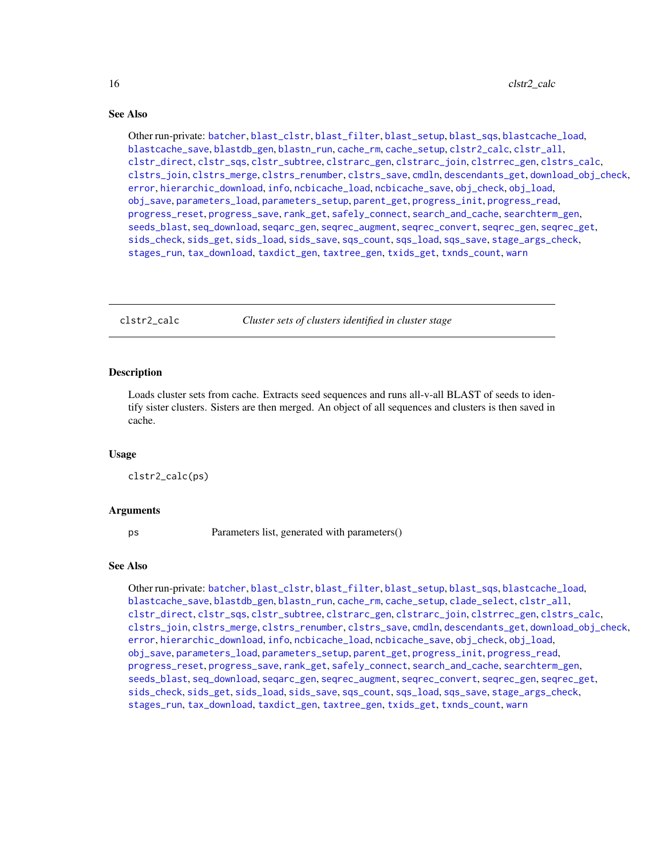# <span id="page-15-0"></span>See Also

Other run-private: [batcher](#page-4-1), [blast\\_clstr](#page-7-1), [blast\\_filter](#page-8-1), [blast\\_setup](#page-9-1), [blast\\_sqs](#page-10-1), [blastcache\\_load](#page-5-1), [blastcache\\_save](#page-5-2), [blastdb\\_gen](#page-6-1), [blastn\\_run](#page-7-2), [cache\\_rm](#page-11-1), [cache\\_setup](#page-12-1), [clstr2\\_calc](#page-15-1), [clstr\\_all](#page-25-1), [clstr\\_direct](#page-26-1), [clstr\\_sqs](#page-27-1), [clstr\\_subtree](#page-27-2), [clstrarc\\_gen](#page-17-1), [clstrarc\\_join](#page-18-1), [clstrrec\\_gen](#page-20-1), [clstrs\\_calc](#page-21-1), [clstrs\\_join](#page-22-1), [clstrs\\_merge](#page-23-1), [clstrs\\_renumber](#page-23-2), [clstrs\\_save](#page-24-1), [cmdln](#page-30-1), [descendants\\_get](#page-31-1), [download\\_obj\\_check](#page-32-1), [error](#page-38-1), [hierarchic\\_download](#page-44-1), [info](#page-45-1), [ncbicache\\_load](#page-50-1), [ncbicache\\_save](#page-51-1), [obj\\_check](#page-52-1), [obj\\_load](#page-52-2), [obj\\_save](#page-53-1), [parameters\\_load](#page-55-1), [parameters\\_setup](#page-57-1), [parent\\_get](#page-57-2), [progress\\_init](#page-62-1), [progress\\_read](#page-63-1), [progress\\_reset](#page-64-1), [progress\\_save](#page-64-2), [rank\\_get](#page-65-1), [safely\\_connect](#page-70-1), [search\\_and\\_cache](#page-71-1), [searchterm\\_gen](#page-70-2), [seeds\\_blast](#page-72-1), [seq\\_download](#page-80-1), [seqarc\\_gen](#page-74-1), [seqrec\\_augment](#page-77-1), [seqrec\\_convert](#page-78-1), [seqrec\\_gen](#page-78-2), [seqrec\\_get](#page-79-1), [sids\\_check](#page-82-1), [sids\\_get](#page-83-1), [sids\\_load](#page-84-1), [sids\\_save](#page-85-1), [sqs\\_count](#page-85-2), [sqs\\_load](#page-86-1), [sqs\\_save](#page-87-1), [stage\\_args\\_check](#page-88-1), [stages\\_run](#page-88-2), [tax\\_download](#page-96-1), [taxdict\\_gen](#page-92-1), [taxtree\\_gen](#page-95-1), [txids\\_get](#page-97-1), [txnds\\_count](#page-98-1), [warn](#page-99-1)

<span id="page-15-1"></span>clstr2\_calc *Cluster sets of clusters identified in cluster stage*

#### **Description**

Loads cluster sets from cache. Extracts seed sequences and runs all-v-all BLAST of seeds to identify sister clusters. Sisters are then merged. An object of all sequences and clusters is then saved in cache.

#### Usage

clstr2\_calc(ps)

#### Arguments

ps Parameters list, generated with parameters()

# See Also

Other run-private: [batcher](#page-4-1), [blast\\_clstr](#page-7-1), [blast\\_filter](#page-8-1), [blast\\_setup](#page-9-1), [blast\\_sqs](#page-10-1), [blastcache\\_load](#page-5-1), [blastcache\\_save](#page-5-2), [blastdb\\_gen](#page-6-1), [blastn\\_run](#page-7-2), [cache\\_rm](#page-11-1), [cache\\_setup](#page-12-1), [clade\\_select](#page-14-1), [clstr\\_all](#page-25-1), [clstr\\_direct](#page-26-1), [clstr\\_sqs](#page-27-1), [clstr\\_subtree](#page-27-2), [clstrarc\\_gen](#page-17-1), [clstrarc\\_join](#page-18-1), [clstrrec\\_gen](#page-20-1), [clstrs\\_calc](#page-21-1), [clstrs\\_join](#page-22-1), [clstrs\\_merge](#page-23-1), [clstrs\\_renumber](#page-23-2), [clstrs\\_save](#page-24-1), [cmdln](#page-30-1), [descendants\\_get](#page-31-1), [download\\_obj\\_check](#page-32-1), [error](#page-38-1), [hierarchic\\_download](#page-44-1), [info](#page-45-1), [ncbicache\\_load](#page-50-1), [ncbicache\\_save](#page-51-1), [obj\\_check](#page-52-1), [obj\\_load](#page-52-2), [obj\\_save](#page-53-1), [parameters\\_load](#page-55-1), [parameters\\_setup](#page-57-1), [parent\\_get](#page-57-2), [progress\\_init](#page-62-1), [progress\\_read](#page-63-1), [progress\\_reset](#page-64-1), [progress\\_save](#page-64-2), [rank\\_get](#page-65-1), [safely\\_connect](#page-70-1), [search\\_and\\_cache](#page-71-1), [searchterm\\_gen](#page-70-2), [seeds\\_blast](#page-72-1), [seq\\_download](#page-80-1), [seqarc\\_gen](#page-74-1), [seqrec\\_augment](#page-77-1), [seqrec\\_convert](#page-78-1), [seqrec\\_gen](#page-78-2), [seqrec\\_get](#page-79-1), [sids\\_check](#page-82-1), [sids\\_get](#page-83-1), [sids\\_load](#page-84-1), [sids\\_save](#page-85-1), [sqs\\_count](#page-85-2), [sqs\\_load](#page-86-1), [sqs\\_save](#page-87-1), [stage\\_args\\_check](#page-88-1), [stages\\_run](#page-88-2), [tax\\_download](#page-96-1), [taxdict\\_gen](#page-92-1), [taxtree\\_gen](#page-95-1), [txids\\_get](#page-97-1), [txnds\\_count](#page-98-1), [warn](#page-99-1)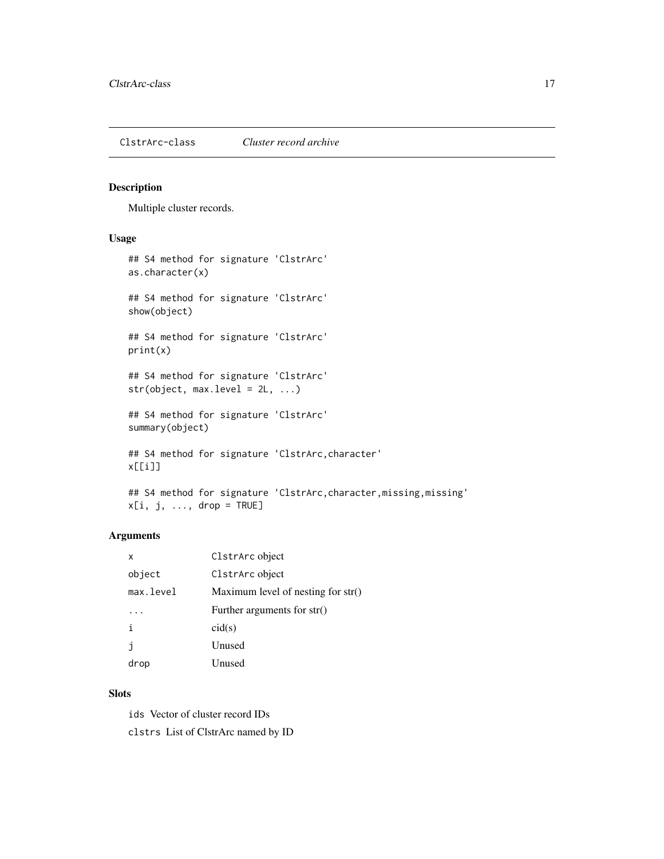<span id="page-16-1"></span><span id="page-16-0"></span>ClstrArc-class *Cluster record archive*

# Description

Multiple cluster records.

# Usage

```
## S4 method for signature 'ClstrArc'
as.character(x)
## S4 method for signature 'ClstrArc'
show(object)
## S4 method for signature 'ClstrArc'
print(x)
## S4 method for signature 'ClstrArc'
str(object, max. level = 2L, ...)## S4 method for signature 'ClstrArc'
summary(object)
## S4 method for signature 'ClstrArc,character'
x[[i]]
## S4 method for signature 'ClstrArc, character, missing, missing'
```
# Arguments

| x         | ClstrArc object                      |
|-----------|--------------------------------------|
| object    | ClstrArc object                      |
| max.level | Maximum level of nesting for $str()$ |
|           | Further arguments for str()          |
| i         | cid(s)                               |
| j         | Unused                               |
| drop      | Unused                               |

# Slots

ids Vector of cluster record IDs clstrs List of ClstrArc named by ID

 $x[i, j, ..., drop = TRUE]$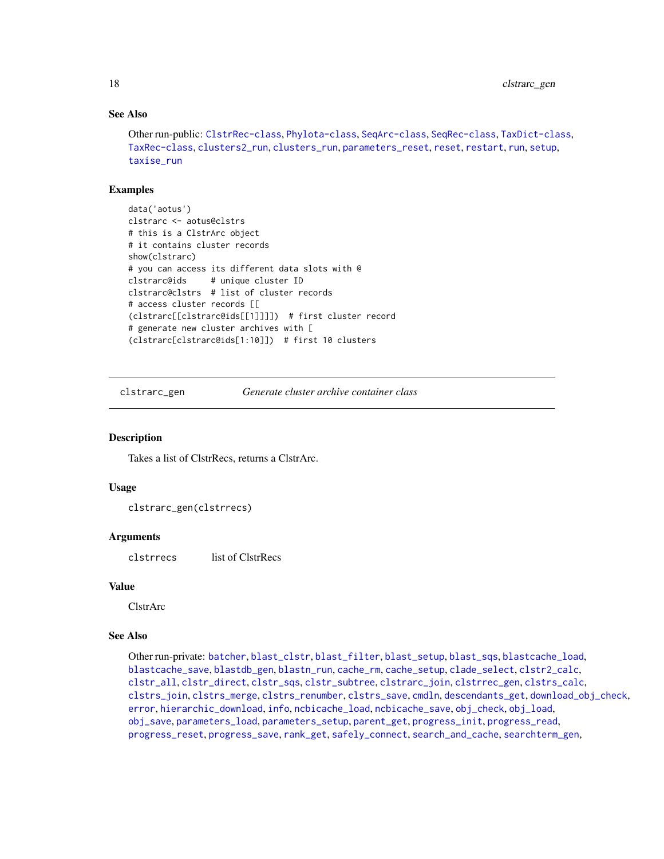# See Also

```
Other run-public: ClstrRec-class, Phylota-class, SeqArc-class, SeqRec-class, TaxDict-class,
TaxRec-class, clusters2_run, clusters_run, parameters_reset, reset, restart, run, setup,
taxise_run
```
# Examples

```
data('aotus')
clstrarc <- aotus@clstrs
# this is a ClstrArc object
# it contains cluster records
show(clstrarc)
# you can access its different data slots with @
clstrarc@ids # unique cluster ID
clstrarc@clstrs # list of cluster records
# access cluster records [[
(clstrarc[[clstrarc@ids[[1]]]]) # first cluster record
# generate new cluster archives with [
(clstrarc[clstrarc@ids[1:10]]) # first 10 clusters
```
<span id="page-17-1"></span>clstrarc\_gen *Generate cluster archive container class*

# Description

Takes a list of ClstrRecs, returns a ClstrArc.

# Usage

clstrarc\_gen(clstrrecs)

# **Arguments**

clstrrecs list of ClstrRecs

#### Value

ClstrArc

# See Also

Other run-private: [batcher](#page-4-1), [blast\\_clstr](#page-7-1), [blast\\_filter](#page-8-1), [blast\\_setup](#page-9-1), [blast\\_sqs](#page-10-1), [blastcache\\_load](#page-5-1), [blastcache\\_save](#page-5-2), [blastdb\\_gen](#page-6-1), [blastn\\_run](#page-7-2), [cache\\_rm](#page-11-1), [cache\\_setup](#page-12-1), [clade\\_select](#page-14-1), [clstr2\\_calc](#page-15-1), [clstr\\_all](#page-25-1), [clstr\\_direct](#page-26-1), [clstr\\_sqs](#page-27-1), [clstr\\_subtree](#page-27-2), [clstrarc\\_join](#page-18-1), [clstrrec\\_gen](#page-20-1), [clstrs\\_calc](#page-21-1), [clstrs\\_join](#page-22-1), [clstrs\\_merge](#page-23-1), [clstrs\\_renumber](#page-23-2), [clstrs\\_save](#page-24-1), [cmdln](#page-30-1), [descendants\\_get](#page-31-1), [download\\_obj\\_check](#page-32-1), [error](#page-38-1), [hierarchic\\_download](#page-44-1), [info](#page-45-1), [ncbicache\\_load](#page-50-1), [ncbicache\\_save](#page-51-1), [obj\\_check](#page-52-1), [obj\\_load](#page-52-2), [obj\\_save](#page-53-1), [parameters\\_load](#page-55-1), [parameters\\_setup](#page-57-1), [parent\\_get](#page-57-2), [progress\\_init](#page-62-1), [progress\\_read](#page-63-1), [progress\\_reset](#page-64-1), [progress\\_save](#page-64-2), [rank\\_get](#page-65-1), [safely\\_connect](#page-70-1), [search\\_and\\_cache](#page-71-1), [searchterm\\_gen](#page-70-2),

<span id="page-17-0"></span>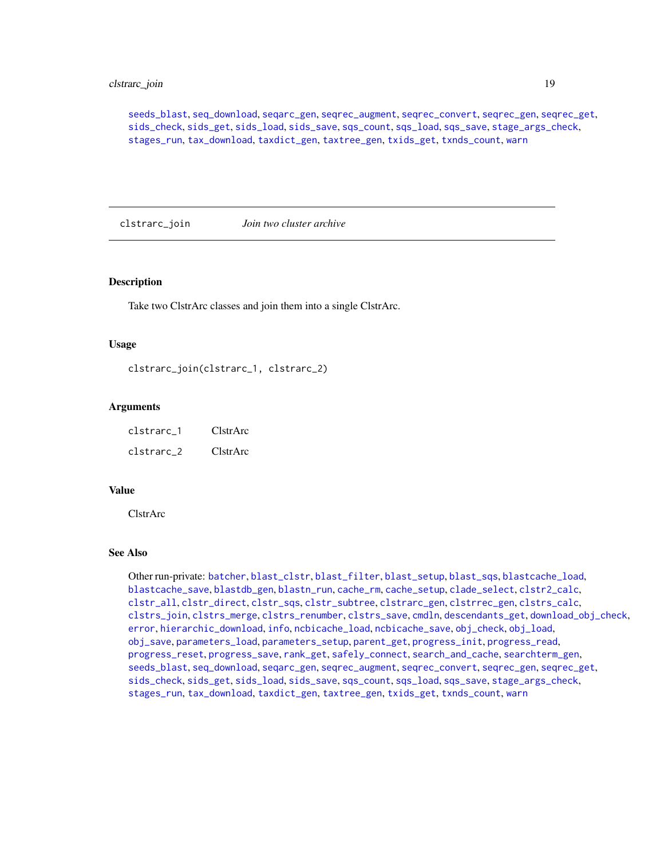# <span id="page-18-0"></span>clstrarc\_join 19

[seeds\\_blast](#page-72-1), [seq\\_download](#page-80-1), [seqarc\\_gen](#page-74-1), [seqrec\\_augment](#page-77-1), [seqrec\\_convert](#page-78-1), [seqrec\\_gen](#page-78-2), [seqrec\\_get](#page-79-1), [sids\\_check](#page-82-1), [sids\\_get](#page-83-1), [sids\\_load](#page-84-1), [sids\\_save](#page-85-1), [sqs\\_count](#page-85-2), [sqs\\_load](#page-86-1), [sqs\\_save](#page-87-1), [stage\\_args\\_check](#page-88-1), [stages\\_run](#page-88-2), [tax\\_download](#page-96-1), [taxdict\\_gen](#page-92-1), [taxtree\\_gen](#page-95-1), [txids\\_get](#page-97-1), [txnds\\_count](#page-98-1), [warn](#page-99-1)

<span id="page-18-1"></span>clstrarc\_join *Join two cluster archive*

# **Description**

Take two ClstrArc classes and join them into a single ClstrArc.

#### Usage

clstrarc\_join(clstrarc\_1, clstrarc\_2)

# Arguments

| clstrarc 1 | ClstrArc |
|------------|----------|
| clstrarc 2 | ClstrArc |

# Value

ClstrArc

# See Also

Other run-private: [batcher](#page-4-1), [blast\\_clstr](#page-7-1), [blast\\_filter](#page-8-1), [blast\\_setup](#page-9-1), [blast\\_sqs](#page-10-1), [blastcache\\_load](#page-5-1), [blastcache\\_save](#page-5-2), [blastdb\\_gen](#page-6-1), [blastn\\_run](#page-7-2), [cache\\_rm](#page-11-1), [cache\\_setup](#page-12-1), [clade\\_select](#page-14-1), [clstr2\\_calc](#page-15-1), [clstr\\_all](#page-25-1), [clstr\\_direct](#page-26-1), [clstr\\_sqs](#page-27-1), [clstr\\_subtree](#page-27-2), [clstrarc\\_gen](#page-17-1), [clstrrec\\_gen](#page-20-1), [clstrs\\_calc](#page-21-1), [clstrs\\_join](#page-22-1), [clstrs\\_merge](#page-23-1), [clstrs\\_renumber](#page-23-2), [clstrs\\_save](#page-24-1), [cmdln](#page-30-1), [descendants\\_get](#page-31-1), [download\\_obj\\_check](#page-32-1), [error](#page-38-1), [hierarchic\\_download](#page-44-1), [info](#page-45-1), [ncbicache\\_load](#page-50-1), [ncbicache\\_save](#page-51-1), [obj\\_check](#page-52-1), [obj\\_load](#page-52-2), [obj\\_save](#page-53-1), [parameters\\_load](#page-55-1), [parameters\\_setup](#page-57-1), [parent\\_get](#page-57-2), [progress\\_init](#page-62-1), [progress\\_read](#page-63-1), [progress\\_reset](#page-64-1), [progress\\_save](#page-64-2), [rank\\_get](#page-65-1), [safely\\_connect](#page-70-1), [search\\_and\\_cache](#page-71-1), [searchterm\\_gen](#page-70-2), [seeds\\_blast](#page-72-1), [seq\\_download](#page-80-1), [seqarc\\_gen](#page-74-1), [seqrec\\_augment](#page-77-1), [seqrec\\_convert](#page-78-1), [seqrec\\_gen](#page-78-2), [seqrec\\_get](#page-79-1), [sids\\_check](#page-82-1), [sids\\_get](#page-83-1), [sids\\_load](#page-84-1), [sids\\_save](#page-85-1), [sqs\\_count](#page-85-2), [sqs\\_load](#page-86-1), [sqs\\_save](#page-87-1), [stage\\_args\\_check](#page-88-1), [stages\\_run](#page-88-2), [tax\\_download](#page-96-1), [taxdict\\_gen](#page-92-1), [taxtree\\_gen](#page-95-1), [txids\\_get](#page-97-1), [txnds\\_count](#page-98-1), [warn](#page-99-1)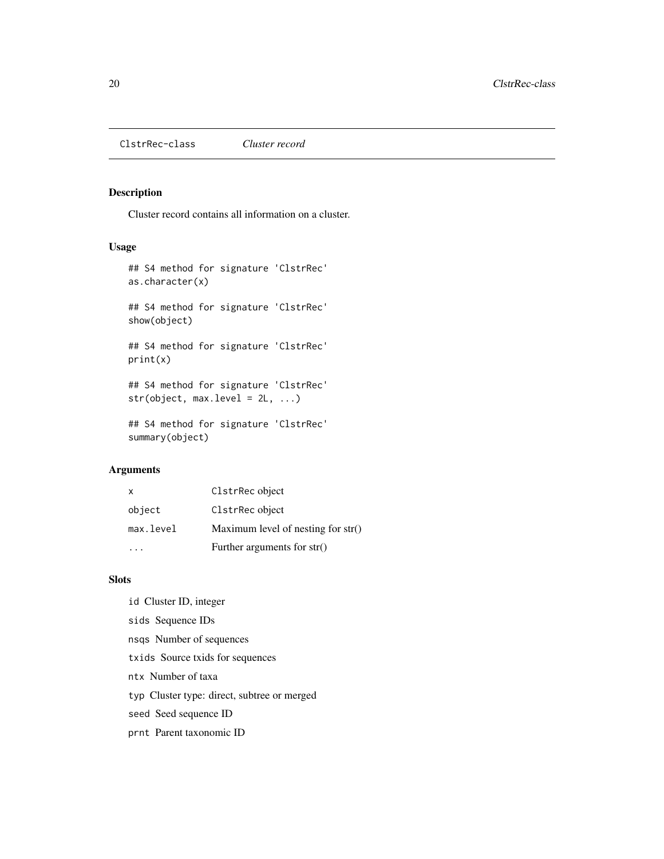<span id="page-19-1"></span><span id="page-19-0"></span>ClstrRec-class *Cluster record*

# Description

Cluster record contains all information on a cluster.

# Usage

```
## S4 method for signature 'ClstrRec'
as.character(x)
## S4 method for signature 'ClstrRec'
show(object)
## S4 method for signature 'ClstrRec'
```
print(x)

## S4 method for signature 'ClstrRec' str(object, max.level = 2L, ...)

## S4 method for signature 'ClstrRec' summary(object)

# Arguments

| X.        | ClstrRec object                      |
|-----------|--------------------------------------|
| object    | ClstrRec object                      |
| max.level | Maximum level of nesting for $str()$ |
|           | Further arguments for str()          |

# Slots

- id Cluster ID, integer
- sids Sequence IDs
- nsqs Number of sequences
- txids Source txids for sequences
- ntx Number of taxa
- typ Cluster type: direct, subtree or merged
- seed Seed sequence ID
- prnt Parent taxonomic ID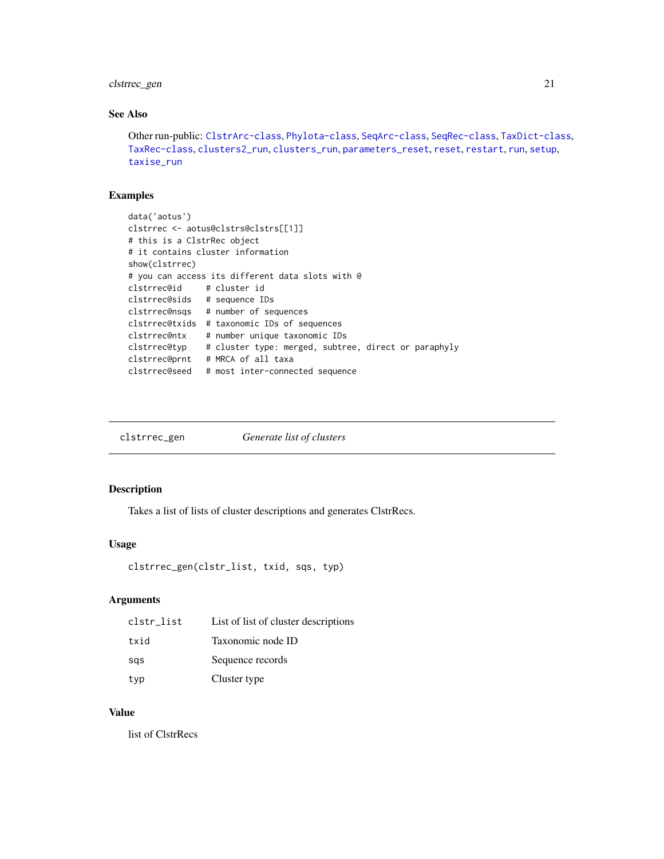# <span id="page-20-0"></span>clstrrec\_gen 21

# See Also

```
Other run-public: ClstrArc-class, Phylota-class, SeqArc-class, SeqRec-class, TaxDict-class,
TaxRec-class, clusters2_run, clusters_run, parameters_reset, reset, restart, run, setup,
taxise_run
```
# Examples

```
data('aotus')
clstrrec <- aotus@clstrs@clstrs[[1]]
# this is a ClstrRec object
# it contains cluster information
show(clstrrec)
# you can access its different data slots with @
clstrrec@id # cluster id
clstrrec@sids # sequence IDs
clstrrec@nsqs # number of sequences
clstrrec@txids # taxonomic IDs of sequences
clstrrec@ntx # number unique taxonomic IDs
clstrrec@typ # cluster type: merged, subtree, direct or paraphyly
clstrrec@prnt # MRCA of all taxa
clstrrec@seed # most inter-connected sequence
```
<span id="page-20-1"></span>

| clstrrec_gen | Generate list of clusters |
|--------------|---------------------------|
|--------------|---------------------------|

# Description

Takes a list of lists of cluster descriptions and generates ClstrRecs.

#### Usage

```
clstrrec_gen(clstr_list, txid, sqs, typ)
```
# Arguments

| clstr_list | List of list of cluster descriptions |
|------------|--------------------------------------|
| txid       | Taxonomic node ID                    |
| sas        | Sequence records                     |
| typ        | Cluster type                         |

#### Value

list of ClstrRecs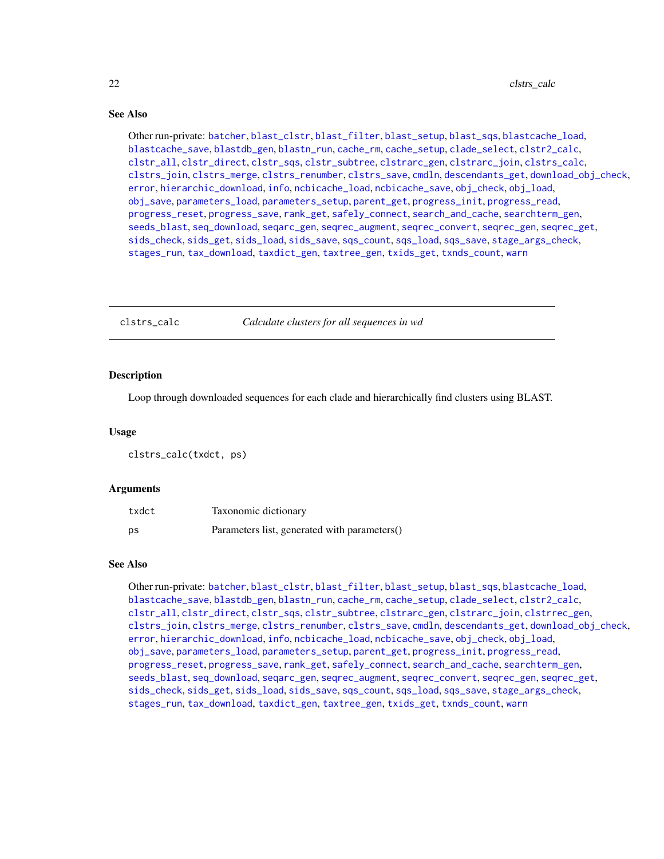# <span id="page-21-0"></span>See Also

Other run-private: [batcher](#page-4-1), [blast\\_clstr](#page-7-1), [blast\\_filter](#page-8-1), [blast\\_setup](#page-9-1), [blast\\_sqs](#page-10-1), [blastcache\\_load](#page-5-1), [blastcache\\_save](#page-5-2), [blastdb\\_gen](#page-6-1), [blastn\\_run](#page-7-2), [cache\\_rm](#page-11-1), [cache\\_setup](#page-12-1), [clade\\_select](#page-14-1), [clstr2\\_calc](#page-15-1), [clstr\\_all](#page-25-1), [clstr\\_direct](#page-26-1), [clstr\\_sqs](#page-27-1), [clstr\\_subtree](#page-27-2), [clstrarc\\_gen](#page-17-1), [clstrarc\\_join](#page-18-1), [clstrs\\_calc](#page-21-1), [clstrs\\_join](#page-22-1), [clstrs\\_merge](#page-23-1), [clstrs\\_renumber](#page-23-2), [clstrs\\_save](#page-24-1), [cmdln](#page-30-1), [descendants\\_get](#page-31-1), [download\\_obj\\_check](#page-32-1), [error](#page-38-1), [hierarchic\\_download](#page-44-1), [info](#page-45-1), [ncbicache\\_load](#page-50-1), [ncbicache\\_save](#page-51-1), [obj\\_check](#page-52-1), [obj\\_load](#page-52-2), [obj\\_save](#page-53-1), [parameters\\_load](#page-55-1), [parameters\\_setup](#page-57-1), [parent\\_get](#page-57-2), [progress\\_init](#page-62-1), [progress\\_read](#page-63-1), [progress\\_reset](#page-64-1), [progress\\_save](#page-64-2), [rank\\_get](#page-65-1), [safely\\_connect](#page-70-1), [search\\_and\\_cache](#page-71-1), [searchterm\\_gen](#page-70-2), [seeds\\_blast](#page-72-1), [seq\\_download](#page-80-1), [seqarc\\_gen](#page-74-1), [seqrec\\_augment](#page-77-1), [seqrec\\_convert](#page-78-1), [seqrec\\_gen](#page-78-2), [seqrec\\_get](#page-79-1), [sids\\_check](#page-82-1), [sids\\_get](#page-83-1), [sids\\_load](#page-84-1), [sids\\_save](#page-85-1), [sqs\\_count](#page-85-2), [sqs\\_load](#page-86-1), [sqs\\_save](#page-87-1), [stage\\_args\\_check](#page-88-1), [stages\\_run](#page-88-2), [tax\\_download](#page-96-1), [taxdict\\_gen](#page-92-1), [taxtree\\_gen](#page-95-1), [txids\\_get](#page-97-1), [txnds\\_count](#page-98-1), [warn](#page-99-1)

<span id="page-21-1"></span>

clstrs\_calc *Calculate clusters for all sequences in wd*

# **Description**

Loop through downloaded sequences for each clade and hierarchically find clusters using BLAST.

#### Usage

clstrs\_calc(txdct, ps)

#### Arguments

| txdct | Taxonomic dictionary                         |
|-------|----------------------------------------------|
| ps    | Parameters list, generated with parameters() |

# See Also

Other run-private: [batcher](#page-4-1), [blast\\_clstr](#page-7-1), [blast\\_filter](#page-8-1), [blast\\_setup](#page-9-1), [blast\\_sqs](#page-10-1), [blastcache\\_load](#page-5-1), [blastcache\\_save](#page-5-2), [blastdb\\_gen](#page-6-1), [blastn\\_run](#page-7-2), [cache\\_rm](#page-11-1), [cache\\_setup](#page-12-1), [clade\\_select](#page-14-1), [clstr2\\_calc](#page-15-1), [clstr\\_all](#page-25-1), [clstr\\_direct](#page-26-1), [clstr\\_sqs](#page-27-1), [clstr\\_subtree](#page-27-2), [clstrarc\\_gen](#page-17-1), [clstrarc\\_join](#page-18-1), [clstrrec\\_gen](#page-20-1), [clstrs\\_join](#page-22-1), [clstrs\\_merge](#page-23-1), [clstrs\\_renumber](#page-23-2), [clstrs\\_save](#page-24-1), [cmdln](#page-30-1), [descendants\\_get](#page-31-1), [download\\_obj\\_check](#page-32-1), [error](#page-38-1), [hierarchic\\_download](#page-44-1), [info](#page-45-1), [ncbicache\\_load](#page-50-1), [ncbicache\\_save](#page-51-1), [obj\\_check](#page-52-1), [obj\\_load](#page-52-2), [obj\\_save](#page-53-1), [parameters\\_load](#page-55-1), [parameters\\_setup](#page-57-1), [parent\\_get](#page-57-2), [progress\\_init](#page-62-1), [progress\\_read](#page-63-1), [progress\\_reset](#page-64-1), [progress\\_save](#page-64-2), [rank\\_get](#page-65-1), [safely\\_connect](#page-70-1), [search\\_and\\_cache](#page-71-1), [searchterm\\_gen](#page-70-2), [seeds\\_blast](#page-72-1), [seq\\_download](#page-80-1), [seqarc\\_gen](#page-74-1), [seqrec\\_augment](#page-77-1), [seqrec\\_convert](#page-78-1), [seqrec\\_gen](#page-78-2), [seqrec\\_get](#page-79-1), [sids\\_check](#page-82-1), [sids\\_get](#page-83-1), [sids\\_load](#page-84-1), [sids\\_save](#page-85-1), [sqs\\_count](#page-85-2), [sqs\\_load](#page-86-1), [sqs\\_save](#page-87-1), [stage\\_args\\_check](#page-88-1), [stages\\_run](#page-88-2), [tax\\_download](#page-96-1), [taxdict\\_gen](#page-92-1), [taxtree\\_gen](#page-95-1), [txids\\_get](#page-97-1), [txnds\\_count](#page-98-1), [warn](#page-99-1)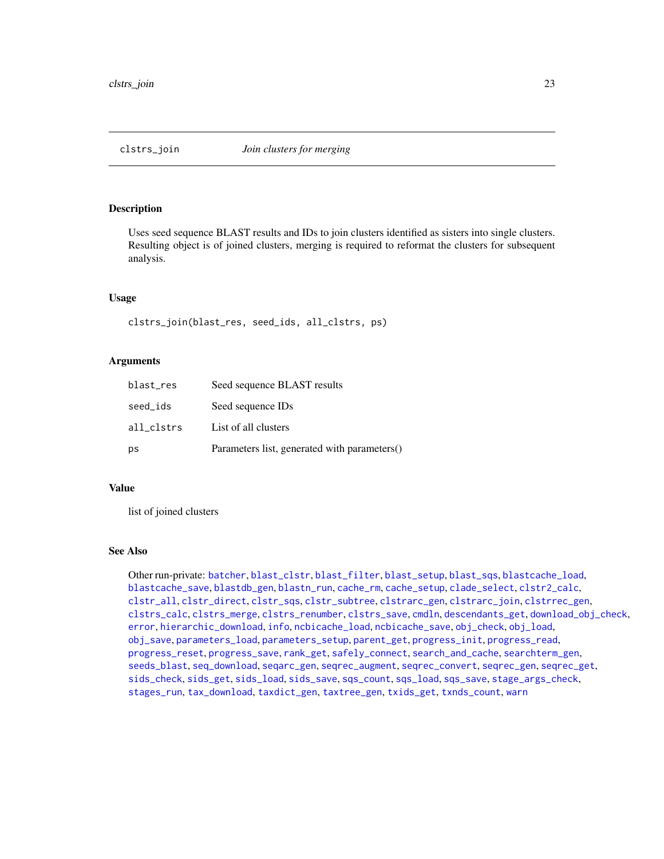<span id="page-22-1"></span><span id="page-22-0"></span>

Uses seed sequence BLAST results and IDs to join clusters identified as sisters into single clusters. Resulting object is of joined clusters, merging is required to reformat the clusters for subsequent analysis.

# Usage

clstrs\_join(blast\_res, seed\_ids, all\_clstrs, ps)

# Arguments

| blast_res  | Seed sequence BLAST results                  |
|------------|----------------------------------------------|
| seed_ids   | Seed sequence IDs                            |
| all clstrs | List of all clusters                         |
| ps         | Parameters list, generated with parameters() |

# Value

list of joined clusters

# See Also

Other run-private: [batcher](#page-4-1), [blast\\_clstr](#page-7-1), [blast\\_filter](#page-8-1), [blast\\_setup](#page-9-1), [blast\\_sqs](#page-10-1), [blastcache\\_load](#page-5-1), [blastcache\\_save](#page-5-2), [blastdb\\_gen](#page-6-1), [blastn\\_run](#page-7-2), [cache\\_rm](#page-11-1), [cache\\_setup](#page-12-1), [clade\\_select](#page-14-1), [clstr2\\_calc](#page-15-1), [clstr\\_all](#page-25-1), [clstr\\_direct](#page-26-1), [clstr\\_sqs](#page-27-1), [clstr\\_subtree](#page-27-2), [clstrarc\\_gen](#page-17-1), [clstrarc\\_join](#page-18-1), [clstrrec\\_gen](#page-20-1), [clstrs\\_calc](#page-21-1), [clstrs\\_merge](#page-23-1), [clstrs\\_renumber](#page-23-2), [clstrs\\_save](#page-24-1), [cmdln](#page-30-1), [descendants\\_get](#page-31-1), [download\\_obj\\_check](#page-32-1), [error](#page-38-1), [hierarchic\\_download](#page-44-1), [info](#page-45-1), [ncbicache\\_load](#page-50-1), [ncbicache\\_save](#page-51-1), [obj\\_check](#page-52-1), [obj\\_load](#page-52-2), [obj\\_save](#page-53-1), [parameters\\_load](#page-55-1), [parameters\\_setup](#page-57-1), [parent\\_get](#page-57-2), [progress\\_init](#page-62-1), [progress\\_read](#page-63-1), [progress\\_reset](#page-64-1), [progress\\_save](#page-64-2), [rank\\_get](#page-65-1), [safely\\_connect](#page-70-1), [search\\_and\\_cache](#page-71-1), [searchterm\\_gen](#page-70-2), [seeds\\_blast](#page-72-1), [seq\\_download](#page-80-1), [seqarc\\_gen](#page-74-1), [seqrec\\_augment](#page-77-1), [seqrec\\_convert](#page-78-1), [seqrec\\_gen](#page-78-2), [seqrec\\_get](#page-79-1), [sids\\_check](#page-82-1), [sids\\_get](#page-83-1), [sids\\_load](#page-84-1), [sids\\_save](#page-85-1), [sqs\\_count](#page-85-2), [sqs\\_load](#page-86-1), [sqs\\_save](#page-87-1), [stage\\_args\\_check](#page-88-1), [stages\\_run](#page-88-2), [tax\\_download](#page-96-1), [taxdict\\_gen](#page-92-1), [taxtree\\_gen](#page-95-1), [txids\\_get](#page-97-1), [txnds\\_count](#page-98-1), [warn](#page-99-1)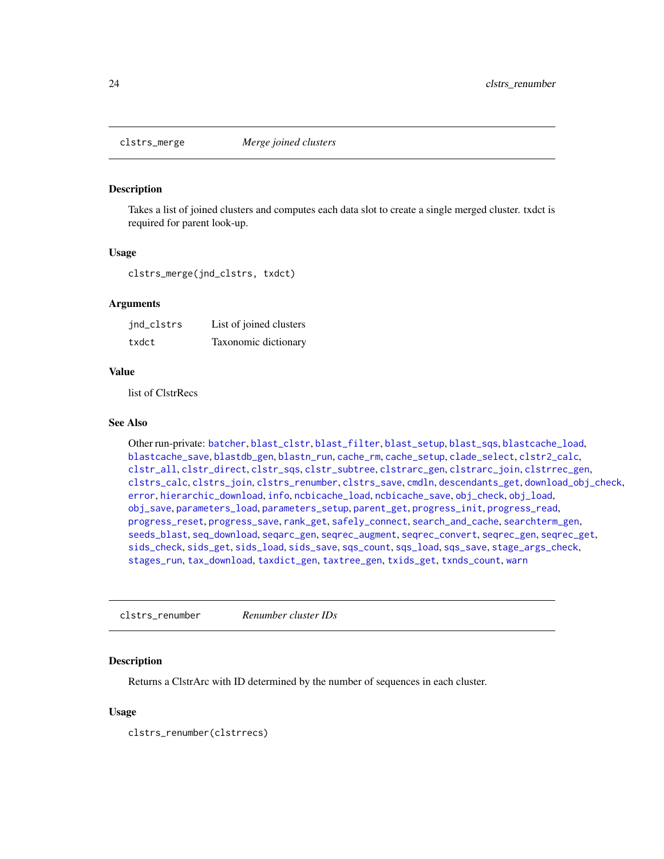<span id="page-23-1"></span><span id="page-23-0"></span>

Takes a list of joined clusters and computes each data slot to create a single merged cluster. txdct is required for parent look-up.

#### Usage

clstrs\_merge(jnd\_clstrs, txdct)

# Arguments

| jnd_clstrs | List of joined clusters |
|------------|-------------------------|
| txdct      | Taxonomic dictionary    |

#### Value

list of ClstrRecs

# See Also

Other run-private: [batcher](#page-4-1), [blast\\_clstr](#page-7-1), [blast\\_filter](#page-8-1), [blast\\_setup](#page-9-1), [blast\\_sqs](#page-10-1), [blastcache\\_load](#page-5-1), [blastcache\\_save](#page-5-2), [blastdb\\_gen](#page-6-1), [blastn\\_run](#page-7-2), [cache\\_rm](#page-11-1), [cache\\_setup](#page-12-1), [clade\\_select](#page-14-1), [clstr2\\_calc](#page-15-1), [clstr\\_all](#page-25-1), [clstr\\_direct](#page-26-1), [clstr\\_sqs](#page-27-1), [clstr\\_subtree](#page-27-2), [clstrarc\\_gen](#page-17-1), [clstrarc\\_join](#page-18-1), [clstrrec\\_gen](#page-20-1), [clstrs\\_calc](#page-21-1), [clstrs\\_join](#page-22-1), [clstrs\\_renumber](#page-23-2), [clstrs\\_save](#page-24-1), [cmdln](#page-30-1), [descendants\\_get](#page-31-1), [download\\_obj\\_check](#page-32-1), [error](#page-38-1), [hierarchic\\_download](#page-44-1), [info](#page-45-1), [ncbicache\\_load](#page-50-1), [ncbicache\\_save](#page-51-1), [obj\\_check](#page-52-1), [obj\\_load](#page-52-2), [obj\\_save](#page-53-1), [parameters\\_load](#page-55-1), [parameters\\_setup](#page-57-1), [parent\\_get](#page-57-2), [progress\\_init](#page-62-1), [progress\\_read](#page-63-1), [progress\\_reset](#page-64-1), [progress\\_save](#page-64-2), [rank\\_get](#page-65-1), [safely\\_connect](#page-70-1), [search\\_and\\_cache](#page-71-1), [searchterm\\_gen](#page-70-2), [seeds\\_blast](#page-72-1), [seq\\_download](#page-80-1), [seqarc\\_gen](#page-74-1), [seqrec\\_augment](#page-77-1), [seqrec\\_convert](#page-78-1), [seqrec\\_gen](#page-78-2), [seqrec\\_get](#page-79-1), [sids\\_check](#page-82-1), [sids\\_get](#page-83-1), [sids\\_load](#page-84-1), [sids\\_save](#page-85-1), [sqs\\_count](#page-85-2), [sqs\\_load](#page-86-1), [sqs\\_save](#page-87-1), [stage\\_args\\_check](#page-88-1), [stages\\_run](#page-88-2), [tax\\_download](#page-96-1), [taxdict\\_gen](#page-92-1), [taxtree\\_gen](#page-95-1), [txids\\_get](#page-97-1), [txnds\\_count](#page-98-1), [warn](#page-99-1)

<span id="page-23-2"></span>clstrs\_renumber *Renumber cluster IDs*

#### Description

Returns a ClstrArc with ID determined by the number of sequences in each cluster.

# Usage

clstrs\_renumber(clstrrecs)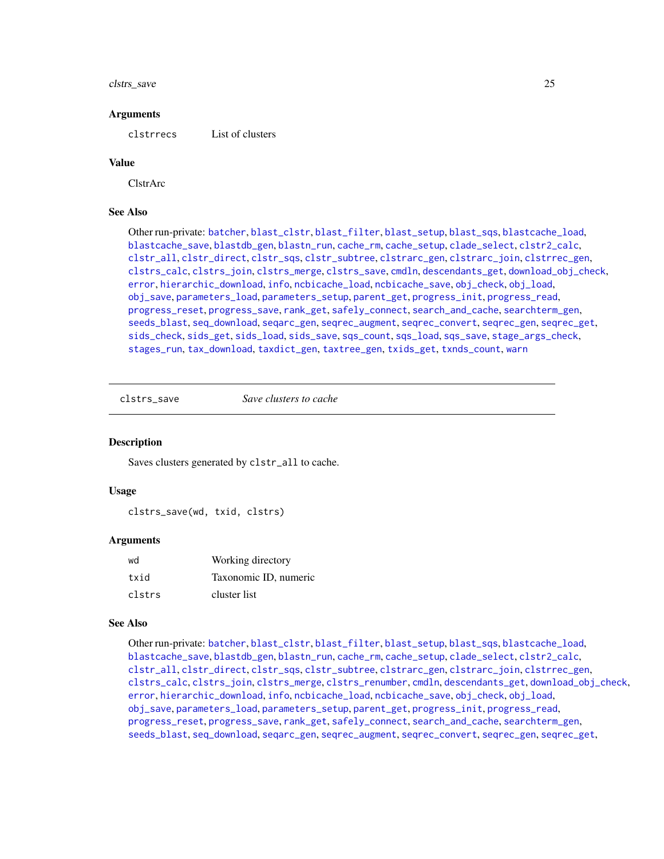#### <span id="page-24-0"></span>clstrs\_save 25

#### Arguments

clstrrecs List of clusters

#### Value

ClstrArc

# See Also

Other run-private: [batcher](#page-4-1), [blast\\_clstr](#page-7-1), [blast\\_filter](#page-8-1), [blast\\_setup](#page-9-1), [blast\\_sqs](#page-10-1), [blastcache\\_load](#page-5-1), [blastcache\\_save](#page-5-2), [blastdb\\_gen](#page-6-1), [blastn\\_run](#page-7-2), [cache\\_rm](#page-11-1), [cache\\_setup](#page-12-1), [clade\\_select](#page-14-1), [clstr2\\_calc](#page-15-1), [clstr\\_all](#page-25-1), [clstr\\_direct](#page-26-1), [clstr\\_sqs](#page-27-1), [clstr\\_subtree](#page-27-2), [clstrarc\\_gen](#page-17-1), [clstrarc\\_join](#page-18-1), [clstrrec\\_gen](#page-20-1), [clstrs\\_calc](#page-21-1), [clstrs\\_join](#page-22-1), [clstrs\\_merge](#page-23-1), [clstrs\\_save](#page-24-1), [cmdln](#page-30-1), [descendants\\_get](#page-31-1), [download\\_obj\\_check](#page-32-1), [error](#page-38-1), [hierarchic\\_download](#page-44-1), [info](#page-45-1), [ncbicache\\_load](#page-50-1), [ncbicache\\_save](#page-51-1), [obj\\_check](#page-52-1), [obj\\_load](#page-52-2), [obj\\_save](#page-53-1), [parameters\\_load](#page-55-1), [parameters\\_setup](#page-57-1), [parent\\_get](#page-57-2), [progress\\_init](#page-62-1), [progress\\_read](#page-63-1), [progress\\_reset](#page-64-1), [progress\\_save](#page-64-2), [rank\\_get](#page-65-1), [safely\\_connect](#page-70-1), [search\\_and\\_cache](#page-71-1), [searchterm\\_gen](#page-70-2), [seeds\\_blast](#page-72-1), [seq\\_download](#page-80-1), [seqarc\\_gen](#page-74-1), [seqrec\\_augment](#page-77-1), [seqrec\\_convert](#page-78-1), [seqrec\\_gen](#page-78-2), [seqrec\\_get](#page-79-1), [sids\\_check](#page-82-1), [sids\\_get](#page-83-1), [sids\\_load](#page-84-1), [sids\\_save](#page-85-1), [sqs\\_count](#page-85-2), [sqs\\_load](#page-86-1), [sqs\\_save](#page-87-1), [stage\\_args\\_check](#page-88-1), [stages\\_run](#page-88-2), [tax\\_download](#page-96-1), [taxdict\\_gen](#page-92-1), [taxtree\\_gen](#page-95-1), [txids\\_get](#page-97-1), [txnds\\_count](#page-98-1), [warn](#page-99-1)

<span id="page-24-1"></span>clstrs\_save *Save clusters to cache*

# **Description**

Saves clusters generated by clstr\_all to cache.

# Usage

```
clstrs_save(wd, txid, clstrs)
```
#### Arguments

| wd     | Working directory     |
|--------|-----------------------|
| txid   | Taxonomic ID, numeric |
| clstrs | cluster list          |

# See Also

Other run-private: [batcher](#page-4-1), [blast\\_clstr](#page-7-1), [blast\\_filter](#page-8-1), [blast\\_setup](#page-9-1), [blast\\_sqs](#page-10-1), [blastcache\\_load](#page-5-1), [blastcache\\_save](#page-5-2), [blastdb\\_gen](#page-6-1), [blastn\\_run](#page-7-2), [cache\\_rm](#page-11-1), [cache\\_setup](#page-12-1), [clade\\_select](#page-14-1), [clstr2\\_calc](#page-15-1), [clstr\\_all](#page-25-1), [clstr\\_direct](#page-26-1), [clstr\\_sqs](#page-27-1), [clstr\\_subtree](#page-27-2), [clstrarc\\_gen](#page-17-1), [clstrarc\\_join](#page-18-1), [clstrrec\\_gen](#page-20-1), [clstrs\\_calc](#page-21-1), [clstrs\\_join](#page-22-1), [clstrs\\_merge](#page-23-1), [clstrs\\_renumber](#page-23-2), [cmdln](#page-30-1), [descendants\\_get](#page-31-1), [download\\_obj\\_check](#page-32-1), [error](#page-38-1), [hierarchic\\_download](#page-44-1), [info](#page-45-1), [ncbicache\\_load](#page-50-1), [ncbicache\\_save](#page-51-1), [obj\\_check](#page-52-1), [obj\\_load](#page-52-2), [obj\\_save](#page-53-1), [parameters\\_load](#page-55-1), [parameters\\_setup](#page-57-1), [parent\\_get](#page-57-2), [progress\\_init](#page-62-1), [progress\\_read](#page-63-1), [progress\\_reset](#page-64-1), [progress\\_save](#page-64-2), [rank\\_get](#page-65-1), [safely\\_connect](#page-70-1), [search\\_and\\_cache](#page-71-1), [searchterm\\_gen](#page-70-2), [seeds\\_blast](#page-72-1), [seq\\_download](#page-80-1), [seqarc\\_gen](#page-74-1), [seqrec\\_augment](#page-77-1), [seqrec\\_convert](#page-78-1), [seqrec\\_gen](#page-78-2), [seqrec\\_get](#page-79-1),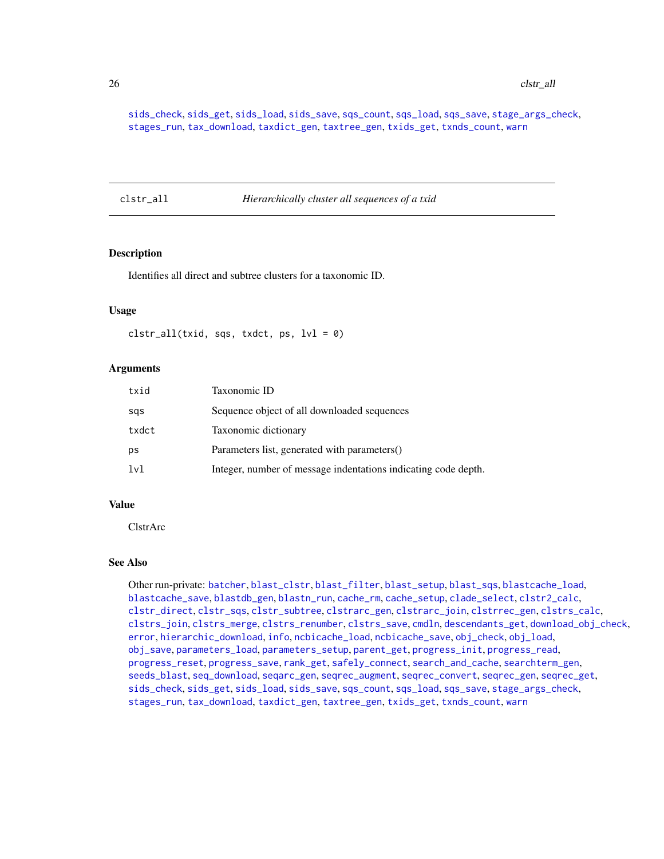[sids\\_check](#page-82-1), [sids\\_get](#page-83-1), [sids\\_load](#page-84-1), [sids\\_save](#page-85-1), [sqs\\_count](#page-85-2), [sqs\\_load](#page-86-1), [sqs\\_save](#page-87-1), [stage\\_args\\_check](#page-88-1), [stages\\_run](#page-88-2), [tax\\_download](#page-96-1), [taxdict\\_gen](#page-92-1), [taxtree\\_gen](#page-95-1), [txids\\_get](#page-97-1), [txnds\\_count](#page-98-1), [warn](#page-99-1)

<span id="page-25-1"></span>clstr\_all *Hierarchically cluster all sequences of a txid*

# Description

Identifies all direct and subtree clusters for a taxonomic ID.

# Usage

```
clstr\_all(txid, sqs, txdct, ps, lvl = 0)
```
# **Arguments**

| txid  | Taxonomic ID                                                   |
|-------|----------------------------------------------------------------|
| sas   | Sequence object of all downloaded sequences                    |
| txdct | Taxonomic dictionary                                           |
| ps    | Parameters list, generated with parameters()                   |
| 1v1   | Integer, number of message indentations indicating code depth. |

# Value

ClstrArc

# See Also

Other run-private: [batcher](#page-4-1), [blast\\_clstr](#page-7-1), [blast\\_filter](#page-8-1), [blast\\_setup](#page-9-1), [blast\\_sqs](#page-10-1), [blastcache\\_load](#page-5-1), [blastcache\\_save](#page-5-2), [blastdb\\_gen](#page-6-1), [blastn\\_run](#page-7-2), [cache\\_rm](#page-11-1), [cache\\_setup](#page-12-1), [clade\\_select](#page-14-1), [clstr2\\_calc](#page-15-1), [clstr\\_direct](#page-26-1), [clstr\\_sqs](#page-27-1), [clstr\\_subtree](#page-27-2), [clstrarc\\_gen](#page-17-1), [clstrarc\\_join](#page-18-1), [clstrrec\\_gen](#page-20-1), [clstrs\\_calc](#page-21-1), [clstrs\\_join](#page-22-1), [clstrs\\_merge](#page-23-1), [clstrs\\_renumber](#page-23-2), [clstrs\\_save](#page-24-1), [cmdln](#page-30-1), [descendants\\_get](#page-31-1), [download\\_obj\\_check](#page-32-1), [error](#page-38-1), [hierarchic\\_download](#page-44-1), [info](#page-45-1), [ncbicache\\_load](#page-50-1), [ncbicache\\_save](#page-51-1), [obj\\_check](#page-52-1), [obj\\_load](#page-52-2), [obj\\_save](#page-53-1), [parameters\\_load](#page-55-1), [parameters\\_setup](#page-57-1), [parent\\_get](#page-57-2), [progress\\_init](#page-62-1), [progress\\_read](#page-63-1), [progress\\_reset](#page-64-1), [progress\\_save](#page-64-2), [rank\\_get](#page-65-1), [safely\\_connect](#page-70-1), [search\\_and\\_cache](#page-71-1), [searchterm\\_gen](#page-70-2), [seeds\\_blast](#page-72-1), [seq\\_download](#page-80-1), [seqarc\\_gen](#page-74-1), [seqrec\\_augment](#page-77-1), [seqrec\\_convert](#page-78-1), [seqrec\\_gen](#page-78-2), [seqrec\\_get](#page-79-1), [sids\\_check](#page-82-1), [sids\\_get](#page-83-1), [sids\\_load](#page-84-1), [sids\\_save](#page-85-1), [sqs\\_count](#page-85-2), [sqs\\_load](#page-86-1), [sqs\\_save](#page-87-1), [stage\\_args\\_check](#page-88-1), [stages\\_run](#page-88-2), [tax\\_download](#page-96-1), [taxdict\\_gen](#page-92-1), [taxtree\\_gen](#page-95-1), [txids\\_get](#page-97-1), [txnds\\_count](#page-98-1), [warn](#page-99-1)

<span id="page-25-0"></span>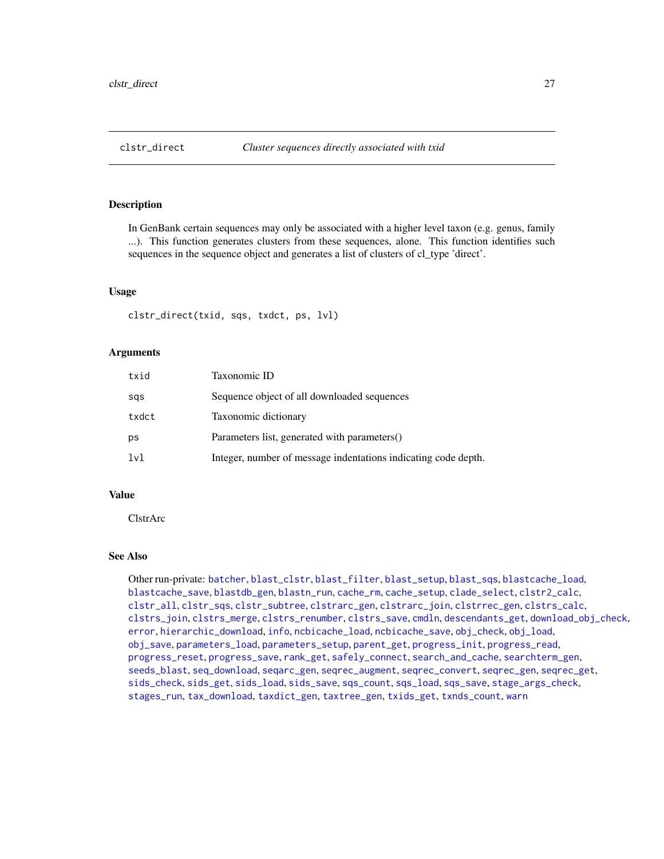<span id="page-26-1"></span><span id="page-26-0"></span>

In GenBank certain sequences may only be associated with a higher level taxon (e.g. genus, family ...). This function generates clusters from these sequences, alone. This function identifies such sequences in the sequence object and generates a list of clusters of cl\_type 'direct'.

# Usage

```
clstr_direct(txid, sqs, txdct, ps, lvl)
```
# Arguments

| txid  | Taxonomic ID                                                   |
|-------|----------------------------------------------------------------|
| sqs   | Sequence object of all downloaded sequences                    |
| txdct | Taxonomic dictionary                                           |
| ps    | Parameters list, generated with parameters()                   |
| lvl   | Integer, number of message indentations indicating code depth. |

# Value

ClstrArc

# See Also

Other run-private: [batcher](#page-4-1), [blast\\_clstr](#page-7-1), [blast\\_filter](#page-8-1), [blast\\_setup](#page-9-1), [blast\\_sqs](#page-10-1), [blastcache\\_load](#page-5-1), [blastcache\\_save](#page-5-2), [blastdb\\_gen](#page-6-1), [blastn\\_run](#page-7-2), [cache\\_rm](#page-11-1), [cache\\_setup](#page-12-1), [clade\\_select](#page-14-1), [clstr2\\_calc](#page-15-1), [clstr\\_all](#page-25-1), [clstr\\_sqs](#page-27-1), [clstr\\_subtree](#page-27-2), [clstrarc\\_gen](#page-17-1), [clstrarc\\_join](#page-18-1), [clstrrec\\_gen](#page-20-1), [clstrs\\_calc](#page-21-1), [clstrs\\_join](#page-22-1), [clstrs\\_merge](#page-23-1), [clstrs\\_renumber](#page-23-2), [clstrs\\_save](#page-24-1), [cmdln](#page-30-1), [descendants\\_get](#page-31-1), [download\\_obj\\_check](#page-32-1), [error](#page-38-1), [hierarchic\\_download](#page-44-1), [info](#page-45-1), [ncbicache\\_load](#page-50-1), [ncbicache\\_save](#page-51-1), [obj\\_check](#page-52-1), [obj\\_load](#page-52-2), [obj\\_save](#page-53-1), [parameters\\_load](#page-55-1), [parameters\\_setup](#page-57-1), [parent\\_get](#page-57-2), [progress\\_init](#page-62-1), [progress\\_read](#page-63-1), [progress\\_reset](#page-64-1), [progress\\_save](#page-64-2), [rank\\_get](#page-65-1), [safely\\_connect](#page-70-1), [search\\_and\\_cache](#page-71-1), [searchterm\\_gen](#page-70-2), [seeds\\_blast](#page-72-1), [seq\\_download](#page-80-1), [seqarc\\_gen](#page-74-1), [seqrec\\_augment](#page-77-1), [seqrec\\_convert](#page-78-1), [seqrec\\_gen](#page-78-2), [seqrec\\_get](#page-79-1), [sids\\_check](#page-82-1), [sids\\_get](#page-83-1), [sids\\_load](#page-84-1), [sids\\_save](#page-85-1), [sqs\\_count](#page-85-2), [sqs\\_load](#page-86-1), [sqs\\_save](#page-87-1), [stage\\_args\\_check](#page-88-1), [stages\\_run](#page-88-2), [tax\\_download](#page-96-1), [taxdict\\_gen](#page-92-1), [taxtree\\_gen](#page-95-1), [txids\\_get](#page-97-1), [txnds\\_count](#page-98-1), [warn](#page-99-1)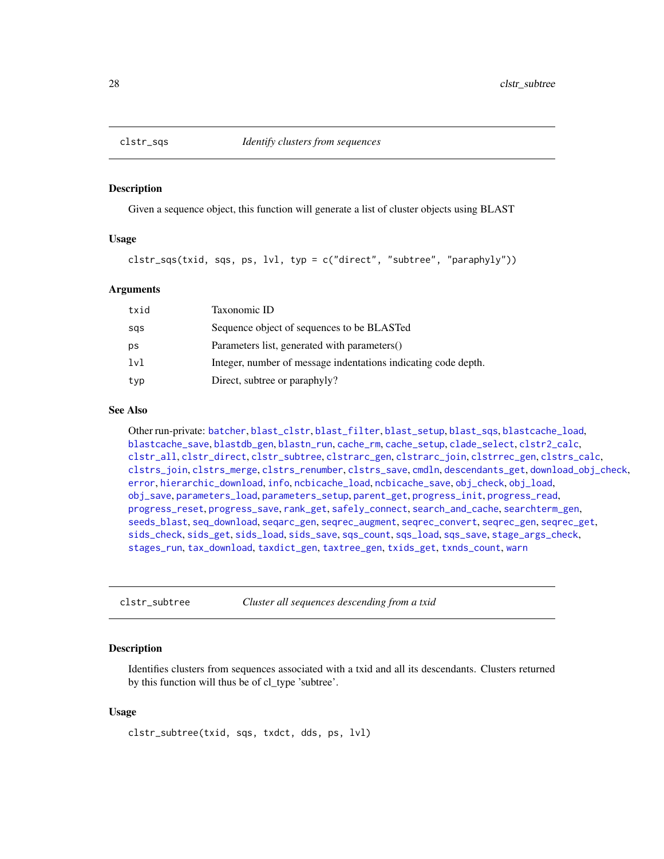<span id="page-27-1"></span><span id="page-27-0"></span>

Given a sequence object, this function will generate a list of cluster objects using BLAST

# Usage

clstr\_sqs(txid, sqs, ps, lvl, typ = c("direct", "subtree", "paraphyly"))

# Arguments

| txid    | Taxonomic ID                                                   |
|---------|----------------------------------------------------------------|
| sas     | Sequence object of sequences to be BLASTed                     |
| ps      | Parameters list, generated with parameters()                   |
| $1\nu1$ | Integer, number of message indentations indicating code depth. |
| typ     | Direct, subtree or paraphyly?                                  |

# See Also

Other run-private: [batcher](#page-4-1), [blast\\_clstr](#page-7-1), [blast\\_filter](#page-8-1), [blast\\_setup](#page-9-1), [blast\\_sqs](#page-10-1), [blastcache\\_load](#page-5-1), [blastcache\\_save](#page-5-2), [blastdb\\_gen](#page-6-1), [blastn\\_run](#page-7-2), [cache\\_rm](#page-11-1), [cache\\_setup](#page-12-1), [clade\\_select](#page-14-1), [clstr2\\_calc](#page-15-1), [clstr\\_all](#page-25-1), [clstr\\_direct](#page-26-1), [clstr\\_subtree](#page-27-2), [clstrarc\\_gen](#page-17-1), [clstrarc\\_join](#page-18-1), [clstrrec\\_gen](#page-20-1), [clstrs\\_calc](#page-21-1), [clstrs\\_join](#page-22-1), [clstrs\\_merge](#page-23-1), [clstrs\\_renumber](#page-23-2), [clstrs\\_save](#page-24-1), [cmdln](#page-30-1), [descendants\\_get](#page-31-1), [download\\_obj\\_check](#page-32-1), [error](#page-38-1), [hierarchic\\_download](#page-44-1), [info](#page-45-1), [ncbicache\\_load](#page-50-1), [ncbicache\\_save](#page-51-1), [obj\\_check](#page-52-1), [obj\\_load](#page-52-2), [obj\\_save](#page-53-1), [parameters\\_load](#page-55-1), [parameters\\_setup](#page-57-1), [parent\\_get](#page-57-2), [progress\\_init](#page-62-1), [progress\\_read](#page-63-1), [progress\\_reset](#page-64-1), [progress\\_save](#page-64-2), [rank\\_get](#page-65-1), [safely\\_connect](#page-70-1), [search\\_and\\_cache](#page-71-1), [searchterm\\_gen](#page-70-2), [seeds\\_blast](#page-72-1), [seq\\_download](#page-80-1), [seqarc\\_gen](#page-74-1), [seqrec\\_augment](#page-77-1), [seqrec\\_convert](#page-78-1), [seqrec\\_gen](#page-78-2), [seqrec\\_get](#page-79-1), [sids\\_check](#page-82-1), [sids\\_get](#page-83-1), [sids\\_load](#page-84-1), [sids\\_save](#page-85-1), [sqs\\_count](#page-85-2), [sqs\\_load](#page-86-1), [sqs\\_save](#page-87-1), [stage\\_args\\_check](#page-88-1), [stages\\_run](#page-88-2), [tax\\_download](#page-96-1), [taxdict\\_gen](#page-92-1), [taxtree\\_gen](#page-95-1), [txids\\_get](#page-97-1), [txnds\\_count](#page-98-1), [warn](#page-99-1)

<span id="page-27-2"></span>clstr\_subtree *Cluster all sequences descending from a txid*

#### Description

Identifies clusters from sequences associated with a txid and all its descendants. Clusters returned by this function will thus be of cl\_type 'subtree'.

# Usage

clstr\_subtree(txid, sqs, txdct, dds, ps, lvl)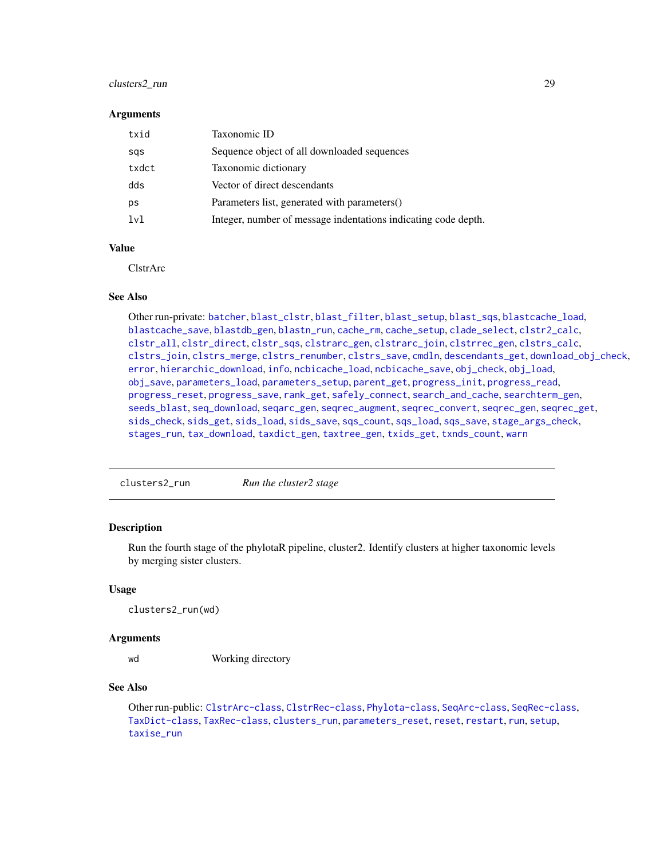# <span id="page-28-0"></span>clusters2\_run 29

#### **Arguments**

| txid  | Taxonomic ID                                                   |
|-------|----------------------------------------------------------------|
| sqs   | Sequence object of all downloaded sequences                    |
| txdct | Taxonomic dictionary                                           |
| dds   | Vector of direct descendants                                   |
| ps    | Parameters list, generated with parameters()                   |
| 1v1   | Integer, number of message indentations indicating code depth. |

# Value

ClstrArc

# See Also

Other run-private: [batcher](#page-4-1), [blast\\_clstr](#page-7-1), [blast\\_filter](#page-8-1), [blast\\_setup](#page-9-1), [blast\\_sqs](#page-10-1), [blastcache\\_load](#page-5-1), [blastcache\\_save](#page-5-2), [blastdb\\_gen](#page-6-1), [blastn\\_run](#page-7-2), [cache\\_rm](#page-11-1), [cache\\_setup](#page-12-1), [clade\\_select](#page-14-1), [clstr2\\_calc](#page-15-1), [clstr\\_all](#page-25-1), [clstr\\_direct](#page-26-1), [clstr\\_sqs](#page-27-1), [clstrarc\\_gen](#page-17-1), [clstrarc\\_join](#page-18-1), [clstrrec\\_gen](#page-20-1), [clstrs\\_calc](#page-21-1), [clstrs\\_join](#page-22-1), [clstrs\\_merge](#page-23-1), [clstrs\\_renumber](#page-23-2), [clstrs\\_save](#page-24-1), [cmdln](#page-30-1), [descendants\\_get](#page-31-1), [download\\_obj\\_check](#page-32-1), [error](#page-38-1), [hierarchic\\_download](#page-44-1), [info](#page-45-1), [ncbicache\\_load](#page-50-1), [ncbicache\\_save](#page-51-1), [obj\\_check](#page-52-1), [obj\\_load](#page-52-2), [obj\\_save](#page-53-1), [parameters\\_load](#page-55-1), [parameters\\_setup](#page-57-1), [parent\\_get](#page-57-2), [progress\\_init](#page-62-1), [progress\\_read](#page-63-1), [progress\\_reset](#page-64-1), [progress\\_save](#page-64-2), [rank\\_get](#page-65-1), [safely\\_connect](#page-70-1), [search\\_and\\_cache](#page-71-1), [searchterm\\_gen](#page-70-2), [seeds\\_blast](#page-72-1), [seq\\_download](#page-80-1), [seqarc\\_gen](#page-74-1), [seqrec\\_augment](#page-77-1), [seqrec\\_convert](#page-78-1), [seqrec\\_gen](#page-78-2), [seqrec\\_get](#page-79-1), [sids\\_check](#page-82-1), [sids\\_get](#page-83-1), [sids\\_load](#page-84-1), [sids\\_save](#page-85-1), [sqs\\_count](#page-85-2), [sqs\\_load](#page-86-1), [sqs\\_save](#page-87-1), [stage\\_args\\_check](#page-88-1), [stages\\_run](#page-88-2), [tax\\_download](#page-96-1), [taxdict\\_gen](#page-92-1), [taxtree\\_gen](#page-95-1), [txids\\_get](#page-97-1), [txnds\\_count](#page-98-1), [warn](#page-99-1)

<span id="page-28-1"></span>clusters2\_run *Run the cluster2 stage*

# Description

Run the fourth stage of the phylotaR pipeline, cluster2. Identify clusters at higher taxonomic levels by merging sister clusters.

# Usage

```
clusters2_run(wd)
```
#### Arguments

wd Working directory

# See Also

Other run-public: [ClstrArc-class](#page-16-1), [ClstrRec-class](#page-19-1), [Phylota-class](#page-58-1), [SeqArc-class](#page-73-1), [SeqRec-class](#page-75-1), [TaxDict-class](#page-91-1), [TaxRec-class](#page-94-1), [clusters\\_run](#page-29-1), [parameters\\_reset](#page-56-1), [reset](#page-67-1), [restart](#page-68-1), [run](#page-69-1), [setup](#page-81-1), [taxise\\_run](#page-93-1)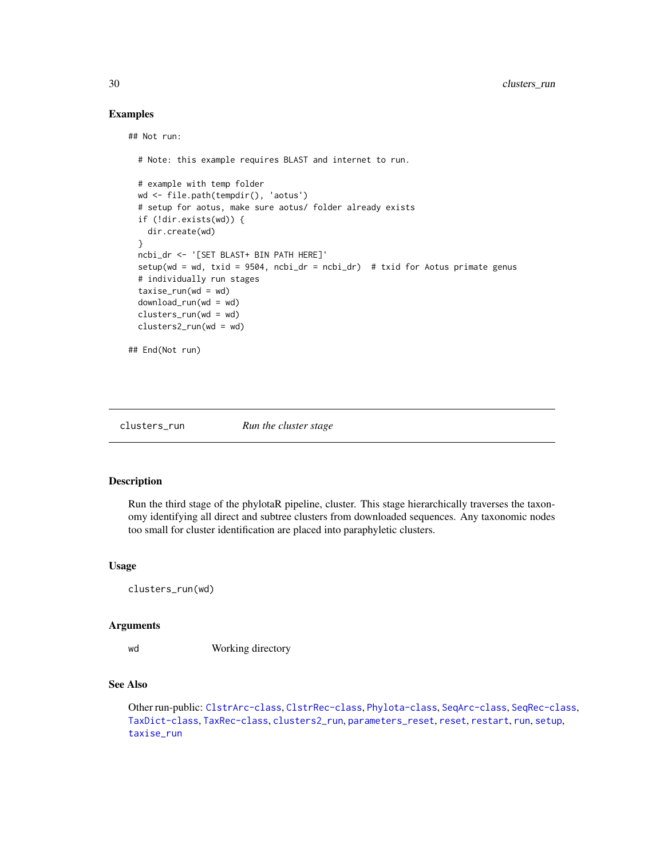# Examples

```
## Not run:
```

```
# Note: this example requires BLAST and internet to run.
 # example with temp folder
 wd <- file.path(tempdir(), 'aotus')
 # setup for aotus, make sure aotus/ folder already exists
 if (!dir.exists(wd)) {
   dir.create(wd)
 }
 ncbi_dr <- '[SET BLAST+ BIN PATH HERE]'
 setup(wd = wd, txid = 9504, ncbi_dr = ncbi_dr) # txid for Aotus primate genus
 # individually run stages
 taxise\_run(wd = wd)download_run(wd = wd)
 clusters_run(wd = wd)
 clusters2_run(wd = wd)
## End(Not run)
```
<span id="page-29-1"></span>clusters\_run *Run the cluster stage*

# Description

Run the third stage of the phylotaR pipeline, cluster. This stage hierarchically traverses the taxonomy identifying all direct and subtree clusters from downloaded sequences. Any taxonomic nodes too small for cluster identification are placed into paraphyletic clusters.

#### Usage

```
clusters_run(wd)
```
# Arguments

wd Working directory

# See Also

Other run-public: [ClstrArc-class](#page-16-1), [ClstrRec-class](#page-19-1), [Phylota-class](#page-58-1), [SeqArc-class](#page-73-1), [SeqRec-class](#page-75-1), [TaxDict-class](#page-91-1), [TaxRec-class](#page-94-1), [clusters2\\_run](#page-28-1), [parameters\\_reset](#page-56-1), [reset](#page-67-1), [restart](#page-68-1), [run](#page-69-1), [setup](#page-81-1), [taxise\\_run](#page-93-1)

<span id="page-29-0"></span>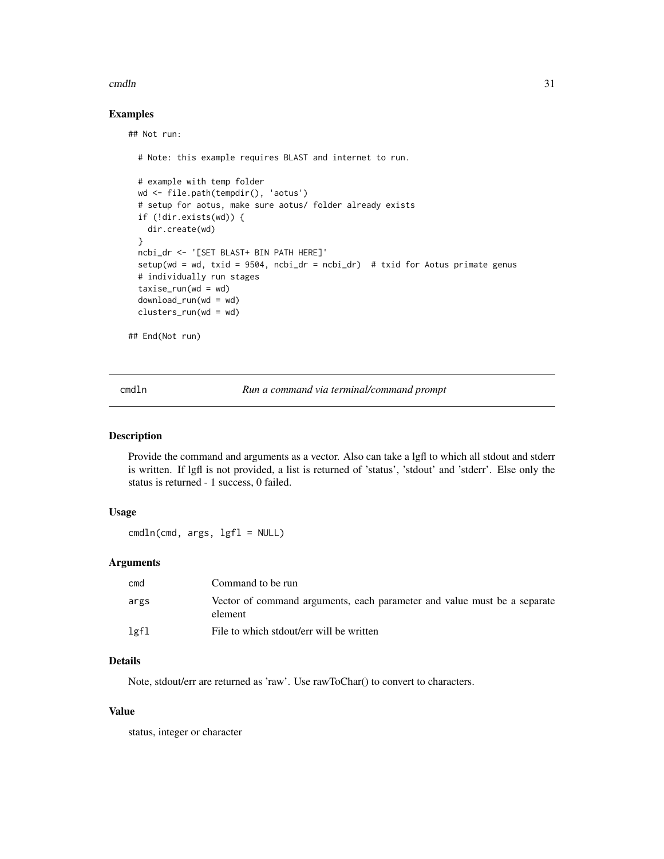#### <span id="page-30-0"></span>cmdln 31

# Examples

## Not run:

```
# Note: this example requires BLAST and internet to run.
 # example with temp folder
 wd <- file.path(tempdir(), 'aotus')
 # setup for aotus, make sure aotus/ folder already exists
 if (!dir.exists(wd)) {
   dir.create(wd)
 }
 ncbi_dr <- '[SET BLAST+ BIN PATH HERE]'
 setup(wd = wd, txid = 9504, ncbi_dr = ncbi_dr) # txid for Aotus primate genus
 # individually run stages
 taxise\_run(wd = wd)download_run(wd = wd)
 clusters_run(wd = wd)
## End(Not run)
```
<span id="page-30-1"></span>

cmdln *Run a command via terminal/command prompt*

# Description

Provide the command and arguments as a vector. Also can take a lgfl to which all stdout and stderr is written. If lgfl is not provided, a list is returned of 'status', 'stdout' and 'stderr'. Else only the status is returned - 1 success, 0 failed.

# Usage

cmdln(cmd, args, lgfl = NULL)

# Arguments

| cmd  | Command to be run                                                                   |
|------|-------------------------------------------------------------------------------------|
| args | Vector of command arguments, each parameter and value must be a separate<br>element |
| lgfl | File to which stdout/err will be written                                            |

# Details

Note, stdout/err are returned as 'raw'. Use rawToChar() to convert to characters.

# Value

status, integer or character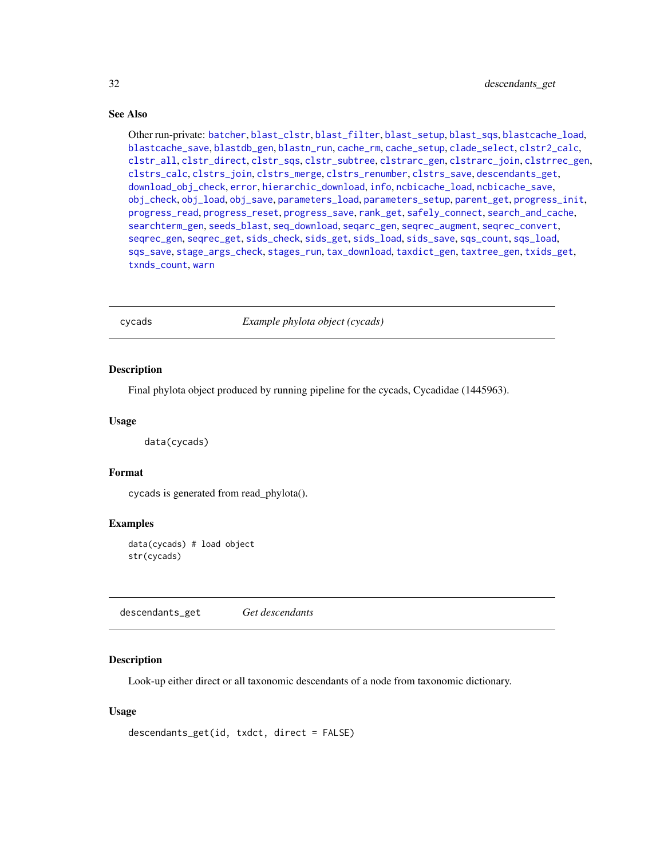# See Also

Other run-private: [batcher](#page-4-1), [blast\\_clstr](#page-7-1), [blast\\_filter](#page-8-1), [blast\\_setup](#page-9-1), [blast\\_sqs](#page-10-1), [blastcache\\_load](#page-5-1), [blastcache\\_save](#page-5-2), [blastdb\\_gen](#page-6-1), [blastn\\_run](#page-7-2), [cache\\_rm](#page-11-1), [cache\\_setup](#page-12-1), [clade\\_select](#page-14-1), [clstr2\\_calc](#page-15-1), [clstr\\_all](#page-25-1), [clstr\\_direct](#page-26-1), [clstr\\_sqs](#page-27-1), [clstr\\_subtree](#page-27-2), [clstrarc\\_gen](#page-17-1), [clstrarc\\_join](#page-18-1), [clstrrec\\_gen](#page-20-1), [clstrs\\_calc](#page-21-1), [clstrs\\_join](#page-22-1), [clstrs\\_merge](#page-23-1), [clstrs\\_renumber](#page-23-2), [clstrs\\_save](#page-24-1), [descendants\\_get](#page-31-1), [download\\_obj\\_check](#page-32-1), [error](#page-38-1), [hierarchic\\_download](#page-44-1), [info](#page-45-1), [ncbicache\\_load](#page-50-1), [ncbicache\\_save](#page-51-1), [obj\\_check](#page-52-1), [obj\\_load](#page-52-2), [obj\\_save](#page-53-1), [parameters\\_load](#page-55-1), [parameters\\_setup](#page-57-1), [parent\\_get](#page-57-2), [progress\\_init](#page-62-1), [progress\\_read](#page-63-1), [progress\\_reset](#page-64-1), [progress\\_save](#page-64-2), [rank\\_get](#page-65-1), [safely\\_connect](#page-70-1), [search\\_and\\_cache](#page-71-1), [searchterm\\_gen](#page-70-2), [seeds\\_blast](#page-72-1), [seq\\_download](#page-80-1), [seqarc\\_gen](#page-74-1), [seqrec\\_augment](#page-77-1), [seqrec\\_convert](#page-78-1), [seqrec\\_gen](#page-78-2), [seqrec\\_get](#page-79-1), [sids\\_check](#page-82-1), [sids\\_get](#page-83-1), [sids\\_load](#page-84-1), [sids\\_save](#page-85-1), [sqs\\_count](#page-85-2), [sqs\\_load](#page-86-1), [sqs\\_save](#page-87-1), [stage\\_args\\_check](#page-88-1), [stages\\_run](#page-88-2), [tax\\_download](#page-96-1), [taxdict\\_gen](#page-92-1), [taxtree\\_gen](#page-95-1), [txids\\_get](#page-97-1), [txnds\\_count](#page-98-1), [warn](#page-99-1)

cycads *Example phylota object (cycads)*

#### Description

Final phylota object produced by running pipeline for the cycads, Cycadidae (1445963).

# Usage

data(cycads)

# Format

cycads is generated from read\_phylota().

# Examples

data(cycads) # load object str(cycads)

<span id="page-31-1"></span>descendants\_get *Get descendants*

# Description

Look-up either direct or all taxonomic descendants of a node from taxonomic dictionary.

# Usage

```
descendants_get(id, txdct, direct = FALSE)
```
<span id="page-31-0"></span>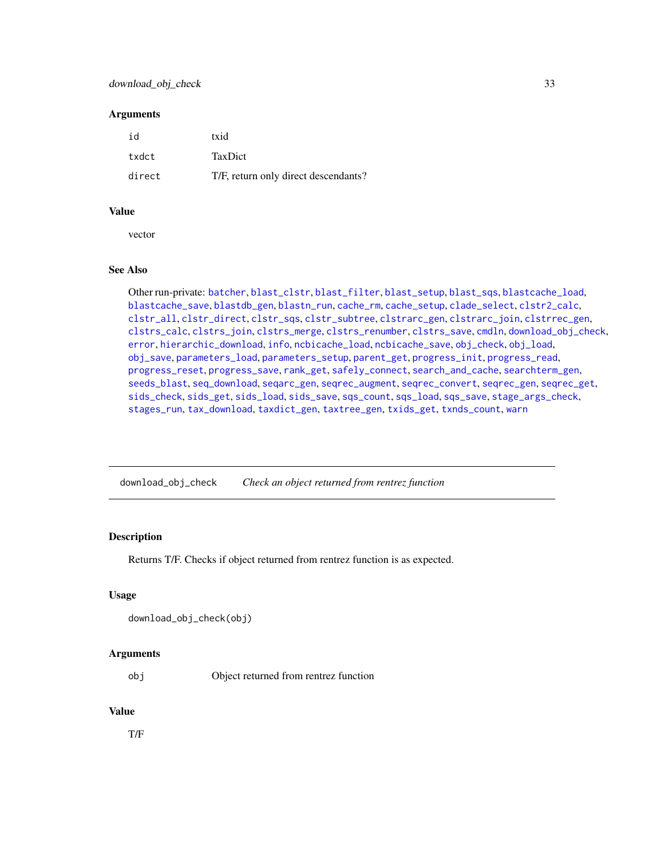# <span id="page-32-0"></span>download\_obj\_check 33

# **Arguments**

| id     | txid                                 |
|--------|--------------------------------------|
| txdct  | <b>TaxDict</b>                       |
| direct | T/F, return only direct descendants? |

# Value

vector

# See Also

Other run-private: [batcher](#page-4-1), [blast\\_clstr](#page-7-1), [blast\\_filter](#page-8-1), [blast\\_setup](#page-9-1), [blast\\_sqs](#page-10-1), [blastcache\\_load](#page-5-1), [blastcache\\_save](#page-5-2), [blastdb\\_gen](#page-6-1), [blastn\\_run](#page-7-2), [cache\\_rm](#page-11-1), [cache\\_setup](#page-12-1), [clade\\_select](#page-14-1), [clstr2\\_calc](#page-15-1), [clstr\\_all](#page-25-1), [clstr\\_direct](#page-26-1), [clstr\\_sqs](#page-27-1), [clstr\\_subtree](#page-27-2), [clstrarc\\_gen](#page-17-1), [clstrarc\\_join](#page-18-1), [clstrrec\\_gen](#page-20-1), [clstrs\\_calc](#page-21-1), [clstrs\\_join](#page-22-1), [clstrs\\_merge](#page-23-1), [clstrs\\_renumber](#page-23-2), [clstrs\\_save](#page-24-1), [cmdln](#page-30-1), [download\\_obj\\_check](#page-32-1), [error](#page-38-1), [hierarchic\\_download](#page-44-1), [info](#page-45-1), [ncbicache\\_load](#page-50-1), [ncbicache\\_save](#page-51-1), [obj\\_check](#page-52-1), [obj\\_load](#page-52-2), [obj\\_save](#page-53-1), [parameters\\_load](#page-55-1), [parameters\\_setup](#page-57-1), [parent\\_get](#page-57-2), [progress\\_init](#page-62-1), [progress\\_read](#page-63-1), [progress\\_reset](#page-64-1), [progress\\_save](#page-64-2), [rank\\_get](#page-65-1), [safely\\_connect](#page-70-1), [search\\_and\\_cache](#page-71-1), [searchterm\\_gen](#page-70-2), [seeds\\_blast](#page-72-1), [seq\\_download](#page-80-1), [seqarc\\_gen](#page-74-1), [seqrec\\_augment](#page-77-1), [seqrec\\_convert](#page-78-1), [seqrec\\_gen](#page-78-2), [seqrec\\_get](#page-79-1), [sids\\_check](#page-82-1), [sids\\_get](#page-83-1), [sids\\_load](#page-84-1), [sids\\_save](#page-85-1), [sqs\\_count](#page-85-2), [sqs\\_load](#page-86-1), [sqs\\_save](#page-87-1), [stage\\_args\\_check](#page-88-1), [stages\\_run](#page-88-2), [tax\\_download](#page-96-1), [taxdict\\_gen](#page-92-1), [taxtree\\_gen](#page-95-1), [txids\\_get](#page-97-1), [txnds\\_count](#page-98-1), [warn](#page-99-1)

<span id="page-32-1"></span>download\_obj\_check *Check an object returned from rentrez function*

# Description

Returns T/F. Checks if object returned from rentrez function is as expected.

# Usage

```
download_obj_check(obj)
```
#### Arguments

obj Object returned from rentrez function

# Value

T/F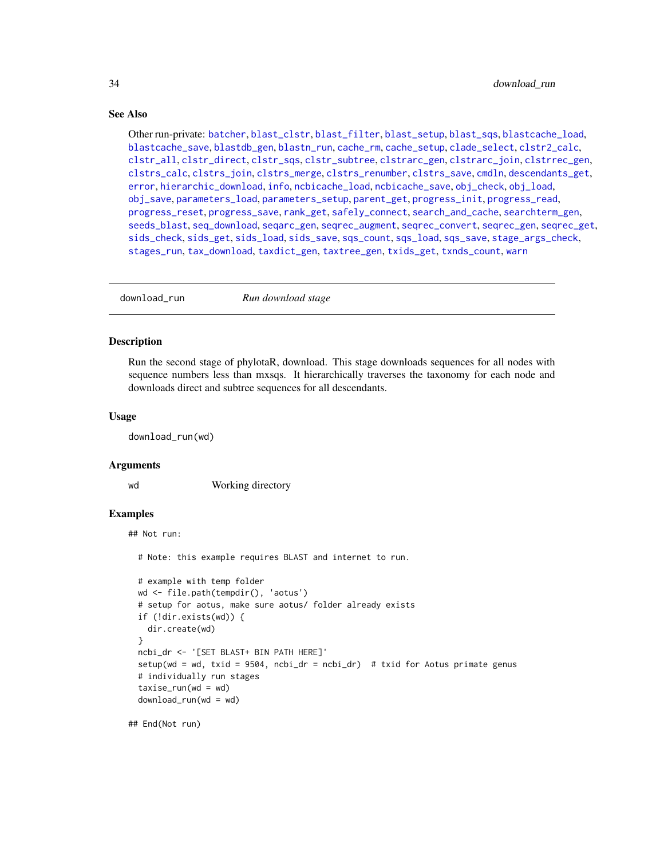# See Also

Other run-private: [batcher](#page-4-1), [blast\\_clstr](#page-7-1), [blast\\_filter](#page-8-1), [blast\\_setup](#page-9-1), [blast\\_sqs](#page-10-1), [blastcache\\_load](#page-5-1), [blastcache\\_save](#page-5-2), [blastdb\\_gen](#page-6-1), [blastn\\_run](#page-7-2), [cache\\_rm](#page-11-1), [cache\\_setup](#page-12-1), [clade\\_select](#page-14-1), [clstr2\\_calc](#page-15-1), [clstr\\_all](#page-25-1), [clstr\\_direct](#page-26-1), [clstr\\_sqs](#page-27-1), [clstr\\_subtree](#page-27-2), [clstrarc\\_gen](#page-17-1), [clstrarc\\_join](#page-18-1), [clstrrec\\_gen](#page-20-1), [clstrs\\_calc](#page-21-1), [clstrs\\_join](#page-22-1), [clstrs\\_merge](#page-23-1), [clstrs\\_renumber](#page-23-2), [clstrs\\_save](#page-24-1), [cmdln](#page-30-1), [descendants\\_get](#page-31-1), [error](#page-38-1), [hierarchic\\_download](#page-44-1), [info](#page-45-1), [ncbicache\\_load](#page-50-1), [ncbicache\\_save](#page-51-1), [obj\\_check](#page-52-1), [obj\\_load](#page-52-2), [obj\\_save](#page-53-1), [parameters\\_load](#page-55-1), [parameters\\_setup](#page-57-1), [parent\\_get](#page-57-2), [progress\\_init](#page-62-1), [progress\\_read](#page-63-1), [progress\\_reset](#page-64-1), [progress\\_save](#page-64-2), [rank\\_get](#page-65-1), [safely\\_connect](#page-70-1), [search\\_and\\_cache](#page-71-1), [searchterm\\_gen](#page-70-2), [seeds\\_blast](#page-72-1), [seq\\_download](#page-80-1), [seqarc\\_gen](#page-74-1), [seqrec\\_augment](#page-77-1), [seqrec\\_convert](#page-78-1), [seqrec\\_gen](#page-78-2), [seqrec\\_get](#page-79-1), [sids\\_check](#page-82-1), [sids\\_get](#page-83-1), [sids\\_load](#page-84-1), [sids\\_save](#page-85-1), [sqs\\_count](#page-85-2), [sqs\\_load](#page-86-1), [sqs\\_save](#page-87-1), [stage\\_args\\_check](#page-88-1), [stages\\_run](#page-88-2), [tax\\_download](#page-96-1), [taxdict\\_gen](#page-92-1), [taxtree\\_gen](#page-95-1), [txids\\_get](#page-97-1), [txnds\\_count](#page-98-1), [warn](#page-99-1)

download\_run *Run download stage*

# **Description**

Run the second stage of phylotaR, download. This stage downloads sequences for all nodes with sequence numbers less than mxsqs. It hierarchically traverses the taxonomy for each node and downloads direct and subtree sequences for all descendants.

# Usage

download\_run(wd)

# Arguments

wd Working directory

# Examples

## Not run:

# Note: this example requires BLAST and internet to run.

```
# example with temp folder
wd <- file.path(tempdir(), 'aotus')
# setup for aotus, make sure aotus/ folder already exists
if (!dir.exists(wd)) {
  dir.create(wd)
}
ncbi_dr <- '[SET BLAST+ BIN PATH HERE]'
setup(wd = wd, txid = 9504, ncbi_dr = ncbi_dr) # txid for Aotus primate genus
# individually run stages
taxise\_run(wd = wd)download_run(wd = wd)
```
## End(Not run)

<span id="page-33-0"></span>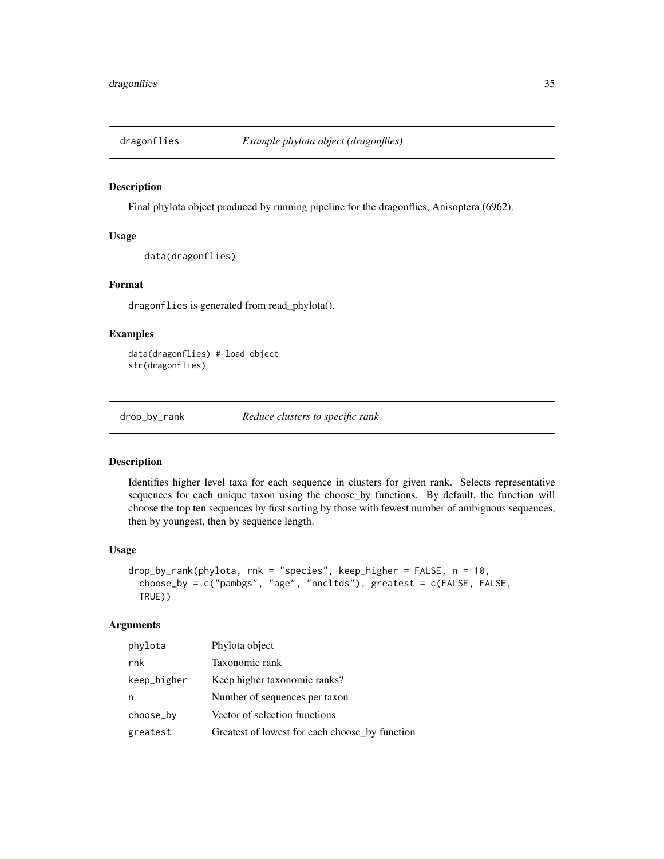<span id="page-34-0"></span>

Final phylota object produced by running pipeline for the dragonflies, Anisoptera (6962).

# Usage

```
data(dragonflies)
```
# Format

dragonflies is generated from read\_phylota().

# Examples

```
data(dragonflies) # load object
str(dragonflies)
```
<span id="page-34-1"></span>drop\_by\_rank *Reduce clusters to specific rank*

# Description

Identifies higher level taxa for each sequence in clusters for given rank. Selects representative sequences for each unique taxon using the choose\_by functions. By default, the function will choose the top ten sequences by first sorting by those with fewest number of ambiguous sequences, then by youngest, then by sequence length.

# Usage

```
drop_by_range \gamma = 10, r - 10choose_by = c("pambgs", "age", "nncltds"), greatest = c(FALSE, FALSE,
 TRUE))
```
# Arguments

| Phylota object                                 |
|------------------------------------------------|
| Taxonomic rank                                 |
| Keep higher taxonomic ranks?                   |
| Number of sequences per taxon                  |
| Vector of selection functions                  |
| Greatest of lowest for each choose_by function |
|                                                |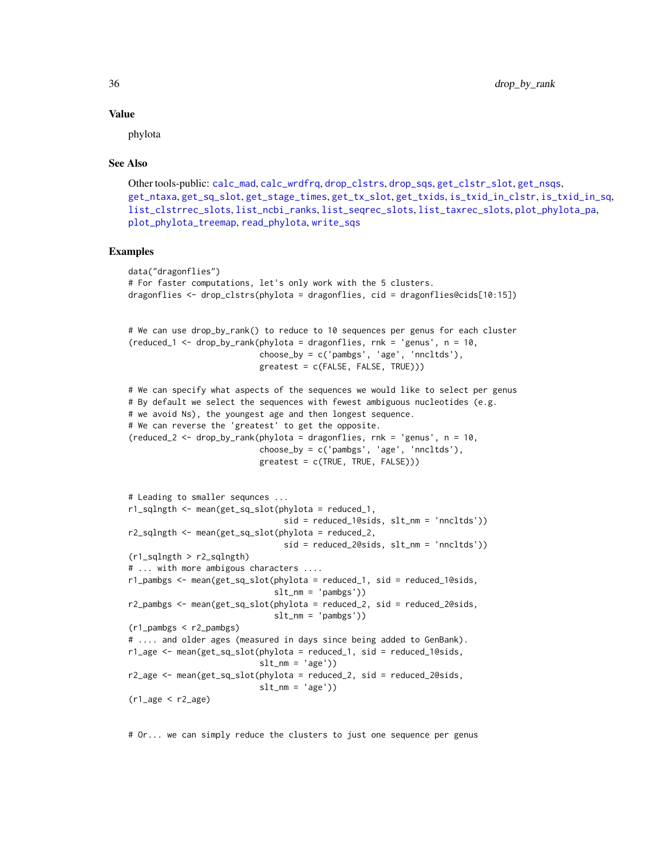#### Value

phylota

# See Also

```
Other tools-public: calc_mad, calc_wrdfrq, drop_clstrs, drop_sqs, get_clstr_slot, get_nsqs,
get_ntaxa, get_sq_slot, get_stage_times, get_tx_slot, get_txids, is_txid_in_clstr, is_txid_in_sq,
list_clstrrec_slots, list_ncbi_ranks, list_seqrec_slots, list_taxrec_slots, plot_phylota_pa,
plot_phylota_treemap, read_phylota, write_sqs
```
#### Examples

```
data("dragonflies")
# For faster computations, let's only work with the 5 clusters.
dragonflies <- drop_clstrs(phylota = dragonflies, cid = dragonflies@cids[10:15])
# We can use drop_by_rank() to reduce to 10 sequences per genus for each cluster
(reduced_1 <- drop_by_rank(phylota = dragonflies, rnk = 'genus', n = 10,
                           choose_by = c('pambgs', 'age', 'nncltds'),
                           greatest = c(FALSE, FALSE, TRUE)))
# We can specify what aspects of the sequences we would like to select per genus
# By default we select the sequences with fewest ambiguous nucleotides (e.g.
# we avoid Ns), the youngest age and then longest sequence.
# We can reverse the 'greatest' to get the opposite.
(reduced_2 <- drop_by_rank(phylota = dragonflies, rnk = 'genus', n = 10,
                           choose_by = c('pambgs', 'age', 'nncltds'),
                           greatest = c(TRUE, TRUE, FALSE)))
# Leading to smaller sequnces ...
r1_sqlngth <- mean(get_sq_slot(phylota = reduced_1,
                                sid = reduced_1@sids, slt_nm = 'nncltds'))
r2_sqlngth <- mean(get_sq_slot(phylota = reduced_2,
                                sid = reduced_2@sids, slt_nm = 'nncltds'))
(r1_sqlngth > r2_sqlngth)
# ... with more ambigous characters ....
r1_pambgs <- mean(get_sq_slot(phylota = reduced_1, sid = reduced_1@sids,
                              slt_m = 'pambgs')r2_pambgs <- mean(get_sq_slot(phylota = reduced_2, sid = reduced_2@sids,
                              slt_m = 'pambgs')(r1_pambgs < r2_pambgs)
# .... and older ages (measured in days since being added to GenBank).
r1<sub>gge</sub> \leq mean(get_sq_slot(phylota = reduced_1, sid = reduced_1@sids,
                           slt_m = 'age')r2_age <- mean(get_sq_slot(phylota = reduced_2, sid = reduced_2@sids,
                           slt_m = 'age')(r1_agge \leq r2_agge)
```
# Or... we can simply reduce the clusters to just one sequence per genus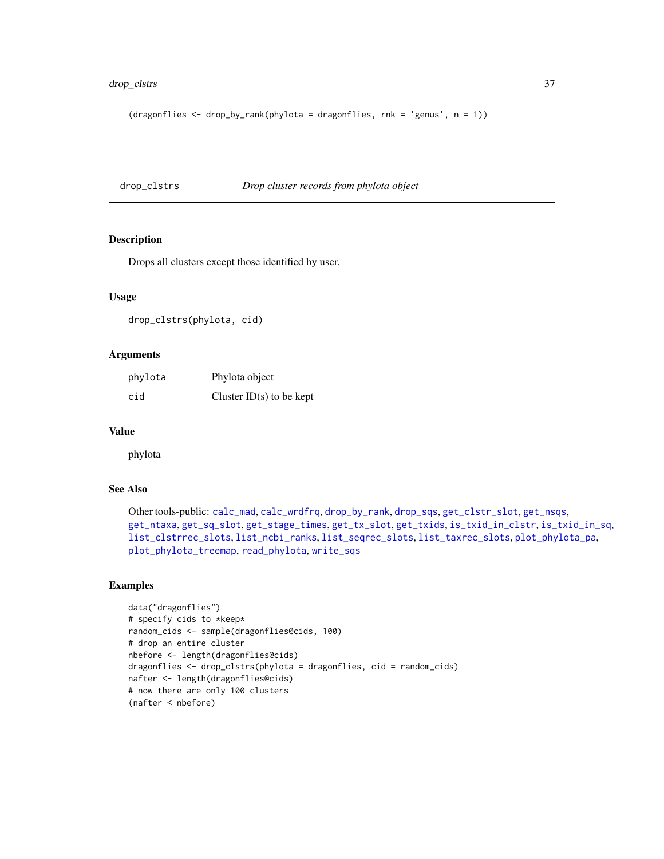# drop\_clstrs 37

```
(dragonflies <- drop_by_rank(phylota = dragonflies, rnk = 'genus', n = 1))
```
<span id="page-36-0"></span>drop\_clstrs *Drop cluster records from phylota object*

# Description

Drops all clusters except those identified by user.

## Usage

drop\_clstrs(phylota, cid)

## Arguments

| phylota | Phylota object             |
|---------|----------------------------|
| cid     | Cluster $ID(s)$ to be kept |

#### Value

phylota

# See Also

```
Other tools-public: calc_mad, calc_wrdfrq, drop_by_rank, drop_sqs, get_clstr_slot, get_nsqs,
get_ntaxa, get_sq_slot, get_stage_times, get_tx_slot, get_txids, is_txid_in_clstr, is_txid_in_sq,
list_clstrrec_slots, list_ncbi_ranks, list_seqrec_slots, list_taxrec_slots, plot_phylota_pa,
plot_phylota_treemap, read_phylota, write_sqs
```
# Examples

```
data("dragonflies")
# specify cids to *keep*
random_cids <- sample(dragonflies@cids, 100)
# drop an entire cluster
nbefore <- length(dragonflies@cids)
dragonflies <- drop_clstrs(phylota = dragonflies, cid = random_cids)
nafter <- length(dragonflies@cids)
# now there are only 100 clusters
(nafter < nbefore)
```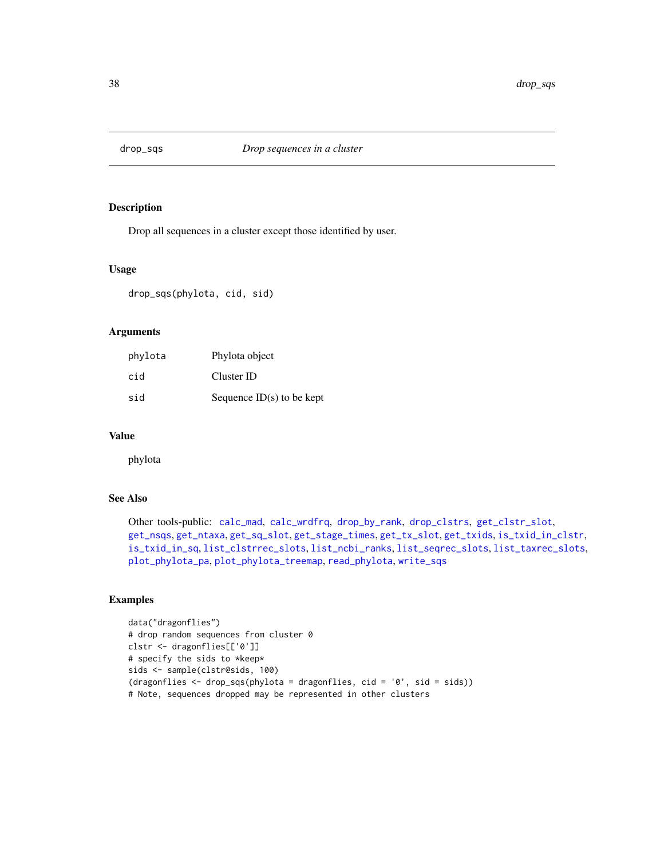<span id="page-37-0"></span>

Drop all sequences in a cluster except those identified by user.

## Usage

drop\_sqs(phylota, cid, sid)

# Arguments

| phylota | Phylota object              |
|---------|-----------------------------|
| cid     | Cluster ID                  |
| sid     | Sequence $ID(s)$ to be kept |

## Value

phylota

# See Also

Other tools-public: [calc\\_mad](#page-12-0), [calc\\_wrdfrq](#page-13-0), [drop\\_by\\_rank](#page-34-0), [drop\\_clstrs](#page-36-0), [get\\_clstr\\_slot](#page-38-0), [get\\_nsqs](#page-39-0), [get\\_ntaxa](#page-40-0), [get\\_sq\\_slot](#page-41-0), [get\\_stage\\_times](#page-42-0), [get\\_tx\\_slot](#page-44-0), [get\\_txids](#page-42-1), [is\\_txid\\_in\\_clstr](#page-46-0), [is\\_txid\\_in\\_sq](#page-47-0), [list\\_clstrrec\\_slots](#page-48-0), [list\\_ncbi\\_ranks](#page-48-1), [list\\_seqrec\\_slots](#page-49-0), [list\\_taxrec\\_slots](#page-49-1), [plot\\_phylota\\_pa](#page-60-0), [plot\\_phylota\\_treemap](#page-61-0), [read\\_phylota](#page-66-0), [write\\_sqs](#page-100-0)

# Examples

```
data("dragonflies")
# drop random sequences from cluster 0
clstr <- dragonflies[['0']]
# specify the sids to *keep*
sids <- sample(clstr@sids, 100)
(dragonflies < - drop_sqs(phylota = dragonflies, cid = '0', sid = sids))# Note, sequences dropped may be represented in other clusters
```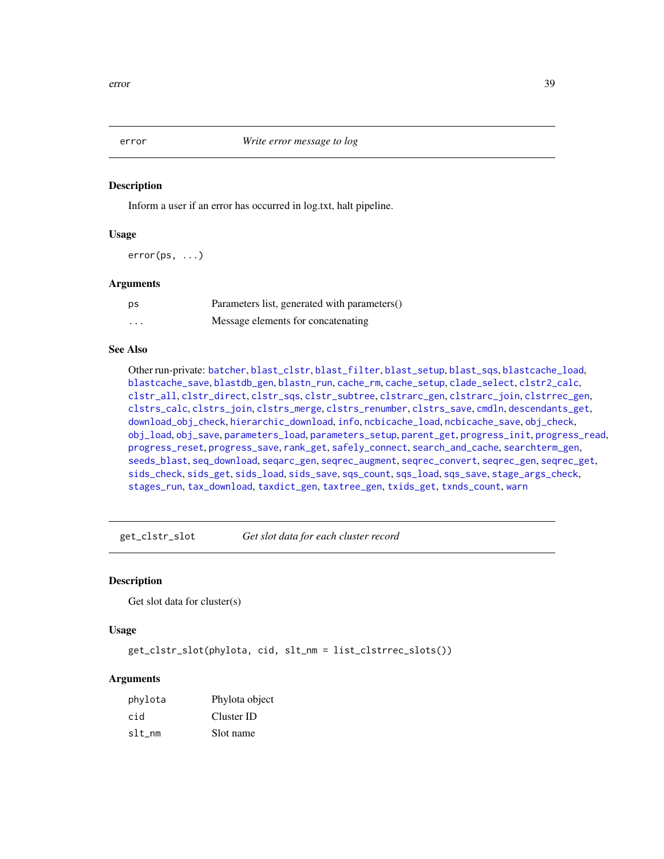<span id="page-38-1"></span>

Inform a user if an error has occurred in log.txt, halt pipeline.

#### Usage

error(ps, ...)

# Arguments

| ps       | Parameters list, generated with parameters() |
|----------|----------------------------------------------|
| $\cdots$ | Message elements for concatenating           |

# See Also

Other run-private: [batcher](#page-4-0), [blast\\_clstr](#page-7-0), [blast\\_filter](#page-8-0), [blast\\_setup](#page-9-0), [blast\\_sqs](#page-10-0), [blastcache\\_load](#page-5-0), [blastcache\\_save](#page-5-1), [blastdb\\_gen](#page-6-0), [blastn\\_run](#page-7-1), [cache\\_rm](#page-11-0), [cache\\_setup](#page-12-1), [clade\\_select](#page-14-0), [clstr2\\_calc](#page-15-0), [clstr\\_all](#page-25-0), [clstr\\_direct](#page-26-0), [clstr\\_sqs](#page-27-0), [clstr\\_subtree](#page-27-1), [clstrarc\\_gen](#page-17-0), [clstrarc\\_join](#page-18-0), [clstrrec\\_gen](#page-20-0), [clstrs\\_calc](#page-21-0), [clstrs\\_join](#page-22-0), [clstrs\\_merge](#page-23-0), [clstrs\\_renumber](#page-23-1), [clstrs\\_save](#page-24-0), [cmdln](#page-30-0), [descendants\\_get](#page-31-0), [download\\_obj\\_check](#page-32-0), [hierarchic\\_download](#page-44-1), [info](#page-45-0), [ncbicache\\_load](#page-50-0), [ncbicache\\_save](#page-51-0), [obj\\_check](#page-52-0), [obj\\_load](#page-52-1), [obj\\_save](#page-53-0), [parameters\\_load](#page-55-0), [parameters\\_setup](#page-57-0), [parent\\_get](#page-57-1), [progress\\_init](#page-62-0), [progress\\_read](#page-63-0), [progress\\_reset](#page-64-0), [progress\\_save](#page-64-1), [rank\\_get](#page-65-0), [safely\\_connect](#page-70-0), [search\\_and\\_cache](#page-71-0), [searchterm\\_gen](#page-70-1), [seeds\\_blast](#page-72-0), [seq\\_download](#page-80-0), [seqarc\\_gen](#page-74-0), [seqrec\\_augment](#page-77-0), [seqrec\\_convert](#page-78-0), [seqrec\\_gen](#page-78-1), [seqrec\\_get](#page-79-0), [sids\\_check](#page-82-0), [sids\\_get](#page-83-0), [sids\\_load](#page-84-0), [sids\\_save](#page-85-0), [sqs\\_count](#page-85-1), [sqs\\_load](#page-86-0), [sqs\\_save](#page-87-0), [stage\\_args\\_check](#page-88-0), [stages\\_run](#page-88-1), [tax\\_download](#page-96-0), [taxdict\\_gen](#page-92-0), [taxtree\\_gen](#page-95-0), [txids\\_get](#page-97-0), [txnds\\_count](#page-98-0), [warn](#page-99-0)

<span id="page-38-0"></span>get\_clstr\_slot *Get slot data for each cluster record*

## Description

Get slot data for cluster(s)

## Usage

get\_clstr\_slot(phylota, cid, slt\_nm = list\_clstrrec\_slots())

# Arguments

| phylota | Phylota object |
|---------|----------------|
| cid     | Cluster ID     |
| slt nm  | Slot name      |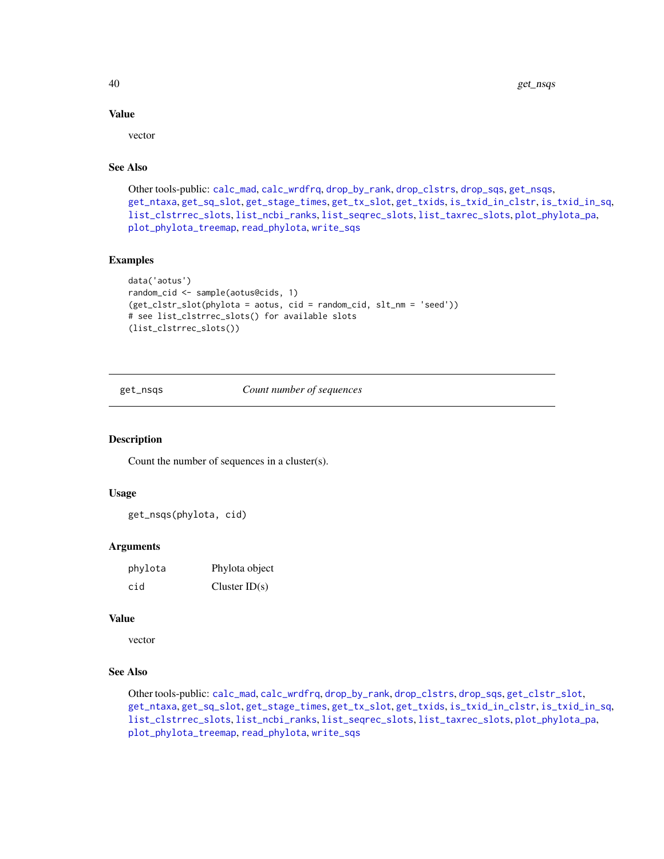# Value

vector

# See Also

```
Other tools-public: calc_mad, calc_wrdfrq, drop_by_rank, drop_clstrs, drop_sqs, get_nsqs,
get_ntaxa, get_sq_slot, get_stage_times, get_tx_slot, get_txids, is_txid_in_clstr, is_txid_in_sq,
list_clstrrec_slots, list_ncbi_ranks, list_seqrec_slots, list_taxrec_slots, plot_phylota_pa,
plot_phylota_treemap, read_phylota, write_sqs
```
#### Examples

```
data('aotus')
random_cid <- sample(aotus@cids, 1)
(get_clstr_slot(phylota = aotus, cid = random_cid, slt_nm = 'seed'))
# see list_clstrrec_slots() for available slots
(list_clstrrec_slots())
```
<span id="page-39-0"></span>get\_nsqs *Count number of sequences*

#### Description

Count the number of sequences in a cluster(s).

#### Usage

get\_nsqs(phylota, cid)

## Arguments

| phylota | Phylota object  |
|---------|-----------------|
| cid     | Cluster $ID(s)$ |

#### Value

vector

# See Also

Other tools-public: [calc\\_mad](#page-12-0), [calc\\_wrdfrq](#page-13-0), [drop\\_by\\_rank](#page-34-0), [drop\\_clstrs](#page-36-0), [drop\\_sqs](#page-37-0), [get\\_clstr\\_slot](#page-38-0), [get\\_ntaxa](#page-40-0), [get\\_sq\\_slot](#page-41-0), [get\\_stage\\_times](#page-42-0), [get\\_tx\\_slot](#page-44-0), [get\\_txids](#page-42-1), [is\\_txid\\_in\\_clstr](#page-46-0), [is\\_txid\\_in\\_sq](#page-47-0), [list\\_clstrrec\\_slots](#page-48-0), [list\\_ncbi\\_ranks](#page-48-1), [list\\_seqrec\\_slots](#page-49-0), [list\\_taxrec\\_slots](#page-49-1), [plot\\_phylota\\_pa](#page-60-0), [plot\\_phylota\\_treemap](#page-61-0), [read\\_phylota](#page-66-0), [write\\_sqs](#page-100-0)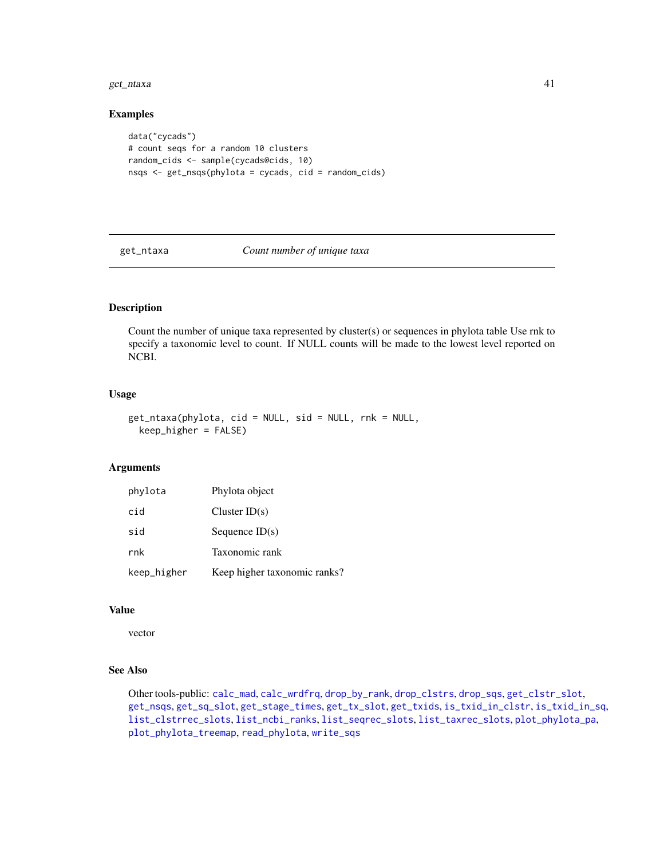#### get\_ntaxa 41

## Examples

```
data("cycads")
# count seqs for a random 10 clusters
random_cids <- sample(cycads@cids, 10)
nsqs <- get_nsqs(phylota = cycads, cid = random_cids)
```
<span id="page-40-0"></span>get\_ntaxa *Count number of unique taxa*

# Description

Count the number of unique taxa represented by cluster(s) or sequences in phylota table Use rnk to specify a taxonomic level to count. If NULL counts will be made to the lowest level reported on NCBI.

# Usage

get\_ntaxa(phylota, cid = NULL, sid = NULL, rnk = NULL, keep\_higher = FALSE)

# Arguments

| phylota     | Phylota object               |
|-------------|------------------------------|
| cid         | Cluster $ID(s)$              |
| sid         | Sequence $ID(s)$             |
| rnk         | Taxonomic rank               |
| keep_higher | Keep higher taxonomic ranks? |

#### Value

vector

# See Also

Other tools-public: [calc\\_mad](#page-12-0), [calc\\_wrdfrq](#page-13-0), [drop\\_by\\_rank](#page-34-0), [drop\\_clstrs](#page-36-0), [drop\\_sqs](#page-37-0), [get\\_clstr\\_slot](#page-38-0), [get\\_nsqs](#page-39-0), [get\\_sq\\_slot](#page-41-0), [get\\_stage\\_times](#page-42-0), [get\\_tx\\_slot](#page-44-0), [get\\_txids](#page-42-1), [is\\_txid\\_in\\_clstr](#page-46-0), [is\\_txid\\_in\\_sq](#page-47-0), [list\\_clstrrec\\_slots](#page-48-0), [list\\_ncbi\\_ranks](#page-48-1), [list\\_seqrec\\_slots](#page-49-0), [list\\_taxrec\\_slots](#page-49-1), [plot\\_phylota\\_pa](#page-60-0), [plot\\_phylota\\_treemap](#page-61-0), [read\\_phylota](#page-66-0), [write\\_sqs](#page-100-0)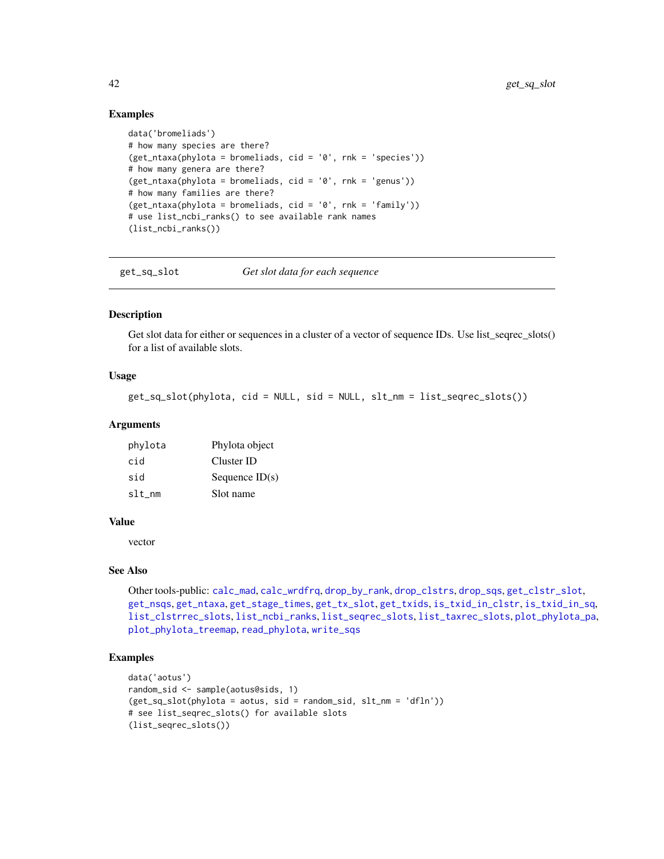# Examples

```
data('bromeliads')
# how many species are there?
(get_ntaxa(phylota = bromeliads, cid = '0', rnk = 'species'))# how many genera are there?
(get_ntaxa(phylota = bromeliads, cid = '0', rnk = 'genus'))# how many families are there?
(get_ntaxa(phylota = bromeliads, cid = '0', rnk = 'family'))
# use list_ncbi_ranks() to see available rank names
(list_ncbi_ranks())
```
<span id="page-41-0"></span>get\_sq\_slot *Get slot data for each sequence*

#### **Description**

Get slot data for either or sequences in a cluster of a vector of sequence IDs. Use list\_seqrec\_slots() for a list of available slots.

# Usage

get\_sq\_slot(phylota, cid = NULL, sid = NULL, slt\_nm = list\_seqrec\_slots())

# **Arguments**

| phylota | Phylota object   |
|---------|------------------|
| cid     | Cluster ID       |
| sid     | Sequence $ID(s)$ |
| slt nm  | Slot name        |

# Value

vector

## See Also

```
Other tools-public: calc_mad, calc_wrdfrq, drop_by_rank, drop_clstrs, drop_sqs, get_clstr_slot,
get_nsqs, get_ntaxa, get_stage_times, get_tx_slot, get_txids, is_txid_in_clstr, is_txid_in_sq,
list_clstrrec_slots, list_ncbi_ranks, list_seqrec_slots, list_taxrec_slots, plot_phylota_pa,
plot_phylota_treemap, read_phylota, write_sqs
```
#### Examples

```
data('aotus')
random_sid <- sample(aotus@sids, 1)
(get_sq_slot(phylota = aotus, sid = random_sid, slt_nm = 'dfln'))# see list_seqrec_slots() for available slots
(list_seqrec_slots())
```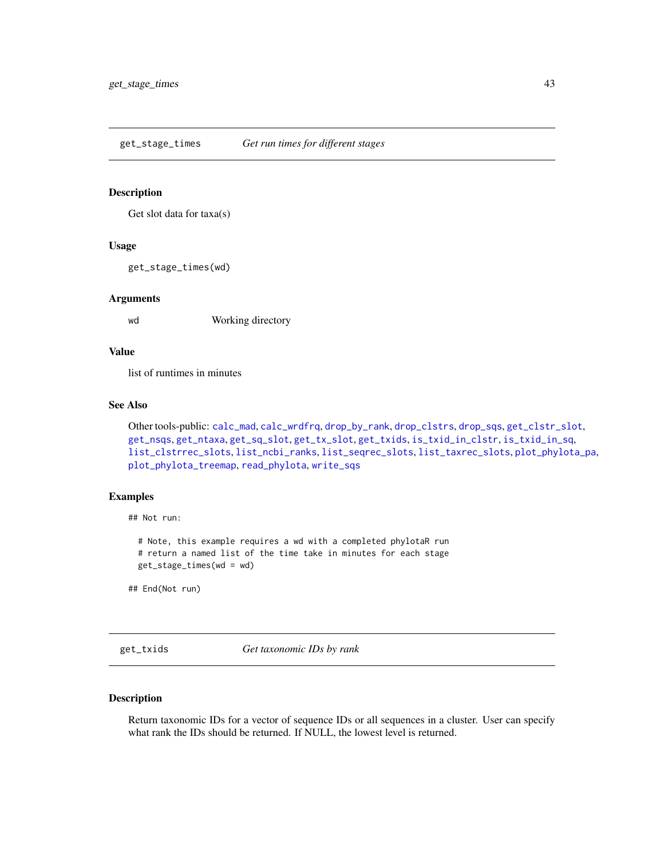<span id="page-42-0"></span>get\_stage\_times *Get run times for different stages*

## Description

Get slot data for taxa(s)

## Usage

get\_stage\_times(wd)

# Arguments

wd Working directory

# Value

list of runtimes in minutes

# See Also

```
Other tools-public: calc_mad, calc_wrdfrq, drop_by_rank, drop_clstrs, drop_sqs, get_clstr_slot,
get_nsqs, get_ntaxa, get_sq_slot, get_tx_slot, get_txids, is_txid_in_clstr, is_txid_in_sq,
list_clstrrec_slots, list_ncbi_ranks, list_seqrec_slots, list_taxrec_slots, plot_phylota_pa,
plot_phylota_treemap, read_phylota, write_sqs
```
# Examples

## Not run:

# Note, this example requires a wd with a completed phylotaR run # return a named list of the time take in minutes for each stage get\_stage\_times(wd = wd)

## End(Not run)

<span id="page-42-1"></span>get\_txids *Get taxonomic IDs by rank*

# Description

Return taxonomic IDs for a vector of sequence IDs or all sequences in a cluster. User can specify what rank the IDs should be returned. If NULL, the lowest level is returned.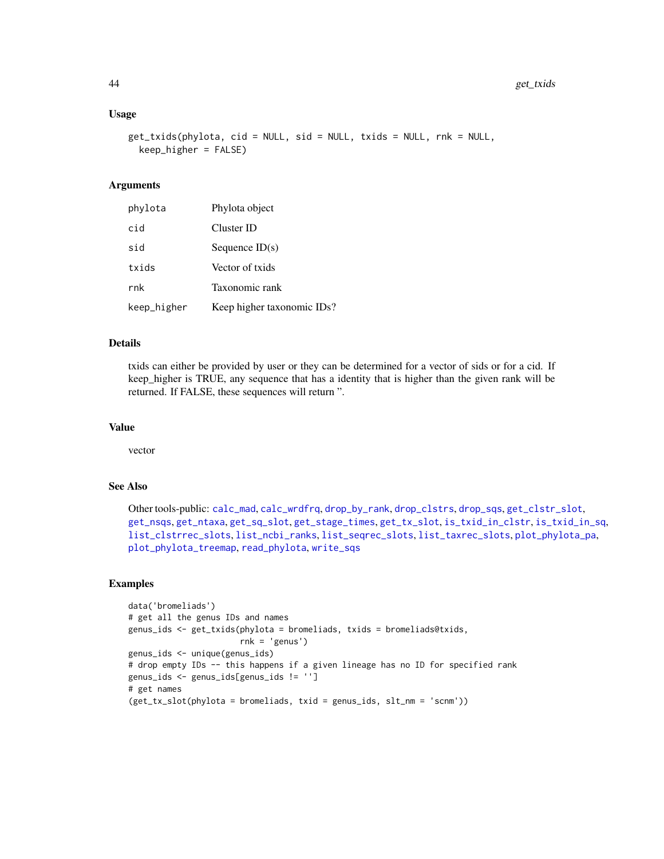## Usage

```
get_txids(phylota, cid = NULL, sid = NULL, txids = NULL, rnk = NULL,
 keep_higher = FALSE)
```
# Arguments

| phylota     | Phylota object             |
|-------------|----------------------------|
| cid         | Cluster ID                 |
| sid         | Sequence $ID(s)$           |
| txids       | Vector of txids            |
| rnk         | Taxonomic rank             |
| keep_higher | Keep higher taxonomic IDs? |

## Details

txids can either be provided by user or they can be determined for a vector of sids or for a cid. If keep\_higher is TRUE, any sequence that has a identity that is higher than the given rank will be returned. If FALSE, these sequences will return ".

#### Value

vector

# See Also

```
Other tools-public: calc_mad, calc_wrdfrq, drop_by_rank, drop_clstrs, drop_sqs, get_clstr_slot,
get_nsqs, get_ntaxa, get_sq_slot, get_stage_times, get_tx_slot, is_txid_in_clstr, is_txid_in_sq,
list_clstrrec_slots, list_ncbi_ranks, list_seqrec_slots, list_taxrec_slots, plot_phylota_pa,
plot_phylota_treemap, read_phylota, write_sqs
```
# Examples

```
data('bromeliads')
# get all the genus IDs and names
genus_ids <- get_txids(phylota = bromeliads, txids = bromeliads@txids,
                      rnk = 'genus')
genus_ids <- unique(genus_ids)
# drop empty IDs -- this happens if a given lineage has no ID for specified rank
genus_ids <- genus_ids[genus_ids != '']
# get names
(get_tx_slot(phylota = bromeliads, txid = genus_ids, slt_nm = 'scnm'))
```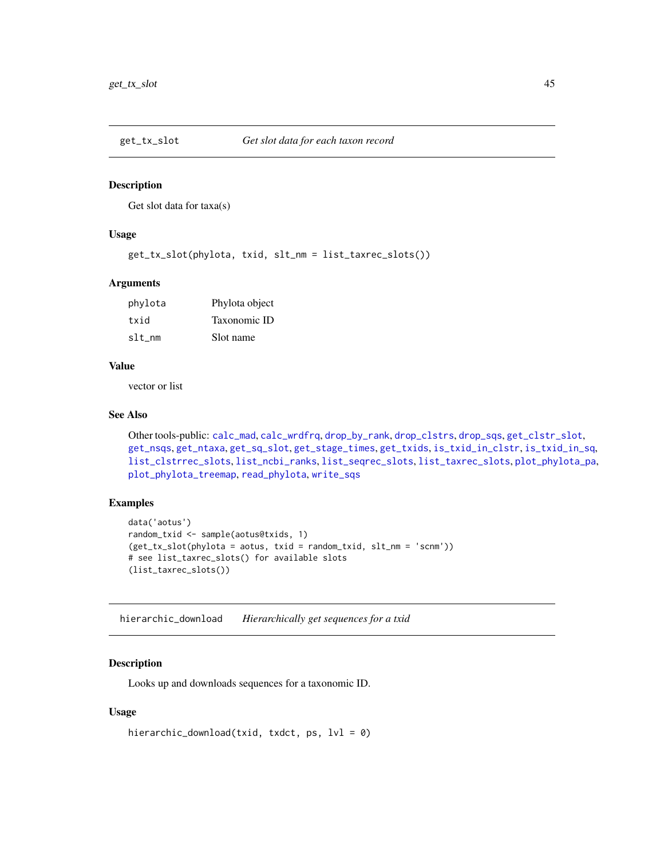<span id="page-44-0"></span>

Get slot data for taxa(s)

# Usage

get\_tx\_slot(phylota, txid, slt\_nm = list\_taxrec\_slots())

#### Arguments

| phylota | Phylota object |
|---------|----------------|
| txid    | Taxonomic ID   |
| slt_nm  | Slot name      |

#### Value

vector or list

#### See Also

```
Other tools-public: calc_mad, calc_wrdfrq, drop_by_rank, drop_clstrs, drop_sqs, get_clstr_slot,
get_nsqs, get_ntaxa, get_sq_slot, get_stage_times, get_txids, is_txid_in_clstr, is_txid_in_sq,
list_clstrrec_slots, list_ncbi_ranks, list_seqrec_slots, list_taxrec_slots, plot_phylota_pa,
plot_phylota_treemap, read_phylota, write_sqs
```
# Examples

```
data('aotus')
random_txid <- sample(aotus@txids, 1)
(get_tx_slot(phylota = aotus, txid = random_txid, slt_nm = 'scnm'))
# see list_taxrec_slots() for available slots
(list_taxrec_slots())
```
<span id="page-44-1"></span>hierarchic\_download *Hierarchically get sequences for a txid*

## Description

Looks up and downloads sequences for a taxonomic ID.

## Usage

```
hierarchic_download(txid, txdct, ps, lvl = 0)
```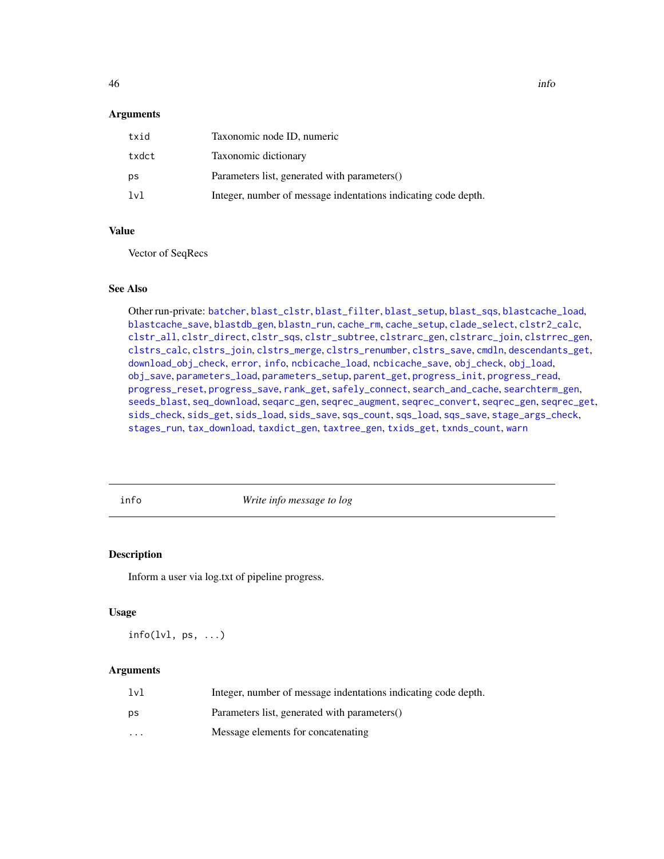## Arguments

| txid  | Taxonomic node ID, numeric                                     |
|-------|----------------------------------------------------------------|
| txdct | Taxonomic dictionary                                           |
| ps    | Parameters list, generated with parameters()                   |
| lvl   | Integer, number of message indentations indicating code depth. |

## Value

Vector of SeqRecs

## See Also

Other run-private: [batcher](#page-4-0), [blast\\_clstr](#page-7-0), [blast\\_filter](#page-8-0), [blast\\_setup](#page-9-0), [blast\\_sqs](#page-10-0), [blastcache\\_load](#page-5-0), [blastcache\\_save](#page-5-1), [blastdb\\_gen](#page-6-0), [blastn\\_run](#page-7-1), [cache\\_rm](#page-11-0), [cache\\_setup](#page-12-1), [clade\\_select](#page-14-0), [clstr2\\_calc](#page-15-0), [clstr\\_all](#page-25-0), [clstr\\_direct](#page-26-0), [clstr\\_sqs](#page-27-0), [clstr\\_subtree](#page-27-1), [clstrarc\\_gen](#page-17-0), [clstrarc\\_join](#page-18-0), [clstrrec\\_gen](#page-20-0), [clstrs\\_calc](#page-21-0), [clstrs\\_join](#page-22-0), [clstrs\\_merge](#page-23-0), [clstrs\\_renumber](#page-23-1), [clstrs\\_save](#page-24-0), [cmdln](#page-30-0), [descendants\\_get](#page-31-0), [download\\_obj\\_check](#page-32-0), [error](#page-38-1), [info](#page-45-0), [ncbicache\\_load](#page-50-0), [ncbicache\\_save](#page-51-0), [obj\\_check](#page-52-0), [obj\\_load](#page-52-1), [obj\\_save](#page-53-0), [parameters\\_load](#page-55-0), [parameters\\_setup](#page-57-0), [parent\\_get](#page-57-1), [progress\\_init](#page-62-0), [progress\\_read](#page-63-0), [progress\\_reset](#page-64-0), [progress\\_save](#page-64-1), [rank\\_get](#page-65-0), [safely\\_connect](#page-70-0), [search\\_and\\_cache](#page-71-0), [searchterm\\_gen](#page-70-1), [seeds\\_blast](#page-72-0), [seq\\_download](#page-80-0), [seqarc\\_gen](#page-74-0), [seqrec\\_augment](#page-77-0), [seqrec\\_convert](#page-78-0), [seqrec\\_gen](#page-78-1), [seqrec\\_get](#page-79-0), [sids\\_check](#page-82-0), [sids\\_get](#page-83-0), [sids\\_load](#page-84-0), [sids\\_save](#page-85-0), [sqs\\_count](#page-85-1), [sqs\\_load](#page-86-0), [sqs\\_save](#page-87-0), [stage\\_args\\_check](#page-88-0), [stages\\_run](#page-88-1), [tax\\_download](#page-96-0), [taxdict\\_gen](#page-92-0), [taxtree\\_gen](#page-95-0), [txids\\_get](#page-97-0), [txnds\\_count](#page-98-0), [warn](#page-99-0)

<span id="page-45-0"></span>

info *Write info message to log*

# Description

Inform a user via log.txt of pipeline progress.

#### Usage

 $info(lvl, ps, ...)$ 

## Arguments

| 1 <sub>v1</sub> | Integer, number of message indentations indicating code depth. |
|-----------------|----------------------------------------------------------------|
| ps              | Parameters list, generated with parameters()                   |
| $\cdot$         | Message elements for concatenating                             |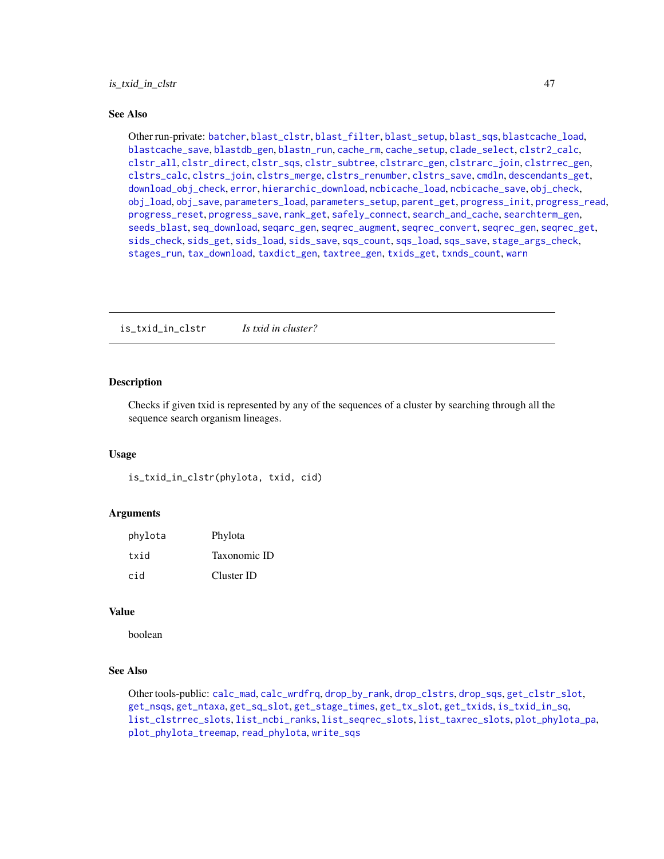# is\_txid\_in\_clstr 47

#### See Also

Other run-private: [batcher](#page-4-0), [blast\\_clstr](#page-7-0), [blast\\_filter](#page-8-0), [blast\\_setup](#page-9-0), [blast\\_sqs](#page-10-0), [blastcache\\_load](#page-5-0), [blastcache\\_save](#page-5-1), [blastdb\\_gen](#page-6-0), [blastn\\_run](#page-7-1), [cache\\_rm](#page-11-0), [cache\\_setup](#page-12-1), [clade\\_select](#page-14-0), [clstr2\\_calc](#page-15-0), [clstr\\_all](#page-25-0), [clstr\\_direct](#page-26-0), [clstr\\_sqs](#page-27-0), [clstr\\_subtree](#page-27-1), [clstrarc\\_gen](#page-17-0), [clstrarc\\_join](#page-18-0), [clstrrec\\_gen](#page-20-0), [clstrs\\_calc](#page-21-0), [clstrs\\_join](#page-22-0), [clstrs\\_merge](#page-23-0), [clstrs\\_renumber](#page-23-1), [clstrs\\_save](#page-24-0), [cmdln](#page-30-0), [descendants\\_get](#page-31-0), [download\\_obj\\_check](#page-32-0), [error](#page-38-1), [hierarchic\\_download](#page-44-1), [ncbicache\\_load](#page-50-0), [ncbicache\\_save](#page-51-0), [obj\\_check](#page-52-0), [obj\\_load](#page-52-1), [obj\\_save](#page-53-0), [parameters\\_load](#page-55-0), [parameters\\_setup](#page-57-0), [parent\\_get](#page-57-1), [progress\\_init](#page-62-0), [progress\\_read](#page-63-0), [progress\\_reset](#page-64-0), [progress\\_save](#page-64-1), [rank\\_get](#page-65-0), [safely\\_connect](#page-70-0), [search\\_and\\_cache](#page-71-0), [searchterm\\_gen](#page-70-1), [seeds\\_blast](#page-72-0), [seq\\_download](#page-80-0), [seqarc\\_gen](#page-74-0), [seqrec\\_augment](#page-77-0), [seqrec\\_convert](#page-78-0), [seqrec\\_gen](#page-78-1), [seqrec\\_get](#page-79-0), [sids\\_check](#page-82-0), [sids\\_get](#page-83-0), [sids\\_load](#page-84-0), [sids\\_save](#page-85-0), [sqs\\_count](#page-85-1), [sqs\\_load](#page-86-0), [sqs\\_save](#page-87-0), [stage\\_args\\_check](#page-88-0), [stages\\_run](#page-88-1), [tax\\_download](#page-96-0), [taxdict\\_gen](#page-92-0), [taxtree\\_gen](#page-95-0), [txids\\_get](#page-97-0), [txnds\\_count](#page-98-0), [warn](#page-99-0)

<span id="page-46-0"></span>is\_txid\_in\_clstr *Is txid in cluster?*

# Description

Checks if given txid is represented by any of the sequences of a cluster by searching through all the sequence search organism lineages.

#### Usage

is\_txid\_in\_clstr(phylota, txid, cid)

# Arguments

| phylota | Phylota      |
|---------|--------------|
| txid    | Taxonomic ID |
| cid     | Cluster ID   |

#### Value

boolean

# See Also

Other tools-public: [calc\\_mad](#page-12-0), [calc\\_wrdfrq](#page-13-0), [drop\\_by\\_rank](#page-34-0), [drop\\_clstrs](#page-36-0), [drop\\_sqs](#page-37-0), [get\\_clstr\\_slot](#page-38-0), [get\\_nsqs](#page-39-0), [get\\_ntaxa](#page-40-0), [get\\_sq\\_slot](#page-41-0), [get\\_stage\\_times](#page-42-0), [get\\_tx\\_slot](#page-44-0), [get\\_txids](#page-42-1), [is\\_txid\\_in\\_sq](#page-47-0), [list\\_clstrrec\\_slots](#page-48-0), [list\\_ncbi\\_ranks](#page-48-1), [list\\_seqrec\\_slots](#page-49-0), [list\\_taxrec\\_slots](#page-49-1), [plot\\_phylota\\_pa](#page-60-0), [plot\\_phylota\\_treemap](#page-61-0), [read\\_phylota](#page-66-0), [write\\_sqs](#page-100-0)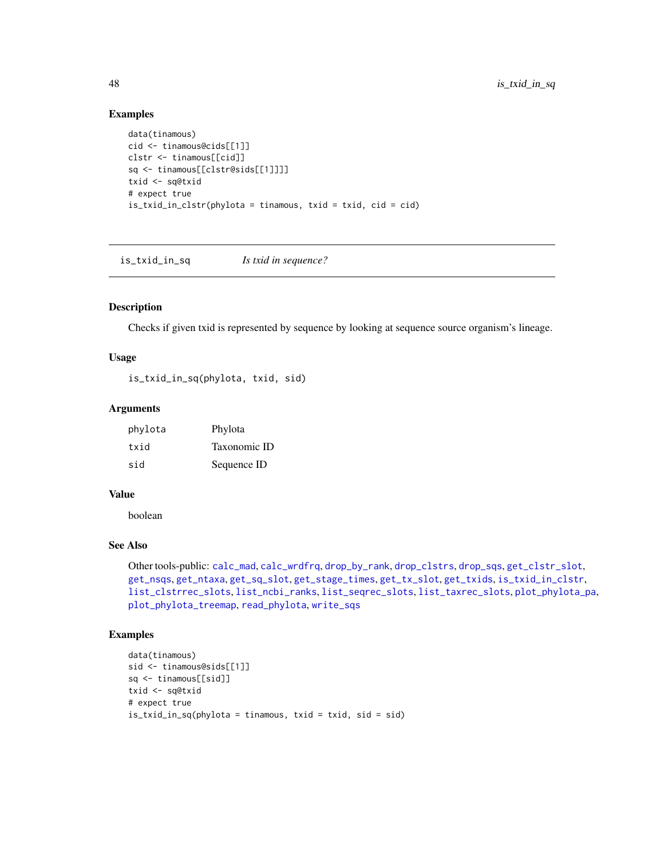# Examples

```
data(tinamous)
cid <- tinamous@cids[[1]]
clstr <- tinamous[[cid]]
sq <- tinamous[[clstr@sids[[1]]]]
txid <- sq@txid
# expect true
is_txid_in_clstr(phylota = tinamous, txid = txid, cid = cid)
```
<span id="page-47-0"></span>is\_txid\_in\_sq *Is txid in sequence?*

# Description

Checks if given txid is represented by sequence by looking at sequence source organism's lineage.

## Usage

is\_txid\_in\_sq(phylota, txid, sid)

#### Arguments

| phylota | Phylota      |
|---------|--------------|
| txid    | Taxonomic ID |
| sid     | Sequence ID  |

# Value

boolean

# See Also

Other tools-public: [calc\\_mad](#page-12-0), [calc\\_wrdfrq](#page-13-0), [drop\\_by\\_rank](#page-34-0), [drop\\_clstrs](#page-36-0), [drop\\_sqs](#page-37-0), [get\\_clstr\\_slot](#page-38-0), [get\\_nsqs](#page-39-0), [get\\_ntaxa](#page-40-0), [get\\_sq\\_slot](#page-41-0), [get\\_stage\\_times](#page-42-0), [get\\_tx\\_slot](#page-44-0), [get\\_txids](#page-42-1), [is\\_txid\\_in\\_clstr](#page-46-0), [list\\_clstrrec\\_slots](#page-48-0), [list\\_ncbi\\_ranks](#page-48-1), [list\\_seqrec\\_slots](#page-49-0), [list\\_taxrec\\_slots](#page-49-1), [plot\\_phylota\\_pa](#page-60-0), [plot\\_phylota\\_treemap](#page-61-0), [read\\_phylota](#page-66-0), [write\\_sqs](#page-100-0)

# Examples

```
data(tinamous)
sid <- tinamous@sids[[1]]
sq <- tinamous[[sid]]
txid <- sq@txid
# expect true
is_txid_in_sq(phylota = tinamous, txid = txid, sid = sid)
```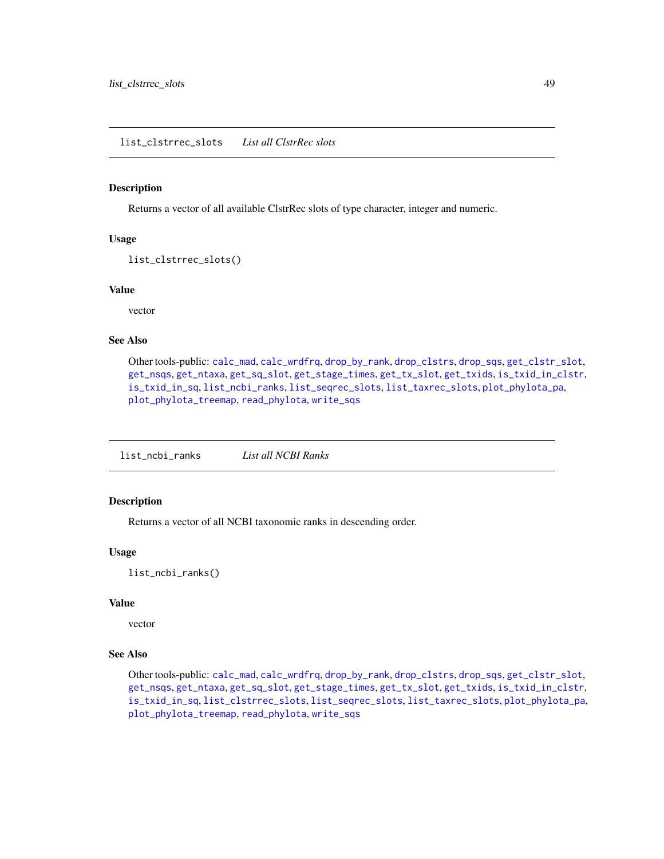<span id="page-48-0"></span>Returns a vector of all available ClstrRec slots of type character, integer and numeric.

# Usage

```
list_clstrrec_slots()
```
## Value

vector

## See Also

```
Other tools-public: calc_mad, calc_wrdfrq, drop_by_rank, drop_clstrs, drop_sqs, get_clstr_slot,
get_nsqs, get_ntaxa, get_sq_slot, get_stage_times, get_tx_slot, get_txids, is_txid_in_clstr,
is_txid_in_sq, list_ncbi_ranks, list_seqrec_slots, list_taxrec_slots, plot_phylota_pa,
plot_phylota_treemap, read_phylota, write_sqs
```
<span id="page-48-1"></span>list\_ncbi\_ranks *List all NCBI Ranks*

# Description

Returns a vector of all NCBI taxonomic ranks in descending order.

# Usage

list\_ncbi\_ranks()

# Value

vector

## See Also

Other tools-public: [calc\\_mad](#page-12-0), [calc\\_wrdfrq](#page-13-0), [drop\\_by\\_rank](#page-34-0), [drop\\_clstrs](#page-36-0), [drop\\_sqs](#page-37-0), [get\\_clstr\\_slot](#page-38-0), [get\\_nsqs](#page-39-0), [get\\_ntaxa](#page-40-0), [get\\_sq\\_slot](#page-41-0), [get\\_stage\\_times](#page-42-0), [get\\_tx\\_slot](#page-44-0), [get\\_txids](#page-42-1), [is\\_txid\\_in\\_clstr](#page-46-0), [is\\_txid\\_in\\_sq](#page-47-0), [list\\_clstrrec\\_slots](#page-48-0), [list\\_seqrec\\_slots](#page-49-0), [list\\_taxrec\\_slots](#page-49-1), [plot\\_phylota\\_pa](#page-60-0), [plot\\_phylota\\_treemap](#page-61-0), [read\\_phylota](#page-66-0), [write\\_sqs](#page-100-0)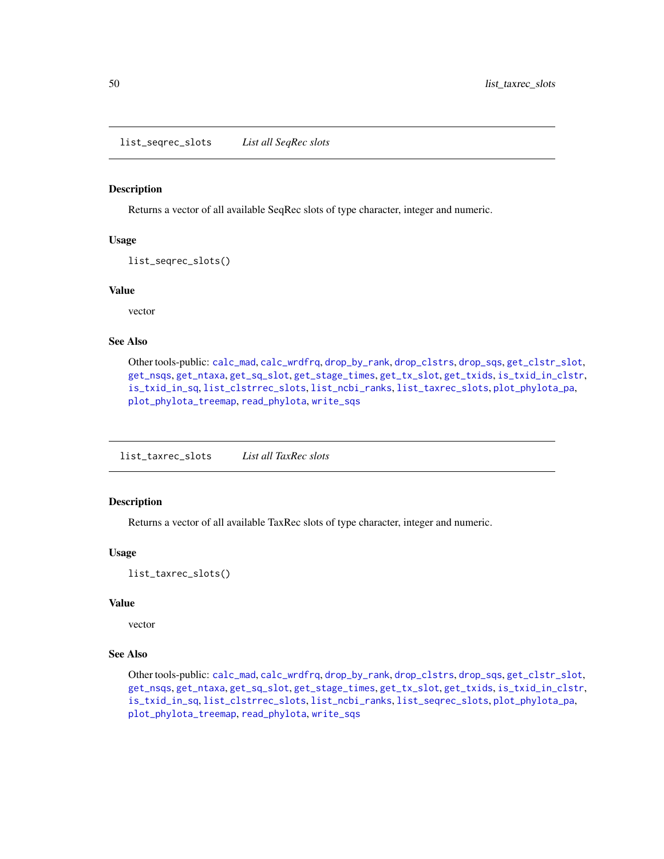<span id="page-49-0"></span>list\_seqrec\_slots *List all SeqRec slots*

#### Description

Returns a vector of all available SeqRec slots of type character, integer and numeric.

#### Usage

```
list_seqrec_slots()
```
#### Value

vector

# See Also

Other tools-public: [calc\\_mad](#page-12-0), [calc\\_wrdfrq](#page-13-0), [drop\\_by\\_rank](#page-34-0), [drop\\_clstrs](#page-36-0), [drop\\_sqs](#page-37-0), [get\\_clstr\\_slot](#page-38-0), [get\\_nsqs](#page-39-0), [get\\_ntaxa](#page-40-0), [get\\_sq\\_slot](#page-41-0), [get\\_stage\\_times](#page-42-0), [get\\_tx\\_slot](#page-44-0), [get\\_txids](#page-42-1), [is\\_txid\\_in\\_clstr](#page-46-0), [is\\_txid\\_in\\_sq](#page-47-0), [list\\_clstrrec\\_slots](#page-48-0), [list\\_ncbi\\_ranks](#page-48-1), [list\\_taxrec\\_slots](#page-49-1), [plot\\_phylota\\_pa](#page-60-0), [plot\\_phylota\\_treemap](#page-61-0), [read\\_phylota](#page-66-0), [write\\_sqs](#page-100-0)

<span id="page-49-1"></span>list\_taxrec\_slots *List all TaxRec slots*

# Description

Returns a vector of all available TaxRec slots of type character, integer and numeric.

# Usage

list\_taxrec\_slots()

# Value

vector

#### See Also

Other tools-public: [calc\\_mad](#page-12-0), [calc\\_wrdfrq](#page-13-0), [drop\\_by\\_rank](#page-34-0), [drop\\_clstrs](#page-36-0), [drop\\_sqs](#page-37-0), [get\\_clstr\\_slot](#page-38-0), [get\\_nsqs](#page-39-0), [get\\_ntaxa](#page-40-0), [get\\_sq\\_slot](#page-41-0), [get\\_stage\\_times](#page-42-0), [get\\_tx\\_slot](#page-44-0), [get\\_txids](#page-42-1), [is\\_txid\\_in\\_clstr](#page-46-0), [is\\_txid\\_in\\_sq](#page-47-0), [list\\_clstrrec\\_slots](#page-48-0), [list\\_ncbi\\_ranks](#page-48-1), [list\\_seqrec\\_slots](#page-49-0), [plot\\_phylota\\_pa](#page-60-0), [plot\\_phylota\\_treemap](#page-61-0), [read\\_phylota](#page-66-0), [write\\_sqs](#page-100-0)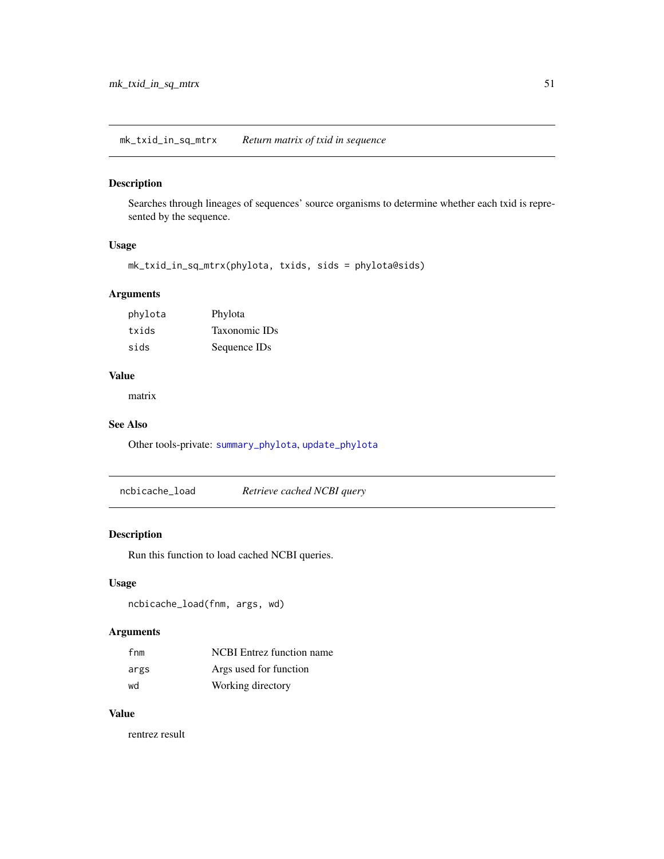mk\_txid\_in\_sq\_mtrx *Return matrix of txid in sequence*

# Description

Searches through lineages of sequences' source organisms to determine whether each txid is represented by the sequence.

# Usage

```
mk_txid_in_sq_mtrx(phylota, txids, sids = phylota@sids)
```
# Arguments

| phylota | Phylota       |
|---------|---------------|
| txids   | Taxonomic IDs |
| sids    | Sequence IDs  |

# Value

matrix

# See Also

Other tools-private: [summary\\_phylota](#page-90-0), [update\\_phylota](#page-99-1)

<span id="page-50-0"></span>ncbicache\_load *Retrieve cached NCBI query*

# Description

Run this function to load cached NCBI queries.

# Usage

ncbicache\_load(fnm, args, wd)

# Arguments

| fnm  | <b>NCBI</b> Entrez function name |
|------|----------------------------------|
| args | Args used for function           |
| wd   | Working directory                |

# Value

rentrez result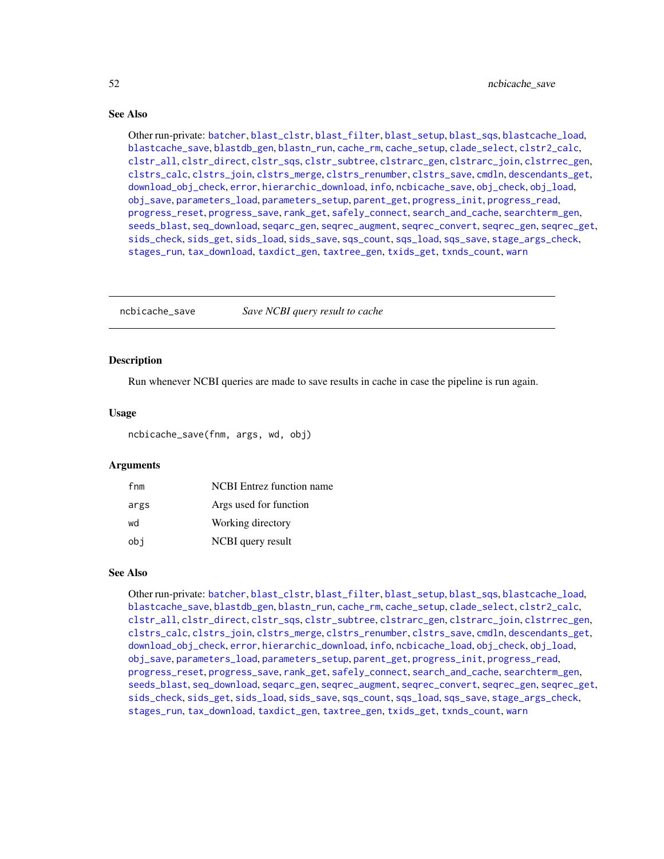# See Also

Other run-private: [batcher](#page-4-0), [blast\\_clstr](#page-7-0), [blast\\_filter](#page-8-0), [blast\\_setup](#page-9-0), [blast\\_sqs](#page-10-0), [blastcache\\_load](#page-5-0), [blastcache\\_save](#page-5-1), [blastdb\\_gen](#page-6-0), [blastn\\_run](#page-7-1), [cache\\_rm](#page-11-0), [cache\\_setup](#page-12-1), [clade\\_select](#page-14-0), [clstr2\\_calc](#page-15-0), [clstr\\_all](#page-25-0), [clstr\\_direct](#page-26-0), [clstr\\_sqs](#page-27-0), [clstr\\_subtree](#page-27-1), [clstrarc\\_gen](#page-17-0), [clstrarc\\_join](#page-18-0), [clstrrec\\_gen](#page-20-0), [clstrs\\_calc](#page-21-0), [clstrs\\_join](#page-22-0), [clstrs\\_merge](#page-23-0), [clstrs\\_renumber](#page-23-1), [clstrs\\_save](#page-24-0), [cmdln](#page-30-0), [descendants\\_get](#page-31-0), [download\\_obj\\_check](#page-32-0), [error](#page-38-1), [hierarchic\\_download](#page-44-1), [info](#page-45-0), [ncbicache\\_save](#page-51-0), [obj\\_check](#page-52-0), [obj\\_load](#page-52-1), [obj\\_save](#page-53-0), [parameters\\_load](#page-55-0), [parameters\\_setup](#page-57-0), [parent\\_get](#page-57-1), [progress\\_init](#page-62-0), [progress\\_read](#page-63-0), [progress\\_reset](#page-64-0), [progress\\_save](#page-64-1), [rank\\_get](#page-65-0), [safely\\_connect](#page-70-0), [search\\_and\\_cache](#page-71-0), [searchterm\\_gen](#page-70-1), [seeds\\_blast](#page-72-0), [seq\\_download](#page-80-0), [seqarc\\_gen](#page-74-0), [seqrec\\_augment](#page-77-0), [seqrec\\_convert](#page-78-0), [seqrec\\_gen](#page-78-1), [seqrec\\_get](#page-79-0), [sids\\_check](#page-82-0), [sids\\_get](#page-83-0), [sids\\_load](#page-84-0), [sids\\_save](#page-85-0), [sqs\\_count](#page-85-1), [sqs\\_load](#page-86-0), [sqs\\_save](#page-87-0), [stage\\_args\\_check](#page-88-0), [stages\\_run](#page-88-1), [tax\\_download](#page-96-0), [taxdict\\_gen](#page-92-0), [taxtree\\_gen](#page-95-0), [txids\\_get](#page-97-0), [txnds\\_count](#page-98-0), [warn](#page-99-0)

<span id="page-51-0"></span>ncbicache\_save *Save NCBI query result to cache*

#### **Description**

Run whenever NCBI queries are made to save results in cache in case the pipeline is run again.

## Usage

ncbicache\_save(fnm, args, wd, obj)

## Arguments

| fnm  | <b>NCBI</b> Entrez function name |
|------|----------------------------------|
| args | Args used for function           |
| wd   | Working directory                |
| obi  | NCBI query result                |

## See Also

Other run-private: [batcher](#page-4-0), [blast\\_clstr](#page-7-0), [blast\\_filter](#page-8-0), [blast\\_setup](#page-9-0), [blast\\_sqs](#page-10-0), [blastcache\\_load](#page-5-0), [blastcache\\_save](#page-5-1), [blastdb\\_gen](#page-6-0), [blastn\\_run](#page-7-1), [cache\\_rm](#page-11-0), [cache\\_setup](#page-12-1), [clade\\_select](#page-14-0), [clstr2\\_calc](#page-15-0), [clstr\\_all](#page-25-0), [clstr\\_direct](#page-26-0), [clstr\\_sqs](#page-27-0), [clstr\\_subtree](#page-27-1), [clstrarc\\_gen](#page-17-0), [clstrarc\\_join](#page-18-0), [clstrrec\\_gen](#page-20-0), [clstrs\\_calc](#page-21-0), [clstrs\\_join](#page-22-0), [clstrs\\_merge](#page-23-0), [clstrs\\_renumber](#page-23-1), [clstrs\\_save](#page-24-0), [cmdln](#page-30-0), [descendants\\_get](#page-31-0), [download\\_obj\\_check](#page-32-0), [error](#page-38-1), [hierarchic\\_download](#page-44-1), [info](#page-45-0), [ncbicache\\_load](#page-50-0), [obj\\_check](#page-52-0), [obj\\_load](#page-52-1), [obj\\_save](#page-53-0), [parameters\\_load](#page-55-0), [parameters\\_setup](#page-57-0), [parent\\_get](#page-57-1), [progress\\_init](#page-62-0), [progress\\_read](#page-63-0), [progress\\_reset](#page-64-0), [progress\\_save](#page-64-1), [rank\\_get](#page-65-0), [safely\\_connect](#page-70-0), [search\\_and\\_cache](#page-71-0), [searchterm\\_gen](#page-70-1), [seeds\\_blast](#page-72-0), [seq\\_download](#page-80-0), [seqarc\\_gen](#page-74-0), [seqrec\\_augment](#page-77-0), [seqrec\\_convert](#page-78-0), [seqrec\\_gen](#page-78-1), [seqrec\\_get](#page-79-0), [sids\\_check](#page-82-0), [sids\\_get](#page-83-0), [sids\\_load](#page-84-0), [sids\\_save](#page-85-0), [sqs\\_count](#page-85-1), [sqs\\_load](#page-86-0), [sqs\\_save](#page-87-0), [stage\\_args\\_check](#page-88-0), [stages\\_run](#page-88-1), [tax\\_download](#page-96-0), [taxdict\\_gen](#page-92-0), [taxtree\\_gen](#page-95-0), [txids\\_get](#page-97-0), [txnds\\_count](#page-98-0), [warn](#page-99-0)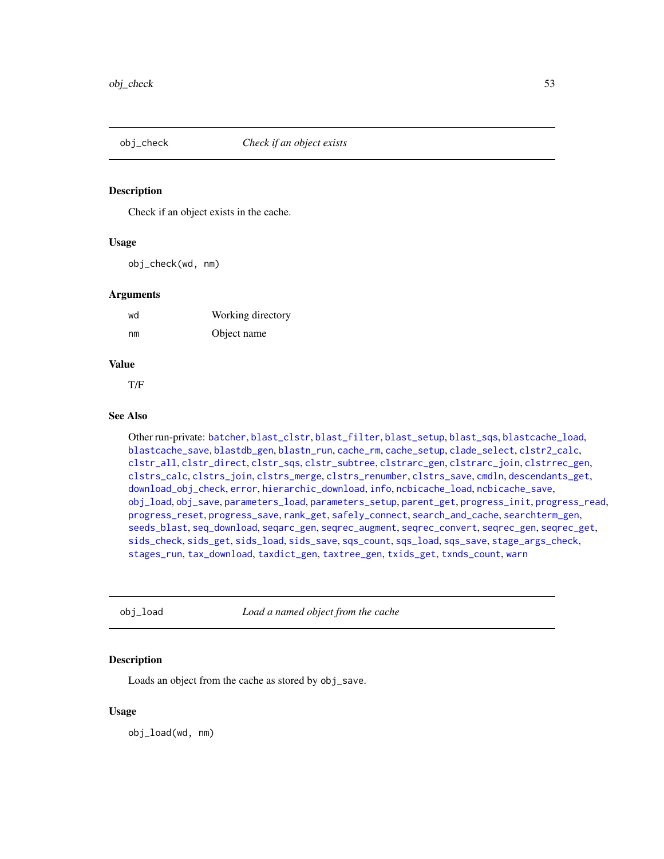<span id="page-52-0"></span>

Check if an object exists in the cache.

## Usage

obj\_check(wd, nm)

#### **Arguments**

| wd | Working directory |
|----|-------------------|
| nm | Object name       |

# Value

T/F

## See Also

Other run-private: [batcher](#page-4-0), [blast\\_clstr](#page-7-0), [blast\\_filter](#page-8-0), [blast\\_setup](#page-9-0), [blast\\_sqs](#page-10-0), [blastcache\\_load](#page-5-0), [blastcache\\_save](#page-5-1), [blastdb\\_gen](#page-6-0), [blastn\\_run](#page-7-1), [cache\\_rm](#page-11-0), [cache\\_setup](#page-12-1), [clade\\_select](#page-14-0), [clstr2\\_calc](#page-15-0), [clstr\\_all](#page-25-0), [clstr\\_direct](#page-26-0), [clstr\\_sqs](#page-27-0), [clstr\\_subtree](#page-27-1), [clstrarc\\_gen](#page-17-0), [clstrarc\\_join](#page-18-0), [clstrrec\\_gen](#page-20-0), [clstrs\\_calc](#page-21-0), [clstrs\\_join](#page-22-0), [clstrs\\_merge](#page-23-0), [clstrs\\_renumber](#page-23-1), [clstrs\\_save](#page-24-0), [cmdln](#page-30-0), [descendants\\_get](#page-31-0), [download\\_obj\\_check](#page-32-0), [error](#page-38-1), [hierarchic\\_download](#page-44-1), [info](#page-45-0), [ncbicache\\_load](#page-50-0), [ncbicache\\_save](#page-51-0), [obj\\_load](#page-52-1), [obj\\_save](#page-53-0), [parameters\\_load](#page-55-0), [parameters\\_setup](#page-57-0), [parent\\_get](#page-57-1), [progress\\_init](#page-62-0), [progress\\_read](#page-63-0), [progress\\_reset](#page-64-0), [progress\\_save](#page-64-1), [rank\\_get](#page-65-0), [safely\\_connect](#page-70-0), [search\\_and\\_cache](#page-71-0), [searchterm\\_gen](#page-70-1), [seeds\\_blast](#page-72-0), [seq\\_download](#page-80-0), [seqarc\\_gen](#page-74-0), [seqrec\\_augment](#page-77-0), [seqrec\\_convert](#page-78-0), [seqrec\\_gen](#page-78-1), [seqrec\\_get](#page-79-0), [sids\\_check](#page-82-0), [sids\\_get](#page-83-0), [sids\\_load](#page-84-0), [sids\\_save](#page-85-0), [sqs\\_count](#page-85-1), [sqs\\_load](#page-86-0), [sqs\\_save](#page-87-0), [stage\\_args\\_check](#page-88-0), [stages\\_run](#page-88-1), [tax\\_download](#page-96-0), [taxdict\\_gen](#page-92-0), [taxtree\\_gen](#page-95-0), [txids\\_get](#page-97-0), [txnds\\_count](#page-98-0), [warn](#page-99-0)

<span id="page-52-1"></span>obj\_load *Load a named object from the cache*

# Description

Loads an object from the cache as stored by obj\_save.

#### Usage

obj\_load(wd, nm)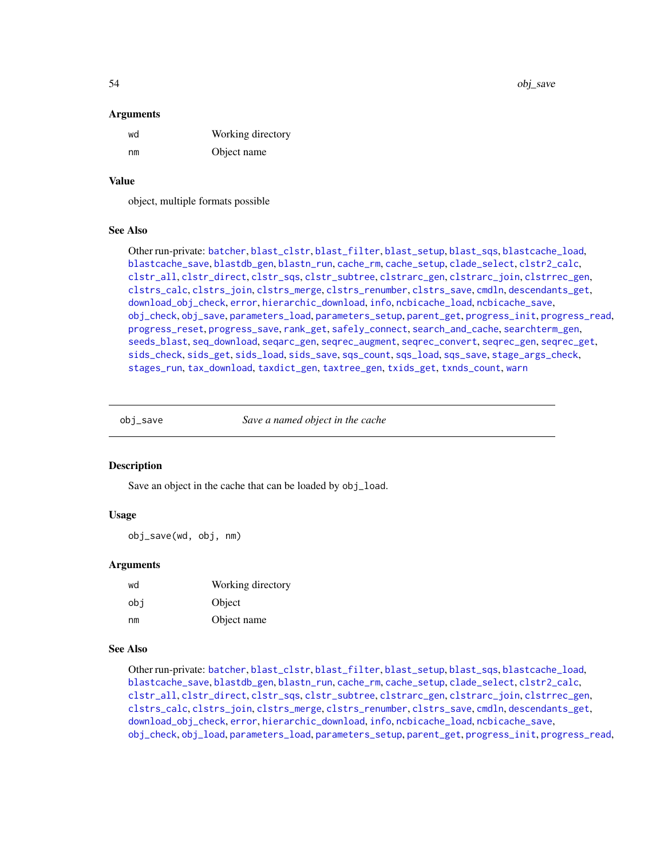54 obj\_save

#### Arguments

| wd | Working directory |
|----|-------------------|
| nm | Object name       |

#### Value

object, multiple formats possible

# See Also

Other run-private: [batcher](#page-4-0), [blast\\_clstr](#page-7-0), [blast\\_filter](#page-8-0), [blast\\_setup](#page-9-0), [blast\\_sqs](#page-10-0), [blastcache\\_load](#page-5-0), [blastcache\\_save](#page-5-1), [blastdb\\_gen](#page-6-0), [blastn\\_run](#page-7-1), [cache\\_rm](#page-11-0), [cache\\_setup](#page-12-1), [clade\\_select](#page-14-0), [clstr2\\_calc](#page-15-0), [clstr\\_all](#page-25-0), [clstr\\_direct](#page-26-0), [clstr\\_sqs](#page-27-0), [clstr\\_subtree](#page-27-1), [clstrarc\\_gen](#page-17-0), [clstrarc\\_join](#page-18-0), [clstrrec\\_gen](#page-20-0), [clstrs\\_calc](#page-21-0), [clstrs\\_join](#page-22-0), [clstrs\\_merge](#page-23-0), [clstrs\\_renumber](#page-23-1), [clstrs\\_save](#page-24-0), [cmdln](#page-30-0), [descendants\\_get](#page-31-0), [download\\_obj\\_check](#page-32-0), [error](#page-38-1), [hierarchic\\_download](#page-44-1), [info](#page-45-0), [ncbicache\\_load](#page-50-0), [ncbicache\\_save](#page-51-0), [obj\\_check](#page-52-0), [obj\\_save](#page-53-0), [parameters\\_load](#page-55-0), [parameters\\_setup](#page-57-0), [parent\\_get](#page-57-1), [progress\\_init](#page-62-0), [progress\\_read](#page-63-0), [progress\\_reset](#page-64-0), [progress\\_save](#page-64-1), [rank\\_get](#page-65-0), [safely\\_connect](#page-70-0), [search\\_and\\_cache](#page-71-0), [searchterm\\_gen](#page-70-1), [seeds\\_blast](#page-72-0), [seq\\_download](#page-80-0), [seqarc\\_gen](#page-74-0), [seqrec\\_augment](#page-77-0), [seqrec\\_convert](#page-78-0), [seqrec\\_gen](#page-78-1), [seqrec\\_get](#page-79-0), [sids\\_check](#page-82-0), [sids\\_get](#page-83-0), [sids\\_load](#page-84-0), [sids\\_save](#page-85-0), [sqs\\_count](#page-85-1), [sqs\\_load](#page-86-0), [sqs\\_save](#page-87-0), [stage\\_args\\_check](#page-88-0), [stages\\_run](#page-88-1), [tax\\_download](#page-96-0), [taxdict\\_gen](#page-92-0), [taxtree\\_gen](#page-95-0), [txids\\_get](#page-97-0), [txnds\\_count](#page-98-0), [warn](#page-99-0)

<span id="page-53-0"></span>

obj\_save *Save a named object in the cache*

#### Description

Save an object in the cache that can be loaded by obj\_load.

## Usage

obj\_save(wd, obj, nm)

## Arguments

| wd  | Working directory |
|-----|-------------------|
| obi | Object            |
| nm  | Object name       |

#### See Also

Other run-private: [batcher](#page-4-0), [blast\\_clstr](#page-7-0), [blast\\_filter](#page-8-0), [blast\\_setup](#page-9-0), [blast\\_sqs](#page-10-0), [blastcache\\_load](#page-5-0), [blastcache\\_save](#page-5-1), [blastdb\\_gen](#page-6-0), [blastn\\_run](#page-7-1), [cache\\_rm](#page-11-0), [cache\\_setup](#page-12-1), [clade\\_select](#page-14-0), [clstr2\\_calc](#page-15-0), [clstr\\_all](#page-25-0), [clstr\\_direct](#page-26-0), [clstr\\_sqs](#page-27-0), [clstr\\_subtree](#page-27-1), [clstrarc\\_gen](#page-17-0), [clstrarc\\_join](#page-18-0), [clstrrec\\_gen](#page-20-0), [clstrs\\_calc](#page-21-0), [clstrs\\_join](#page-22-0), [clstrs\\_merge](#page-23-0), [clstrs\\_renumber](#page-23-1), [clstrs\\_save](#page-24-0), [cmdln](#page-30-0), [descendants\\_get](#page-31-0), [download\\_obj\\_check](#page-32-0), [error](#page-38-1), [hierarchic\\_download](#page-44-1), [info](#page-45-0), [ncbicache\\_load](#page-50-0), [ncbicache\\_save](#page-51-0), [obj\\_check](#page-52-0), [obj\\_load](#page-52-1), [parameters\\_load](#page-55-0), [parameters\\_setup](#page-57-0), [parent\\_get](#page-57-1), [progress\\_init](#page-62-0), [progress\\_read](#page-63-0),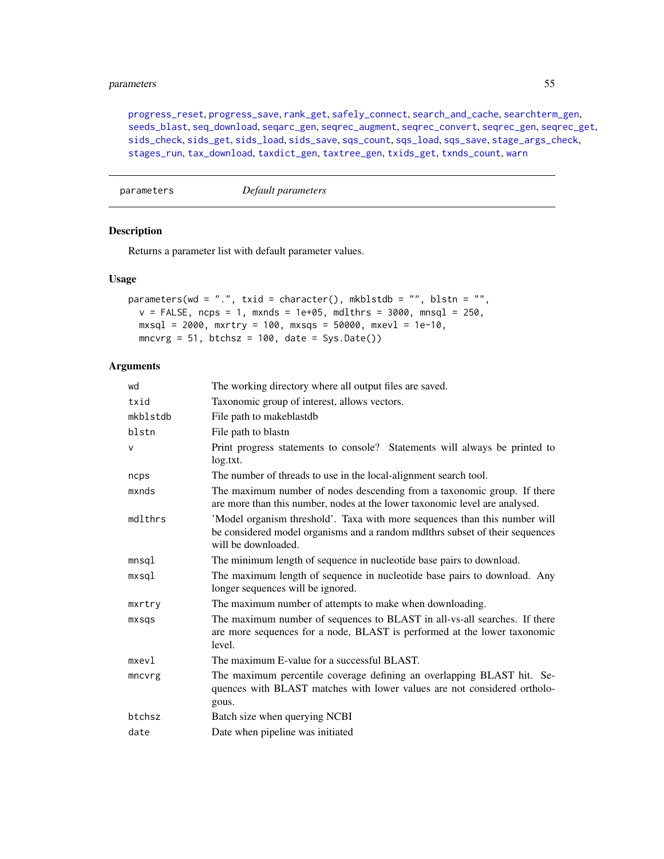#### parameters 55

[progress\\_reset](#page-64-0), [progress\\_save](#page-64-1), [rank\\_get](#page-65-0), [safely\\_connect](#page-70-0), [search\\_and\\_cache](#page-71-0), [searchterm\\_gen](#page-70-1), [seeds\\_blast](#page-72-0), [seq\\_download](#page-80-0), [seqarc\\_gen](#page-74-0), [seqrec\\_augment](#page-77-0), [seqrec\\_convert](#page-78-0), [seqrec\\_gen](#page-78-1), [seqrec\\_get](#page-79-0), [sids\\_check](#page-82-0), [sids\\_get](#page-83-0), [sids\\_load](#page-84-0), [sids\\_save](#page-85-0), [sqs\\_count](#page-85-1), [sqs\\_load](#page-86-0), [sqs\\_save](#page-87-0), [stage\\_args\\_check](#page-88-0), [stages\\_run](#page-88-1), [tax\\_download](#page-96-0), [taxdict\\_gen](#page-92-0), [taxtree\\_gen](#page-95-0), [txids\\_get](#page-97-0), [txnds\\_count](#page-98-0), [warn](#page-99-0)

parameters *Default parameters*

## Description

Returns a parameter list with default parameter values.

#### Usage

```
parameters(wd = ".", txid = character(), mkblstdb = "", blstn = "",
 v = FALSE, ncps = 1, mxnds = 1e+05, mdlthrs = 3000, mnsql = 250,
 mxsql = 2000, mxrtry = 100, mxsqs = 50000, mxevl = 1e-10,
 mncvrg = 51, btchsz = 100, date = Sys.Date()
```
#### Arguments

| wd       | The working directory where all output files are saved.                                                                                                                           |
|----------|-----------------------------------------------------------------------------------------------------------------------------------------------------------------------------------|
| txid     | Taxonomic group of interest, allows vectors.                                                                                                                                      |
| mkblstdb | File path to makeblastdb                                                                                                                                                          |
| blstn    | File path to blastn                                                                                                                                                               |
| $\vee$   | Print progress statements to console? Statements will always be printed to<br>log.txt.                                                                                            |
| ncps     | The number of threads to use in the local-alignment search tool.                                                                                                                  |
| mxnds    | The maximum number of nodes descending from a taxonomic group. If there<br>are more than this number, nodes at the lower taxonomic level are analysed.                            |
| mdlthrs  | 'Model organism threshold'. Taxa with more sequences than this number will<br>be considered model organisms and a random mdlthrs subset of their sequences<br>will be downloaded. |
| mnsql    | The minimum length of sequence in nucleotide base pairs to download.                                                                                                              |
| mxsql    | The maximum length of sequence in nucleotide base pairs to download. Any<br>longer sequences will be ignored.                                                                     |
| mxrtry   | The maximum number of attempts to make when downloading.                                                                                                                          |
| mxsqs    | The maximum number of sequences to BLAST in all-vs-all searches. If there<br>are more sequences for a node, BLAST is performed at the lower taxonomic<br>level.                   |
| $m$ xevl | The maximum E-value for a successful BLAST.                                                                                                                                       |
| mncvrg   | The maximum percentile coverage defining an overlapping BLAST hit. Se-<br>quences with BLAST matches with lower values are not considered ortholo-<br>gous.                       |
| btchsz   | Batch size when querying NCBI                                                                                                                                                     |
| date     | Date when pipeline was initiated                                                                                                                                                  |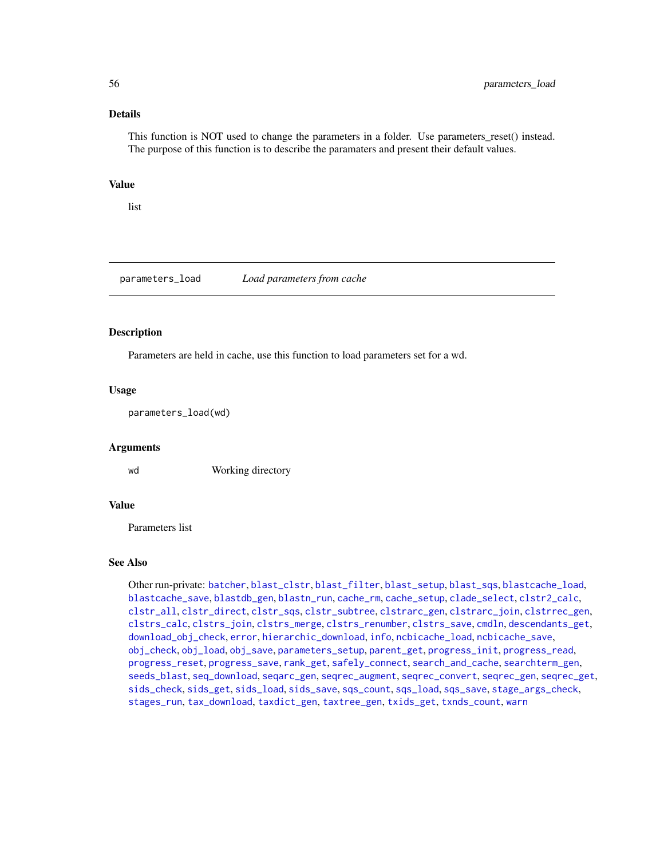# Details

This function is NOT used to change the parameters in a folder. Use parameters\_reset() instead. The purpose of this function is to describe the paramaters and present their default values.

# Value

list

<span id="page-55-0"></span>parameters\_load *Load parameters from cache*

## Description

Parameters are held in cache, use this function to load parameters set for a wd.

## Usage

parameters\_load(wd)

#### Arguments

wd Working directory

#### Value

Parameters list

#### See Also

Other run-private: [batcher](#page-4-0), [blast\\_clstr](#page-7-0), [blast\\_filter](#page-8-0), [blast\\_setup](#page-9-0), [blast\\_sqs](#page-10-0), [blastcache\\_load](#page-5-0), [blastcache\\_save](#page-5-1), [blastdb\\_gen](#page-6-0), [blastn\\_run](#page-7-1), [cache\\_rm](#page-11-0), [cache\\_setup](#page-12-1), [clade\\_select](#page-14-0), [clstr2\\_calc](#page-15-0), [clstr\\_all](#page-25-0), [clstr\\_direct](#page-26-0), [clstr\\_sqs](#page-27-0), [clstr\\_subtree](#page-27-1), [clstrarc\\_gen](#page-17-0), [clstrarc\\_join](#page-18-0), [clstrrec\\_gen](#page-20-0), [clstrs\\_calc](#page-21-0), [clstrs\\_join](#page-22-0), [clstrs\\_merge](#page-23-0), [clstrs\\_renumber](#page-23-1), [clstrs\\_save](#page-24-0), [cmdln](#page-30-0), [descendants\\_get](#page-31-0), [download\\_obj\\_check](#page-32-0), [error](#page-38-1), [hierarchic\\_download](#page-44-1), [info](#page-45-0), [ncbicache\\_load](#page-50-0), [ncbicache\\_save](#page-51-0), [obj\\_check](#page-52-0), [obj\\_load](#page-52-1), [obj\\_save](#page-53-0), [parameters\\_setup](#page-57-0), [parent\\_get](#page-57-1), [progress\\_init](#page-62-0), [progress\\_read](#page-63-0), [progress\\_reset](#page-64-0), [progress\\_save](#page-64-1), [rank\\_get](#page-65-0), [safely\\_connect](#page-70-0), [search\\_and\\_cache](#page-71-0), [searchterm\\_gen](#page-70-1), [seeds\\_blast](#page-72-0), [seq\\_download](#page-80-0), [seqarc\\_gen](#page-74-0), [seqrec\\_augment](#page-77-0), [seqrec\\_convert](#page-78-0), [seqrec\\_gen](#page-78-1), [seqrec\\_get](#page-79-0), [sids\\_check](#page-82-0), [sids\\_get](#page-83-0), [sids\\_load](#page-84-0), [sids\\_save](#page-85-0), [sqs\\_count](#page-85-1), [sqs\\_load](#page-86-0), [sqs\\_save](#page-87-0), [stage\\_args\\_check](#page-88-0), [stages\\_run](#page-88-1), [tax\\_download](#page-96-0), [taxdict\\_gen](#page-92-0), [taxtree\\_gen](#page-95-0), [txids\\_get](#page-97-0), [txnds\\_count](#page-98-0), [warn](#page-99-0)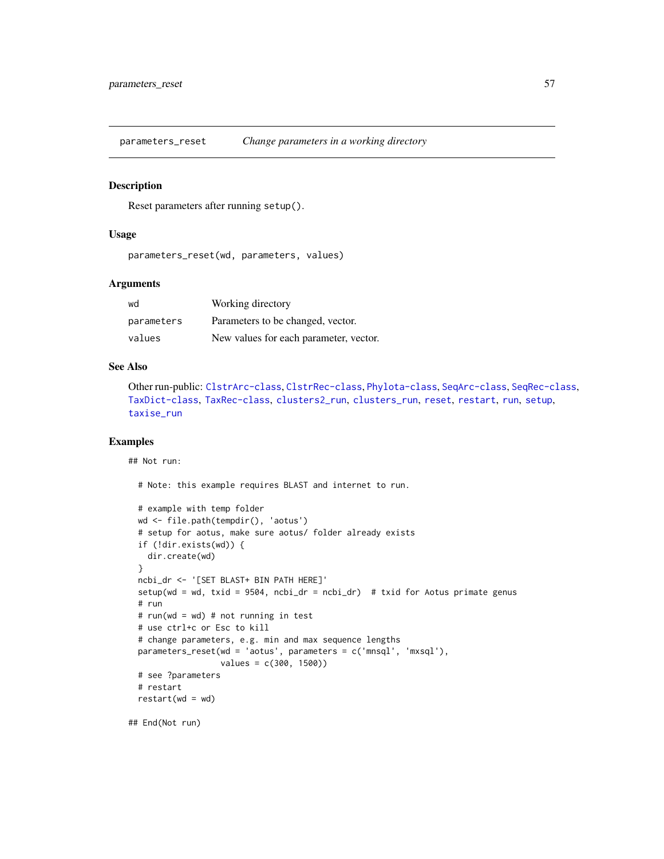<span id="page-56-0"></span>parameters\_reset *Change parameters in a working directory*

#### Description

Reset parameters after running setup().

#### Usage

parameters\_reset(wd, parameters, values)

# Arguments

| wd         | Working directory                      |
|------------|----------------------------------------|
| parameters | Parameters to be changed, vector.      |
| values     | New values for each parameter, vector. |

#### See Also

Other run-public: [ClstrArc-class](#page-16-0), [ClstrRec-class](#page-19-0), [Phylota-class](#page-58-0), [SeqArc-class](#page-73-0), [SeqRec-class](#page-75-0), [TaxDict-class](#page-91-0), [TaxRec-class](#page-94-0), [clusters2\\_run](#page-28-0), [clusters\\_run](#page-29-0), [reset](#page-67-0), [restart](#page-68-0), [run](#page-69-0), [setup](#page-81-0), [taxise\\_run](#page-93-0)

# Examples

## Not run:

# Note: this example requires BLAST and internet to run.

```
# example with temp folder
wd <- file.path(tempdir(), 'aotus')
# setup for aotus, make sure aotus/ folder already exists
if (!dir.exists(wd)) {
 dir.create(wd)
}
ncbi_dr <- '[SET BLAST+ BIN PATH HERE]'
setup(wd = wd, txid = 9504, ncbi_dr = ncbi_dr) # txid for Aotus primate genus
# run
# run(wd = wd) # not running in test
# use ctrl+c or Esc to kill
# change parameters, e.g. min and max sequence lengths
parameters_reset(wd = 'aotus', parameters = c('mnsql', 'mxsql'),
                 values = c(300, 1500))
# see ?parameters
# restart
restart(wd = wd)
```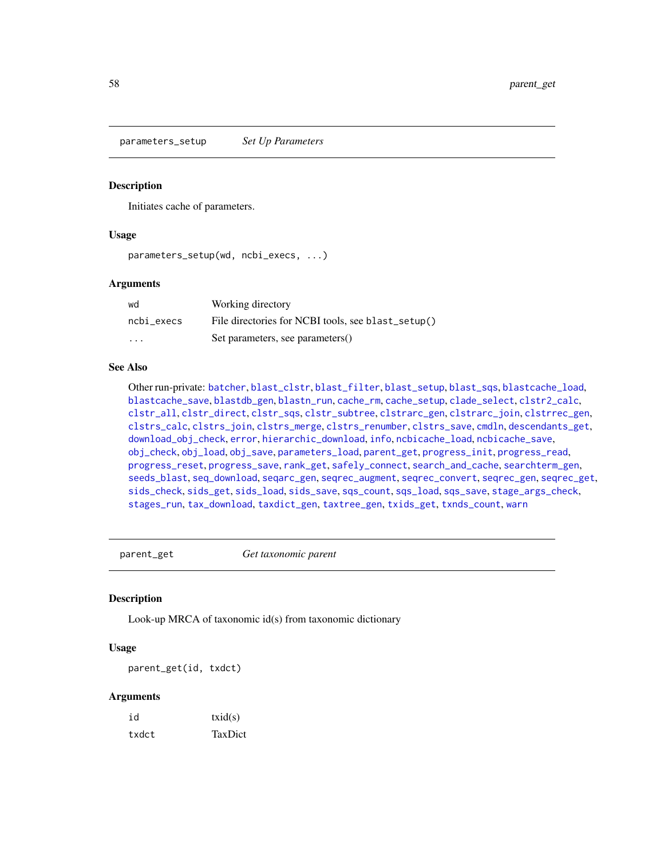<span id="page-57-0"></span>parameters\_setup *Set Up Parameters*

## **Description**

Initiates cache of parameters.

#### Usage

```
parameters_setup(wd, ncbi_execs, ...)
```
## Arguments

| wd         | Working directory                                  |
|------------|----------------------------------------------------|
| ncbi execs | File directories for NCBI tools, see blast_setup() |
| $\cdots$   | Set parameters, see parameters()                   |

## See Also

Other run-private: [batcher](#page-4-0), [blast\\_clstr](#page-7-0), [blast\\_filter](#page-8-0), [blast\\_setup](#page-9-0), [blast\\_sqs](#page-10-0), [blastcache\\_load](#page-5-0), [blastcache\\_save](#page-5-1), [blastdb\\_gen](#page-6-0), [blastn\\_run](#page-7-1), [cache\\_rm](#page-11-0), [cache\\_setup](#page-12-1), [clade\\_select](#page-14-0), [clstr2\\_calc](#page-15-0), [clstr\\_all](#page-25-0), [clstr\\_direct](#page-26-0), [clstr\\_sqs](#page-27-0), [clstr\\_subtree](#page-27-1), [clstrarc\\_gen](#page-17-0), [clstrarc\\_join](#page-18-0), [clstrrec\\_gen](#page-20-0), [clstrs\\_calc](#page-21-0), [clstrs\\_join](#page-22-0), [clstrs\\_merge](#page-23-0), [clstrs\\_renumber](#page-23-1), [clstrs\\_save](#page-24-0), [cmdln](#page-30-0), [descendants\\_get](#page-31-0), [download\\_obj\\_check](#page-32-0), [error](#page-38-1), [hierarchic\\_download](#page-44-1), [info](#page-45-0), [ncbicache\\_load](#page-50-0), [ncbicache\\_save](#page-51-0), [obj\\_check](#page-52-0), [obj\\_load](#page-52-1), [obj\\_save](#page-53-0), [parameters\\_load](#page-55-0), [parent\\_get](#page-57-1), [progress\\_init](#page-62-0), [progress\\_read](#page-63-0), [progress\\_reset](#page-64-0), [progress\\_save](#page-64-1), [rank\\_get](#page-65-0), [safely\\_connect](#page-70-0), [search\\_and\\_cache](#page-71-0), [searchterm\\_gen](#page-70-1), [seeds\\_blast](#page-72-0), [seq\\_download](#page-80-0), [seqarc\\_gen](#page-74-0), [seqrec\\_augment](#page-77-0), [seqrec\\_convert](#page-78-0), [seqrec\\_gen](#page-78-1), [seqrec\\_get](#page-79-0), [sids\\_check](#page-82-0), [sids\\_get](#page-83-0), [sids\\_load](#page-84-0), [sids\\_save](#page-85-0), [sqs\\_count](#page-85-1), [sqs\\_load](#page-86-0), [sqs\\_save](#page-87-0), [stage\\_args\\_check](#page-88-0), [stages\\_run](#page-88-1), [tax\\_download](#page-96-0), [taxdict\\_gen](#page-92-0), [taxtree\\_gen](#page-95-0), [txids\\_get](#page-97-0), [txnds\\_count](#page-98-0), [warn](#page-99-0)

<span id="page-57-1"></span>parent\_get *Get taxonomic parent*

## Description

Look-up MRCA of taxonomic id(s) from taxonomic dictionary

## Usage

parent\_get(id, txdct)

# Arguments

| id    | txid(s) |
|-------|---------|
| txdct | TaxDict |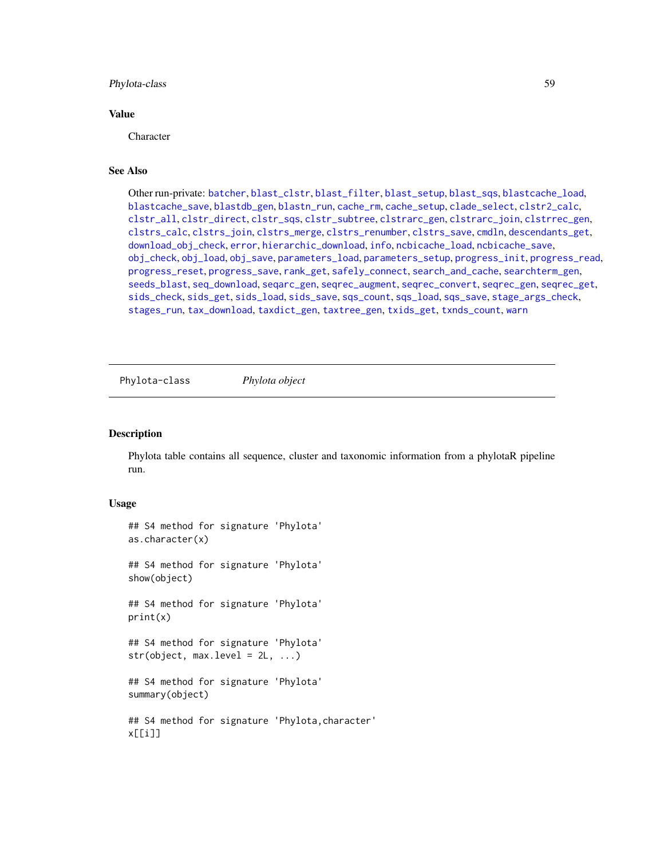## Phylota-class 59

## Value

Character

## See Also

Other run-private: [batcher](#page-4-0), [blast\\_clstr](#page-7-0), [blast\\_filter](#page-8-0), [blast\\_setup](#page-9-0), [blast\\_sqs](#page-10-0), [blastcache\\_load](#page-5-0), [blastcache\\_save](#page-5-1), [blastdb\\_gen](#page-6-0), [blastn\\_run](#page-7-1), [cache\\_rm](#page-11-0), [cache\\_setup](#page-12-1), [clade\\_select](#page-14-0), [clstr2\\_calc](#page-15-0), [clstr\\_all](#page-25-0), [clstr\\_direct](#page-26-0), [clstr\\_sqs](#page-27-0), [clstr\\_subtree](#page-27-1), [clstrarc\\_gen](#page-17-0), [clstrarc\\_join](#page-18-0), [clstrrec\\_gen](#page-20-0), [clstrs\\_calc](#page-21-0), [clstrs\\_join](#page-22-0), [clstrs\\_merge](#page-23-0), [clstrs\\_renumber](#page-23-1), [clstrs\\_save](#page-24-0), [cmdln](#page-30-0), [descendants\\_get](#page-31-0), [download\\_obj\\_check](#page-32-0), [error](#page-38-1), [hierarchic\\_download](#page-44-1), [info](#page-45-0), [ncbicache\\_load](#page-50-0), [ncbicache\\_save](#page-51-0), [obj\\_check](#page-52-0), [obj\\_load](#page-52-1), [obj\\_save](#page-53-0), [parameters\\_load](#page-55-0), [parameters\\_setup](#page-57-0), [progress\\_init](#page-62-0), [progress\\_read](#page-63-0), [progress\\_reset](#page-64-0), [progress\\_save](#page-64-1), [rank\\_get](#page-65-0), [safely\\_connect](#page-70-0), [search\\_and\\_cache](#page-71-0), [searchterm\\_gen](#page-70-1), [seeds\\_blast](#page-72-0), [seq\\_download](#page-80-0), [seqarc\\_gen](#page-74-0), [seqrec\\_augment](#page-77-0), [seqrec\\_convert](#page-78-0), [seqrec\\_gen](#page-78-1), [seqrec\\_get](#page-79-0), [sids\\_check](#page-82-0), [sids\\_get](#page-83-0), [sids\\_load](#page-84-0), [sids\\_save](#page-85-0), [sqs\\_count](#page-85-1), [sqs\\_load](#page-86-0), [sqs\\_save](#page-87-0), [stage\\_args\\_check](#page-88-0), [stages\\_run](#page-88-1), [tax\\_download](#page-96-0), [taxdict\\_gen](#page-92-0), [taxtree\\_gen](#page-95-0), [txids\\_get](#page-97-0), [txnds\\_count](#page-98-0), [warn](#page-99-0)

<span id="page-58-0"></span>Phylota-class *Phylota object*

## Description

Phylota table contains all sequence, cluster and taxonomic information from a phylotaR pipeline run.

#### Usage

```
## S4 method for signature 'Phylota'
as.character(x)
## S4 method for signature 'Phylota'
show(object)
## S4 method for signature 'Phylota'
print(x)
## S4 method for signature 'Phylota'
str(object, max. level = 2L, ...)## S4 method for signature 'Phylota'
summary(object)
## S4 method for signature 'Phylota,character'
x[[i]]
```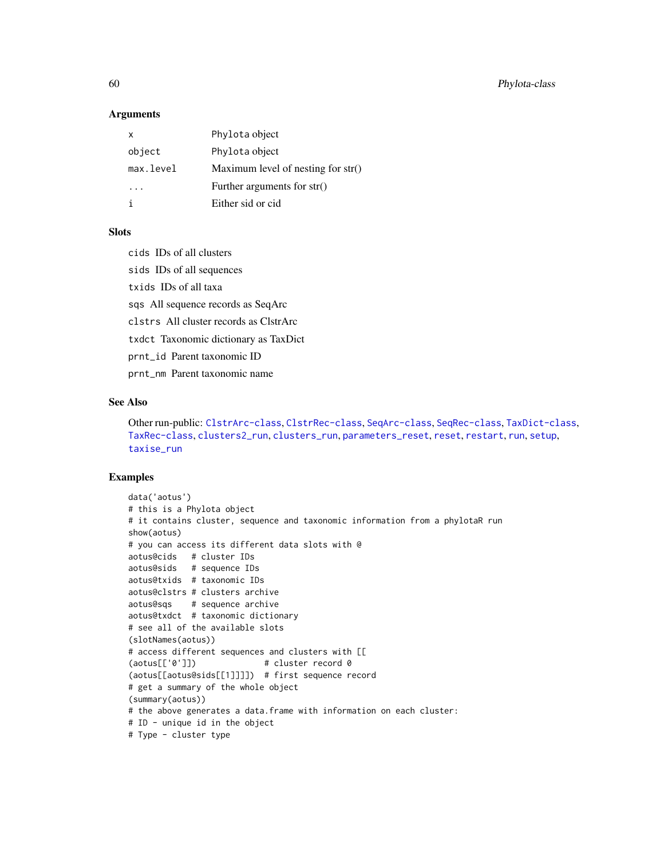60 Phylota-class

#### Arguments

| x         | Phylota object                       |
|-----------|--------------------------------------|
| object    | Phylota object                       |
| max.level | Maximum level of nesting for $str()$ |
|           | Further arguments for str()          |
|           | Either sid or cid                    |

# **Slots**

cids IDs of all clusters

sids IDs of all sequences

txids IDs of all taxa

sqs All sequence records as SeqArc

clstrs All cluster records as ClstrArc

txdct Taxonomic dictionary as TaxDict

prnt\_id Parent taxonomic ID

prnt\_nm Parent taxonomic name

## See Also

Other run-public: [ClstrArc-class](#page-16-0), [ClstrRec-class](#page-19-0), [SeqArc-class](#page-73-0), [SeqRec-class](#page-75-0), [TaxDict-class](#page-91-0), [TaxRec-class](#page-94-0), [clusters2\\_run](#page-28-0), [clusters\\_run](#page-29-0), [parameters\\_reset](#page-56-0), [reset](#page-67-0), [restart](#page-68-0), [run](#page-69-0), [setup](#page-81-0), [taxise\\_run](#page-93-0)

# Examples

```
data('aotus')
# this is a Phylota object
# it contains cluster, sequence and taxonomic information from a phylotaR run
show(aotus)
# you can access its different data slots with @
aotus@cids # cluster IDs
aotus@sids # sequence IDs
aotus@txids # taxonomic IDs
aotus@clstrs # clusters archive
aotus@sqs # sequence archive
aotus@txdct # taxonomic dictionary
# see all of the available slots
(slotNames(aotus))
# access different sequences and clusters with [[
(aotus[['0']]) # cluster record 0
(aotus[[aotus@sids[[1]]]]) # first sequence record
# get a summary of the whole object
(summary(aotus))
# the above generates a data.frame with information on each cluster:
# ID - unique id in the object
# Type - cluster type
```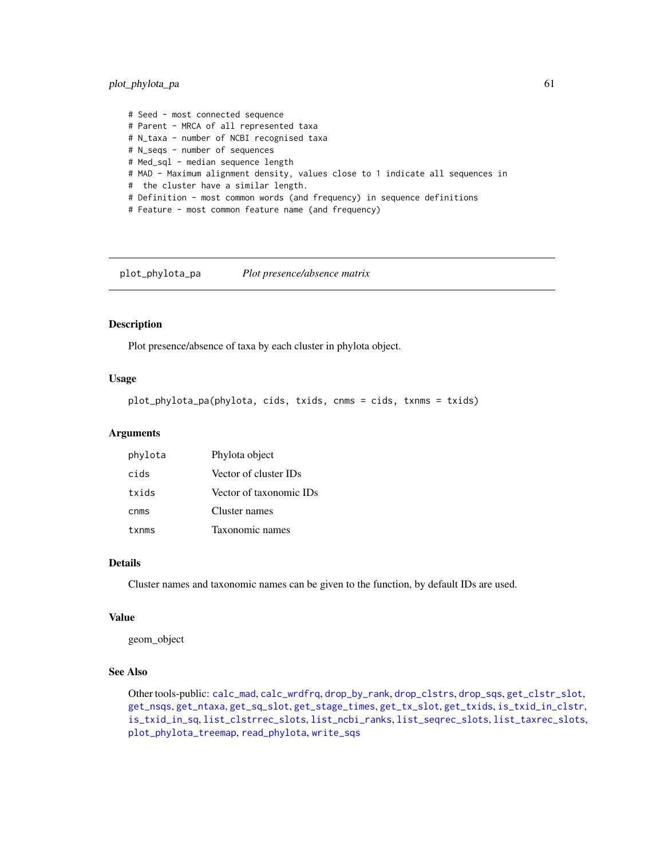# plot\_phylota\_pa 61

# Seed - most connected sequence # Parent - MRCA of all represented taxa # N\_taxa - number of NCBI recognised taxa # N\_seqs - number of sequences # Med\_sql - median sequence length # MAD - Maximum alignment density, values close to 1 indicate all sequences in # the cluster have a similar length. # Definition - most common words (and frequency) in sequence definitions # Feature - most common feature name (and frequency)

<span id="page-60-0"></span>plot\_phylota\_pa *Plot presence/absence matrix*

## Description

Plot presence/absence of taxa by each cluster in phylota object.

## Usage

plot\_phylota\_pa(phylota, cids, txids, cnms = cids, txnms = txids)

## Arguments

| phylota | Phylota object          |
|---------|-------------------------|
| cids    | Vector of cluster IDs   |
| txids   | Vector of taxonomic IDs |
| cnms    | Cluster names           |
| txnms   | Taxonomic names         |

## Details

Cluster names and taxonomic names can be given to the function, by default IDs are used.

## Value

geom\_object

# See Also

Other tools-public: [calc\\_mad](#page-12-0), [calc\\_wrdfrq](#page-13-0), [drop\\_by\\_rank](#page-34-0), [drop\\_clstrs](#page-36-0), [drop\\_sqs](#page-37-0), [get\\_clstr\\_slot](#page-38-0), [get\\_nsqs](#page-39-0), [get\\_ntaxa](#page-40-0), [get\\_sq\\_slot](#page-41-0), [get\\_stage\\_times](#page-42-0), [get\\_tx\\_slot](#page-44-0), [get\\_txids](#page-42-1), [is\\_txid\\_in\\_clstr](#page-46-0), [is\\_txid\\_in\\_sq](#page-47-0), [list\\_clstrrec\\_slots](#page-48-0), [list\\_ncbi\\_ranks](#page-48-1), [list\\_seqrec\\_slots](#page-49-0), [list\\_taxrec\\_slots](#page-49-1), [plot\\_phylota\\_treemap](#page-61-0), [read\\_phylota](#page-66-0), [write\\_sqs](#page-100-0)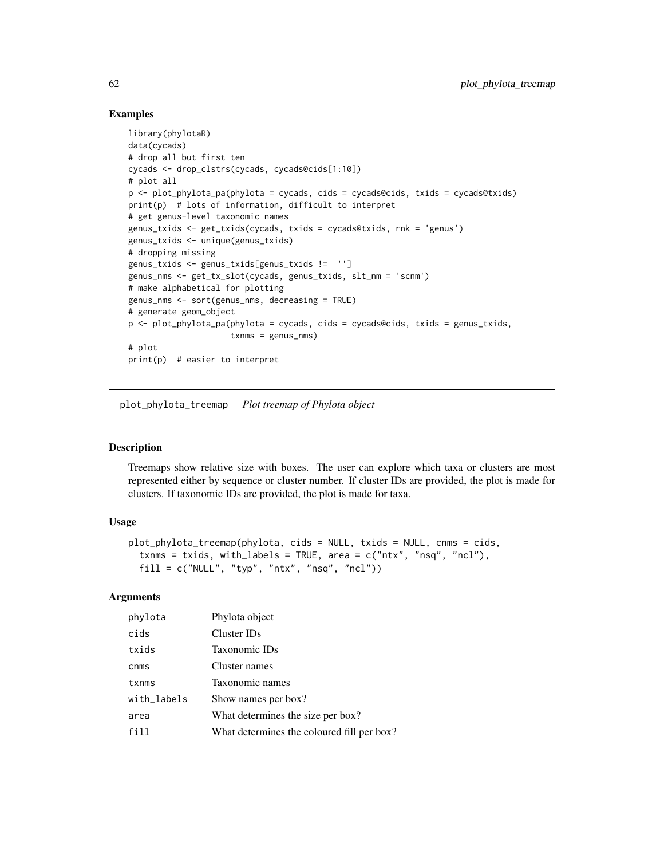# Examples

```
library(phylotaR)
data(cycads)
# drop all but first ten
cycads <- drop_clstrs(cycads, cycads@cids[1:10])
# plot all
p <- plot_phylota_pa(phylota = cycads, cids = cycads@cids, txids = cycads@txids)
print(p) # lots of information, difficult to interpret
# get genus-level taxonomic names
genus_txids <- get_txids(cycads, txids = cycads@txids, rnk = 'genus')
genus_txids <- unique(genus_txids)
# dropping missing
genus_txids <- genus_txids[genus_txids != '']
genus_nms <- get_tx_slot(cycads, genus_txids, slt_nm = 'scnm')
# make alphabetical for plotting
genus_nms <- sort(genus_nms, decreasing = TRUE)
# generate geom_object
p \leftarrow plot\_phylota\_pa(phylota = cycads, cids = cycads@cids, txids = genus_t xids,txnms = genus_nms)
# plot
print(p) # easier to interpret
```
<span id="page-61-0"></span>plot\_phylota\_treemap *Plot treemap of Phylota object*

# Description

Treemaps show relative size with boxes. The user can explore which taxa or clusters are most represented either by sequence or cluster number. If cluster IDs are provided, the plot is made for clusters. If taxonomic IDs are provided, the plot is made for taxa.

#### Usage

```
plot_phylota_treemap(phylota, cids = NULL, txids = NULL, cnms = cids,
  txnms = txids, with_labels = TRUE, area = c("ntx", "nsq", "ncl"),
  fill = c("NULL", "typ", "ntx", "nsq", "ncl"))
```
# Arguments

| phylota     | Phylota object                             |
|-------------|--------------------------------------------|
| cids        | Cluster IDs                                |
| txids       | Taxonomic IDs                              |
| cnms        | Cluster names                              |
| txnms       | Taxonomic names                            |
| with_labels | Show names per box?                        |
| area        | What determines the size per box?          |
| fill        | What determines the coloured fill per box? |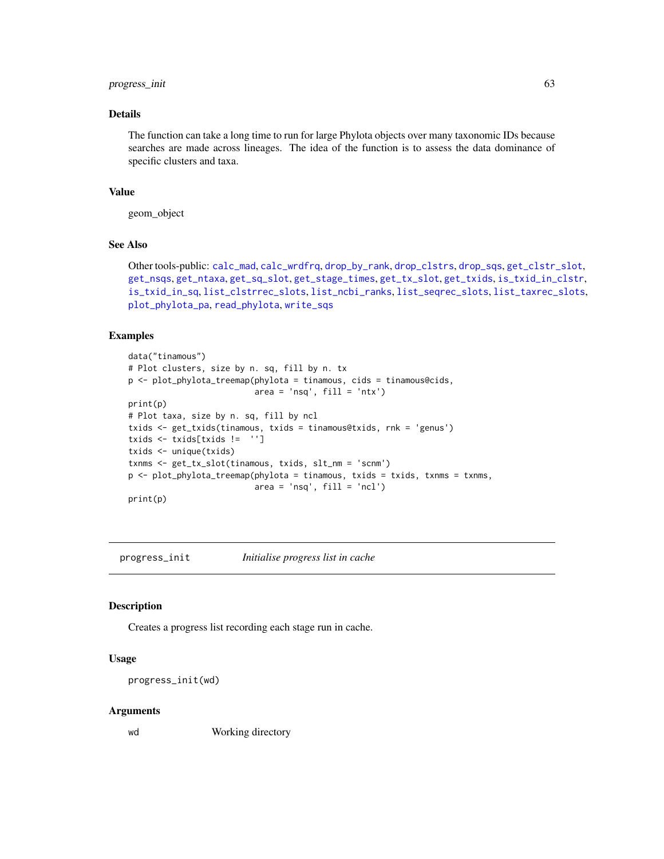# progress\_init 63

# Details

The function can take a long time to run for large Phylota objects over many taxonomic IDs because searches are made across lineages. The idea of the function is to assess the data dominance of specific clusters and taxa.

# Value

geom\_object

# See Also

Other tools-public: [calc\\_mad](#page-12-0), [calc\\_wrdfrq](#page-13-0), [drop\\_by\\_rank](#page-34-0), [drop\\_clstrs](#page-36-0), [drop\\_sqs](#page-37-0), [get\\_clstr\\_slot](#page-38-0), [get\\_nsqs](#page-39-0), [get\\_ntaxa](#page-40-0), [get\\_sq\\_slot](#page-41-0), [get\\_stage\\_times](#page-42-0), [get\\_tx\\_slot](#page-44-0), [get\\_txids](#page-42-1), [is\\_txid\\_in\\_clstr](#page-46-0), [is\\_txid\\_in\\_sq](#page-47-0), [list\\_clstrrec\\_slots](#page-48-0), [list\\_ncbi\\_ranks](#page-48-1), [list\\_seqrec\\_slots](#page-49-0), [list\\_taxrec\\_slots](#page-49-1), [plot\\_phylota\\_pa](#page-60-0), [read\\_phylota](#page-66-0), [write\\_sqs](#page-100-0)

#### Examples

```
data("tinamous")
# Plot clusters, size by n. sq, fill by n. tx
p <- plot_phylota_treemap(phylota = tinamous, cids = tinamous@cids,
                          area = 'nsq', fill = 'ntx')print(p)
# Plot taxa, size by n. sq, fill by ncl
txids <- get_txids(tinamous, txids = tinamous@txids, rnk = 'genus')
txids <- txids[txids != '']
txids <- unique(txids)
txnms <- get_tx_slot(tinamous, txids, slt_nm = 'scnm')
p <- plot_phylota_treemap(phylota = tinamous, txids = txids, txnms = txnms,
                          area = 'nsq', fill = 'ncl')print(p)
```
<span id="page-62-0"></span>progress\_init *Initialise progress list in cache*

#### Description

Creates a progress list recording each stage run in cache.

# Usage

```
progress_init(wd)
```
#### Arguments

wd Working directory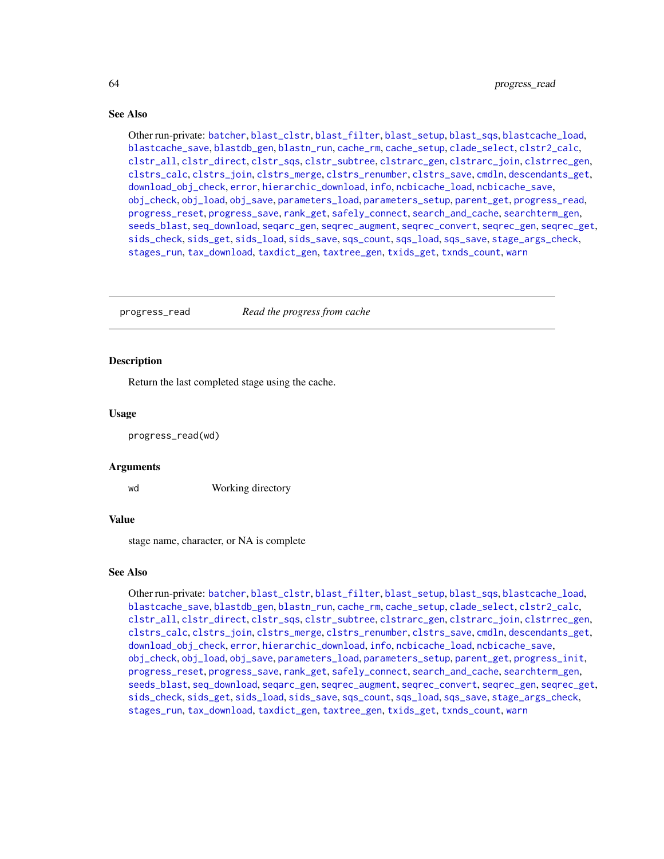# See Also

Other run-private: [batcher](#page-4-0), [blast\\_clstr](#page-7-0), [blast\\_filter](#page-8-0), [blast\\_setup](#page-9-0), [blast\\_sqs](#page-10-0), [blastcache\\_load](#page-5-0), [blastcache\\_save](#page-5-1), [blastdb\\_gen](#page-6-0), [blastn\\_run](#page-7-1), [cache\\_rm](#page-11-0), [cache\\_setup](#page-12-1), [clade\\_select](#page-14-0), [clstr2\\_calc](#page-15-0), [clstr\\_all](#page-25-0), [clstr\\_direct](#page-26-0), [clstr\\_sqs](#page-27-0), [clstr\\_subtree](#page-27-1), [clstrarc\\_gen](#page-17-0), [clstrarc\\_join](#page-18-0), [clstrrec\\_gen](#page-20-0), [clstrs\\_calc](#page-21-0), [clstrs\\_join](#page-22-0), [clstrs\\_merge](#page-23-0), [clstrs\\_renumber](#page-23-1), [clstrs\\_save](#page-24-0), [cmdln](#page-30-0), [descendants\\_get](#page-31-0), [download\\_obj\\_check](#page-32-0), [error](#page-38-1), [hierarchic\\_download](#page-44-1), [info](#page-45-0), [ncbicache\\_load](#page-50-0), [ncbicache\\_save](#page-51-0), [obj\\_check](#page-52-0), [obj\\_load](#page-52-1), [obj\\_save](#page-53-0), [parameters\\_load](#page-55-0), [parameters\\_setup](#page-57-0), [parent\\_get](#page-57-1), [progress\\_read](#page-63-0), [progress\\_reset](#page-64-0), [progress\\_save](#page-64-1), [rank\\_get](#page-65-0), [safely\\_connect](#page-70-0), [search\\_and\\_cache](#page-71-0), [searchterm\\_gen](#page-70-1), [seeds\\_blast](#page-72-0), [seq\\_download](#page-80-0), [seqarc\\_gen](#page-74-0), [seqrec\\_augment](#page-77-0), [seqrec\\_convert](#page-78-0), [seqrec\\_gen](#page-78-1), [seqrec\\_get](#page-79-0), [sids\\_check](#page-82-0), [sids\\_get](#page-83-0), [sids\\_load](#page-84-0), [sids\\_save](#page-85-0), [sqs\\_count](#page-85-1), [sqs\\_load](#page-86-0), [sqs\\_save](#page-87-0), [stage\\_args\\_check](#page-88-0), [stages\\_run](#page-88-1), [tax\\_download](#page-96-0), [taxdict\\_gen](#page-92-0), [taxtree\\_gen](#page-95-0), [txids\\_get](#page-97-0), [txnds\\_count](#page-98-0), [warn](#page-99-0)

<span id="page-63-0"></span>progress\_read *Read the progress from cache*

#### **Description**

Return the last completed stage using the cache.

#### Usage

progress\_read(wd)

#### Arguments

wd Working directory

## Value

stage name, character, or NA is complete

#### See Also

Other run-private: [batcher](#page-4-0), [blast\\_clstr](#page-7-0), [blast\\_filter](#page-8-0), [blast\\_setup](#page-9-0), [blast\\_sqs](#page-10-0), [blastcache\\_load](#page-5-0), [blastcache\\_save](#page-5-1), [blastdb\\_gen](#page-6-0), [blastn\\_run](#page-7-1), [cache\\_rm](#page-11-0), [cache\\_setup](#page-12-1), [clade\\_select](#page-14-0), [clstr2\\_calc](#page-15-0), [clstr\\_all](#page-25-0), [clstr\\_direct](#page-26-0), [clstr\\_sqs](#page-27-0), [clstr\\_subtree](#page-27-1), [clstrarc\\_gen](#page-17-0), [clstrarc\\_join](#page-18-0), [clstrrec\\_gen](#page-20-0), [clstrs\\_calc](#page-21-0), [clstrs\\_join](#page-22-0), [clstrs\\_merge](#page-23-0), [clstrs\\_renumber](#page-23-1), [clstrs\\_save](#page-24-0), [cmdln](#page-30-0), [descendants\\_get](#page-31-0), [download\\_obj\\_check](#page-32-0), [error](#page-38-1), [hierarchic\\_download](#page-44-1), [info](#page-45-0), [ncbicache\\_load](#page-50-0), [ncbicache\\_save](#page-51-0), [obj\\_check](#page-52-0), [obj\\_load](#page-52-1), [obj\\_save](#page-53-0), [parameters\\_load](#page-55-0), [parameters\\_setup](#page-57-0), [parent\\_get](#page-57-1), [progress\\_init](#page-62-0), [progress\\_reset](#page-64-0), [progress\\_save](#page-64-1), [rank\\_get](#page-65-0), [safely\\_connect](#page-70-0), [search\\_and\\_cache](#page-71-0), [searchterm\\_gen](#page-70-1), [seeds\\_blast](#page-72-0), [seq\\_download](#page-80-0), [seqarc\\_gen](#page-74-0), [seqrec\\_augment](#page-77-0), [seqrec\\_convert](#page-78-0), [seqrec\\_gen](#page-78-1), [seqrec\\_get](#page-79-0), [sids\\_check](#page-82-0), [sids\\_get](#page-83-0), [sids\\_load](#page-84-0), [sids\\_save](#page-85-0), [sqs\\_count](#page-85-1), [sqs\\_load](#page-86-0), [sqs\\_save](#page-87-0), [stage\\_args\\_check](#page-88-0), [stages\\_run](#page-88-1), [tax\\_download](#page-96-0), [taxdict\\_gen](#page-92-0), [taxtree\\_gen](#page-95-0), [txids\\_get](#page-97-0), [txnds\\_count](#page-98-0), [warn](#page-99-0)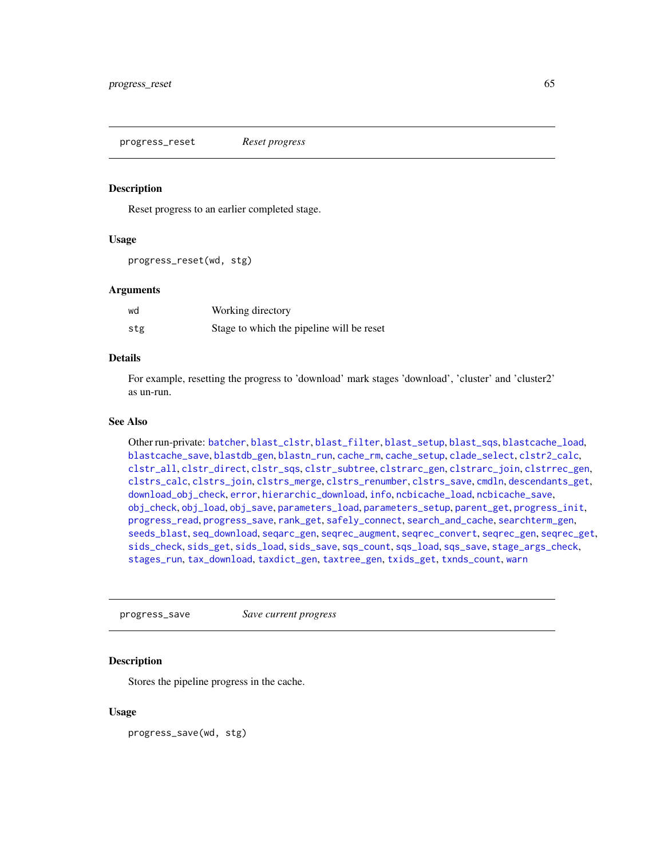<span id="page-64-0"></span>progress\_reset *Reset progress*

## Description

Reset progress to an earlier completed stage.

#### Usage

progress\_reset(wd, stg)

#### Arguments

| wd  | Working directory                         |
|-----|-------------------------------------------|
| stg | Stage to which the pipeline will be reset |

# Details

For example, resetting the progress to 'download' mark stages 'download', 'cluster' and 'cluster2' as un-run.

#### See Also

Other run-private: [batcher](#page-4-0), [blast\\_clstr](#page-7-0), [blast\\_filter](#page-8-0), [blast\\_setup](#page-9-0), [blast\\_sqs](#page-10-0), [blastcache\\_load](#page-5-0), [blastcache\\_save](#page-5-1), [blastdb\\_gen](#page-6-0), [blastn\\_run](#page-7-1), [cache\\_rm](#page-11-0), [cache\\_setup](#page-12-1), [clade\\_select](#page-14-0), [clstr2\\_calc](#page-15-0), [clstr\\_all](#page-25-0), [clstr\\_direct](#page-26-0), [clstr\\_sqs](#page-27-0), [clstr\\_subtree](#page-27-1), [clstrarc\\_gen](#page-17-0), [clstrarc\\_join](#page-18-0), [clstrrec\\_gen](#page-20-0), [clstrs\\_calc](#page-21-0), [clstrs\\_join](#page-22-0), [clstrs\\_merge](#page-23-0), [clstrs\\_renumber](#page-23-1), [clstrs\\_save](#page-24-0), [cmdln](#page-30-0), [descendants\\_get](#page-31-0), [download\\_obj\\_check](#page-32-0), [error](#page-38-1), [hierarchic\\_download](#page-44-1), [info](#page-45-0), [ncbicache\\_load](#page-50-0), [ncbicache\\_save](#page-51-0), [obj\\_check](#page-52-0), [obj\\_load](#page-52-1), [obj\\_save](#page-53-0), [parameters\\_load](#page-55-0), [parameters\\_setup](#page-57-0), [parent\\_get](#page-57-1), [progress\\_init](#page-62-0), [progress\\_read](#page-63-0), [progress\\_save](#page-64-1), [rank\\_get](#page-65-0), [safely\\_connect](#page-70-0), [search\\_and\\_cache](#page-71-0), [searchterm\\_gen](#page-70-1), [seeds\\_blast](#page-72-0), [seq\\_download](#page-80-0), [seqarc\\_gen](#page-74-0), [seqrec\\_augment](#page-77-0), [seqrec\\_convert](#page-78-0), [seqrec\\_gen](#page-78-1), [seqrec\\_get](#page-79-0), [sids\\_check](#page-82-0), [sids\\_get](#page-83-0), [sids\\_load](#page-84-0), [sids\\_save](#page-85-0), [sqs\\_count](#page-85-1), [sqs\\_load](#page-86-0), [sqs\\_save](#page-87-0), [stage\\_args\\_check](#page-88-0), [stages\\_run](#page-88-1), [tax\\_download](#page-96-0), [taxdict\\_gen](#page-92-0), [taxtree\\_gen](#page-95-0), [txids\\_get](#page-97-0), [txnds\\_count](#page-98-0), [warn](#page-99-0)

<span id="page-64-1"></span>progress\_save *Save current progress*

#### Description

Stores the pipeline progress in the cache.

#### Usage

progress\_save(wd, stg)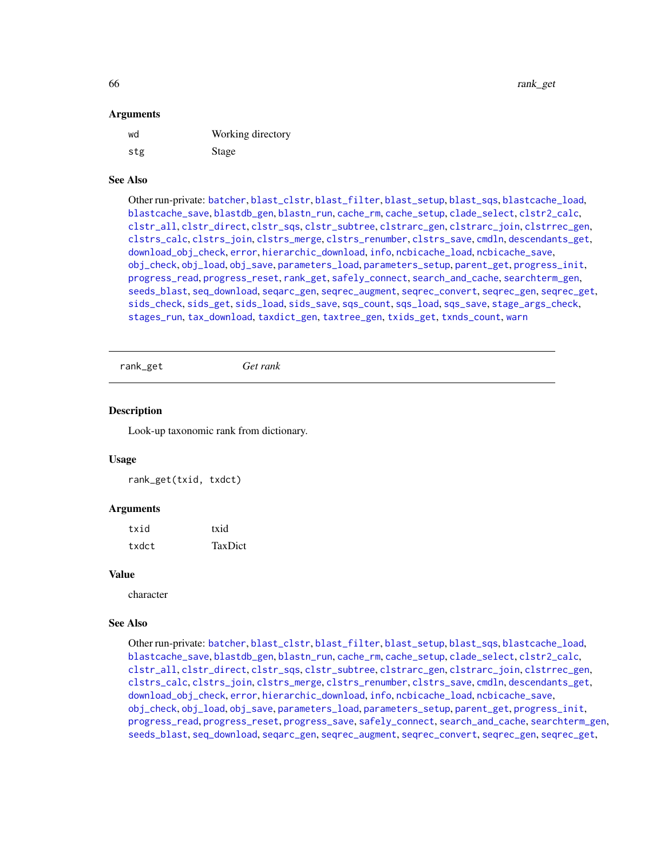#### Arguments

| wd  | Working directory |
|-----|-------------------|
| stg | Stage             |

## See Also

Other run-private: [batcher](#page-4-0), [blast\\_clstr](#page-7-0), [blast\\_filter](#page-8-0), [blast\\_setup](#page-9-0), [blast\\_sqs](#page-10-0), [blastcache\\_load](#page-5-0), [blastcache\\_save](#page-5-1), [blastdb\\_gen](#page-6-0), [blastn\\_run](#page-7-1), [cache\\_rm](#page-11-0), [cache\\_setup](#page-12-1), [clade\\_select](#page-14-0), [clstr2\\_calc](#page-15-0), [clstr\\_all](#page-25-0), [clstr\\_direct](#page-26-0), [clstr\\_sqs](#page-27-0), [clstr\\_subtree](#page-27-1), [clstrarc\\_gen](#page-17-0), [clstrarc\\_join](#page-18-0), [clstrrec\\_gen](#page-20-0), [clstrs\\_calc](#page-21-0), [clstrs\\_join](#page-22-0), [clstrs\\_merge](#page-23-0), [clstrs\\_renumber](#page-23-1), [clstrs\\_save](#page-24-0), [cmdln](#page-30-0), [descendants\\_get](#page-31-0), [download\\_obj\\_check](#page-32-0), [error](#page-38-1), [hierarchic\\_download](#page-44-1), [info](#page-45-0), [ncbicache\\_load](#page-50-0), [ncbicache\\_save](#page-51-0), [obj\\_check](#page-52-0), [obj\\_load](#page-52-1), [obj\\_save](#page-53-0), [parameters\\_load](#page-55-0), [parameters\\_setup](#page-57-0), [parent\\_get](#page-57-1), [progress\\_init](#page-62-0), [progress\\_read](#page-63-0), [progress\\_reset](#page-64-0), [rank\\_get](#page-65-0), [safely\\_connect](#page-70-0), [search\\_and\\_cache](#page-71-0), [searchterm\\_gen](#page-70-1), [seeds\\_blast](#page-72-0), [seq\\_download](#page-80-0), [seqarc\\_gen](#page-74-0), [seqrec\\_augment](#page-77-0), [seqrec\\_convert](#page-78-0), [seqrec\\_gen](#page-78-1), [seqrec\\_get](#page-79-0), [sids\\_check](#page-82-0), [sids\\_get](#page-83-0), [sids\\_load](#page-84-0), [sids\\_save](#page-85-0), [sqs\\_count](#page-85-1), [sqs\\_load](#page-86-0), [sqs\\_save](#page-87-0), [stage\\_args\\_check](#page-88-0), [stages\\_run](#page-88-1), [tax\\_download](#page-96-0), [taxdict\\_gen](#page-92-0), [taxtree\\_gen](#page-95-0), [txids\\_get](#page-97-0), [txnds\\_count](#page-98-0), [warn](#page-99-0)

<span id="page-65-0"></span>rank\_get *Get rank*

## Description

Look-up taxonomic rank from dictionary.

## Usage

rank\_get(txid, txdct)

#### Arguments

| txid  | txid    |
|-------|---------|
| txdct | TaxDict |

#### Value

character

## See Also

Other run-private: [batcher](#page-4-0), [blast\\_clstr](#page-7-0), [blast\\_filter](#page-8-0), [blast\\_setup](#page-9-0), [blast\\_sqs](#page-10-0), [blastcache\\_load](#page-5-0), [blastcache\\_save](#page-5-1), [blastdb\\_gen](#page-6-0), [blastn\\_run](#page-7-1), [cache\\_rm](#page-11-0), [cache\\_setup](#page-12-1), [clade\\_select](#page-14-0), [clstr2\\_calc](#page-15-0), [clstr\\_all](#page-25-0), [clstr\\_direct](#page-26-0), [clstr\\_sqs](#page-27-0), [clstr\\_subtree](#page-27-1), [clstrarc\\_gen](#page-17-0), [clstrarc\\_join](#page-18-0), [clstrrec\\_gen](#page-20-0), [clstrs\\_calc](#page-21-0), [clstrs\\_join](#page-22-0), [clstrs\\_merge](#page-23-0), [clstrs\\_renumber](#page-23-1), [clstrs\\_save](#page-24-0), [cmdln](#page-30-0), [descendants\\_get](#page-31-0), [download\\_obj\\_check](#page-32-0), [error](#page-38-1), [hierarchic\\_download](#page-44-1), [info](#page-45-0), [ncbicache\\_load](#page-50-0), [ncbicache\\_save](#page-51-0), [obj\\_check](#page-52-0), [obj\\_load](#page-52-1), [obj\\_save](#page-53-0), [parameters\\_load](#page-55-0), [parameters\\_setup](#page-57-0), [parent\\_get](#page-57-1), [progress\\_init](#page-62-0), [progress\\_read](#page-63-0), [progress\\_reset](#page-64-0), [progress\\_save](#page-64-1), [safely\\_connect](#page-70-0), [search\\_and\\_cache](#page-71-0), [searchterm\\_gen](#page-70-1), [seeds\\_blast](#page-72-0), [seq\\_download](#page-80-0), [seqarc\\_gen](#page-74-0), [seqrec\\_augment](#page-77-0), [seqrec\\_convert](#page-78-0), [seqrec\\_gen](#page-78-1), [seqrec\\_get](#page-79-0),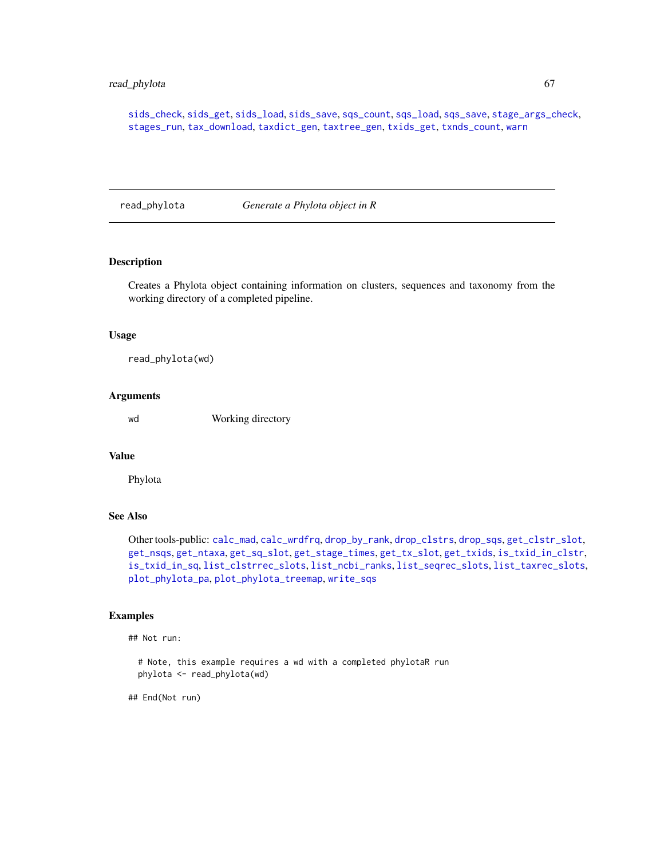# read\_phylota 67

[sids\\_check](#page-82-0), [sids\\_get](#page-83-0), [sids\\_load](#page-84-0), [sids\\_save](#page-85-0), [sqs\\_count](#page-85-1), [sqs\\_load](#page-86-0), [sqs\\_save](#page-87-0), [stage\\_args\\_check](#page-88-0), [stages\\_run](#page-88-1), [tax\\_download](#page-96-0), [taxdict\\_gen](#page-92-0), [taxtree\\_gen](#page-95-0), [txids\\_get](#page-97-0), [txnds\\_count](#page-98-0), [warn](#page-99-0)

<span id="page-66-0"></span>read\_phylota *Generate a Phylota object in R*

# Description

Creates a Phylota object containing information on clusters, sequences and taxonomy from the working directory of a completed pipeline.

#### Usage

read\_phylota(wd)

#### Arguments

wd Working directory

# Value

Phylota

# See Also

Other tools-public: [calc\\_mad](#page-12-0), [calc\\_wrdfrq](#page-13-0), [drop\\_by\\_rank](#page-34-0), [drop\\_clstrs](#page-36-0), [drop\\_sqs](#page-37-0), [get\\_clstr\\_slot](#page-38-0), [get\\_nsqs](#page-39-0), [get\\_ntaxa](#page-40-0), [get\\_sq\\_slot](#page-41-0), [get\\_stage\\_times](#page-42-0), [get\\_tx\\_slot](#page-44-0), [get\\_txids](#page-42-1), [is\\_txid\\_in\\_clstr](#page-46-0), [is\\_txid\\_in\\_sq](#page-47-0), [list\\_clstrrec\\_slots](#page-48-0), [list\\_ncbi\\_ranks](#page-48-1), [list\\_seqrec\\_slots](#page-49-0), [list\\_taxrec\\_slots](#page-49-1), [plot\\_phylota\\_pa](#page-60-0), [plot\\_phylota\\_treemap](#page-61-0), [write\\_sqs](#page-100-0)

## Examples

## Not run:

# Note, this example requires a wd with a completed phylotaR run phylota <- read\_phylota(wd)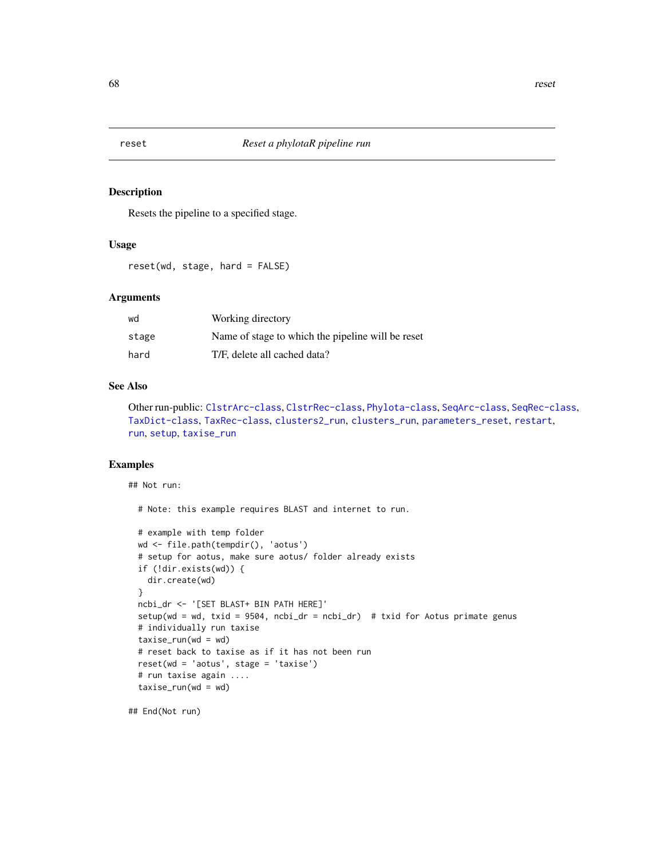<span id="page-67-0"></span>

Resets the pipeline to a specified stage.

# Usage

reset(wd, stage, hard = FALSE)

# Arguments

| wd    | Working directory                                 |
|-------|---------------------------------------------------|
| stage | Name of stage to which the pipeline will be reset |
| hard  | T/F, delete all cached data?                      |

#### See Also

Other run-public: [ClstrArc-class](#page-16-0), [ClstrRec-class](#page-19-0), [Phylota-class](#page-58-0), [SeqArc-class](#page-73-0), [SeqRec-class](#page-75-0), [TaxDict-class](#page-91-0), [TaxRec-class](#page-94-0), [clusters2\\_run](#page-28-0), [clusters\\_run](#page-29-0), [parameters\\_reset](#page-56-0), [restart](#page-68-0), [run](#page-69-0), [setup](#page-81-0), [taxise\\_run](#page-93-0)

# Examples

## Not run:

# Note: this example requires BLAST and internet to run.

```
# example with temp folder
wd <- file.path(tempdir(), 'aotus')
# setup for aotus, make sure aotus/ folder already exists
if (!dir.exists(wd)) {
 dir.create(wd)
}
ncbi_dr <- '[SET BLAST+ BIN PATH HERE]'
setup(wd = wd, txid = 9504, ncbi_dr = ncbi_dr) # txid for Aotus primate genus
# individually run taxise
taxise\_run(wd = wd)# reset back to taxise as if it has not been run
reset(wd = 'aotus', stage = 'taxise')
# run taxise again ....
taxise\_run(wd = wd)
```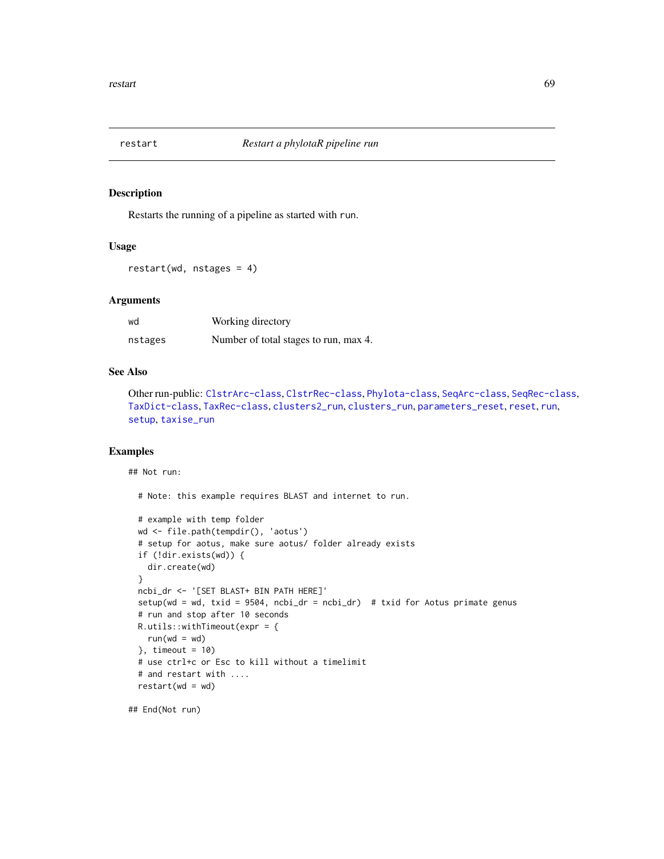<span id="page-68-0"></span>

Restarts the running of a pipeline as started with run.

#### Usage

restart(wd, nstages = 4)

#### Arguments

| wd      | Working directory                     |
|---------|---------------------------------------|
| nstages | Number of total stages to run, max 4. |

## See Also

Other run-public: [ClstrArc-class](#page-16-0), [ClstrRec-class](#page-19-0), [Phylota-class](#page-58-0), [SeqArc-class](#page-73-0), [SeqRec-class](#page-75-0), [TaxDict-class](#page-91-0), [TaxRec-class](#page-94-0), [clusters2\\_run](#page-28-0), [clusters\\_run](#page-29-0), [parameters\\_reset](#page-56-0), [reset](#page-67-0), [run](#page-69-0), [setup](#page-81-0), [taxise\\_run](#page-93-0)

## Examples

## Not run:

# Note: this example requires BLAST and internet to run.

```
# example with temp folder
wd <- file.path(tempdir(), 'aotus')
# setup for aotus, make sure aotus/ folder already exists
if (!dir.exists(wd)) {
  dir.create(wd)
}
ncbi_dr <- '[SET BLAST+ BIN PATH HERE]'
setup(wd = wd, txid = 9504, ncbi_dr = ncbi_dr) # txid for Aotus primate genus
# run and stop after 10 seconds
R.utils::withTimeout(expr = {
 run(wd = wd)}, timeout = 10)# use ctrl+c or Esc to kill without a timelimit
# and restart with ....
restart(wd = wd)
```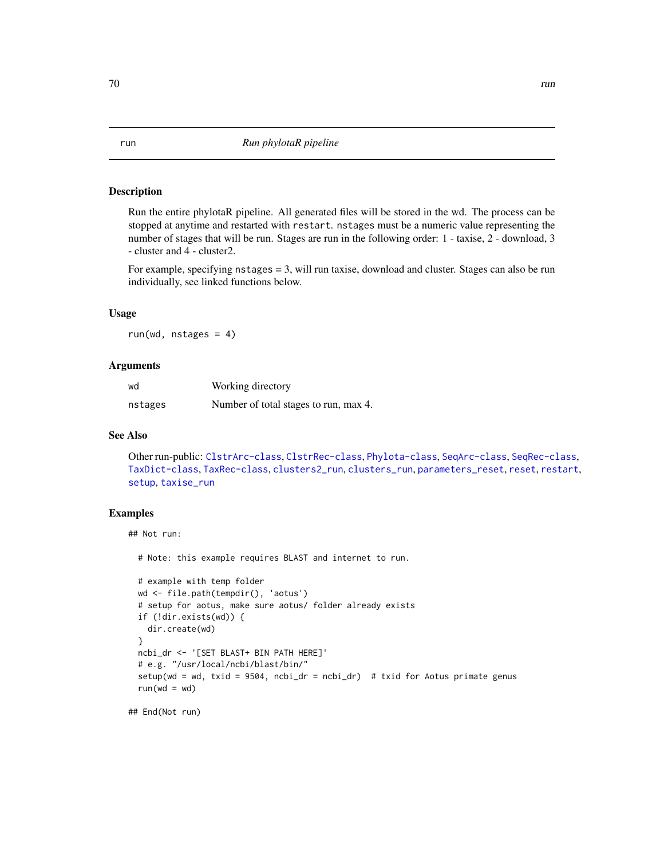<span id="page-69-0"></span>Run the entire phylotaR pipeline. All generated files will be stored in the wd. The process can be stopped at anytime and restarted with restart. nstages must be a numeric value representing the number of stages that will be run. Stages are run in the following order: 1 - taxise, 2 - download, 3 - cluster and 4 - cluster2.

For example, specifying nstages = 3, will run taxise, download and cluster. Stages can also be run individually, see linked functions below.

## Usage

run(wd, nstages = 4)

#### Arguments

| wd      | Working directory                     |
|---------|---------------------------------------|
| nstages | Number of total stages to run, max 4. |

# See Also

Other run-public: [ClstrArc-class](#page-16-0), [ClstrRec-class](#page-19-0), [Phylota-class](#page-58-0), [SeqArc-class](#page-73-0), [SeqRec-class](#page-75-0), [TaxDict-class](#page-91-0), [TaxRec-class](#page-94-0), [clusters2\\_run](#page-28-0), [clusters\\_run](#page-29-0), [parameters\\_reset](#page-56-0), [reset](#page-67-0), [restart](#page-68-0), [setup](#page-81-0), [taxise\\_run](#page-93-0)

# Examples

## Not run:

# Note: this example requires BLAST and internet to run.

```
# example with temp folder
wd <- file.path(tempdir(), 'aotus')
# setup for aotus, make sure aotus/ folder already exists
if (!dir.exists(wd)) {
  dir.create(wd)
}
ncbi_dr <- '[SET BLAST+ BIN PATH HERE]'
# e.g. "/usr/local/ncbi/blast/bin/"
setup(wd = wd, txid = 9504, ncbi_dr = ncbi_dr) # txid for Aotus primate genus
run(wd = wd)
```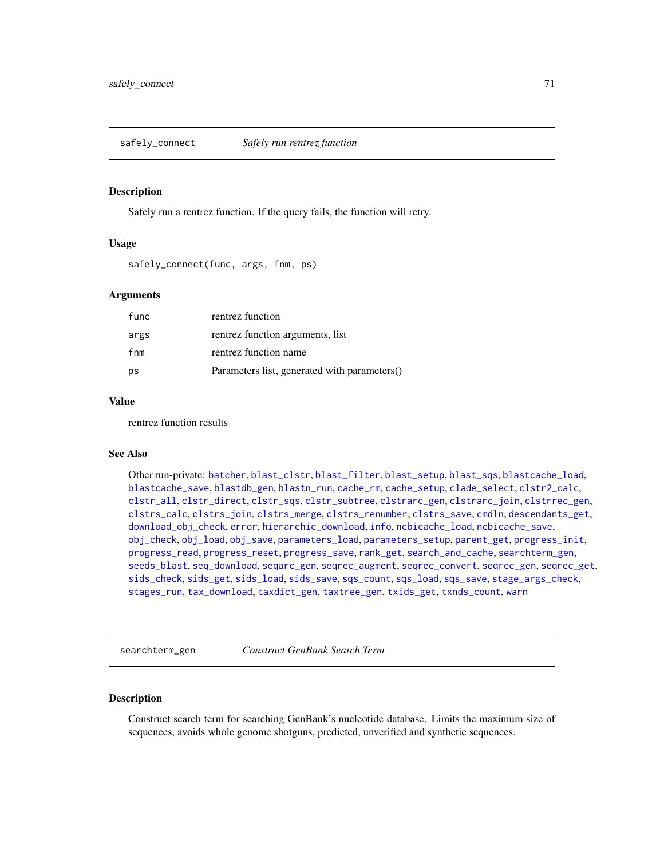<span id="page-70-0"></span>safely\_connect *Safely run rentrez function*

#### Description

Safely run a rentrez function. If the query fails, the function will retry.

## Usage

```
safely_connect(func, args, fnm, ps)
```
# Arguments

| func | rentrez function                             |
|------|----------------------------------------------|
| args | rentrez function arguments, list             |
| fnm  | rentrez function name                        |
| ps   | Parameters list, generated with parameters() |

# Value

rentrez function results

# See Also

Other run-private: [batcher](#page-4-0), [blast\\_clstr](#page-7-0), [blast\\_filter](#page-8-0), [blast\\_setup](#page-9-0), [blast\\_sqs](#page-10-0), [blastcache\\_load](#page-5-0), [blastcache\\_save](#page-5-1), [blastdb\\_gen](#page-6-0), [blastn\\_run](#page-7-1), [cache\\_rm](#page-11-0), [cache\\_setup](#page-12-1), [clade\\_select](#page-14-0), [clstr2\\_calc](#page-15-0), [clstr\\_all](#page-25-0), [clstr\\_direct](#page-26-0), [clstr\\_sqs](#page-27-0), [clstr\\_subtree](#page-27-1), [clstrarc\\_gen](#page-17-0), [clstrarc\\_join](#page-18-0), [clstrrec\\_gen](#page-20-0), [clstrs\\_calc](#page-21-0), [clstrs\\_join](#page-22-0), [clstrs\\_merge](#page-23-0), [clstrs\\_renumber](#page-23-1), [clstrs\\_save](#page-24-0), [cmdln](#page-30-0), [descendants\\_get](#page-31-0), [download\\_obj\\_check](#page-32-0), [error](#page-38-1), [hierarchic\\_download](#page-44-1), [info](#page-45-0), [ncbicache\\_load](#page-50-0), [ncbicache\\_save](#page-51-0), [obj\\_check](#page-52-0), [obj\\_load](#page-52-1), [obj\\_save](#page-53-0), [parameters\\_load](#page-55-0), [parameters\\_setup](#page-57-0), [parent\\_get](#page-57-1), [progress\\_init](#page-62-0), [progress\\_read](#page-63-0), [progress\\_reset](#page-64-0), [progress\\_save](#page-64-1), [rank\\_get](#page-65-0), [search\\_and\\_cache](#page-71-0), [searchterm\\_gen](#page-70-1), [seeds\\_blast](#page-72-0), [seq\\_download](#page-80-0), [seqarc\\_gen](#page-74-0), [seqrec\\_augment](#page-77-0), [seqrec\\_convert](#page-78-0), [seqrec\\_gen](#page-78-1), [seqrec\\_get](#page-79-0), [sids\\_check](#page-82-0), [sids\\_get](#page-83-0), [sids\\_load](#page-84-0), [sids\\_save](#page-85-0), [sqs\\_count](#page-85-1), [sqs\\_load](#page-86-0), [sqs\\_save](#page-87-0), [stage\\_args\\_check](#page-88-0), [stages\\_run](#page-88-1), [tax\\_download](#page-96-0), [taxdict\\_gen](#page-92-0), [taxtree\\_gen](#page-95-0), [txids\\_get](#page-97-0), [txnds\\_count](#page-98-0), [warn](#page-99-0)

<span id="page-70-1"></span>searchterm\_gen *Construct GenBank Search Term*

## Description

Construct search term for searching GenBank's nucleotide database. Limits the maximum size of sequences, avoids whole genome shotguns, predicted, unverified and synthetic sequences.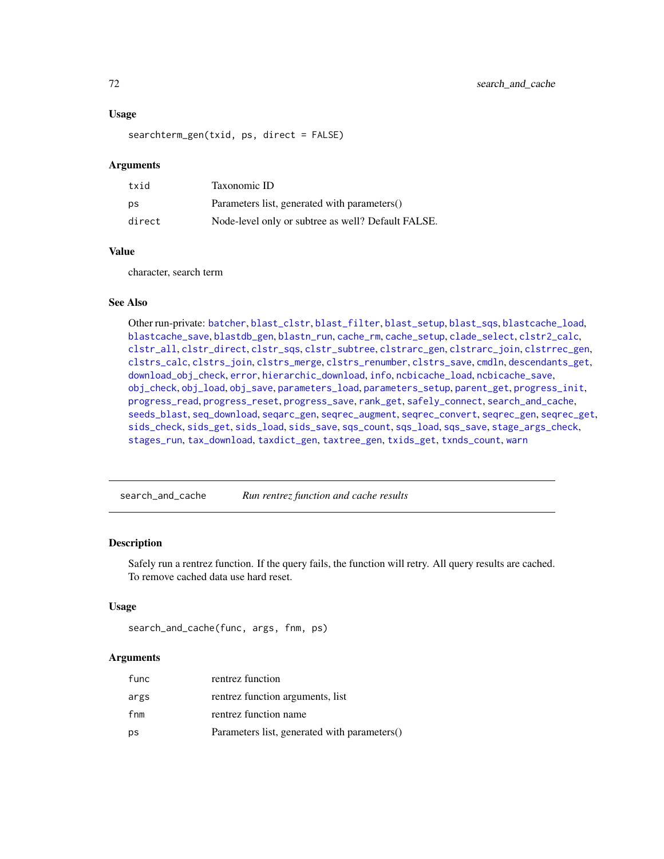## Usage

searchterm\_gen(txid, ps, direct = FALSE)

## Arguments

| txid   | Taxonomic ID                                       |
|--------|----------------------------------------------------|
| ps     | Parameters list, generated with parameters()       |
| direct | Node-level only or subtree as well? Default FALSE. |

#### Value

character, search term

#### See Also

Other run-private: [batcher](#page-4-0), [blast\\_clstr](#page-7-0), [blast\\_filter](#page-8-0), [blast\\_setup](#page-9-0), [blast\\_sqs](#page-10-0), [blastcache\\_load](#page-5-0), [blastcache\\_save](#page-5-1), [blastdb\\_gen](#page-6-0), [blastn\\_run](#page-7-1), [cache\\_rm](#page-11-0), [cache\\_setup](#page-12-1), [clade\\_select](#page-14-0), [clstr2\\_calc](#page-15-0), [clstr\\_all](#page-25-0), [clstr\\_direct](#page-26-0), [clstr\\_sqs](#page-27-0), [clstr\\_subtree](#page-27-1), [clstrarc\\_gen](#page-17-0), [clstrarc\\_join](#page-18-0), [clstrrec\\_gen](#page-20-0), [clstrs\\_calc](#page-21-0), [clstrs\\_join](#page-22-0), [clstrs\\_merge](#page-23-0), [clstrs\\_renumber](#page-23-1), [clstrs\\_save](#page-24-0), [cmdln](#page-30-0), [descendants\\_get](#page-31-0), [download\\_obj\\_check](#page-32-0), [error](#page-38-1), [hierarchic\\_download](#page-44-1), [info](#page-45-0), [ncbicache\\_load](#page-50-0), [ncbicache\\_save](#page-51-0), [obj\\_check](#page-52-0), [obj\\_load](#page-52-1), [obj\\_save](#page-53-0), [parameters\\_load](#page-55-0), [parameters\\_setup](#page-57-0), [parent\\_get](#page-57-1), [progress\\_init](#page-62-0), [progress\\_read](#page-63-0), [progress\\_reset](#page-64-0), [progress\\_save](#page-64-1), [rank\\_get](#page-65-0), [safely\\_connect](#page-70-0), [search\\_and\\_cache](#page-71-0), [seeds\\_blast](#page-72-0), [seq\\_download](#page-80-0), [seqarc\\_gen](#page-74-0), [seqrec\\_augment](#page-77-0), [seqrec\\_convert](#page-78-0), [seqrec\\_gen](#page-78-1), [seqrec\\_get](#page-79-0), [sids\\_check](#page-82-0), [sids\\_get](#page-83-0), [sids\\_load](#page-84-0), [sids\\_save](#page-85-0), [sqs\\_count](#page-85-1), [sqs\\_load](#page-86-0), [sqs\\_save](#page-87-0), [stage\\_args\\_check](#page-88-0), [stages\\_run](#page-88-1), [tax\\_download](#page-96-0), [taxdict\\_gen](#page-92-0), [taxtree\\_gen](#page-95-0), [txids\\_get](#page-97-0), [txnds\\_count](#page-98-0), [warn](#page-99-0)

<span id="page-71-0"></span>search\_and\_cache *Run rentrez function and cache results*

#### Description

Safely run a rentrez function. If the query fails, the function will retry. All query results are cached. To remove cached data use hard reset.

## Usage

```
search_and_cache(func, args, fnm, ps)
```
#### Arguments

| func | rentrez function                             |
|------|----------------------------------------------|
| args | rentrez function arguments, list             |
| fnm  | rentrez function name                        |
| ps   | Parameters list, generated with parameters() |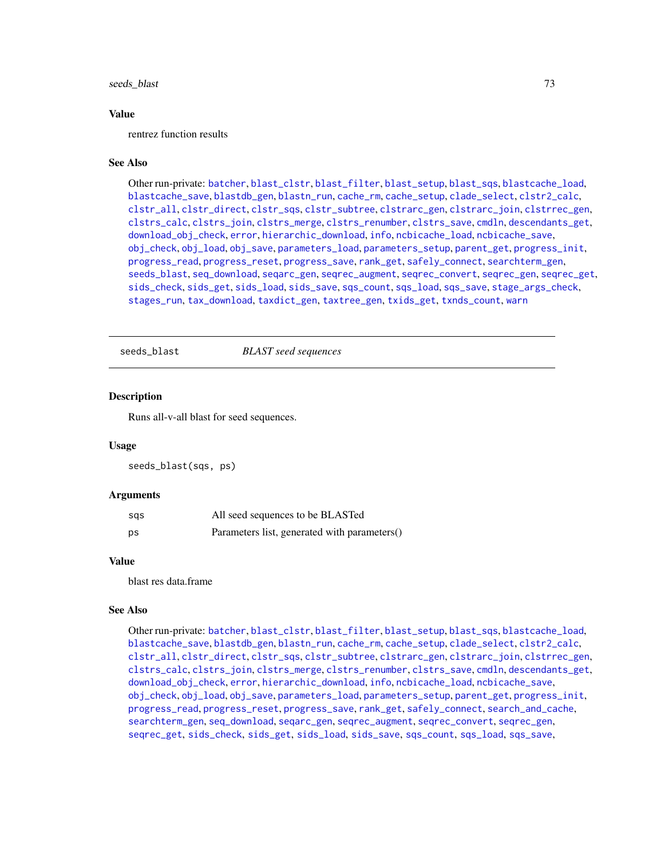# <span id="page-72-1"></span>seeds\_blast 73

#### Value

rentrez function results

#### See Also

Other run-private: [batcher](#page-4-0), [blast\\_clstr](#page-7-0), [blast\\_filter](#page-8-0), [blast\\_setup](#page-9-0), [blast\\_sqs](#page-10-0), [blastcache\\_load](#page-5-0), [blastcache\\_save](#page-5-1), [blastdb\\_gen](#page-6-0), [blastn\\_run](#page-7-1), [cache\\_rm](#page-11-0), [cache\\_setup](#page-12-0), [clade\\_select](#page-14-0), [clstr2\\_calc](#page-15-0), [clstr\\_all](#page-25-0), [clstr\\_direct](#page-26-0), [clstr\\_sqs](#page-27-0), [clstr\\_subtree](#page-27-1), [clstrarc\\_gen](#page-17-0), [clstrarc\\_join](#page-18-0), [clstrrec\\_gen](#page-20-0), [clstrs\\_calc](#page-21-0), [clstrs\\_join](#page-22-0), [clstrs\\_merge](#page-23-0), [clstrs\\_renumber](#page-23-1), [clstrs\\_save](#page-24-0), [cmdln](#page-30-0), [descendants\\_get](#page-31-0), [download\\_obj\\_check](#page-32-0), [error](#page-38-0), [hierarchic\\_download](#page-44-0), [info](#page-45-0), [ncbicache\\_load](#page-50-0), [ncbicache\\_save](#page-51-0), [obj\\_check](#page-52-0), [obj\\_load](#page-52-1), [obj\\_save](#page-53-0), [parameters\\_load](#page-55-0), [parameters\\_setup](#page-57-0), [parent\\_get](#page-57-1), [progress\\_init](#page-62-0), [progress\\_read](#page-63-0), [progress\\_reset](#page-64-0), [progress\\_save](#page-64-1), [rank\\_get](#page-65-0), [safely\\_connect](#page-70-0), [searchterm\\_gen](#page-70-1), [seeds\\_blast](#page-72-0), [seq\\_download](#page-80-0), [seqarc\\_gen](#page-74-0), [seqrec\\_augment](#page-77-0), [seqrec\\_convert](#page-78-0), [seqrec\\_gen](#page-78-1), [seqrec\\_get](#page-79-0), [sids\\_check](#page-82-0), [sids\\_get](#page-83-0), [sids\\_load](#page-84-0), [sids\\_save](#page-85-0), [sqs\\_count](#page-85-1), [sqs\\_load](#page-86-0), [sqs\\_save](#page-87-0), [stage\\_args\\_check](#page-88-0), [stages\\_run](#page-88-1), [tax\\_download](#page-96-0), [taxdict\\_gen](#page-92-0), [taxtree\\_gen](#page-95-0), [txids\\_get](#page-97-0), [txnds\\_count](#page-98-0), [warn](#page-99-0)

<span id="page-72-0"></span>seeds\_blast *BLAST seed sequences*

#### **Description**

Runs all-v-all blast for seed sequences.

# Usage

seeds\_blast(sqs, ps)

#### Arguments

| sas | All seed sequences to be BLASTed             |
|-----|----------------------------------------------|
| ps  | Parameters list, generated with parameters() |

#### Value

blast res data.frame

#### See Also

Other run-private: [batcher](#page-4-0), [blast\\_clstr](#page-7-0), [blast\\_filter](#page-8-0), [blast\\_setup](#page-9-0), [blast\\_sqs](#page-10-0), [blastcache\\_load](#page-5-0), [blastcache\\_save](#page-5-1), [blastdb\\_gen](#page-6-0), [blastn\\_run](#page-7-1), [cache\\_rm](#page-11-0), [cache\\_setup](#page-12-0), [clade\\_select](#page-14-0), [clstr2\\_calc](#page-15-0), [clstr\\_all](#page-25-0), [clstr\\_direct](#page-26-0), [clstr\\_sqs](#page-27-0), [clstr\\_subtree](#page-27-1), [clstrarc\\_gen](#page-17-0), [clstrarc\\_join](#page-18-0), [clstrrec\\_gen](#page-20-0), [clstrs\\_calc](#page-21-0), [clstrs\\_join](#page-22-0), [clstrs\\_merge](#page-23-0), [clstrs\\_renumber](#page-23-1), [clstrs\\_save](#page-24-0), [cmdln](#page-30-0), [descendants\\_get](#page-31-0), [download\\_obj\\_check](#page-32-0), [error](#page-38-0), [hierarchic\\_download](#page-44-0), [info](#page-45-0), [ncbicache\\_load](#page-50-0), [ncbicache\\_save](#page-51-0), [obj\\_check](#page-52-0), [obj\\_load](#page-52-1), [obj\\_save](#page-53-0), [parameters\\_load](#page-55-0), [parameters\\_setup](#page-57-0), [parent\\_get](#page-57-1), [progress\\_init](#page-62-0), [progress\\_read](#page-63-0), [progress\\_reset](#page-64-0), [progress\\_save](#page-64-1), [rank\\_get](#page-65-0), [safely\\_connect](#page-70-0), [search\\_and\\_cache](#page-71-0), [searchterm\\_gen](#page-70-1), [seq\\_download](#page-80-0), [seqarc\\_gen](#page-74-0), [seqrec\\_augment](#page-77-0), [seqrec\\_convert](#page-78-0), [seqrec\\_gen](#page-78-1), [seqrec\\_get](#page-79-0), [sids\\_check](#page-82-0), [sids\\_get](#page-83-0), [sids\\_load](#page-84-0), [sids\\_save](#page-85-0), [sqs\\_count](#page-85-1), [sqs\\_load](#page-86-0), [sqs\\_save](#page-87-0),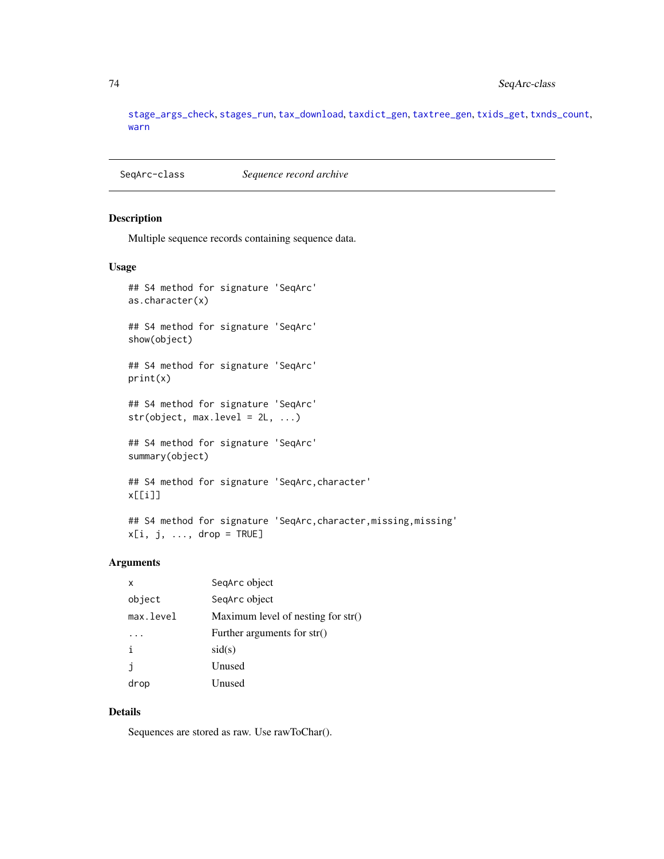[stage\\_args\\_check](#page-88-0), [stages\\_run](#page-88-1), [tax\\_download](#page-96-0), [taxdict\\_gen](#page-92-0), [taxtree\\_gen](#page-95-0), [txids\\_get](#page-97-0), [txnds\\_count](#page-98-0), [warn](#page-99-0)

<span id="page-73-0"></span>SeqArc-class *Sequence record archive*

# Description

Multiple sequence records containing sequence data.

# Usage

```
## S4 method for signature 'SeqArc'
as.character(x)
## S4 method for signature 'SeqArc'
show(object)
## S4 method for signature 'SeqArc'
print(x)
## S4 method for signature 'SeqArc'
str(object, max. level = 2L, ...)## S4 method for signature 'SeqArc'
summary(object)
## S4 method for signature 'SeqArc,character'
x[[i]]
```

```
## S4 method for signature 'SeqArc, character, missing, missing'
x[i, j, ..., drop = TRUE]
```
# Arguments

| x         | SegArc object                        |
|-----------|--------------------------------------|
| object    | SeqArc object                        |
| max.level | Maximum level of nesting for $str()$ |
|           | Further arguments for str()          |
|           | sid(s)                               |
| Ť         | Unused                               |
| drop      | Unused                               |

# Details

Sequences are stored as raw. Use rawToChar().

<span id="page-73-1"></span>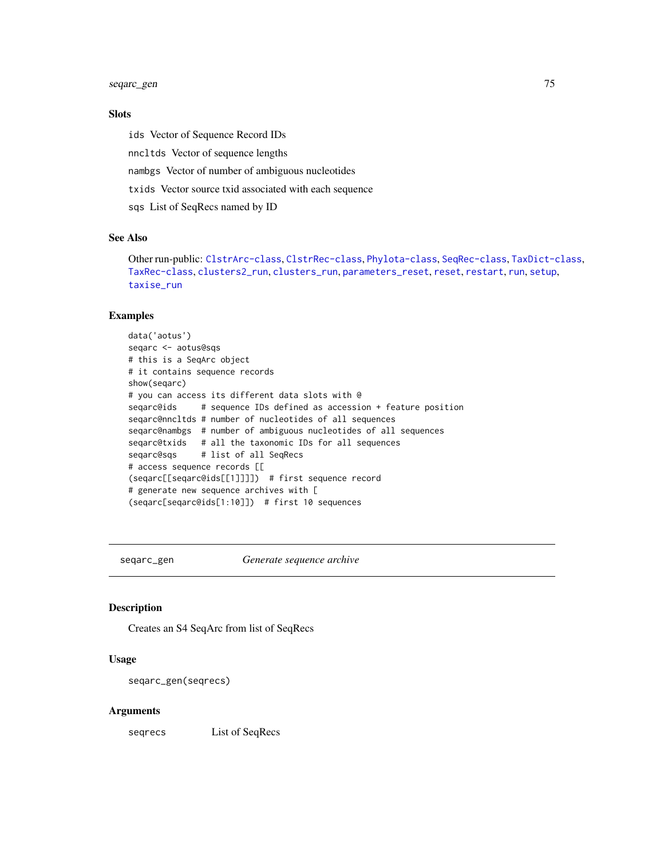<span id="page-74-1"></span>seqarc\_gen 75

# Slots

ids Vector of Sequence Record IDs nncltds Vector of sequence lengths nambgs Vector of number of ambiguous nucleotides txids Vector source txid associated with each sequence sqs List of SeqRecs named by ID

# See Also

Other run-public: [ClstrArc-class](#page-16-0), [ClstrRec-class](#page-19-0), [Phylota-class](#page-58-0), [SeqRec-class](#page-75-0), [TaxDict-class](#page-91-0), [TaxRec-class](#page-94-0), [clusters2\\_run](#page-28-0), [clusters\\_run](#page-29-0), [parameters\\_reset](#page-56-0), [reset](#page-67-0), [restart](#page-68-0), [run](#page-69-0), [setup](#page-81-0), [taxise\\_run](#page-93-0)

# Examples

data('aotus') seqarc <- aotus@sqs # this is a SeqArc object # it contains sequence records show(seqarc) # you can access its different data slots with @ seqarc@ids # sequence IDs defined as accession + feature position seqarc@nncltds # number of nucleotides of all sequences seqarc@nambgs # number of ambiguous nucleotides of all sequences seqarc@txids # all the taxonomic IDs for all sequences seqarc@sqs # list of all SeqRecs # access sequence records [[ (seqarc[[seqarc@ids[[1]]]]) # first sequence record # generate new sequence archives with [ (seqarc[seqarc@ids[1:10]]) # first 10 sequences

<span id="page-74-0"></span>

seqarc\_gen *Generate sequence archive*

# Description

Creates an S4 SeqArc from list of SeqRecs

# Usage

seqarc\_gen(seqrecs)

# Arguments

seqrecs List of SeqRecs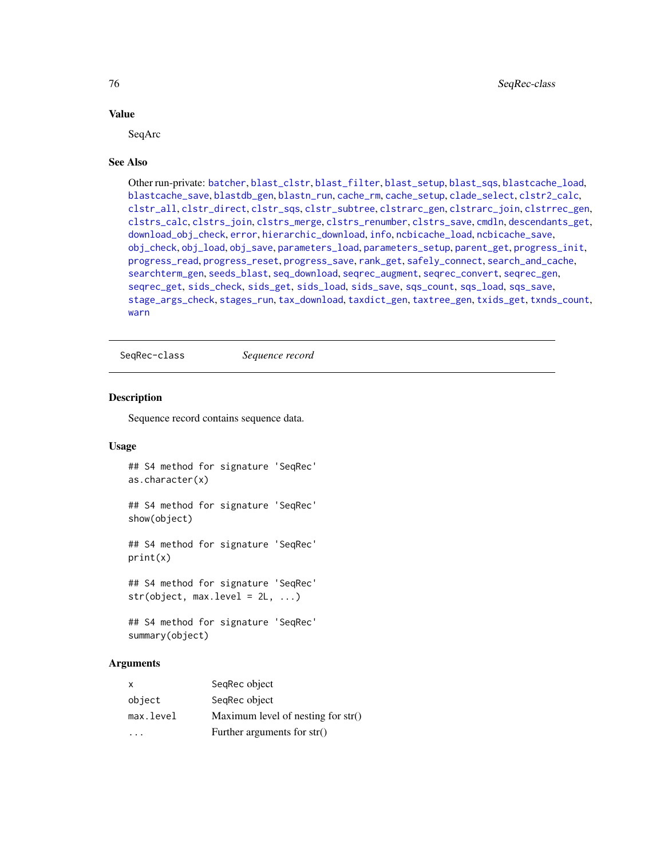# Value

SeqArc

#### See Also

Other run-private: [batcher](#page-4-0), [blast\\_clstr](#page-7-0), [blast\\_filter](#page-8-0), [blast\\_setup](#page-9-0), [blast\\_sqs](#page-10-0), [blastcache\\_load](#page-5-0), [blastcache\\_save](#page-5-1), [blastdb\\_gen](#page-6-0), [blastn\\_run](#page-7-1), [cache\\_rm](#page-11-0), [cache\\_setup](#page-12-0), [clade\\_select](#page-14-0), [clstr2\\_calc](#page-15-0), [clstr\\_all](#page-25-0), [clstr\\_direct](#page-26-0), [clstr\\_sqs](#page-27-0), [clstr\\_subtree](#page-27-1), [clstrarc\\_gen](#page-17-0), [clstrarc\\_join](#page-18-0), [clstrrec\\_gen](#page-20-0), [clstrs\\_calc](#page-21-0), [clstrs\\_join](#page-22-0), [clstrs\\_merge](#page-23-0), [clstrs\\_renumber](#page-23-1), [clstrs\\_save](#page-24-0), [cmdln](#page-30-0), [descendants\\_get](#page-31-0), [download\\_obj\\_check](#page-32-0), [error](#page-38-0), [hierarchic\\_download](#page-44-0), [info](#page-45-0), [ncbicache\\_load](#page-50-0), [ncbicache\\_save](#page-51-0), [obj\\_check](#page-52-0), [obj\\_load](#page-52-1), [obj\\_save](#page-53-0), [parameters\\_load](#page-55-0), [parameters\\_setup](#page-57-0), [parent\\_get](#page-57-1), [progress\\_init](#page-62-0), [progress\\_read](#page-63-0), [progress\\_reset](#page-64-0), [progress\\_save](#page-64-1), [rank\\_get](#page-65-0), [safely\\_connect](#page-70-0), [search\\_and\\_cache](#page-71-0), [searchterm\\_gen](#page-70-1), [seeds\\_blast](#page-72-0), [seq\\_download](#page-80-0), [seqrec\\_augment](#page-77-0), [seqrec\\_convert](#page-78-0), [seqrec\\_gen](#page-78-1), [seqrec\\_get](#page-79-0), [sids\\_check](#page-82-0), [sids\\_get](#page-83-0), [sids\\_load](#page-84-0), [sids\\_save](#page-85-0), [sqs\\_count](#page-85-1), [sqs\\_load](#page-86-0), [sqs\\_save](#page-87-0), [stage\\_args\\_check](#page-88-0), [stages\\_run](#page-88-1), [tax\\_download](#page-96-0), [taxdict\\_gen](#page-92-0), [taxtree\\_gen](#page-95-0), [txids\\_get](#page-97-0), [txnds\\_count](#page-98-0), [warn](#page-99-0)

<span id="page-75-0"></span>SeqRec-class *Sequence record*

# **Description**

Sequence record contains sequence data.

#### Usage

```
## S4 method for signature 'SeqRec'
as.character(x)
## S4 method for signature 'SeqRec'
show(object)
## S4 method for signature 'SeqRec'
print(x)
## S4 method for signature 'SeqRec'
str(object, max. level = 2L, ...)## S4 method for signature 'SeqRec'
```

```
summary(object)
```
# **Arguments**

| X         | SeqRec object                        |
|-----------|--------------------------------------|
| object    | SeqRec object                        |
| max.level | Maximum level of nesting for $str()$ |
|           | Further arguments for str()          |

<span id="page-75-1"></span>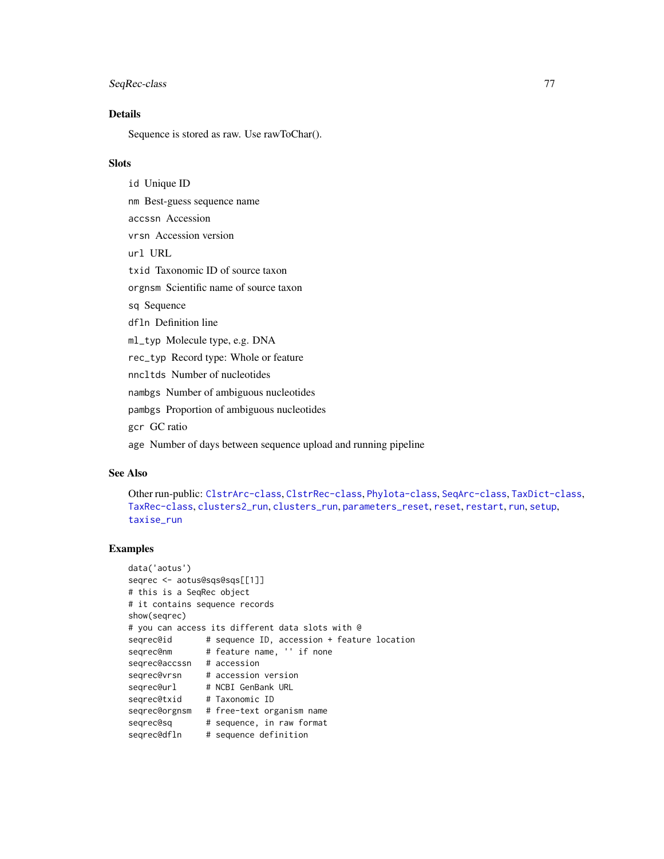# <span id="page-76-0"></span>SeqRec-class 77

# Details

Sequence is stored as raw. Use rawToChar().

#### **Slots**

id Unique ID nm Best-guess sequence name accssn Accession vrsn Accession version url URL txid Taxonomic ID of source taxon orgnsm Scientific name of source taxon sq Sequence dfln Definition line ml\_typ Molecule type, e.g. DNA rec\_typ Record type: Whole or feature nncltds Number of nucleotides nambgs Number of ambiguous nucleotides

pambgs Proportion of ambiguous nucleotides

gcr GC ratio

age Number of days between sequence upload and running pipeline

#### See Also

```
Other run-public: ClstrArc-class, ClstrRec-class, Phylota-class, SeqArc-class, TaxDict-class,
TaxRec-class, clusters2_run, clusters_run, parameters_reset, reset, restart, run, setup,
taxise_run
```
# Examples

```
data('aotus')
seqrec <- aotus@sqs@sqs[[1]]
# this is a SeqRec object
# it contains sequence records
show(seqrec)
# you can access its different data slots with @
seqrec@id # sequence ID, accession + feature location
seqrec@nm # feature name, '' if none
seqrec@accssn # accession
seqrec@vrsn # accession version
seqrec@url # NCBI GenBank URL
seqrec@txid # Taxonomic ID
seqrec@orgnsm # free-text organism name
seqrec@sq # sequence, in raw format
seqrec@dfln # sequence definition
```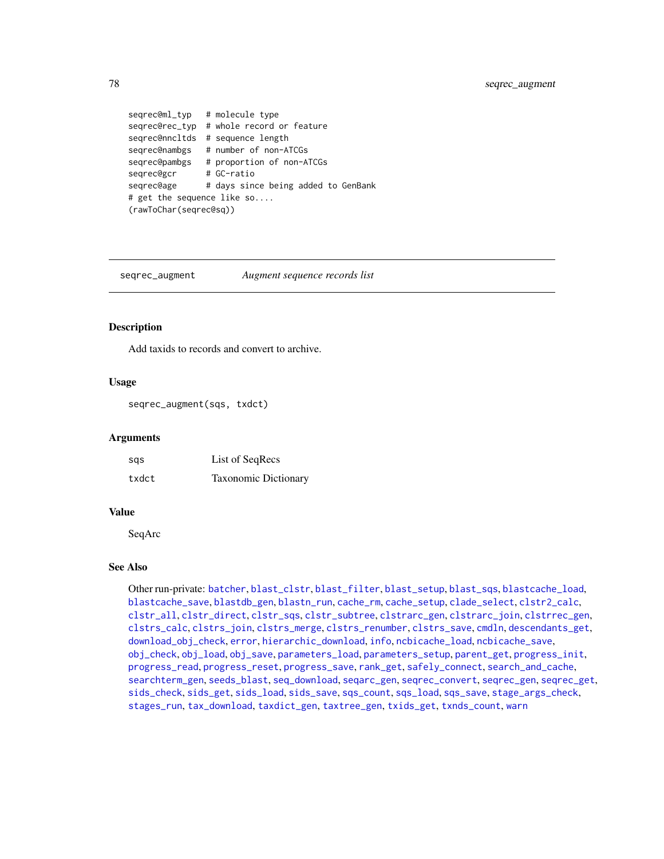```
seqrec@ml_typ # molecule type
seqrec@rec_typ # whole record or feature
seqrec@nncltds # sequence length
seqrec@nambgs # number of non-ATCGs
seqrec@pambgs # proportion of non-ATCGs
seqrec@gcr # GC-ratio
seqrec@age # days since being added to GenBank
# get the sequence like so....
(rawToChar(seqrec@sq))
```
<span id="page-77-0"></span>seqrec\_augment *Augment sequence records list*

#### Description

Add taxids to records and convert to archive.

#### Usage

seqrec\_augment(sqs, txdct)

#### Arguments

| sas   | List of SeqRecs             |
|-------|-----------------------------|
| txdct | <b>Taxonomic Dictionary</b> |

# Value

SeqArc

# See Also

Other run-private: [batcher](#page-4-0), [blast\\_clstr](#page-7-0), [blast\\_filter](#page-8-0), [blast\\_setup](#page-9-0), [blast\\_sqs](#page-10-0), [blastcache\\_load](#page-5-0), [blastcache\\_save](#page-5-1), [blastdb\\_gen](#page-6-0), [blastn\\_run](#page-7-1), [cache\\_rm](#page-11-0), [cache\\_setup](#page-12-0), [clade\\_select](#page-14-0), [clstr2\\_calc](#page-15-0), [clstr\\_all](#page-25-0), [clstr\\_direct](#page-26-0), [clstr\\_sqs](#page-27-0), [clstr\\_subtree](#page-27-1), [clstrarc\\_gen](#page-17-0), [clstrarc\\_join](#page-18-0), [clstrrec\\_gen](#page-20-0), [clstrs\\_calc](#page-21-0), [clstrs\\_join](#page-22-0), [clstrs\\_merge](#page-23-0), [clstrs\\_renumber](#page-23-1), [clstrs\\_save](#page-24-0), [cmdln](#page-30-0), [descendants\\_get](#page-31-0), [download\\_obj\\_check](#page-32-0), [error](#page-38-0), [hierarchic\\_download](#page-44-0), [info](#page-45-0), [ncbicache\\_load](#page-50-0), [ncbicache\\_save](#page-51-0), [obj\\_check](#page-52-0), [obj\\_load](#page-52-1), [obj\\_save](#page-53-0), [parameters\\_load](#page-55-0), [parameters\\_setup](#page-57-0), [parent\\_get](#page-57-1), [progress\\_init](#page-62-0), [progress\\_read](#page-63-0), [progress\\_reset](#page-64-0), [progress\\_save](#page-64-1), [rank\\_get](#page-65-0), [safely\\_connect](#page-70-0), [search\\_and\\_cache](#page-71-0), [searchterm\\_gen](#page-70-1), [seeds\\_blast](#page-72-0), [seq\\_download](#page-80-0), [seqarc\\_gen](#page-74-0), [seqrec\\_convert](#page-78-0), [seqrec\\_gen](#page-78-1), [seqrec\\_get](#page-79-0), [sids\\_check](#page-82-0), [sids\\_get](#page-83-0), [sids\\_load](#page-84-0), [sids\\_save](#page-85-0), [sqs\\_count](#page-85-1), [sqs\\_load](#page-86-0), [sqs\\_save](#page-87-0), [stage\\_args\\_check](#page-88-0), [stages\\_run](#page-88-1), [tax\\_download](#page-96-0), [taxdict\\_gen](#page-92-0), [taxtree\\_gen](#page-95-0), [txids\\_get](#page-97-0), [txnds\\_count](#page-98-0), [warn](#page-99-0)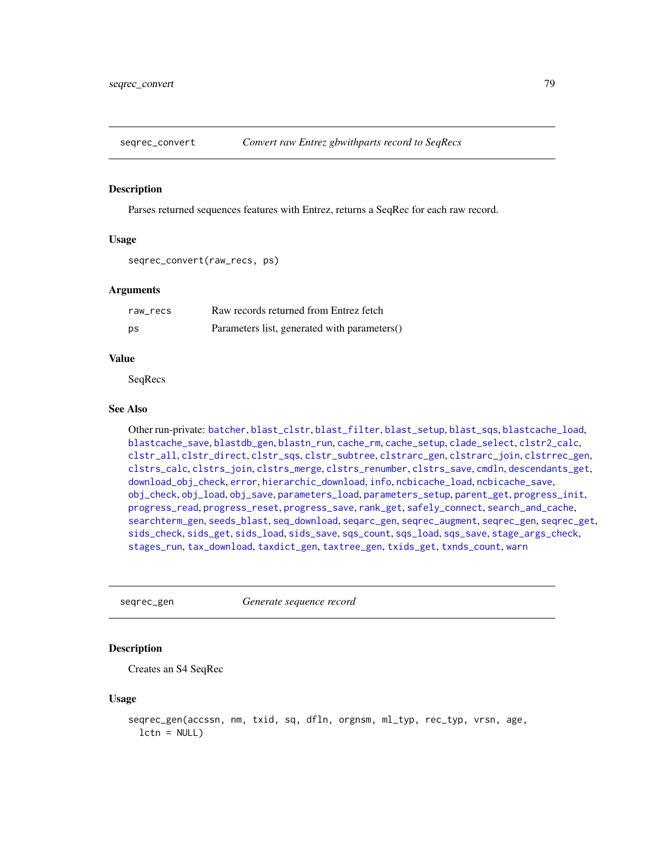<span id="page-78-2"></span><span id="page-78-0"></span>

#### Description

Parses returned sequences features with Entrez, returns a SeqRec for each raw record.

#### Usage

```
seqrec_convert(raw_recs, ps)
```
#### Arguments

| raw recs | Raw records returned from Entrez fetch       |
|----------|----------------------------------------------|
| ps       | Parameters list, generated with parameters() |

# Value

SeqRecs

#### See Also

Other run-private: [batcher](#page-4-0), [blast\\_clstr](#page-7-0), [blast\\_filter](#page-8-0), [blast\\_setup](#page-9-0), [blast\\_sqs](#page-10-0), [blastcache\\_load](#page-5-0), [blastcache\\_save](#page-5-1), [blastdb\\_gen](#page-6-0), [blastn\\_run](#page-7-1), [cache\\_rm](#page-11-0), [cache\\_setup](#page-12-0), [clade\\_select](#page-14-0), [clstr2\\_calc](#page-15-0), [clstr\\_all](#page-25-0), [clstr\\_direct](#page-26-0), [clstr\\_sqs](#page-27-0), [clstr\\_subtree](#page-27-1), [clstrarc\\_gen](#page-17-0), [clstrarc\\_join](#page-18-0), [clstrrec\\_gen](#page-20-0), [clstrs\\_calc](#page-21-0), [clstrs\\_join](#page-22-0), [clstrs\\_merge](#page-23-0), [clstrs\\_renumber](#page-23-1), [clstrs\\_save](#page-24-0), [cmdln](#page-30-0), [descendants\\_get](#page-31-0), [download\\_obj\\_check](#page-32-0), [error](#page-38-0), [hierarchic\\_download](#page-44-0), [info](#page-45-0), [ncbicache\\_load](#page-50-0), [ncbicache\\_save](#page-51-0), [obj\\_check](#page-52-0), [obj\\_load](#page-52-1), [obj\\_save](#page-53-0), [parameters\\_load](#page-55-0), [parameters\\_setup](#page-57-0), [parent\\_get](#page-57-1), [progress\\_init](#page-62-0), [progress\\_read](#page-63-0), [progress\\_reset](#page-64-0), [progress\\_save](#page-64-1), [rank\\_get](#page-65-0), [safely\\_connect](#page-70-0), [search\\_and\\_cache](#page-71-0), [searchterm\\_gen](#page-70-1), [seeds\\_blast](#page-72-0), [seq\\_download](#page-80-0), [seqarc\\_gen](#page-74-0), [seqrec\\_augment](#page-77-0), [seqrec\\_gen](#page-78-1), [seqrec\\_get](#page-79-0), [sids\\_check](#page-82-0), [sids\\_get](#page-83-0), [sids\\_load](#page-84-0), [sids\\_save](#page-85-0), [sqs\\_count](#page-85-1), [sqs\\_load](#page-86-0), [sqs\\_save](#page-87-0), [stage\\_args\\_check](#page-88-0), [stages\\_run](#page-88-1), [tax\\_download](#page-96-0), [taxdict\\_gen](#page-92-0), [taxtree\\_gen](#page-95-0), [txids\\_get](#page-97-0), [txnds\\_count](#page-98-0), [warn](#page-99-0)

<span id="page-78-1"></span>seqrec\_gen *Generate sequence record*

#### Description

Creates an S4 SeqRec

# Usage

```
seqrec_gen(accssn, nm, txid, sq, dfln, orgnsm, ml_typ, rec_typ, vrsn, age,
  lctn = NULL
```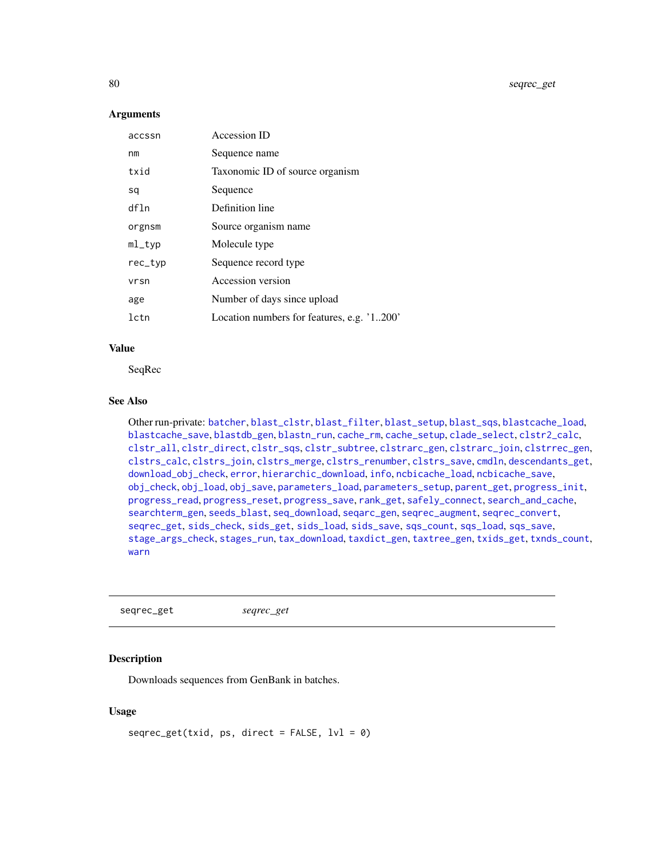# **Arguments**

| accssn    | Accession ID                               |
|-----------|--------------------------------------------|
| nm        | Sequence name                              |
| txid      | Taxonomic ID of source organism            |
| sq        | Sequence                                   |
| dfln      | Definition line                            |
| orgnsm    | Source organism name                       |
| $ml$ _typ | Molecule type                              |
| rec_typ   | Sequence record type                       |
| vrsn      | Accession version                          |
| age       | Number of days since upload                |
| lctn      | Location numbers for features, e.g. '1200' |

#### Value

SeqRec

#### See Also

Other run-private: [batcher](#page-4-0), [blast\\_clstr](#page-7-0), [blast\\_filter](#page-8-0), [blast\\_setup](#page-9-0), [blast\\_sqs](#page-10-0), [blastcache\\_load](#page-5-0), [blastcache\\_save](#page-5-1), [blastdb\\_gen](#page-6-0), [blastn\\_run](#page-7-1), [cache\\_rm](#page-11-0), [cache\\_setup](#page-12-0), [clade\\_select](#page-14-0), [clstr2\\_calc](#page-15-0), [clstr\\_all](#page-25-0), [clstr\\_direct](#page-26-0), [clstr\\_sqs](#page-27-0), [clstr\\_subtree](#page-27-1), [clstrarc\\_gen](#page-17-0), [clstrarc\\_join](#page-18-0), [clstrrec\\_gen](#page-20-0), [clstrs\\_calc](#page-21-0), [clstrs\\_join](#page-22-0), [clstrs\\_merge](#page-23-0), [clstrs\\_renumber](#page-23-1), [clstrs\\_save](#page-24-0), [cmdln](#page-30-0), [descendants\\_get](#page-31-0), [download\\_obj\\_check](#page-32-0), [error](#page-38-0), [hierarchic\\_download](#page-44-0), [info](#page-45-0), [ncbicache\\_load](#page-50-0), [ncbicache\\_save](#page-51-0), [obj\\_check](#page-52-0), [obj\\_load](#page-52-1), [obj\\_save](#page-53-0), [parameters\\_load](#page-55-0), [parameters\\_setup](#page-57-0), [parent\\_get](#page-57-1), [progress\\_init](#page-62-0), [progress\\_read](#page-63-0), [progress\\_reset](#page-64-0), [progress\\_save](#page-64-1), [rank\\_get](#page-65-0), [safely\\_connect](#page-70-0), [search\\_and\\_cache](#page-71-0), [searchterm\\_gen](#page-70-1), [seeds\\_blast](#page-72-0), [seq\\_download](#page-80-0), [seqarc\\_gen](#page-74-0), [seqrec\\_augment](#page-77-0), [seqrec\\_convert](#page-78-0), [seqrec\\_get](#page-79-0), [sids\\_check](#page-82-0), [sids\\_get](#page-83-0), [sids\\_load](#page-84-0), [sids\\_save](#page-85-0), [sqs\\_count](#page-85-1), [sqs\\_load](#page-86-0), [sqs\\_save](#page-87-0), [stage\\_args\\_check](#page-88-0), [stages\\_run](#page-88-1), [tax\\_download](#page-96-0), [taxdict\\_gen](#page-92-0), [taxtree\\_gen](#page-95-0), [txids\\_get](#page-97-0), [txnds\\_count](#page-98-0), [warn](#page-99-0)

<span id="page-79-0"></span>seqrec\_get *seqrec\_get*

#### Description

Downloads sequences from GenBank in batches.

# Usage

```
seqrec\_get(txid, ps, direct = FALSE, lvl = 0)
```
<span id="page-79-1"></span>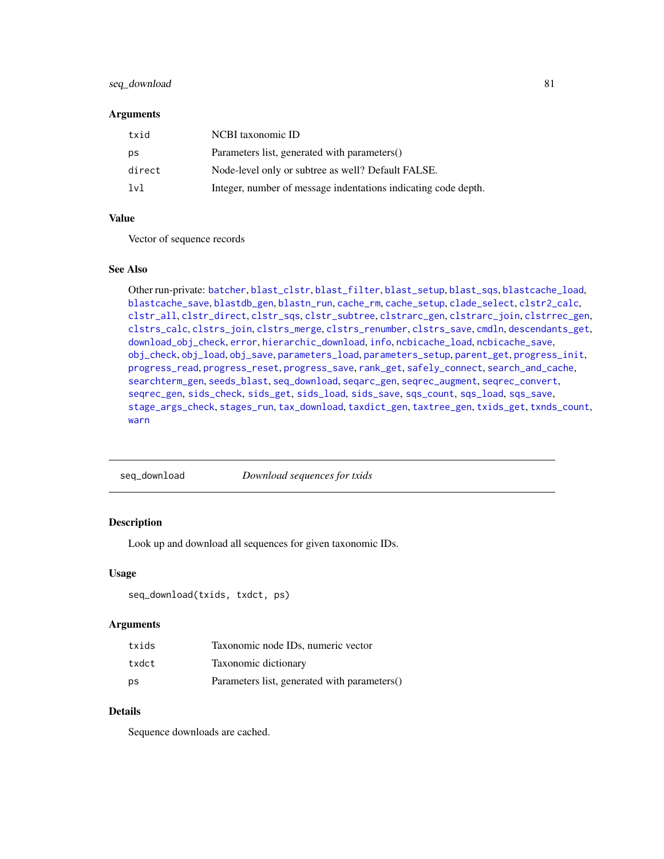# <span id="page-80-1"></span>seq\_download 81

#### **Arguments**

| txid   | NCBI taxonomic ID                                              |
|--------|----------------------------------------------------------------|
| ps     | Parameters list, generated with parameters()                   |
| direct | Node-level only or subtree as well? Default FALSE.             |
| 1v1    | Integer, number of message indentations indicating code depth. |

# Value

Vector of sequence records

#### See Also

Other run-private: [batcher](#page-4-0), [blast\\_clstr](#page-7-0), [blast\\_filter](#page-8-0), [blast\\_setup](#page-9-0), [blast\\_sqs](#page-10-0), [blastcache\\_load](#page-5-0), [blastcache\\_save](#page-5-1), [blastdb\\_gen](#page-6-0), [blastn\\_run](#page-7-1), [cache\\_rm](#page-11-0), [cache\\_setup](#page-12-0), [clade\\_select](#page-14-0), [clstr2\\_calc](#page-15-0), [clstr\\_all](#page-25-0), [clstr\\_direct](#page-26-0), [clstr\\_sqs](#page-27-0), [clstr\\_subtree](#page-27-1), [clstrarc\\_gen](#page-17-0), [clstrarc\\_join](#page-18-0), [clstrrec\\_gen](#page-20-0), [clstrs\\_calc](#page-21-0), [clstrs\\_join](#page-22-0), [clstrs\\_merge](#page-23-0), [clstrs\\_renumber](#page-23-1), [clstrs\\_save](#page-24-0), [cmdln](#page-30-0), [descendants\\_get](#page-31-0), [download\\_obj\\_check](#page-32-0), [error](#page-38-0), [hierarchic\\_download](#page-44-0), [info](#page-45-0), [ncbicache\\_load](#page-50-0), [ncbicache\\_save](#page-51-0), [obj\\_check](#page-52-0), [obj\\_load](#page-52-1), [obj\\_save](#page-53-0), [parameters\\_load](#page-55-0), [parameters\\_setup](#page-57-0), [parent\\_get](#page-57-1), [progress\\_init](#page-62-0), [progress\\_read](#page-63-0), [progress\\_reset](#page-64-0), [progress\\_save](#page-64-1), [rank\\_get](#page-65-0), [safely\\_connect](#page-70-0), [search\\_and\\_cache](#page-71-0), [searchterm\\_gen](#page-70-1), [seeds\\_blast](#page-72-0), [seq\\_download](#page-80-0), [seqarc\\_gen](#page-74-0), [seqrec\\_augment](#page-77-0), [seqrec\\_convert](#page-78-0), [seqrec\\_gen](#page-78-1), [sids\\_check](#page-82-0), [sids\\_get](#page-83-0), [sids\\_load](#page-84-0), [sids\\_save](#page-85-0), [sqs\\_count](#page-85-1), [sqs\\_load](#page-86-0), [sqs\\_save](#page-87-0), [stage\\_args\\_check](#page-88-0), [stages\\_run](#page-88-1), [tax\\_download](#page-96-0), [taxdict\\_gen](#page-92-0), [taxtree\\_gen](#page-95-0), [txids\\_get](#page-97-0), [txnds\\_count](#page-98-0), [warn](#page-99-0)

<span id="page-80-0"></span>seq\_download *Download sequences for txids*

# Description

Look up and download all sequences for given taxonomic IDs.

#### Usage

seq\_download(txids, txdct, ps)

#### **Arguments**

| txids | Taxonomic node IDs, numeric vector           |
|-------|----------------------------------------------|
| txdct | Taxonomic dictionary                         |
| ps    | Parameters list, generated with parameters() |

# Details

Sequence downloads are cached.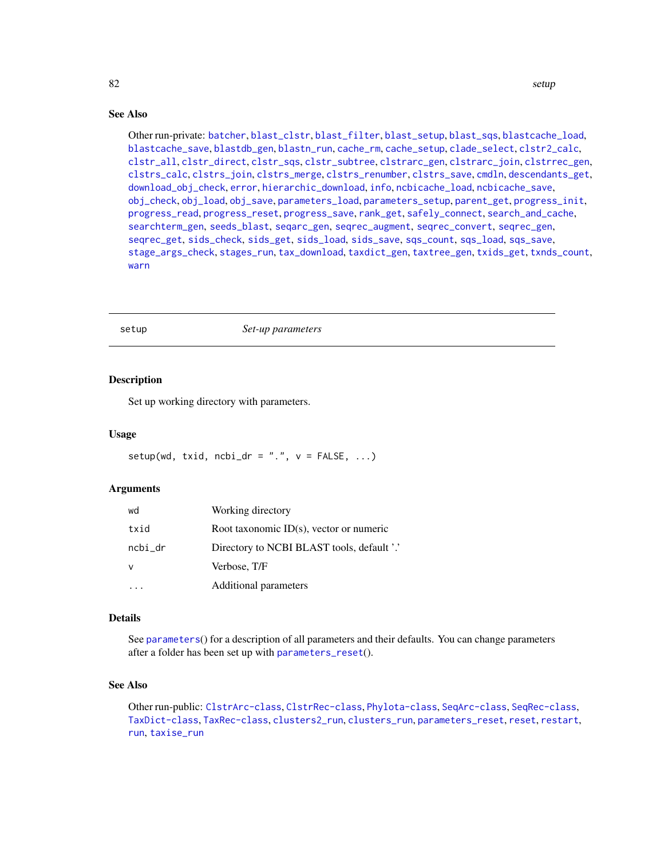#### <span id="page-81-1"></span>82 setup and the setup of the setup and the setup and the setup of the setup and the setup of the setup and the setup and the setup of the setup and the setup and the setup and the setup and the setup and the setup and the

# See Also

Other run-private: [batcher](#page-4-0), [blast\\_clstr](#page-7-0), [blast\\_filter](#page-8-0), [blast\\_setup](#page-9-0), [blast\\_sqs](#page-10-0), [blastcache\\_load](#page-5-0), [blastcache\\_save](#page-5-1), [blastdb\\_gen](#page-6-0), [blastn\\_run](#page-7-1), [cache\\_rm](#page-11-0), [cache\\_setup](#page-12-0), [clade\\_select](#page-14-0), [clstr2\\_calc](#page-15-0), [clstr\\_all](#page-25-0), [clstr\\_direct](#page-26-0), [clstr\\_sqs](#page-27-0), [clstr\\_subtree](#page-27-1), [clstrarc\\_gen](#page-17-0), [clstrarc\\_join](#page-18-0), [clstrrec\\_gen](#page-20-0), [clstrs\\_calc](#page-21-0), [clstrs\\_join](#page-22-0), [clstrs\\_merge](#page-23-0), [clstrs\\_renumber](#page-23-1), [clstrs\\_save](#page-24-0), [cmdln](#page-30-0), [descendants\\_get](#page-31-0), [download\\_obj\\_check](#page-32-0), [error](#page-38-0), [hierarchic\\_download](#page-44-0), [info](#page-45-0), [ncbicache\\_load](#page-50-0), [ncbicache\\_save](#page-51-0), [obj\\_check](#page-52-0), [obj\\_load](#page-52-1), [obj\\_save](#page-53-0), [parameters\\_load](#page-55-0), [parameters\\_setup](#page-57-0), [parent\\_get](#page-57-1), [progress\\_init](#page-62-0), [progress\\_read](#page-63-0), [progress\\_reset](#page-64-0), [progress\\_save](#page-64-1), [rank\\_get](#page-65-0), [safely\\_connect](#page-70-0), [search\\_and\\_cache](#page-71-0), [searchterm\\_gen](#page-70-1), [seeds\\_blast](#page-72-0), [seqarc\\_gen](#page-74-0), [seqrec\\_augment](#page-77-0), [seqrec\\_convert](#page-78-0), [seqrec\\_gen](#page-78-1), [seqrec\\_get](#page-79-0), [sids\\_check](#page-82-0), [sids\\_get](#page-83-0), [sids\\_load](#page-84-0), [sids\\_save](#page-85-0), [sqs\\_count](#page-85-1), [sqs\\_load](#page-86-0), [sqs\\_save](#page-87-0), [stage\\_args\\_check](#page-88-0), [stages\\_run](#page-88-1), [tax\\_download](#page-96-0), [taxdict\\_gen](#page-92-0), [taxtree\\_gen](#page-95-0), [txids\\_get](#page-97-0), [txnds\\_count](#page-98-0), [warn](#page-99-0)

<span id="page-81-0"></span>setup *Set-up parameters*

#### Description

Set up working directory with parameters.

#### Usage

setup(wd, txid, ncbi\_dr = ".",  $v =$  FALSE, ...)

#### Arguments

| wd      | Working directory                          |
|---------|--------------------------------------------|
| txid    | Root taxonomic ID(s), vector or numeric    |
| ncbi_dr | Directory to NCBI BLAST tools, default '.' |
| v       | Verbose, T/F                               |
|         | Additional parameters                      |

#### Details

See [parameters](#page-54-0)() for a description of all parameters and their defaults. You can change parameters after a folder has been set up with [parameters\\_reset](#page-56-0)().

# See Also

Other run-public: [ClstrArc-class](#page-16-0), [ClstrRec-class](#page-19-0), [Phylota-class](#page-58-0), [SeqArc-class](#page-73-0), [SeqRec-class](#page-75-0), [TaxDict-class](#page-91-0), [TaxRec-class](#page-94-0), [clusters2\\_run](#page-28-0), [clusters\\_run](#page-29-0), [parameters\\_reset](#page-56-0), [reset](#page-67-0), [restart](#page-68-0), [run](#page-69-0), [taxise\\_run](#page-93-0)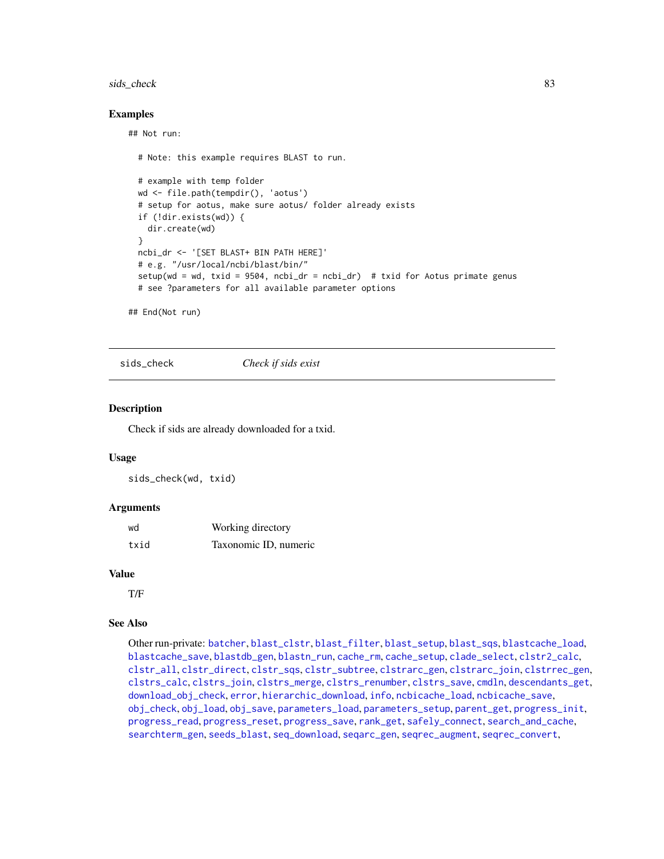#### <span id="page-82-1"></span>sids\_check 83

#### Examples

## Not run:

```
# Note: this example requires BLAST to run.
# example with temp folder
wd <- file.path(tempdir(), 'aotus')
# setup for aotus, make sure aotus/ folder already exists
if (!dir.exists(wd)) {
  dir.create(wd)
}
ncbi_dr <- '[SET BLAST+ BIN PATH HERE]'
# e.g. "/usr/local/ncbi/blast/bin/"
setup(wd = wd, txid = 9504, ncbi_dr = ncbi_dr) # txid for Aotus primate genus
# see ?parameters for all available parameter options
```
## End(Not run)

<span id="page-82-0"></span>sids\_check *Check if sids exist*

#### **Description**

Check if sids are already downloaded for a txid.

#### Usage

sids\_check(wd, txid)

#### Arguments

| wd   | Working directory     |
|------|-----------------------|
| txid | Taxonomic ID, numeric |

# Value

T/F

# See Also

Other run-private: [batcher](#page-4-0), [blast\\_clstr](#page-7-0), [blast\\_filter](#page-8-0), [blast\\_setup](#page-9-0), [blast\\_sqs](#page-10-0), [blastcache\\_load](#page-5-0), [blastcache\\_save](#page-5-1), [blastdb\\_gen](#page-6-0), [blastn\\_run](#page-7-1), [cache\\_rm](#page-11-0), [cache\\_setup](#page-12-0), [clade\\_select](#page-14-0), [clstr2\\_calc](#page-15-0), [clstr\\_all](#page-25-0), [clstr\\_direct](#page-26-0), [clstr\\_sqs](#page-27-0), [clstr\\_subtree](#page-27-1), [clstrarc\\_gen](#page-17-0), [clstrarc\\_join](#page-18-0), [clstrrec\\_gen](#page-20-0), [clstrs\\_calc](#page-21-0), [clstrs\\_join](#page-22-0), [clstrs\\_merge](#page-23-0), [clstrs\\_renumber](#page-23-1), [clstrs\\_save](#page-24-0), [cmdln](#page-30-0), [descendants\\_get](#page-31-0), [download\\_obj\\_check](#page-32-0), [error](#page-38-0), [hierarchic\\_download](#page-44-0), [info](#page-45-0), [ncbicache\\_load](#page-50-0), [ncbicache\\_save](#page-51-0), [obj\\_check](#page-52-0), [obj\\_load](#page-52-1), [obj\\_save](#page-53-0), [parameters\\_load](#page-55-0), [parameters\\_setup](#page-57-0), [parent\\_get](#page-57-1), [progress\\_init](#page-62-0), [progress\\_read](#page-63-0), [progress\\_reset](#page-64-0), [progress\\_save](#page-64-1), [rank\\_get](#page-65-0), [safely\\_connect](#page-70-0), [search\\_and\\_cache](#page-71-0), [searchterm\\_gen](#page-70-1), [seeds\\_blast](#page-72-0), [seq\\_download](#page-80-0), [seqarc\\_gen](#page-74-0), [seqrec\\_augment](#page-77-0), [seqrec\\_convert](#page-78-0),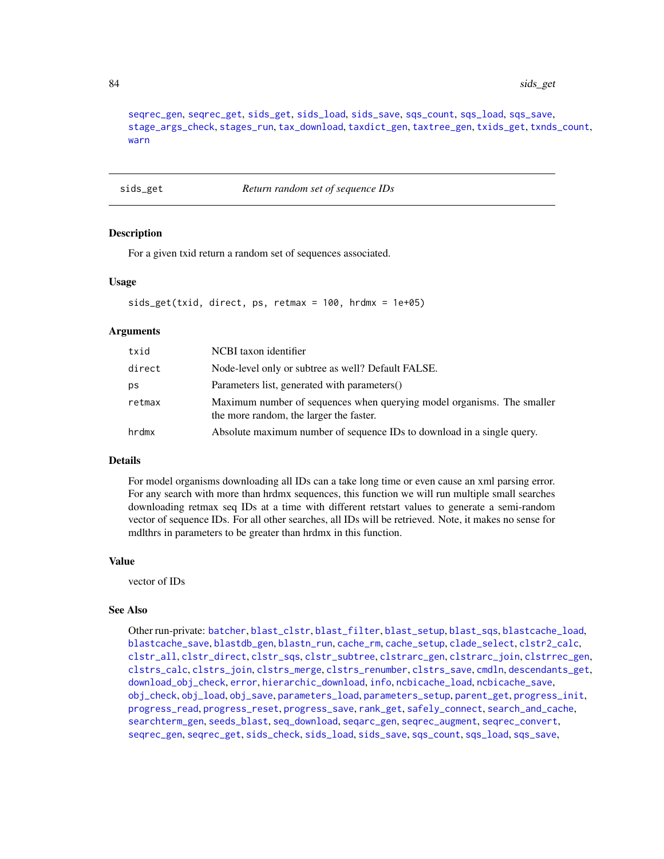[seqrec\\_gen](#page-78-1), [seqrec\\_get](#page-79-0), [sids\\_get](#page-83-0), [sids\\_load](#page-84-0), [sids\\_save](#page-85-0), [sqs\\_count](#page-85-1), [sqs\\_load](#page-86-0), [sqs\\_save](#page-87-0), [stage\\_args\\_check](#page-88-0), [stages\\_run](#page-88-1), [tax\\_download](#page-96-0), [taxdict\\_gen](#page-92-0), [taxtree\\_gen](#page-95-0), [txids\\_get](#page-97-0), [txnds\\_count](#page-98-0), [warn](#page-99-0)

<span id="page-83-0"></span>sids\_get *Return random set of sequence IDs*

#### **Description**

For a given txid return a random set of sequences associated.

#### Usage

```
sids_get(txid, direct, ps, retmax = 100, hrdmx = 1e+05)
```
# Arguments

| txid   | NCBI taxon identifier                                                                                             |
|--------|-------------------------------------------------------------------------------------------------------------------|
| direct | Node-level only or subtree as well? Default FALSE.                                                                |
| ps     | Parameters list, generated with parameters()                                                                      |
| retmax | Maximum number of sequences when querying model organisms. The smaller<br>the more random, the larger the faster. |
| hrdmx  | Absolute maximum number of sequence IDs to download in a single query.                                            |

#### Details

For model organisms downloading all IDs can a take long time or even cause an xml parsing error. For any search with more than hrdmx sequences, this function we will run multiple small searches downloading retmax seq IDs at a time with different retstart values to generate a semi-random vector of sequence IDs. For all other searches, all IDs will be retrieved. Note, it makes no sense for mdlthrs in parameters to be greater than hrdmx in this function.

#### Value

vector of IDs

#### See Also

Other run-private: [batcher](#page-4-0), [blast\\_clstr](#page-7-0), [blast\\_filter](#page-8-0), [blast\\_setup](#page-9-0), [blast\\_sqs](#page-10-0), [blastcache\\_load](#page-5-0), [blastcache\\_save](#page-5-1), [blastdb\\_gen](#page-6-0), [blastn\\_run](#page-7-1), [cache\\_rm](#page-11-0), [cache\\_setup](#page-12-0), [clade\\_select](#page-14-0), [clstr2\\_calc](#page-15-0), [clstr\\_all](#page-25-0), [clstr\\_direct](#page-26-0), [clstr\\_sqs](#page-27-0), [clstr\\_subtree](#page-27-1), [clstrarc\\_gen](#page-17-0), [clstrarc\\_join](#page-18-0), [clstrrec\\_gen](#page-20-0), [clstrs\\_calc](#page-21-0), [clstrs\\_join](#page-22-0), [clstrs\\_merge](#page-23-0), [clstrs\\_renumber](#page-23-1), [clstrs\\_save](#page-24-0), [cmdln](#page-30-0), [descendants\\_get](#page-31-0), [download\\_obj\\_check](#page-32-0), [error](#page-38-0), [hierarchic\\_download](#page-44-0), [info](#page-45-0), [ncbicache\\_load](#page-50-0), [ncbicache\\_save](#page-51-0), [obj\\_check](#page-52-0), [obj\\_load](#page-52-1), [obj\\_save](#page-53-0), [parameters\\_load](#page-55-0), [parameters\\_setup](#page-57-0), [parent\\_get](#page-57-1), [progress\\_init](#page-62-0), [progress\\_read](#page-63-0), [progress\\_reset](#page-64-0), [progress\\_save](#page-64-1), [rank\\_get](#page-65-0), [safely\\_connect](#page-70-0), [search\\_and\\_cache](#page-71-0), [searchterm\\_gen](#page-70-1), [seeds\\_blast](#page-72-0), [seq\\_download](#page-80-0), [seqarc\\_gen](#page-74-0), [seqrec\\_augment](#page-77-0), [seqrec\\_convert](#page-78-0), [seqrec\\_gen](#page-78-1), [seqrec\\_get](#page-79-0), [sids\\_check](#page-82-0), [sids\\_load](#page-84-0), [sids\\_save](#page-85-0), [sqs\\_count](#page-85-1), [sqs\\_load](#page-86-0), [sqs\\_save](#page-87-0),

<span id="page-83-1"></span>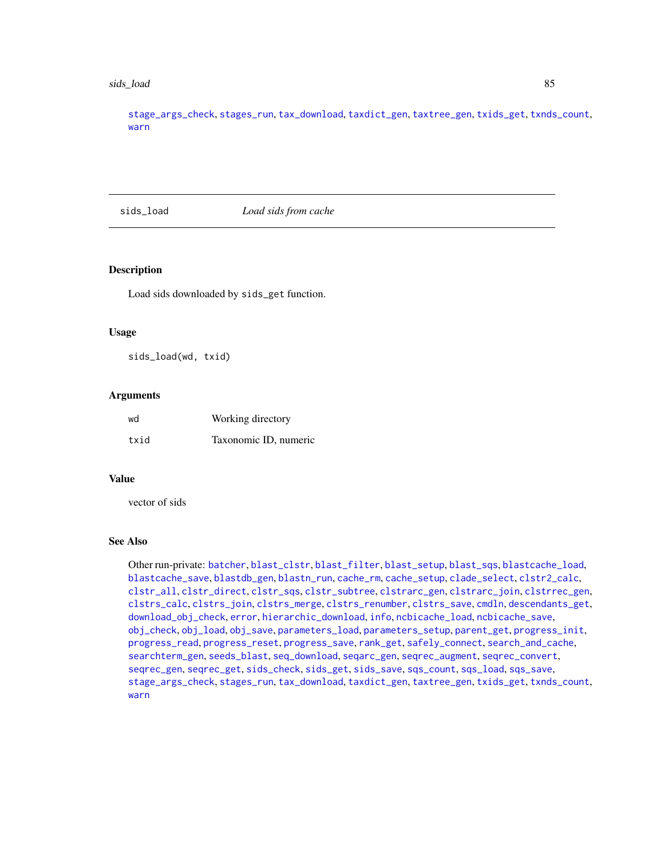#### <span id="page-84-1"></span>sids\_load 85

[stage\\_args\\_check](#page-88-0), [stages\\_run](#page-88-1), [tax\\_download](#page-96-0), [taxdict\\_gen](#page-92-0), [taxtree\\_gen](#page-95-0), [txids\\_get](#page-97-0), [txnds\\_count](#page-98-0), [warn](#page-99-0)

<span id="page-84-0"></span>sids\_load *Load sids from cache*

# Description

Load sids downloaded by sids\_get function.

#### Usage

sids\_load(wd, txid)

#### **Arguments**

| wd   | Working directory     |
|------|-----------------------|
| txid | Taxonomic ID, numeric |

#### Value

vector of sids

#### See Also

Other run-private: [batcher](#page-4-0), [blast\\_clstr](#page-7-0), [blast\\_filter](#page-8-0), [blast\\_setup](#page-9-0), [blast\\_sqs](#page-10-0), [blastcache\\_load](#page-5-0), [blastcache\\_save](#page-5-1), [blastdb\\_gen](#page-6-0), [blastn\\_run](#page-7-1), [cache\\_rm](#page-11-0), [cache\\_setup](#page-12-0), [clade\\_select](#page-14-0), [clstr2\\_calc](#page-15-0), [clstr\\_all](#page-25-0), [clstr\\_direct](#page-26-0), [clstr\\_sqs](#page-27-0), [clstr\\_subtree](#page-27-1), [clstrarc\\_gen](#page-17-0), [clstrarc\\_join](#page-18-0), [clstrrec\\_gen](#page-20-0), [clstrs\\_calc](#page-21-0), [clstrs\\_join](#page-22-0), [clstrs\\_merge](#page-23-0), [clstrs\\_renumber](#page-23-1), [clstrs\\_save](#page-24-0), [cmdln](#page-30-0), [descendants\\_get](#page-31-0), [download\\_obj\\_check](#page-32-0), [error](#page-38-0), [hierarchic\\_download](#page-44-0), [info](#page-45-0), [ncbicache\\_load](#page-50-0), [ncbicache\\_save](#page-51-0), [obj\\_check](#page-52-0), [obj\\_load](#page-52-1), [obj\\_save](#page-53-0), [parameters\\_load](#page-55-0), [parameters\\_setup](#page-57-0), [parent\\_get](#page-57-1), [progress\\_init](#page-62-0), [progress\\_read](#page-63-0), [progress\\_reset](#page-64-0), [progress\\_save](#page-64-1), [rank\\_get](#page-65-0), [safely\\_connect](#page-70-0), [search\\_and\\_cache](#page-71-0), [searchterm\\_gen](#page-70-1), [seeds\\_blast](#page-72-0), [seq\\_download](#page-80-0), [seqarc\\_gen](#page-74-0), [seqrec\\_augment](#page-77-0), [seqrec\\_convert](#page-78-0), [seqrec\\_gen](#page-78-1), [seqrec\\_get](#page-79-0), [sids\\_check](#page-82-0), [sids\\_get](#page-83-0), [sids\\_save](#page-85-0), [sqs\\_count](#page-85-1), [sqs\\_load](#page-86-0), [sqs\\_save](#page-87-0), [stage\\_args\\_check](#page-88-0), [stages\\_run](#page-88-1), [tax\\_download](#page-96-0), [taxdict\\_gen](#page-92-0), [taxtree\\_gen](#page-95-0), [txids\\_get](#page-97-0), [txnds\\_count](#page-98-0), [warn](#page-99-0)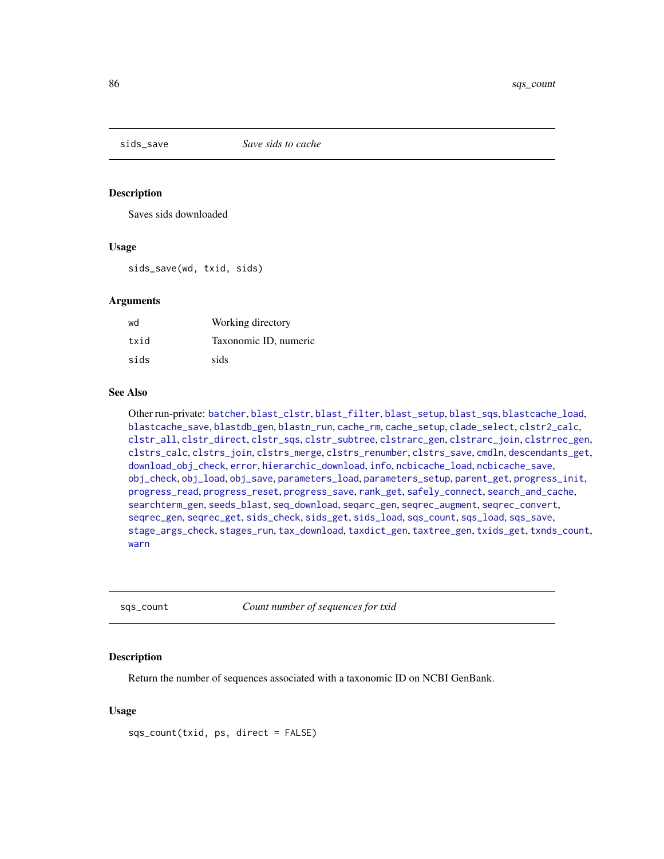<span id="page-85-2"></span><span id="page-85-0"></span>

#### **Description**

Saves sids downloaded

#### Usage

sids\_save(wd, txid, sids)

#### Arguments

| wd   | Working directory     |
|------|-----------------------|
| txid | Taxonomic ID, numeric |
| sids | sids                  |

# See Also

Other run-private: [batcher](#page-4-0), [blast\\_clstr](#page-7-0), [blast\\_filter](#page-8-0), [blast\\_setup](#page-9-0), [blast\\_sqs](#page-10-0), [blastcache\\_load](#page-5-0), [blastcache\\_save](#page-5-1), [blastdb\\_gen](#page-6-0), [blastn\\_run](#page-7-1), [cache\\_rm](#page-11-0), [cache\\_setup](#page-12-0), [clade\\_select](#page-14-0), [clstr2\\_calc](#page-15-0), [clstr\\_all](#page-25-0), [clstr\\_direct](#page-26-0), [clstr\\_sqs](#page-27-0), [clstr\\_subtree](#page-27-1), [clstrarc\\_gen](#page-17-0), [clstrarc\\_join](#page-18-0), [clstrrec\\_gen](#page-20-0), [clstrs\\_calc](#page-21-0), [clstrs\\_join](#page-22-0), [clstrs\\_merge](#page-23-0), [clstrs\\_renumber](#page-23-1), [clstrs\\_save](#page-24-0), [cmdln](#page-30-0), [descendants\\_get](#page-31-0), [download\\_obj\\_check](#page-32-0), [error](#page-38-0), [hierarchic\\_download](#page-44-0), [info](#page-45-0), [ncbicache\\_load](#page-50-0), [ncbicache\\_save](#page-51-0), [obj\\_check](#page-52-0), [obj\\_load](#page-52-1), [obj\\_save](#page-53-0), [parameters\\_load](#page-55-0), [parameters\\_setup](#page-57-0), [parent\\_get](#page-57-1), [progress\\_init](#page-62-0), [progress\\_read](#page-63-0), [progress\\_reset](#page-64-0), [progress\\_save](#page-64-1), [rank\\_get](#page-65-0), [safely\\_connect](#page-70-0), [search\\_and\\_cache](#page-71-0), [searchterm\\_gen](#page-70-1), [seeds\\_blast](#page-72-0), [seq\\_download](#page-80-0), [seqarc\\_gen](#page-74-0), [seqrec\\_augment](#page-77-0), [seqrec\\_convert](#page-78-0), [seqrec\\_gen](#page-78-1), [seqrec\\_get](#page-79-0), [sids\\_check](#page-82-0), [sids\\_get](#page-83-0), [sids\\_load](#page-84-0), [sqs\\_count](#page-85-1), [sqs\\_load](#page-86-0), [sqs\\_save](#page-87-0), [stage\\_args\\_check](#page-88-0), [stages\\_run](#page-88-1), [tax\\_download](#page-96-0), [taxdict\\_gen](#page-92-0), [taxtree\\_gen](#page-95-0), [txids\\_get](#page-97-0), [txnds\\_count](#page-98-0), [warn](#page-99-0)

<span id="page-85-1"></span>sqs\_count *Count number of sequences for txid*

#### **Description**

Return the number of sequences associated with a taxonomic ID on NCBI GenBank.

#### Usage

sqs\_count(txid, ps, direct = FALSE)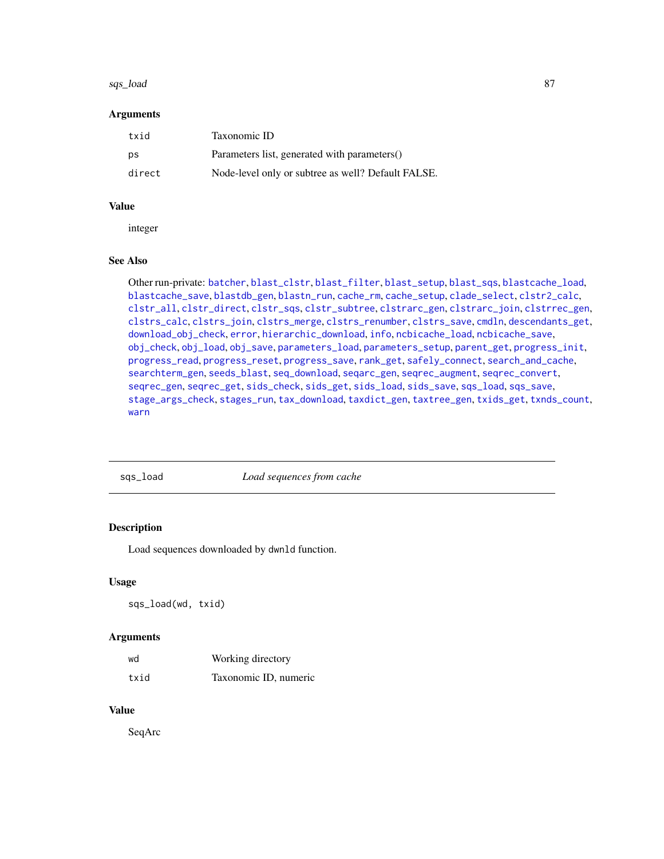#### <span id="page-86-1"></span>sqs\_load 87

#### **Arguments**

| txid   | Taxonomic ID                                       |
|--------|----------------------------------------------------|
| ps     | Parameters list, generated with parameters()       |
| direct | Node-level only or subtree as well? Default FALSE. |

#### Value

integer

#### See Also

Other run-private: [batcher](#page-4-0), [blast\\_clstr](#page-7-0), [blast\\_filter](#page-8-0), [blast\\_setup](#page-9-0), [blast\\_sqs](#page-10-0), [blastcache\\_load](#page-5-0), [blastcache\\_save](#page-5-1), [blastdb\\_gen](#page-6-0), [blastn\\_run](#page-7-1), [cache\\_rm](#page-11-0), [cache\\_setup](#page-12-0), [clade\\_select](#page-14-0), [clstr2\\_calc](#page-15-0), [clstr\\_all](#page-25-0), [clstr\\_direct](#page-26-0), [clstr\\_sqs](#page-27-0), [clstr\\_subtree](#page-27-1), [clstrarc\\_gen](#page-17-0), [clstrarc\\_join](#page-18-0), [clstrrec\\_gen](#page-20-0), [clstrs\\_calc](#page-21-0), [clstrs\\_join](#page-22-0), [clstrs\\_merge](#page-23-0), [clstrs\\_renumber](#page-23-1), [clstrs\\_save](#page-24-0), [cmdln](#page-30-0), [descendants\\_get](#page-31-0), [download\\_obj\\_check](#page-32-0), [error](#page-38-0), [hierarchic\\_download](#page-44-0), [info](#page-45-0), [ncbicache\\_load](#page-50-0), [ncbicache\\_save](#page-51-0), [obj\\_check](#page-52-0), [obj\\_load](#page-52-1), [obj\\_save](#page-53-0), [parameters\\_load](#page-55-0), [parameters\\_setup](#page-57-0), [parent\\_get](#page-57-1), [progress\\_init](#page-62-0), [progress\\_read](#page-63-0), [progress\\_reset](#page-64-0), [progress\\_save](#page-64-1), [rank\\_get](#page-65-0), [safely\\_connect](#page-70-0), [search\\_and\\_cache](#page-71-0), [searchterm\\_gen](#page-70-1), [seeds\\_blast](#page-72-0), [seq\\_download](#page-80-0), [seqarc\\_gen](#page-74-0), [seqrec\\_augment](#page-77-0), [seqrec\\_convert](#page-78-0), [seqrec\\_gen](#page-78-1), [seqrec\\_get](#page-79-0), [sids\\_check](#page-82-0), [sids\\_get](#page-83-0), [sids\\_load](#page-84-0), [sids\\_save](#page-85-0), [sqs\\_load](#page-86-0), [sqs\\_save](#page-87-0), [stage\\_args\\_check](#page-88-0), [stages\\_run](#page-88-1), [tax\\_download](#page-96-0), [taxdict\\_gen](#page-92-0), [taxtree\\_gen](#page-95-0), [txids\\_get](#page-97-0), [txnds\\_count](#page-98-0), [warn](#page-99-0)

<span id="page-86-0"></span>sqs\_load *Load sequences from cache*

# Description

Load sequences downloaded by dwnld function.

#### Usage

sqs\_load(wd, txid)

#### **Arguments**

| wd   | Working directory     |
|------|-----------------------|
| txid | Taxonomic ID, numeric |

# Value

SeqArc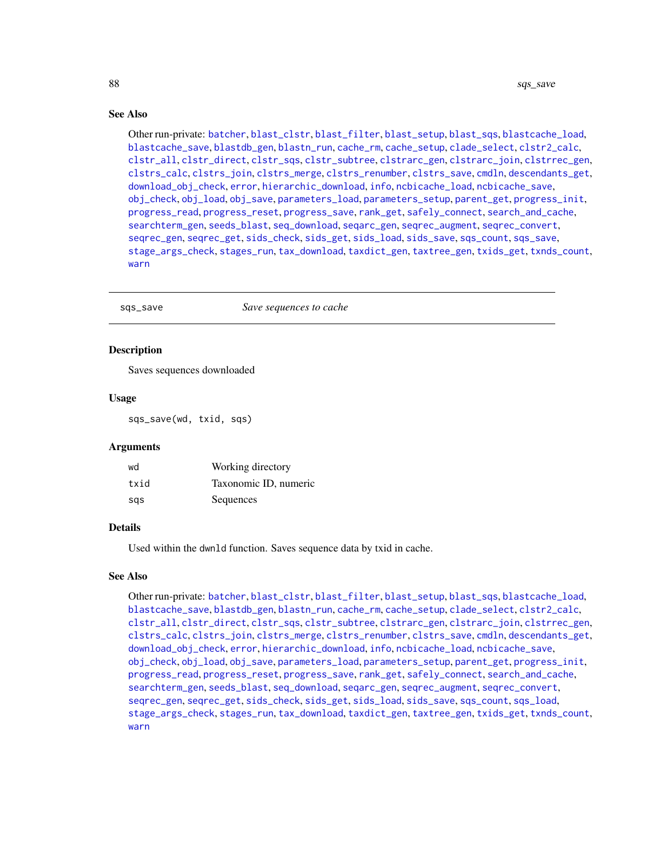# See Also

Other run-private: [batcher](#page-4-0), [blast\\_clstr](#page-7-0), [blast\\_filter](#page-8-0), [blast\\_setup](#page-9-0), [blast\\_sqs](#page-10-0), [blastcache\\_load](#page-5-0), [blastcache\\_save](#page-5-1), [blastdb\\_gen](#page-6-0), [blastn\\_run](#page-7-1), [cache\\_rm](#page-11-0), [cache\\_setup](#page-12-0), [clade\\_select](#page-14-0), [clstr2\\_calc](#page-15-0), [clstr\\_all](#page-25-0), [clstr\\_direct](#page-26-0), [clstr\\_sqs](#page-27-0), [clstr\\_subtree](#page-27-1), [clstrarc\\_gen](#page-17-0), [clstrarc\\_join](#page-18-0), [clstrrec\\_gen](#page-20-0), [clstrs\\_calc](#page-21-0), [clstrs\\_join](#page-22-0), [clstrs\\_merge](#page-23-0), [clstrs\\_renumber](#page-23-1), [clstrs\\_save](#page-24-0), [cmdln](#page-30-0), [descendants\\_get](#page-31-0), [download\\_obj\\_check](#page-32-0), [error](#page-38-0), [hierarchic\\_download](#page-44-0), [info](#page-45-0), [ncbicache\\_load](#page-50-0), [ncbicache\\_save](#page-51-0), [obj\\_check](#page-52-0), [obj\\_load](#page-52-1), [obj\\_save](#page-53-0), [parameters\\_load](#page-55-0), [parameters\\_setup](#page-57-0), [parent\\_get](#page-57-1), [progress\\_init](#page-62-0), [progress\\_read](#page-63-0), [progress\\_reset](#page-64-0), [progress\\_save](#page-64-1), [rank\\_get](#page-65-0), [safely\\_connect](#page-70-0), [search\\_and\\_cache](#page-71-0), [searchterm\\_gen](#page-70-1), [seeds\\_blast](#page-72-0), [seq\\_download](#page-80-0), [seqarc\\_gen](#page-74-0), [seqrec\\_augment](#page-77-0), [seqrec\\_convert](#page-78-0), [seqrec\\_gen](#page-78-1), [seqrec\\_get](#page-79-0), [sids\\_check](#page-82-0), [sids\\_get](#page-83-0), [sids\\_load](#page-84-0), [sids\\_save](#page-85-0), [sqs\\_count](#page-85-1), [sqs\\_save](#page-87-0), [stage\\_args\\_check](#page-88-0), [stages\\_run](#page-88-1), [tax\\_download](#page-96-0), [taxdict\\_gen](#page-92-0), [taxtree\\_gen](#page-95-0), [txids\\_get](#page-97-0), [txnds\\_count](#page-98-0), [warn](#page-99-0)

<span id="page-87-0"></span>

| Save sequences to cache<br>sqs_save |
|-------------------------------------|
|-------------------------------------|

# **Description**

Saves sequences downloaded

#### Usage

sqs\_save(wd, txid, sqs)

# **Arguments**

| wd   | Working directory     |
|------|-----------------------|
| txid | Taxonomic ID, numeric |
| sas  | Sequences             |

#### Details

Used within the dwnld function. Saves sequence data by txid in cache.

#### See Also

Other run-private: [batcher](#page-4-0), [blast\\_clstr](#page-7-0), [blast\\_filter](#page-8-0), [blast\\_setup](#page-9-0), [blast\\_sqs](#page-10-0), [blastcache\\_load](#page-5-0), [blastcache\\_save](#page-5-1), [blastdb\\_gen](#page-6-0), [blastn\\_run](#page-7-1), [cache\\_rm](#page-11-0), [cache\\_setup](#page-12-0), [clade\\_select](#page-14-0), [clstr2\\_calc](#page-15-0), [clstr\\_all](#page-25-0), [clstr\\_direct](#page-26-0), [clstr\\_sqs](#page-27-0), [clstr\\_subtree](#page-27-1), [clstrarc\\_gen](#page-17-0), [clstrarc\\_join](#page-18-0), [clstrrec\\_gen](#page-20-0), [clstrs\\_calc](#page-21-0), [clstrs\\_join](#page-22-0), [clstrs\\_merge](#page-23-0), [clstrs\\_renumber](#page-23-1), [clstrs\\_save](#page-24-0), [cmdln](#page-30-0), [descendants\\_get](#page-31-0), [download\\_obj\\_check](#page-32-0), [error](#page-38-0), [hierarchic\\_download](#page-44-0), [info](#page-45-0), [ncbicache\\_load](#page-50-0), [ncbicache\\_save](#page-51-0), [obj\\_check](#page-52-0), [obj\\_load](#page-52-1), [obj\\_save](#page-53-0), [parameters\\_load](#page-55-0), [parameters\\_setup](#page-57-0), [parent\\_get](#page-57-1), [progress\\_init](#page-62-0), [progress\\_read](#page-63-0), [progress\\_reset](#page-64-0), [progress\\_save](#page-64-1), [rank\\_get](#page-65-0), [safely\\_connect](#page-70-0), [search\\_and\\_cache](#page-71-0), [searchterm\\_gen](#page-70-1), [seeds\\_blast](#page-72-0), [seq\\_download](#page-80-0), [seqarc\\_gen](#page-74-0), [seqrec\\_augment](#page-77-0), [seqrec\\_convert](#page-78-0), [seqrec\\_gen](#page-78-1), [seqrec\\_get](#page-79-0), [sids\\_check](#page-82-0), [sids\\_get](#page-83-0), [sids\\_load](#page-84-0), [sids\\_save](#page-85-0), [sqs\\_count](#page-85-1), [sqs\\_load](#page-86-0), [stage\\_args\\_check](#page-88-0), [stages\\_run](#page-88-1), [tax\\_download](#page-96-0), [taxdict\\_gen](#page-92-0), [taxtree\\_gen](#page-95-0), [txids\\_get](#page-97-0), [txnds\\_count](#page-98-0), [warn](#page-99-0)

<span id="page-87-1"></span>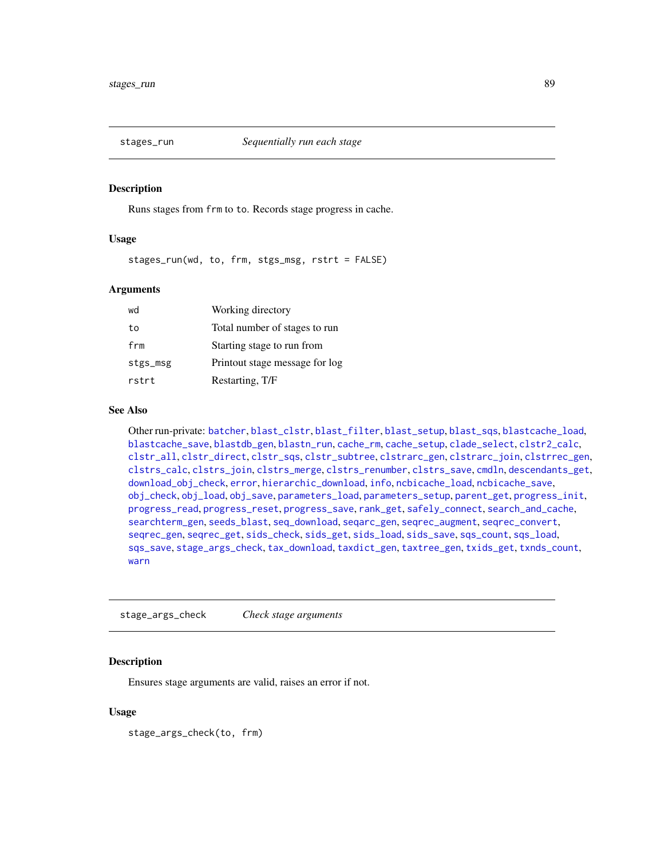<span id="page-88-2"></span><span id="page-88-1"></span>

#### Description

Runs stages from frm to to. Records stage progress in cache.

# Usage

stages\_run(wd, to, frm, stgs\_msg, rstrt = FALSE)

#### Arguments

| wd       | Working directory              |
|----------|--------------------------------|
| to       | Total number of stages to run  |
| frm      | Starting stage to run from     |
| stgs_msg | Printout stage message for log |
| rstrt    | Restarting, T/F                |

# See Also

Other run-private: [batcher](#page-4-0), [blast\\_clstr](#page-7-0), [blast\\_filter](#page-8-0), [blast\\_setup](#page-9-0), [blast\\_sqs](#page-10-0), [blastcache\\_load](#page-5-0), [blastcache\\_save](#page-5-1), [blastdb\\_gen](#page-6-0), [blastn\\_run](#page-7-1), [cache\\_rm](#page-11-0), [cache\\_setup](#page-12-0), [clade\\_select](#page-14-0), [clstr2\\_calc](#page-15-0), [clstr\\_all](#page-25-0), [clstr\\_direct](#page-26-0), [clstr\\_sqs](#page-27-0), [clstr\\_subtree](#page-27-1), [clstrarc\\_gen](#page-17-0), [clstrarc\\_join](#page-18-0), [clstrrec\\_gen](#page-20-0), [clstrs\\_calc](#page-21-0), [clstrs\\_join](#page-22-0), [clstrs\\_merge](#page-23-0), [clstrs\\_renumber](#page-23-1), [clstrs\\_save](#page-24-0), [cmdln](#page-30-0), [descendants\\_get](#page-31-0), [download\\_obj\\_check](#page-32-0), [error](#page-38-0), [hierarchic\\_download](#page-44-0), [info](#page-45-0), [ncbicache\\_load](#page-50-0), [ncbicache\\_save](#page-51-0), [obj\\_check](#page-52-0), [obj\\_load](#page-52-1), [obj\\_save](#page-53-0), [parameters\\_load](#page-55-0), [parameters\\_setup](#page-57-0), [parent\\_get](#page-57-1), [progress\\_init](#page-62-0), [progress\\_read](#page-63-0), [progress\\_reset](#page-64-0), [progress\\_save](#page-64-1), [rank\\_get](#page-65-0), [safely\\_connect](#page-70-0), [search\\_and\\_cache](#page-71-0), [searchterm\\_gen](#page-70-1), [seeds\\_blast](#page-72-0), [seq\\_download](#page-80-0), [seqarc\\_gen](#page-74-0), [seqrec\\_augment](#page-77-0), [seqrec\\_convert](#page-78-0), [seqrec\\_gen](#page-78-1), [seqrec\\_get](#page-79-0), [sids\\_check](#page-82-0), [sids\\_get](#page-83-0), [sids\\_load](#page-84-0), [sids\\_save](#page-85-0), [sqs\\_count](#page-85-1), [sqs\\_load](#page-86-0), [sqs\\_save](#page-87-0), [stage\\_args\\_check](#page-88-0), [tax\\_download](#page-96-0), [taxdict\\_gen](#page-92-0), [taxtree\\_gen](#page-95-0), [txids\\_get](#page-97-0), [txnds\\_count](#page-98-0), [warn](#page-99-0)

<span id="page-88-0"></span>stage\_args\_check *Check stage arguments*

# Description

Ensures stage arguments are valid, raises an error if not.

#### Usage

stage\_args\_check(to, frm)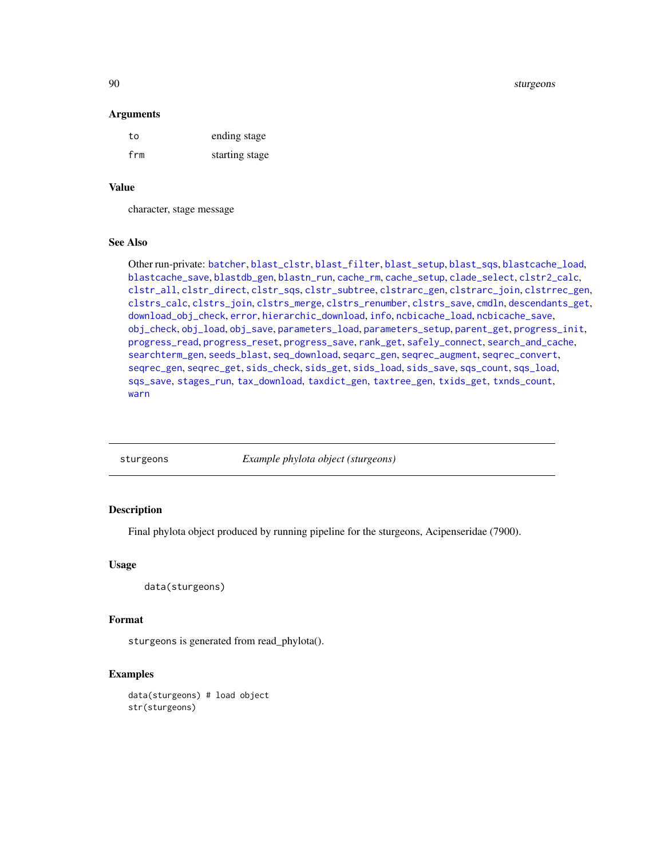90 sturgeons and the studies of the studies of the studies of the studies of the studies of the studies of the studies of the studies of the studies of the studies of the studies of the studies of the studies of the studie

#### **Arguments**

| to  | ending stage   |
|-----|----------------|
| frm | starting stage |

#### Value

character, stage message

#### See Also

Other run-private: [batcher](#page-4-0), [blast\\_clstr](#page-7-0), [blast\\_filter](#page-8-0), [blast\\_setup](#page-9-0), [blast\\_sqs](#page-10-0), [blastcache\\_load](#page-5-0), [blastcache\\_save](#page-5-1), [blastdb\\_gen](#page-6-0), [blastn\\_run](#page-7-1), [cache\\_rm](#page-11-0), [cache\\_setup](#page-12-0), [clade\\_select](#page-14-0), [clstr2\\_calc](#page-15-0), [clstr\\_all](#page-25-0), [clstr\\_direct](#page-26-0), [clstr\\_sqs](#page-27-0), [clstr\\_subtree](#page-27-1), [clstrarc\\_gen](#page-17-0), [clstrarc\\_join](#page-18-0), [clstrrec\\_gen](#page-20-0), [clstrs\\_calc](#page-21-0), [clstrs\\_join](#page-22-0), [clstrs\\_merge](#page-23-0), [clstrs\\_renumber](#page-23-1), [clstrs\\_save](#page-24-0), [cmdln](#page-30-0), [descendants\\_get](#page-31-0), [download\\_obj\\_check](#page-32-0), [error](#page-38-0), [hierarchic\\_download](#page-44-0), [info](#page-45-0), [ncbicache\\_load](#page-50-0), [ncbicache\\_save](#page-51-0), [obj\\_check](#page-52-0), [obj\\_load](#page-52-1), [obj\\_save](#page-53-0), [parameters\\_load](#page-55-0), [parameters\\_setup](#page-57-0), [parent\\_get](#page-57-1), [progress\\_init](#page-62-0), [progress\\_read](#page-63-0), [progress\\_reset](#page-64-0), [progress\\_save](#page-64-1), [rank\\_get](#page-65-0), [safely\\_connect](#page-70-0), [search\\_and\\_cache](#page-71-0), [searchterm\\_gen](#page-70-1), [seeds\\_blast](#page-72-0), [seq\\_download](#page-80-0), [seqarc\\_gen](#page-74-0), [seqrec\\_augment](#page-77-0), [seqrec\\_convert](#page-78-0), [seqrec\\_gen](#page-78-1), [seqrec\\_get](#page-79-0), [sids\\_check](#page-82-0), [sids\\_get](#page-83-0), [sids\\_load](#page-84-0), [sids\\_save](#page-85-0), [sqs\\_count](#page-85-1), [sqs\\_load](#page-86-0), [sqs\\_save](#page-87-0), [stages\\_run](#page-88-1), [tax\\_download](#page-96-0), [taxdict\\_gen](#page-92-0), [taxtree\\_gen](#page-95-0), [txids\\_get](#page-97-0), [txnds\\_count](#page-98-0), [warn](#page-99-0)

sturgeons *Example phylota object (sturgeons)*

#### **Description**

Final phylota object produced by running pipeline for the sturgeons, Acipenseridae (7900).

#### Usage

```
data(sturgeons)
```
# Format

sturgeons is generated from read\_phylota().

# Examples

data(sturgeons) # load object str(sturgeons)

<span id="page-89-0"></span>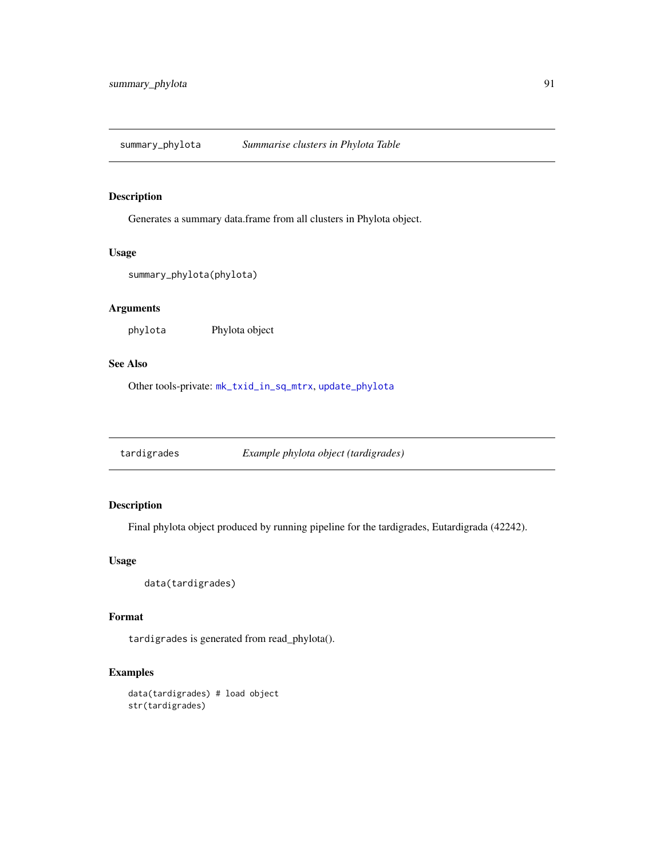<span id="page-90-1"></span><span id="page-90-0"></span>summary\_phylota *Summarise clusters in Phylota Table*

# Description

Generates a summary data.frame from all clusters in Phylota object.

# Usage

```
summary_phylota(phylota)
```
# Arguments

phylota Phylota object

# See Also

Other tools-private: [mk\\_txid\\_in\\_sq\\_mtrx](#page-50-1), [update\\_phylota](#page-99-1)

tardigrades *Example phylota object (tardigrades)*

# Description

Final phylota object produced by running pipeline for the tardigrades, Eutardigrada (42242).

# Usage

data(tardigrades)

# Format

tardigrades is generated from read\_phylota().

# Examples

data(tardigrades) # load object str(tardigrades)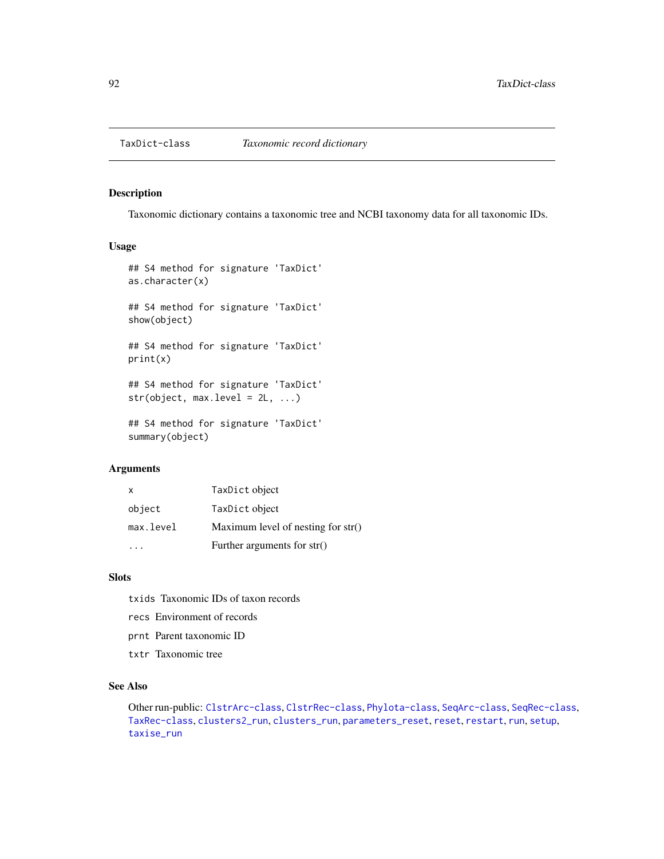<span id="page-91-1"></span><span id="page-91-0"></span>

#### Description

Taxonomic dictionary contains a taxonomic tree and NCBI taxonomy data for all taxonomic IDs.

#### Usage

```
## S4 method for signature 'TaxDict'
as.character(x)
## S4 method for signature 'TaxDict'
show(object)
## S4 method for signature 'TaxDict'
print(x)
## S4 method for signature 'TaxDict'
str(object, max. level = 2L, ...)## S4 method for signature 'TaxDict'
summary(object)
```
#### **Arguments**

|              | Further arguments for $str()$        |
|--------------|--------------------------------------|
| max.level    | Maximum level of nesting for $str()$ |
| object       | TaxDict object                       |
| $\mathsf{x}$ | TaxDict object                       |

# Slots

- txids Taxonomic IDs of taxon records
- recs Environment of records
- prnt Parent taxonomic ID
- txtr Taxonomic tree

# See Also

Other run-public: [ClstrArc-class](#page-16-0), [ClstrRec-class](#page-19-0), [Phylota-class](#page-58-0), [SeqArc-class](#page-73-0), [SeqRec-class](#page-75-0), [TaxRec-class](#page-94-0), [clusters2\\_run](#page-28-0), [clusters\\_run](#page-29-0), [parameters\\_reset](#page-56-0), [reset](#page-67-0), [restart](#page-68-0), [run](#page-69-0), [setup](#page-81-0), [taxise\\_run](#page-93-0)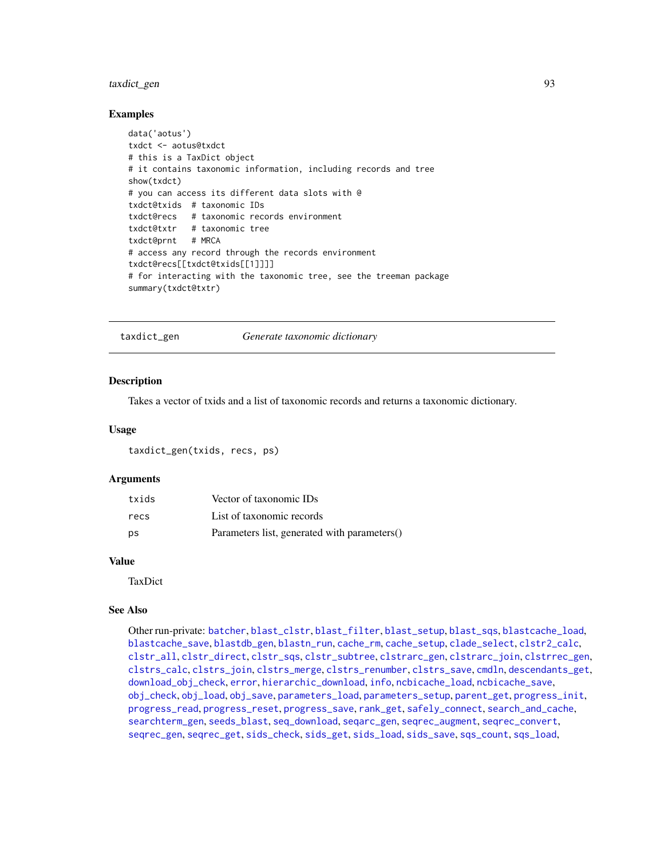# <span id="page-92-1"></span>taxdict\_gen 93

#### Examples

```
data('aotus')
txdct <- aotus@txdct
# this is a TaxDict object
# it contains taxonomic information, including records and tree
show(txdct)
# you can access its different data slots with @
txdct@txids # taxonomic IDs
txdct@recs # taxonomic records environment
txdct@txtr # taxonomic tree
txdct@prnt # MRCA
# access any record through the records environment
txdct@recs[[txdct@txids[[1]]]]
# for interacting with the taxonomic tree, see the treeman package
summary(txdct@txtr)
```
<span id="page-92-0"></span>taxdict\_gen *Generate taxonomic dictionary*

#### Description

Takes a vector of txids and a list of taxonomic records and returns a taxonomic dictionary.

#### Usage

taxdict\_gen(txids, recs, ps)

#### **Arguments**

| txids | Vector of taxonomic IDs                      |
|-------|----------------------------------------------|
| recs  | List of taxonomic records                    |
| ps    | Parameters list, generated with parameters() |

# Value

**TaxDict** 

#### See Also

Other run-private: [batcher](#page-4-0), [blast\\_clstr](#page-7-0), [blast\\_filter](#page-8-0), [blast\\_setup](#page-9-0), [blast\\_sqs](#page-10-0), [blastcache\\_load](#page-5-0), [blastcache\\_save](#page-5-1), [blastdb\\_gen](#page-6-0), [blastn\\_run](#page-7-1), [cache\\_rm](#page-11-0), [cache\\_setup](#page-12-0), [clade\\_select](#page-14-0), [clstr2\\_calc](#page-15-0), [clstr\\_all](#page-25-0), [clstr\\_direct](#page-26-0), [clstr\\_sqs](#page-27-0), [clstr\\_subtree](#page-27-1), [clstrarc\\_gen](#page-17-0), [clstrarc\\_join](#page-18-0), [clstrrec\\_gen](#page-20-0), [clstrs\\_calc](#page-21-0), [clstrs\\_join](#page-22-0), [clstrs\\_merge](#page-23-0), [clstrs\\_renumber](#page-23-1), [clstrs\\_save](#page-24-0), [cmdln](#page-30-0), [descendants\\_get](#page-31-0), [download\\_obj\\_check](#page-32-0), [error](#page-38-0), [hierarchic\\_download](#page-44-0), [info](#page-45-0), [ncbicache\\_load](#page-50-0), [ncbicache\\_save](#page-51-0), [obj\\_check](#page-52-0), [obj\\_load](#page-52-1), [obj\\_save](#page-53-0), [parameters\\_load](#page-55-0), [parameters\\_setup](#page-57-0), [parent\\_get](#page-57-1), [progress\\_init](#page-62-0), [progress\\_read](#page-63-0), [progress\\_reset](#page-64-0), [progress\\_save](#page-64-1), [rank\\_get](#page-65-0), [safely\\_connect](#page-70-0), [search\\_and\\_cache](#page-71-0), [searchterm\\_gen](#page-70-1), [seeds\\_blast](#page-72-0), [seq\\_download](#page-80-0), [seqarc\\_gen](#page-74-0), [seqrec\\_augment](#page-77-0), [seqrec\\_convert](#page-78-0), [seqrec\\_gen](#page-78-1), [seqrec\\_get](#page-79-0), [sids\\_check](#page-82-0), [sids\\_get](#page-83-0), [sids\\_load](#page-84-0), [sids\\_save](#page-85-0), [sqs\\_count](#page-85-1), [sqs\\_load](#page-86-0),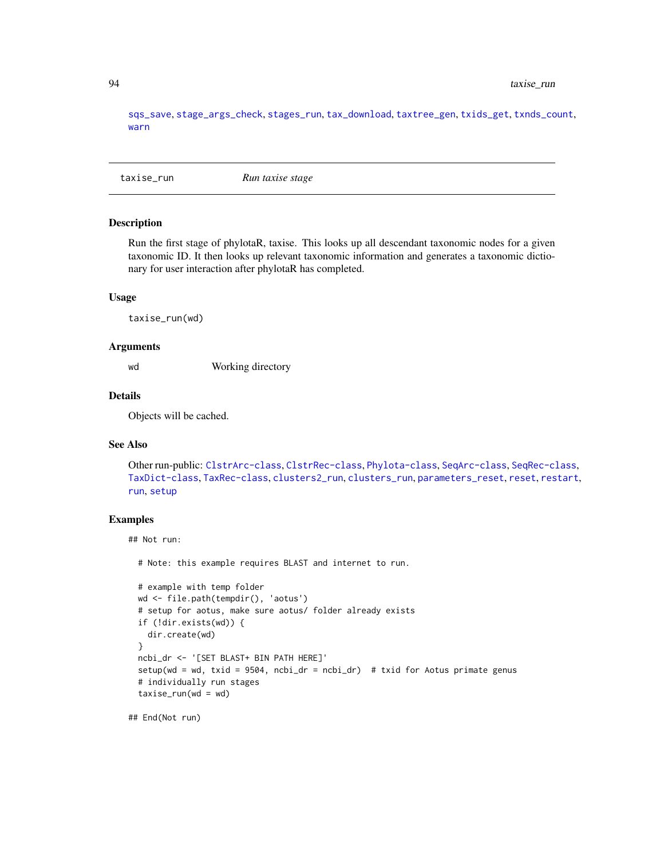[sqs\\_save](#page-87-0), [stage\\_args\\_check](#page-88-0), [stages\\_run](#page-88-1), [tax\\_download](#page-96-0), [taxtree\\_gen](#page-95-0), [txids\\_get](#page-97-0), [txnds\\_count](#page-98-0), [warn](#page-99-0)

<span id="page-93-0"></span>taxise\_run *Run taxise stage*

#### **Description**

Run the first stage of phylotaR, taxise. This looks up all descendant taxonomic nodes for a given taxonomic ID. It then looks up relevant taxonomic information and generates a taxonomic dictionary for user interaction after phylotaR has completed.

#### Usage

taxise\_run(wd)

#### Arguments

wd Working directory

# Details

Objects will be cached.

# See Also

Other run-public: [ClstrArc-class](#page-16-0), [ClstrRec-class](#page-19-0), [Phylota-class](#page-58-0), [SeqArc-class](#page-73-0), [SeqRec-class](#page-75-0), [TaxDict-class](#page-91-0), [TaxRec-class](#page-94-0), [clusters2\\_run](#page-28-0), [clusters\\_run](#page-29-0), [parameters\\_reset](#page-56-0), [reset](#page-67-0), [restart](#page-68-0), [run](#page-69-0), [setup](#page-81-0)

### Examples

## Not run:

# Note: this example requires BLAST and internet to run.

```
# example with temp folder
wd <- file.path(tempdir(), 'aotus')
# setup for aotus, make sure aotus/ folder already exists
if (!dir.exists(wd)) {
  dir.create(wd)
}
ncbi_dr <- '[SET BLAST+ BIN PATH HERE]'
setup(wd = wd, txid = 9504, ncbi_dr = ncbi_dr) # txid for Aotus primate genus
# individually run stages
taxise_run(wd = wd)
```
## End(Not run)

<span id="page-93-1"></span>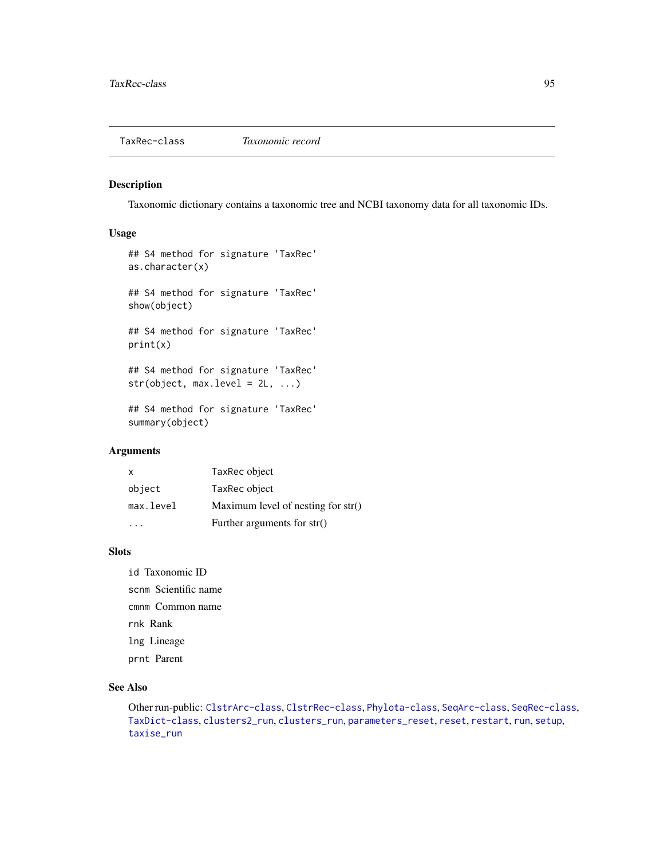<span id="page-94-1"></span><span id="page-94-0"></span>

# Description

Taxonomic dictionary contains a taxonomic tree and NCBI taxonomy data for all taxonomic IDs.

# Usage

```
## S4 method for signature 'TaxRec'
as.character(x)
## S4 method for signature 'TaxRec'
show(object)
## S4 method for signature 'TaxRec'
print(x)
## S4 method for signature 'TaxRec'
str(object, max. level = 2L, ...)## S4 method for signature 'TaxRec'
```
summary(object)

#### Arguments

|              | Further arguments for str()          |
|--------------|--------------------------------------|
| max.level    | Maximum level of nesting for $str()$ |
| object       | TaxRec object                        |
| $\mathsf{x}$ | TaxRec object                        |

#### Slots

id Taxonomic ID scnm Scientific name cmnm Common name rnk Rank lng Lineage prnt Parent

# See Also

Other run-public: [ClstrArc-class](#page-16-0), [ClstrRec-class](#page-19-0), [Phylota-class](#page-58-0), [SeqArc-class](#page-73-0), [SeqRec-class](#page-75-0), [TaxDict-class](#page-91-0), [clusters2\\_run](#page-28-0), [clusters\\_run](#page-29-0), [parameters\\_reset](#page-56-0), [reset](#page-67-0), [restart](#page-68-0), [run](#page-69-0), [setup](#page-81-0), [taxise\\_run](#page-93-0)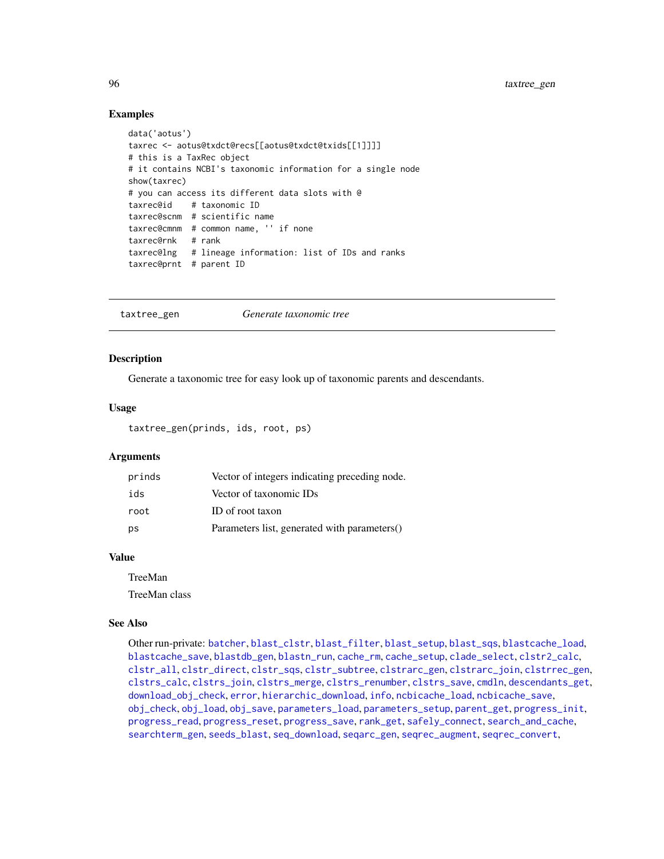# Examples

```
data('aotus')
taxrec <- aotus@txdct@recs[[aotus@txdct@txids[[1]]]]
# this is a TaxRec object
# it contains NCBI's taxonomic information for a single node
show(taxrec)
# you can access its different data slots with @
taxrec@id # taxonomic ID
taxrec@scnm # scientific name
taxrec@cmnm # common name, '' if none
taxrec@rnk # rank
taxrec@lng # lineage information: list of IDs and ranks
taxrec@prnt # parent ID
```

```
taxtree_gen Generate taxonomic tree
```
### Description

Generate a taxonomic tree for easy look up of taxonomic parents and descendants.

#### Usage

taxtree\_gen(prinds, ids, root, ps)

#### Arguments

| prinds | Vector of integers indicating preceding node. |
|--------|-----------------------------------------------|
| ids    | Vector of taxonomic IDs                       |
| root   | ID of root taxon                              |
| ps     | Parameters list, generated with parameters()  |

# Value

TreeMan

TreeMan class

#### See Also

Other run-private: [batcher](#page-4-0), [blast\\_clstr](#page-7-0), [blast\\_filter](#page-8-0), [blast\\_setup](#page-9-0), [blast\\_sqs](#page-10-0), [blastcache\\_load](#page-5-0), [blastcache\\_save](#page-5-1), [blastdb\\_gen](#page-6-0), [blastn\\_run](#page-7-1), [cache\\_rm](#page-11-0), [cache\\_setup](#page-12-0), [clade\\_select](#page-14-0), [clstr2\\_calc](#page-15-0), [clstr\\_all](#page-25-0), [clstr\\_direct](#page-26-0), [clstr\\_sqs](#page-27-0), [clstr\\_subtree](#page-27-1), [clstrarc\\_gen](#page-17-0), [clstrarc\\_join](#page-18-0), [clstrrec\\_gen](#page-20-0), [clstrs\\_calc](#page-21-0), [clstrs\\_join](#page-22-0), [clstrs\\_merge](#page-23-0), [clstrs\\_renumber](#page-23-1), [clstrs\\_save](#page-24-0), [cmdln](#page-30-0), [descendants\\_get](#page-31-0), [download\\_obj\\_check](#page-32-0), [error](#page-38-0), [hierarchic\\_download](#page-44-0), [info](#page-45-0), [ncbicache\\_load](#page-50-0), [ncbicache\\_save](#page-51-0), [obj\\_check](#page-52-0), [obj\\_load](#page-52-1), [obj\\_save](#page-53-0), [parameters\\_load](#page-55-0), [parameters\\_setup](#page-57-0), [parent\\_get](#page-57-1), [progress\\_init](#page-62-0), [progress\\_read](#page-63-0), [progress\\_reset](#page-64-0), [progress\\_save](#page-64-1), [rank\\_get](#page-65-0), [safely\\_connect](#page-70-0), [search\\_and\\_cache](#page-71-0), [searchterm\\_gen](#page-70-1), [seeds\\_blast](#page-72-0), [seq\\_download](#page-80-0), [seqarc\\_gen](#page-74-0), [seqrec\\_augment](#page-77-0), [seqrec\\_convert](#page-78-0),

<span id="page-95-1"></span>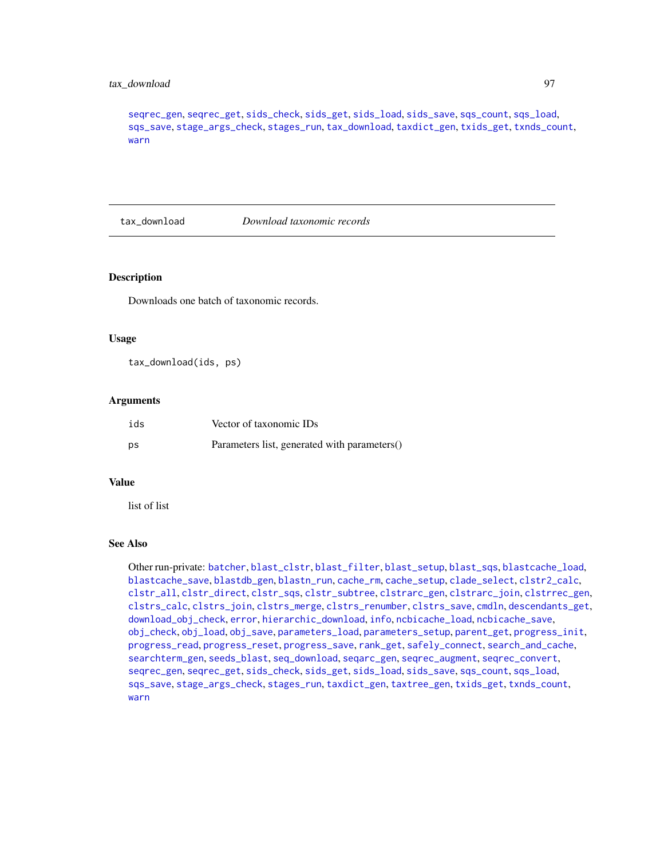# <span id="page-96-1"></span>tax\_download 97

[seqrec\\_gen](#page-78-1), [seqrec\\_get](#page-79-0), [sids\\_check](#page-82-0), [sids\\_get](#page-83-0), [sids\\_load](#page-84-0), [sids\\_save](#page-85-0), [sqs\\_count](#page-85-1), [sqs\\_load](#page-86-0), [sqs\\_save](#page-87-0), [stage\\_args\\_check](#page-88-0), [stages\\_run](#page-88-1), [tax\\_download](#page-96-0), [taxdict\\_gen](#page-92-0), [txids\\_get](#page-97-0), [txnds\\_count](#page-98-0), [warn](#page-99-0)

<span id="page-96-0"></span>tax\_download *Download taxonomic records*

#### **Description**

Downloads one batch of taxonomic records.

# Usage

tax\_download(ids, ps)

#### **Arguments**

| ids | Vector of taxonomic IDs                      |
|-----|----------------------------------------------|
| ps  | Parameters list, generated with parameters() |

#### Value

list of list

#### See Also

Other run-private: [batcher](#page-4-0), [blast\\_clstr](#page-7-0), [blast\\_filter](#page-8-0), [blast\\_setup](#page-9-0), [blast\\_sqs](#page-10-0), [blastcache\\_load](#page-5-0), [blastcache\\_save](#page-5-1), [blastdb\\_gen](#page-6-0), [blastn\\_run](#page-7-1), [cache\\_rm](#page-11-0), [cache\\_setup](#page-12-0), [clade\\_select](#page-14-0), [clstr2\\_calc](#page-15-0), [clstr\\_all](#page-25-0), [clstr\\_direct](#page-26-0), [clstr\\_sqs](#page-27-0), [clstr\\_subtree](#page-27-1), [clstrarc\\_gen](#page-17-0), [clstrarc\\_join](#page-18-0), [clstrrec\\_gen](#page-20-0), [clstrs\\_calc](#page-21-0), [clstrs\\_join](#page-22-0), [clstrs\\_merge](#page-23-0), [clstrs\\_renumber](#page-23-1), [clstrs\\_save](#page-24-0), [cmdln](#page-30-0), [descendants\\_get](#page-31-0), [download\\_obj\\_check](#page-32-0), [error](#page-38-0), [hierarchic\\_download](#page-44-0), [info](#page-45-0), [ncbicache\\_load](#page-50-0), [ncbicache\\_save](#page-51-0), [obj\\_check](#page-52-0), [obj\\_load](#page-52-1), [obj\\_save](#page-53-0), [parameters\\_load](#page-55-0), [parameters\\_setup](#page-57-0), [parent\\_get](#page-57-1), [progress\\_init](#page-62-0), [progress\\_read](#page-63-0), [progress\\_reset](#page-64-0), [progress\\_save](#page-64-1), [rank\\_get](#page-65-0), [safely\\_connect](#page-70-0), [search\\_and\\_cache](#page-71-0), [searchterm\\_gen](#page-70-1), [seeds\\_blast](#page-72-0), [seq\\_download](#page-80-0), [seqarc\\_gen](#page-74-0), [seqrec\\_augment](#page-77-0), [seqrec\\_convert](#page-78-0), [seqrec\\_gen](#page-78-1), [seqrec\\_get](#page-79-0), [sids\\_check](#page-82-0), [sids\\_get](#page-83-0), [sids\\_load](#page-84-0), [sids\\_save](#page-85-0), [sqs\\_count](#page-85-1), [sqs\\_load](#page-86-0), [sqs\\_save](#page-87-0), [stage\\_args\\_check](#page-88-0), [stages\\_run](#page-88-1), [taxdict\\_gen](#page-92-0), [taxtree\\_gen](#page-95-0), [txids\\_get](#page-97-0), [txnds\\_count](#page-98-0), [warn](#page-99-0)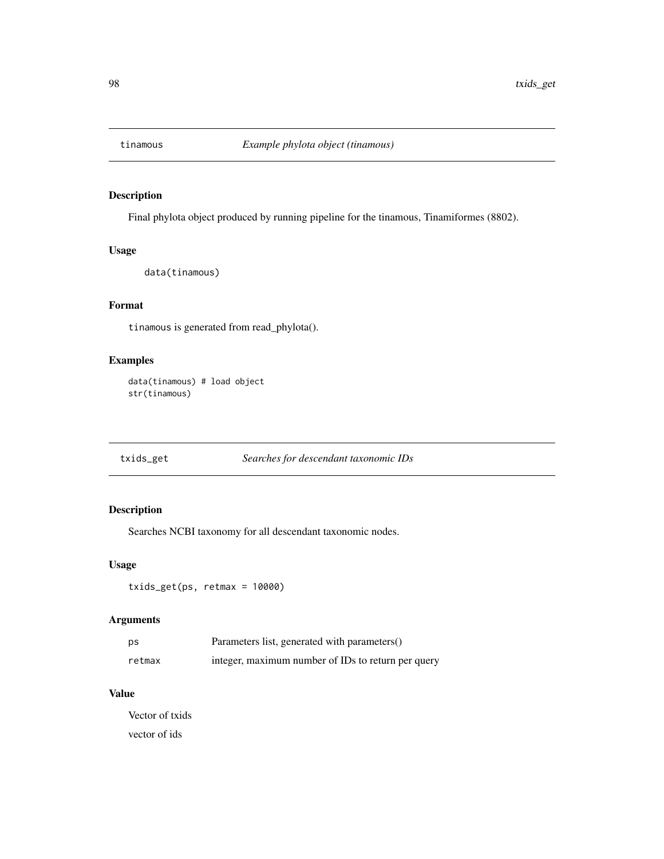<span id="page-97-1"></span>

# Description

Final phylota object produced by running pipeline for the tinamous, Tinamiformes (8802).

# Usage

data(tinamous)

# Format

tinamous is generated from read\_phylota().

# Examples

data(tinamous) # load object str(tinamous)

<span id="page-97-0"></span>txids\_get *Searches for descendant taxonomic IDs*

# Description

Searches NCBI taxonomy for all descendant taxonomic nodes.

# Usage

```
txids_get(ps, retmax = 10000)
```
# Arguments

| ps     | Parameters list, generated with parameters()       |
|--------|----------------------------------------------------|
| retmax | integer, maximum number of IDs to return per query |

# Value

Vector of txids vector of ids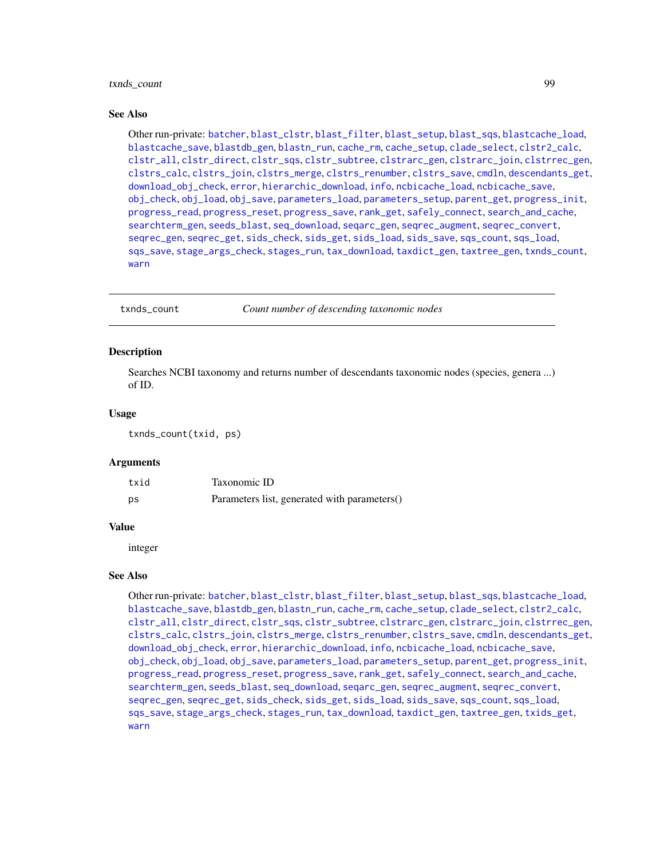# <span id="page-98-1"></span>txnds\_count 99

#### See Also

Other run-private: [batcher](#page-4-0), [blast\\_clstr](#page-7-0), [blast\\_filter](#page-8-0), [blast\\_setup](#page-9-0), [blast\\_sqs](#page-10-0), [blastcache\\_load](#page-5-0), [blastcache\\_save](#page-5-1), [blastdb\\_gen](#page-6-0), [blastn\\_run](#page-7-1), [cache\\_rm](#page-11-0), [cache\\_setup](#page-12-0), [clade\\_select](#page-14-0), [clstr2\\_calc](#page-15-0), [clstr\\_all](#page-25-0), [clstr\\_direct](#page-26-0), [clstr\\_sqs](#page-27-0), [clstr\\_subtree](#page-27-1), [clstrarc\\_gen](#page-17-0), [clstrarc\\_join](#page-18-0), [clstrrec\\_gen](#page-20-0), [clstrs\\_calc](#page-21-0), [clstrs\\_join](#page-22-0), [clstrs\\_merge](#page-23-0), [clstrs\\_renumber](#page-23-1), [clstrs\\_save](#page-24-0), [cmdln](#page-30-0), [descendants\\_get](#page-31-0), [download\\_obj\\_check](#page-32-0), [error](#page-38-0), [hierarchic\\_download](#page-44-0), [info](#page-45-0), [ncbicache\\_load](#page-50-0), [ncbicache\\_save](#page-51-0), [obj\\_check](#page-52-0), [obj\\_load](#page-52-1), [obj\\_save](#page-53-0), [parameters\\_load](#page-55-0), [parameters\\_setup](#page-57-0), [parent\\_get](#page-57-1), [progress\\_init](#page-62-0), [progress\\_read](#page-63-0), [progress\\_reset](#page-64-0), [progress\\_save](#page-64-1), [rank\\_get](#page-65-0), [safely\\_connect](#page-70-0), [search\\_and\\_cache](#page-71-0), [searchterm\\_gen](#page-70-1), [seeds\\_blast](#page-72-0), [seq\\_download](#page-80-0), [seqarc\\_gen](#page-74-0), [seqrec\\_augment](#page-77-0), [seqrec\\_convert](#page-78-0), [seqrec\\_gen](#page-78-1), [seqrec\\_get](#page-79-0), [sids\\_check](#page-82-0), [sids\\_get](#page-83-0), [sids\\_load](#page-84-0), [sids\\_save](#page-85-0), [sqs\\_count](#page-85-1), [sqs\\_load](#page-86-0), [sqs\\_save](#page-87-0), [stage\\_args\\_check](#page-88-0), [stages\\_run](#page-88-1), [tax\\_download](#page-96-0), [taxdict\\_gen](#page-92-0), [taxtree\\_gen](#page-95-0), [txnds\\_count](#page-98-0), [warn](#page-99-0)

<span id="page-98-0"></span>txnds\_count *Count number of descending taxonomic nodes*

# **Description**

Searches NCBI taxonomy and returns number of descendants taxonomic nodes (species, genera ...) of ID.

#### Usage

txnds\_count(txid, ps)

#### Arguments

| txid | Taxonomic ID                                 |
|------|----------------------------------------------|
| ps   | Parameters list, generated with parameters() |

#### Value

integer

#### See Also

Other run-private: [batcher](#page-4-0), [blast\\_clstr](#page-7-0), [blast\\_filter](#page-8-0), [blast\\_setup](#page-9-0), [blast\\_sqs](#page-10-0), [blastcache\\_load](#page-5-0), [blastcache\\_save](#page-5-1), [blastdb\\_gen](#page-6-0), [blastn\\_run](#page-7-1), [cache\\_rm](#page-11-0), [cache\\_setup](#page-12-0), [clade\\_select](#page-14-0), [clstr2\\_calc](#page-15-0), [clstr\\_all](#page-25-0), [clstr\\_direct](#page-26-0), [clstr\\_sqs](#page-27-0), [clstr\\_subtree](#page-27-1), [clstrarc\\_gen](#page-17-0), [clstrarc\\_join](#page-18-0), [clstrrec\\_gen](#page-20-0), [clstrs\\_calc](#page-21-0), [clstrs\\_join](#page-22-0), [clstrs\\_merge](#page-23-0), [clstrs\\_renumber](#page-23-1), [clstrs\\_save](#page-24-0), [cmdln](#page-30-0), [descendants\\_get](#page-31-0), [download\\_obj\\_check](#page-32-0), [error](#page-38-0), [hierarchic\\_download](#page-44-0), [info](#page-45-0), [ncbicache\\_load](#page-50-0), [ncbicache\\_save](#page-51-0), [obj\\_check](#page-52-0), [obj\\_load](#page-52-1), [obj\\_save](#page-53-0), [parameters\\_load](#page-55-0), [parameters\\_setup](#page-57-0), [parent\\_get](#page-57-1), [progress\\_init](#page-62-0), [progress\\_read](#page-63-0), [progress\\_reset](#page-64-0), [progress\\_save](#page-64-1), [rank\\_get](#page-65-0), [safely\\_connect](#page-70-0), [search\\_and\\_cache](#page-71-0), [searchterm\\_gen](#page-70-1), [seeds\\_blast](#page-72-0), [seq\\_download](#page-80-0), [seqarc\\_gen](#page-74-0), [seqrec\\_augment](#page-77-0), [seqrec\\_convert](#page-78-0), [seqrec\\_gen](#page-78-1), [seqrec\\_get](#page-79-0), [sids\\_check](#page-82-0), [sids\\_get](#page-83-0), [sids\\_load](#page-84-0), [sids\\_save](#page-85-0), [sqs\\_count](#page-85-1), [sqs\\_load](#page-86-0), [sqs\\_save](#page-87-0), [stage\\_args\\_check](#page-88-0), [stages\\_run](#page-88-1), [tax\\_download](#page-96-0), [taxdict\\_gen](#page-92-0), [taxtree\\_gen](#page-95-0), [txids\\_get](#page-97-0), [warn](#page-99-0)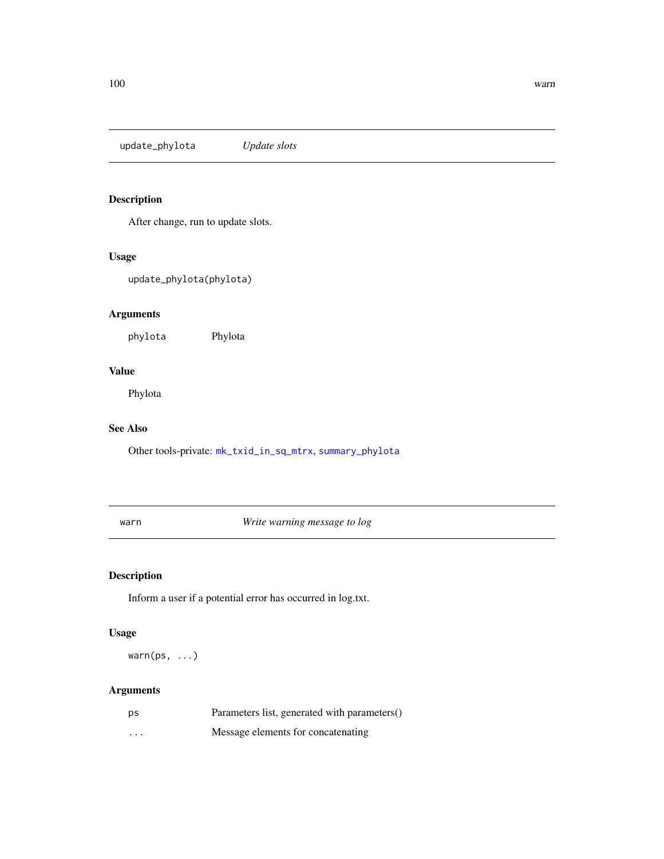<span id="page-99-2"></span><span id="page-99-1"></span>update\_phylota *Update slots*

# Description

After change, run to update slots.

# Usage

update\_phylota(phylota)

# Arguments

phylota Phylota

# Value

Phylota

# See Also

Other tools-private: [mk\\_txid\\_in\\_sq\\_mtrx](#page-50-1), [summary\\_phylota](#page-90-0)

<span id="page-99-0"></span>warn *Write warning message to log*

# Description

Inform a user if a potential error has occurred in log.txt.

#### Usage

warn(ps, ...)

# Arguments

| ps       | Parameters list, generated with parameters() |
|----------|----------------------------------------------|
| $\cdots$ | Message elements for concatenating           |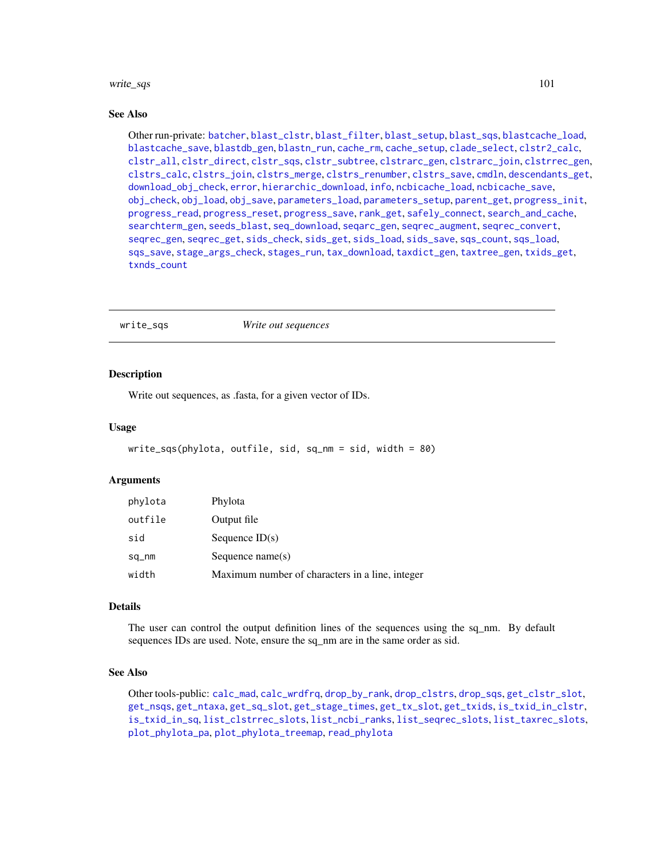#### <span id="page-100-0"></span>write\_sqs 101

#### See Also

Other run-private: [batcher](#page-4-0), [blast\\_clstr](#page-7-0), [blast\\_filter](#page-8-0), [blast\\_setup](#page-9-0), [blast\\_sqs](#page-10-0), [blastcache\\_load](#page-5-0), [blastcache\\_save](#page-5-1), [blastdb\\_gen](#page-6-0), [blastn\\_run](#page-7-1), [cache\\_rm](#page-11-0), [cache\\_setup](#page-12-0), [clade\\_select](#page-14-0), [clstr2\\_calc](#page-15-0), [clstr\\_all](#page-25-0), [clstr\\_direct](#page-26-0), [clstr\\_sqs](#page-27-0), [clstr\\_subtree](#page-27-1), [clstrarc\\_gen](#page-17-0), [clstrarc\\_join](#page-18-0), [clstrrec\\_gen](#page-20-0), [clstrs\\_calc](#page-21-0), [clstrs\\_join](#page-22-0), [clstrs\\_merge](#page-23-0), [clstrs\\_renumber](#page-23-1), [clstrs\\_save](#page-24-0), [cmdln](#page-30-0), [descendants\\_get](#page-31-0), [download\\_obj\\_check](#page-32-0), [error](#page-38-0), [hierarchic\\_download](#page-44-0), [info](#page-45-0), [ncbicache\\_load](#page-50-0), [ncbicache\\_save](#page-51-0), [obj\\_check](#page-52-0), [obj\\_load](#page-52-1), [obj\\_save](#page-53-0), [parameters\\_load](#page-55-0), [parameters\\_setup](#page-57-0), [parent\\_get](#page-57-1), [progress\\_init](#page-62-0), [progress\\_read](#page-63-0), [progress\\_reset](#page-64-0), [progress\\_save](#page-64-1), [rank\\_get](#page-65-0), [safely\\_connect](#page-70-0), [search\\_and\\_cache](#page-71-0), [searchterm\\_gen](#page-70-1), [seeds\\_blast](#page-72-0), [seq\\_download](#page-80-0), [seqarc\\_gen](#page-74-0), [seqrec\\_augment](#page-77-0), [seqrec\\_convert](#page-78-0), [seqrec\\_gen](#page-78-1), [seqrec\\_get](#page-79-0), [sids\\_check](#page-82-0), [sids\\_get](#page-83-0), [sids\\_load](#page-84-0), [sids\\_save](#page-85-0), [sqs\\_count](#page-85-1), [sqs\\_load](#page-86-0), [sqs\\_save](#page-87-0), [stage\\_args\\_check](#page-88-0), [stages\\_run](#page-88-1), [tax\\_download](#page-96-0), [taxdict\\_gen](#page-92-0), [taxtree\\_gen](#page-95-0), [txids\\_get](#page-97-0), [txnds\\_count](#page-98-0)

#### write\_sqs *Write out sequences*

#### Description

Write out sequences, as .fasta, for a given vector of IDs.

#### Usage

```
write_sqs(phylota, outfile, sid, sq_nm = sid, width = 80)
```
#### Arguments

| phylota | Phylota                                         |
|---------|-------------------------------------------------|
| outfile | Output file                                     |
| sid     | Sequence $ID(s)$                                |
| sq_nm   | Sequence $name(s)$                              |
| width   | Maximum number of characters in a line, integer |

#### Details

The user can control the output definition lines of the sequences using the sq\_nm. By default sequences IDs are used. Note, ensure the sq\_nm are in the same order as sid.

#### See Also

Other tools-public: [calc\\_mad](#page-12-1), [calc\\_wrdfrq](#page-13-0), [drop\\_by\\_rank](#page-34-0), [drop\\_clstrs](#page-36-0), [drop\\_sqs](#page-37-0), [get\\_clstr\\_slot](#page-38-1), [get\\_nsqs](#page-39-0), [get\\_ntaxa](#page-40-0), [get\\_sq\\_slot](#page-41-0), [get\\_stage\\_times](#page-42-0), [get\\_tx\\_slot](#page-44-1), [get\\_txids](#page-42-1), [is\\_txid\\_in\\_clstr](#page-46-0), [is\\_txid\\_in\\_sq](#page-47-0), [list\\_clstrrec\\_slots](#page-48-0), [list\\_ncbi\\_ranks](#page-48-1), [list\\_seqrec\\_slots](#page-49-0), [list\\_taxrec\\_slots](#page-49-1), [plot\\_phylota\\_pa](#page-60-0), [plot\\_phylota\\_treemap](#page-61-0), [read\\_phylota](#page-66-0)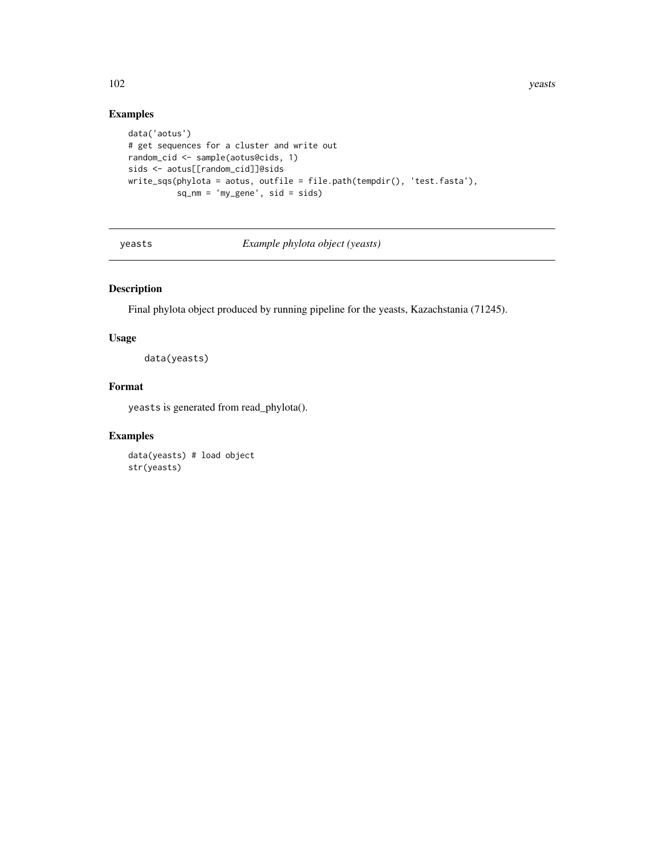102 years when the contract of the contract of the contract of the contract of the contract of the contract of the contract of the contract of the contract of the contract of the contract of the contract of the contract of

# Examples

```
data('aotus')
# get sequences for a cluster and write out
random_cid <- sample(aotus@cids, 1)
sids <- aotus[[random_cid]]@sids
write_sqs(phylota = aotus, outfile = file.path(tempdir(), 'test.fasta'),
          sq_nm = 'my_gene', sid = sids)
```
yeasts *Example phylota object (yeasts)*

# Description

Final phylota object produced by running pipeline for the yeasts, Kazachstania (71245).

#### Usage

data(yeasts)

# Format

yeasts is generated from read\_phylota().

# Examples

data(yeasts) # load object str(yeasts)

<span id="page-101-0"></span>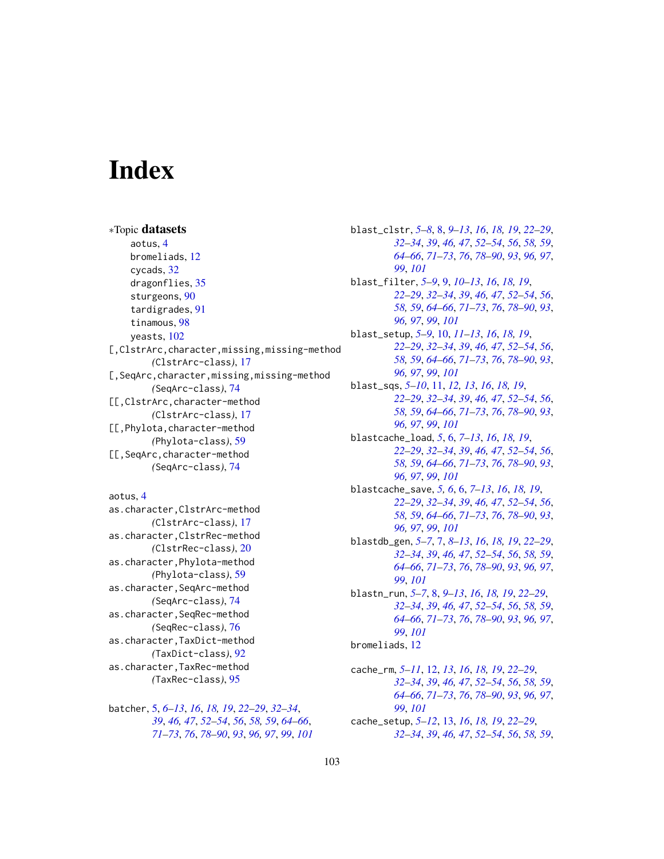# **Index**

∗Topic datasets aotus, [4](#page-3-0) bromeliads, [12](#page-11-1) cycads, [32](#page-31-1) dragonflies, [35](#page-34-1) sturgeons, [90](#page-89-0) tardigrades, [91](#page-90-1) tinamous, [98](#page-97-1) yeasts, [102](#page-101-0) [,ClstrArc,character,missing,missing-method *(*ClstrArc-class*)*, [17](#page-16-1) [,SeqArc,character,missing,missing-method *(*SeqArc-class*)*, [74](#page-73-1) [[,ClstrArc,character-method *(*ClstrArc-class*)*, [17](#page-16-1) [[,Phylota,character-method *(*Phylota-class*)*, [59](#page-58-1) [[,SeqArc,character-method *(*SeqArc-class*)*, [74](#page-73-1)

aotus, [4](#page-3-0)

as.character,ClstrArc-method *(*ClstrArc-class*)*, [17](#page-16-1) as.character,ClstrRec-method *(*ClstrRec-class*)*, [20](#page-19-1) as.character,Phylota-method *(*Phylota-class*)*, [59](#page-58-1) as.character,SeqArc-method *(*SeqArc-class*)*, [74](#page-73-1) as.character,SeqRec-method *(*SeqRec-class*)*, [76](#page-75-1) as.character,TaxDict-method *(*TaxDict-class*)*, [92](#page-91-1) as.character,TaxRec-method *(*TaxRec-class*)*, [95](#page-94-1)

batcher, [5,](#page-4-1) *[6](#page-5-2)[–13](#page-12-2)*, *[16](#page-15-1)*, *[18,](#page-17-1) [19](#page-18-1)*, *[22–](#page-21-1)[29](#page-28-1)*, *[32–](#page-31-1)[34](#page-33-0)*, *[39](#page-38-2)*, *[46,](#page-45-1) [47](#page-46-1)*, *[52–](#page-51-1)[54](#page-53-1)*, *[56](#page-55-1)*, *[58,](#page-57-2) [59](#page-58-1)*, *[64–](#page-63-1)[66](#page-65-1)*, *[71](#page-70-2)[–73](#page-72-1)*, *[76](#page-75-1)*, *[78–](#page-77-1)[90](#page-89-0)*, *[93](#page-92-1)*, *[96,](#page-95-1) [97](#page-96-1)*, *[99](#page-98-1)*, *[101](#page-100-0)* blast\_clstr, *[5](#page-4-1)[–8](#page-7-2)*, [8,](#page-7-2) *[9](#page-8-1)[–13](#page-12-2)*, *[16](#page-15-1)*, *[18,](#page-17-1) [19](#page-18-1)*, *[22](#page-21-1)[–29](#page-28-1)*, *[32](#page-31-1)[–34](#page-33-0)*, *[39](#page-38-2)*, *[46,](#page-45-1) [47](#page-46-1)*, *[52](#page-51-1)[–54](#page-53-1)*, *[56](#page-55-1)*, *[58,](#page-57-2) [59](#page-58-1)*, *[64](#page-63-1)[–66](#page-65-1)*, *[71](#page-70-2)[–73](#page-72-1)*, *[76](#page-75-1)*, *[78](#page-77-1)[–90](#page-89-0)*, *[93](#page-92-1)*, *[96,](#page-95-1) [97](#page-96-1)*, *[99](#page-98-1)*, *[101](#page-100-0)* blast\_filter, *[5](#page-4-1)[–9](#page-8-1)*, [9,](#page-8-1) *[10](#page-9-1)[–13](#page-12-2)*, *[16](#page-15-1)*, *[18,](#page-17-1) [19](#page-18-1)*, *[22](#page-21-1)[–29](#page-28-1)*, *[32](#page-31-1)[–34](#page-33-0)*, *[39](#page-38-2)*, *[46,](#page-45-1) [47](#page-46-1)*, *[52](#page-51-1)[–54](#page-53-1)*, *[56](#page-55-1)*, *[58,](#page-57-2) [59](#page-58-1)*, *[64](#page-63-1)[–66](#page-65-1)*, *[71](#page-70-2)[–73](#page-72-1)*, *[76](#page-75-1)*, *[78](#page-77-1)[–90](#page-89-0)*, *[93](#page-92-1)*, *[96,](#page-95-1) [97](#page-96-1)*, *[99](#page-98-1)*, *[101](#page-100-0)* blast\_setup, *[5](#page-4-1)[–9](#page-8-1)*, [10,](#page-9-1) *[11](#page-10-1)[–13](#page-12-2)*, *[16](#page-15-1)*, *[18,](#page-17-1) [19](#page-18-1)*, *[22](#page-21-1)[–29](#page-28-1)*, *[32](#page-31-1)[–34](#page-33-0)*, *[39](#page-38-2)*, *[46,](#page-45-1) [47](#page-46-1)*, *[52](#page-51-1)[–54](#page-53-1)*, *[56](#page-55-1)*, *[58,](#page-57-2) [59](#page-58-1)*, *[64](#page-63-1)[–66](#page-65-1)*, *[71](#page-70-2)[–73](#page-72-1)*, *[76](#page-75-1)*, *[78](#page-77-1)[–90](#page-89-0)*, *[93](#page-92-1)*, *[96,](#page-95-1) [97](#page-96-1)*, *[99](#page-98-1)*, *[101](#page-100-0)* blast\_sqs, *[5](#page-4-1)[–10](#page-9-1)*, [11,](#page-10-1) *[12,](#page-11-1) [13](#page-12-2)*, *[16](#page-15-1)*, *[18,](#page-17-1) [19](#page-18-1)*, *[22](#page-21-1)[–29](#page-28-1)*, *[32](#page-31-1)[–34](#page-33-0)*, *[39](#page-38-2)*, *[46,](#page-45-1) [47](#page-46-1)*, *[52](#page-51-1)[–54](#page-53-1)*, *[56](#page-55-1)*, *[58,](#page-57-2) [59](#page-58-1)*, *[64](#page-63-1)[–66](#page-65-1)*, *[71](#page-70-2)[–73](#page-72-1)*, *[76](#page-75-1)*, *[78](#page-77-1)[–90](#page-89-0)*, *[93](#page-92-1)*, *[96,](#page-95-1) [97](#page-96-1)*, *[99](#page-98-1)*, *[101](#page-100-0)* blastcache\_load, *[5](#page-4-1)*, [6,](#page-5-2) *[7](#page-6-1)[–13](#page-12-2)*, *[16](#page-15-1)*, *[18,](#page-17-1) [19](#page-18-1)*, *[22](#page-21-1)[–29](#page-28-1)*, *[32](#page-31-1)[–34](#page-33-0)*, *[39](#page-38-2)*, *[46,](#page-45-1) [47](#page-46-1)*, *[52](#page-51-1)[–54](#page-53-1)*, *[56](#page-55-1)*, *[58,](#page-57-2) [59](#page-58-1)*, *[64](#page-63-1)[–66](#page-65-1)*, *[71](#page-70-2)[–73](#page-72-1)*, *[76](#page-75-1)*, *[78](#page-77-1)[–90](#page-89-0)*, *[93](#page-92-1)*, *[96,](#page-95-1) [97](#page-96-1)*, *[99](#page-98-1)*, *[101](#page-100-0)* blastcache\_save, *[5,](#page-4-1) [6](#page-5-2)*, [6,](#page-5-2) *[7](#page-6-1)[–13](#page-12-2)*, *[16](#page-15-1)*, *[18,](#page-17-1) [19](#page-18-1)*, *[22](#page-21-1)[–29](#page-28-1)*, *[32](#page-31-1)[–34](#page-33-0)*, *[39](#page-38-2)*, *[46,](#page-45-1) [47](#page-46-1)*, *[52](#page-51-1)[–54](#page-53-1)*, *[56](#page-55-1)*, *[58,](#page-57-2) [59](#page-58-1)*, *[64](#page-63-1)[–66](#page-65-1)*, *[71](#page-70-2)[–73](#page-72-1)*, *[76](#page-75-1)*, *[78](#page-77-1)[–90](#page-89-0)*, *[93](#page-92-1)*, *[96,](#page-95-1) [97](#page-96-1)*, *[99](#page-98-1)*, *[101](#page-100-0)* blastdb\_gen, *[5](#page-4-1)[–7](#page-6-1)*, [7,](#page-6-1) *[8](#page-7-2)[–13](#page-12-2)*, *[16](#page-15-1)*, *[18,](#page-17-1) [19](#page-18-1)*, *[22](#page-21-1)[–29](#page-28-1)*, *[32](#page-31-1)[–34](#page-33-0)*, *[39](#page-38-2)*, *[46,](#page-45-1) [47](#page-46-1)*, *[52](#page-51-1)[–54](#page-53-1)*, *[56](#page-55-1)*, *[58,](#page-57-2) [59](#page-58-1)*, *[64](#page-63-1)[–66](#page-65-1)*, *[71](#page-70-2)[–73](#page-72-1)*, *[76](#page-75-1)*, *[78](#page-77-1)[–90](#page-89-0)*, *[93](#page-92-1)*, *[96,](#page-95-1) [97](#page-96-1)*, *[99](#page-98-1)*, *[101](#page-100-0)* blastn\_run, *[5](#page-4-1)[–7](#page-6-1)*, [8,](#page-7-2) *[9](#page-8-1)[–13](#page-12-2)*, *[16](#page-15-1)*, *[18,](#page-17-1) [19](#page-18-1)*, *[22](#page-21-1)[–29](#page-28-1)*, *[32](#page-31-1)[–34](#page-33-0)*, *[39](#page-38-2)*, *[46,](#page-45-1) [47](#page-46-1)*, *[52](#page-51-1)[–54](#page-53-1)*, *[56](#page-55-1)*, *[58,](#page-57-2) [59](#page-58-1)*, *[64](#page-63-1)[–66](#page-65-1)*, *[71](#page-70-2)[–73](#page-72-1)*, *[76](#page-75-1)*, *[78](#page-77-1)[–90](#page-89-0)*, *[93](#page-92-1)*, *[96,](#page-95-1) [97](#page-96-1)*, *[99](#page-98-1)*, *[101](#page-100-0)* bromeliads, [12](#page-11-1) cache\_rm, *[5](#page-4-1)[–11](#page-10-1)*, [12,](#page-11-1) *[13](#page-12-2)*, *[16](#page-15-1)*, *[18,](#page-17-1) [19](#page-18-1)*, *[22](#page-21-1)[–29](#page-28-1)*, *[32](#page-31-1)[–34](#page-33-0)*, *[39](#page-38-2)*, *[46,](#page-45-1) [47](#page-46-1)*, *[52](#page-51-1)[–54](#page-53-1)*, *[56](#page-55-1)*, *[58,](#page-57-2) [59](#page-58-1)*, *[64](#page-63-1)[–66](#page-65-1)*, *[71](#page-70-2)[–73](#page-72-1)*, *[76](#page-75-1)*, *[78](#page-77-1)[–90](#page-89-0)*, *[93](#page-92-1)*, *[96,](#page-95-1) [97](#page-96-1)*,

cache\_setup, *[5](#page-4-1)[–12](#page-11-1)*, [13,](#page-12-2) *[16](#page-15-1)*, *[18,](#page-17-1) [19](#page-18-1)*, *[22](#page-21-1)[–29](#page-28-1)*, *[32](#page-31-1)[–34](#page-33-0)*, *[39](#page-38-2)*, *[46,](#page-45-1) [47](#page-46-1)*, *[52](#page-51-1)[–54](#page-53-1)*, *[56](#page-55-1)*, *[58,](#page-57-2) [59](#page-58-1)*,

*[99](#page-98-1)*, *[101](#page-100-0)*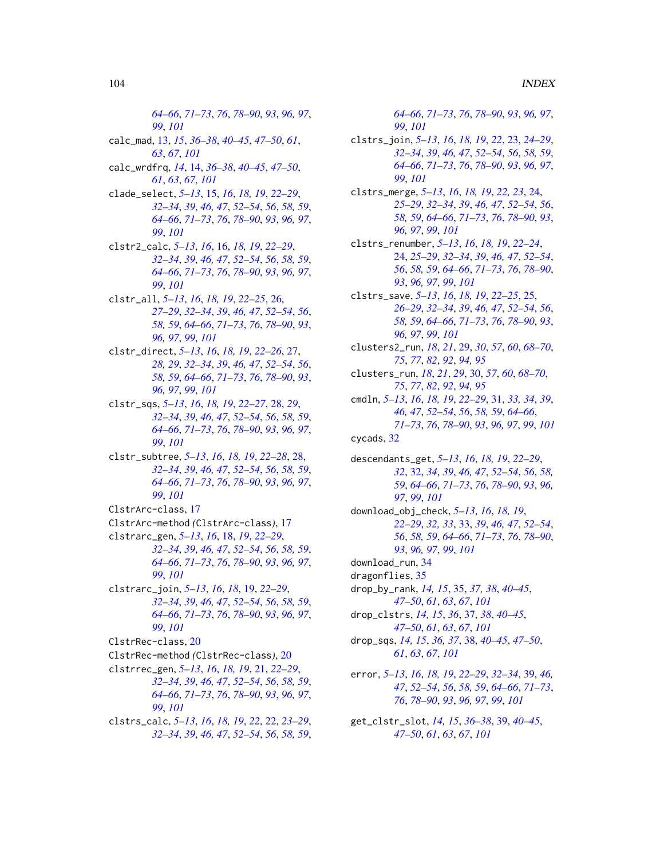*[64](#page-63-1)[–66](#page-65-1)*, *[71](#page-70-2)[–73](#page-72-1)*, *[76](#page-75-1)*, *[78–](#page-77-1)[90](#page-89-0)*, *[93](#page-92-1)*, *[96,](#page-95-1) [97](#page-96-1)*, *[99](#page-98-1)*, *[101](#page-100-0)* calc\_mad, [13,](#page-12-2) *[15](#page-14-1)*, *[36](#page-35-0)[–38](#page-37-1)*, *[40–](#page-39-1)[45](#page-44-2)*, *[47–](#page-46-1)[50](#page-49-2)*, *[61](#page-60-1)*, *[63](#page-62-1)*, *[67](#page-66-1)*, *[101](#page-100-0)* calc\_wrdfrq, *[14](#page-13-1)*, [14,](#page-13-1) *[36–](#page-35-0)[38](#page-37-1)*, *[40–](#page-39-1)[45](#page-44-2)*, *[47–](#page-46-1)[50](#page-49-2)*, *[61](#page-60-1)*, *[63](#page-62-1)*, *[67](#page-66-1)*, *[101](#page-100-0)* clade\_select, *[5](#page-4-1)[–13](#page-12-2)*, [15,](#page-14-1) *[16](#page-15-1)*, *[18,](#page-17-1) [19](#page-18-1)*, *[22–](#page-21-1)[29](#page-28-1)*, *[32](#page-31-1)[–34](#page-33-0)*, *[39](#page-38-2)*, *[46,](#page-45-1) [47](#page-46-1)*, *[52–](#page-51-1)[54](#page-53-1)*, *[56](#page-55-1)*, *[58,](#page-57-2) [59](#page-58-1)*, *[64](#page-63-1)[–66](#page-65-1)*, *[71](#page-70-2)[–73](#page-72-1)*, *[76](#page-75-1)*, *[78–](#page-77-1)[90](#page-89-0)*, *[93](#page-92-1)*, *[96,](#page-95-1) [97](#page-96-1)*, *[99](#page-98-1)*, *[101](#page-100-0)* clstr2\_calc, *[5](#page-4-1)[–13](#page-12-2)*, *[16](#page-15-1)*, [16,](#page-15-1) *[18,](#page-17-1) [19](#page-18-1)*, *[22–](#page-21-1)[29](#page-28-1)*, *[32](#page-31-1)[–34](#page-33-0)*, *[39](#page-38-2)*, *[46,](#page-45-1) [47](#page-46-1)*, *[52–](#page-51-1)[54](#page-53-1)*, *[56](#page-55-1)*, *[58,](#page-57-2) [59](#page-58-1)*, *[64](#page-63-1)[–66](#page-65-1)*, *[71](#page-70-2)[–73](#page-72-1)*, *[76](#page-75-1)*, *[78–](#page-77-1)[90](#page-89-0)*, *[93](#page-92-1)*, *[96,](#page-95-1) [97](#page-96-1)*, *[99](#page-98-1)*, *[101](#page-100-0)* clstr\_all, *[5](#page-4-1)[–13](#page-12-2)*, *[16](#page-15-1)*, *[18,](#page-17-1) [19](#page-18-1)*, *[22–](#page-21-1)[25](#page-24-1)*, [26,](#page-25-1) *[27](#page-26-1)[–29](#page-28-1)*, *[32](#page-31-1)[–34](#page-33-0)*, *[39](#page-38-2)*, *[46,](#page-45-1) [47](#page-46-1)*, *[52–](#page-51-1)[54](#page-53-1)*, *[56](#page-55-1)*, *[58,](#page-57-2) [59](#page-58-1)*, *[64](#page-63-1)[–66](#page-65-1)*, *[71–](#page-70-2)[73](#page-72-1)*, *[76](#page-75-1)*, *[78–](#page-77-1)[90](#page-89-0)*, *[93](#page-92-1)*, *[96,](#page-95-1) [97](#page-96-1)*, *[99](#page-98-1)*, *[101](#page-100-0)* clstr\_direct, *[5](#page-4-1)[–13](#page-12-2)*, *[16](#page-15-1)*, *[18,](#page-17-1) [19](#page-18-1)*, *[22–](#page-21-1)[26](#page-25-1)*, [27,](#page-26-1) *[28,](#page-27-2) [29](#page-28-1)*, *[32](#page-31-1)[–34](#page-33-0)*, *[39](#page-38-2)*, *[46,](#page-45-1) [47](#page-46-1)*, *[52–](#page-51-1)[54](#page-53-1)*, *[56](#page-55-1)*, *[58,](#page-57-2) [59](#page-58-1)*, *[64](#page-63-1)[–66](#page-65-1)*, *[71–](#page-70-2)[73](#page-72-1)*, *[76](#page-75-1)*, *[78–](#page-77-1)[90](#page-89-0)*, *[93](#page-92-1)*, *[96,](#page-95-1) [97](#page-96-1)*, *[99](#page-98-1)*, *[101](#page-100-0)* clstr\_sqs, *[5](#page-4-1)[–13](#page-12-2)*, *[16](#page-15-1)*, *[18,](#page-17-1) [19](#page-18-1)*, *[22–](#page-21-1)[27](#page-26-1)*, [28,](#page-27-2) *[29](#page-28-1)*, *[32](#page-31-1)[–34](#page-33-0)*, *[39](#page-38-2)*, *[46,](#page-45-1) [47](#page-46-1)*, *[52–](#page-51-1)[54](#page-53-1)*, *[56](#page-55-1)*, *[58,](#page-57-2) [59](#page-58-1)*, *[64](#page-63-1)[–66](#page-65-1)*, *[71](#page-70-2)[–73](#page-72-1)*, *[76](#page-75-1)*, *[78–](#page-77-1)[90](#page-89-0)*, *[93](#page-92-1)*, *[96,](#page-95-1) [97](#page-96-1)*, *[99](#page-98-1)*, *[101](#page-100-0)* clstr\_subtree, *[5](#page-4-1)[–13](#page-12-2)*, *[16](#page-15-1)*, *[18,](#page-17-1) [19](#page-18-1)*, *[22–](#page-21-1)[28](#page-27-2)*, [28,](#page-27-2) *[32](#page-31-1)[–34](#page-33-0)*, *[39](#page-38-2)*, *[46,](#page-45-1) [47](#page-46-1)*, *[52–](#page-51-1)[54](#page-53-1)*, *[56](#page-55-1)*, *[58,](#page-57-2) [59](#page-58-1)*, *[64](#page-63-1)[–66](#page-65-1)*, *[71](#page-70-2)[–73](#page-72-1)*, *[76](#page-75-1)*, *[78–](#page-77-1)[90](#page-89-0)*, *[93](#page-92-1)*, *[96,](#page-95-1) [97](#page-96-1)*, *[99](#page-98-1)*, *[101](#page-100-0)* ClstrArc-class, [17](#page-16-1) ClstrArc-method *(*ClstrArc-class*)*, [17](#page-16-1) clstrarc\_gen, *[5](#page-4-1)[–13](#page-12-2)*, *[16](#page-15-1)*, [18,](#page-17-1) *[19](#page-18-1)*, *[22–](#page-21-1)[29](#page-28-1)*, *[32](#page-31-1)[–34](#page-33-0)*, *[39](#page-38-2)*, *[46,](#page-45-1) [47](#page-46-1)*, *[52–](#page-51-1)[54](#page-53-1)*, *[56](#page-55-1)*, *[58,](#page-57-2) [59](#page-58-1)*, *[64](#page-63-1)[–66](#page-65-1)*, *[71](#page-70-2)[–73](#page-72-1)*, *[76](#page-75-1)*, *[78–](#page-77-1)[90](#page-89-0)*, *[93](#page-92-1)*, *[96,](#page-95-1) [97](#page-96-1)*, *[99](#page-98-1)*, *[101](#page-100-0)* clstrarc\_join, *[5](#page-4-1)[–13](#page-12-2)*, *[16](#page-15-1)*, *[18](#page-17-1)*, [19,](#page-18-1) *[22–](#page-21-1)[29](#page-28-1)*, *[32](#page-31-1)[–34](#page-33-0)*, *[39](#page-38-2)*, *[46,](#page-45-1) [47](#page-46-1)*, *[52–](#page-51-1)[54](#page-53-1)*, *[56](#page-55-1)*, *[58,](#page-57-2) [59](#page-58-1)*, *[64](#page-63-1)[–66](#page-65-1)*, *[71](#page-70-2)[–73](#page-72-1)*, *[76](#page-75-1)*, *[78–](#page-77-1)[90](#page-89-0)*, *[93](#page-92-1)*, *[96,](#page-95-1) [97](#page-96-1)*, *[99](#page-98-1)*, *[101](#page-100-0)* ClstrRec-class, [20](#page-19-1) ClstrRec-method *(*ClstrRec-class*)*, [20](#page-19-1) clstrrec\_gen, *[5](#page-4-1)[–13](#page-12-2)*, *[16](#page-15-1)*, *[18,](#page-17-1) [19](#page-18-1)*, [21,](#page-20-1) *[22–](#page-21-1)[29](#page-28-1)*, *[32](#page-31-1)[–34](#page-33-0)*, *[39](#page-38-2)*, *[46,](#page-45-1) [47](#page-46-1)*, *[52–](#page-51-1)[54](#page-53-1)*, *[56](#page-55-1)*, *[58,](#page-57-2) [59](#page-58-1)*, *[64](#page-63-1)[–66](#page-65-1)*, *[71](#page-70-2)[–73](#page-72-1)*, *[76](#page-75-1)*, *[78–](#page-77-1)[90](#page-89-0)*, *[93](#page-92-1)*, *[96,](#page-95-1) [97](#page-96-1)*, *[99](#page-98-1)*, *[101](#page-100-0)* clstrs\_calc, *[5](#page-4-1)[–13](#page-12-2)*, *[16](#page-15-1)*, *[18,](#page-17-1) [19](#page-18-1)*, *[22](#page-21-1)*, [22,](#page-21-1) *[23–](#page-22-1)[29](#page-28-1)*, *[32](#page-31-1)[–34](#page-33-0)*, *[39](#page-38-2)*, *[46,](#page-45-1) [47](#page-46-1)*, *[52–](#page-51-1)[54](#page-53-1)*, *[56](#page-55-1)*, *[58,](#page-57-2) [59](#page-58-1)*,

*[64](#page-63-1)[–66](#page-65-1)*, *[71](#page-70-2)[–73](#page-72-1)*, *[76](#page-75-1)*, *[78](#page-77-1)[–90](#page-89-0)*, *[93](#page-92-1)*, *[96,](#page-95-1) [97](#page-96-1)*, *[99](#page-98-1)*, *[101](#page-100-0)*

- clstrs\_join, *[5](#page-4-1)[–13](#page-12-2)*, *[16](#page-15-1)*, *[18,](#page-17-1) [19](#page-18-1)*, *[22](#page-21-1)*, [23,](#page-22-1) *[24](#page-23-2)[–29](#page-28-1)*, *[32](#page-31-1)[–34](#page-33-0)*, *[39](#page-38-2)*, *[46,](#page-45-1) [47](#page-46-1)*, *[52](#page-51-1)[–54](#page-53-1)*, *[56](#page-55-1)*, *[58,](#page-57-2) [59](#page-58-1)*, *[64](#page-63-1)[–66](#page-65-1)*, *[71](#page-70-2)[–73](#page-72-1)*, *[76](#page-75-1)*, *[78](#page-77-1)[–90](#page-89-0)*, *[93](#page-92-1)*, *[96,](#page-95-1) [97](#page-96-1)*, *[99](#page-98-1)*, *[101](#page-100-0)*
- clstrs\_merge, *[5](#page-4-1)[–13](#page-12-2)*, *[16](#page-15-1)*, *[18,](#page-17-1) [19](#page-18-1)*, *[22,](#page-21-1) [23](#page-22-1)*, [24,](#page-23-2) *[25](#page-24-1)[–29](#page-28-1)*, *[32](#page-31-1)[–34](#page-33-0)*, *[39](#page-38-2)*, *[46,](#page-45-1) [47](#page-46-1)*, *[52](#page-51-1)[–54](#page-53-1)*, *[56](#page-55-1)*, *[58,](#page-57-2) [59](#page-58-1)*, *[64](#page-63-1)[–66](#page-65-1)*, *[71](#page-70-2)[–73](#page-72-1)*, *[76](#page-75-1)*, *[78](#page-77-1)[–90](#page-89-0)*, *[93](#page-92-1)*, *[96,](#page-95-1) [97](#page-96-1)*, *[99](#page-98-1)*, *[101](#page-100-0)*
- clstrs\_renumber, *[5](#page-4-1)[–13](#page-12-2)*, *[16](#page-15-1)*, *[18,](#page-17-1) [19](#page-18-1)*, *[22](#page-21-1)[–24](#page-23-2)*, [24,](#page-23-2) *[25](#page-24-1)[–29](#page-28-1)*, *[32](#page-31-1)[–34](#page-33-0)*, *[39](#page-38-2)*, *[46,](#page-45-1) [47](#page-46-1)*, *[52](#page-51-1)[–54](#page-53-1)*, *[56](#page-55-1)*, *[58,](#page-57-2) [59](#page-58-1)*, *[64](#page-63-1)[–66](#page-65-1)*, *[71](#page-70-2)[–73](#page-72-1)*, *[76](#page-75-1)*, *[78](#page-77-1)[–90](#page-89-0)*, *[93](#page-92-1)*, *[96,](#page-95-1) [97](#page-96-1)*, *[99](#page-98-1)*, *[101](#page-100-0)*
- clstrs\_save, *[5](#page-4-1)[–13](#page-12-2)*, *[16](#page-15-1)*, *[18,](#page-17-1) [19](#page-18-1)*, *[22](#page-21-1)[–25](#page-24-1)*, [25,](#page-24-1) *[26](#page-25-1)[–29](#page-28-1)*, *[32](#page-31-1)[–34](#page-33-0)*, *[39](#page-38-2)*, *[46,](#page-45-1) [47](#page-46-1)*, *[52](#page-51-1)[–54](#page-53-1)*, *[56](#page-55-1)*, *[58,](#page-57-2) [59](#page-58-1)*, *[64](#page-63-1)[–66](#page-65-1)*, *[71](#page-70-2)[–73](#page-72-1)*, *[76](#page-75-1)*, *[78](#page-77-1)[–90](#page-89-0)*, *[93](#page-92-1)*, *[96,](#page-95-1) [97](#page-96-1)*, *[99](#page-98-1)*, *[101](#page-100-0)*
- clusters2\_run, *[18](#page-17-1)*, *[21](#page-20-1)*, [29,](#page-28-1) *[30](#page-29-1)*, *[57](#page-56-1)*, *[60](#page-59-0)*, *[68](#page-67-1)[–70](#page-69-1)*, *[75](#page-74-1)*, *[77](#page-76-0)*, *[82](#page-81-1)*, *[92](#page-91-1)*, *[94,](#page-93-1) [95](#page-94-1)*
- clusters\_run, *[18](#page-17-1)*, *[21](#page-20-1)*, *[29](#page-28-1)*, [30,](#page-29-1) *[57](#page-56-1)*, *[60](#page-59-0)*, *[68](#page-67-1)[–70](#page-69-1)*, *[75](#page-74-1)*, *[77](#page-76-0)*, *[82](#page-81-1)*, *[92](#page-91-1)*, *[94,](#page-93-1) [95](#page-94-1)*
- cmdln, *[5–](#page-4-1)[13](#page-12-2)*, *[16](#page-15-1)*, *[18,](#page-17-1) [19](#page-18-1)*, *[22](#page-21-1)[–29](#page-28-1)*, [31,](#page-30-1) *[33,](#page-32-1) [34](#page-33-0)*, *[39](#page-38-2)*, *[46,](#page-45-1) [47](#page-46-1)*, *[52](#page-51-1)[–54](#page-53-1)*, *[56](#page-55-1)*, *[58,](#page-57-2) [59](#page-58-1)*, *[64](#page-63-1)[–66](#page-65-1)*, *[71](#page-70-2)[–73](#page-72-1)*, *[76](#page-75-1)*, *[78](#page-77-1)[–90](#page-89-0)*, *[93](#page-92-1)*, *[96,](#page-95-1) [97](#page-96-1)*, *[99](#page-98-1)*, *[101](#page-100-0)*

cycads, [32](#page-31-1)

- descendants\_get, *[5](#page-4-1)[–13](#page-12-2)*, *[16](#page-15-1)*, *[18,](#page-17-1) [19](#page-18-1)*, *[22](#page-21-1)[–29](#page-28-1)*, *[32](#page-31-1)*, [32,](#page-31-1) *[34](#page-33-0)*, *[39](#page-38-2)*, *[46,](#page-45-1) [47](#page-46-1)*, *[52](#page-51-1)[–54](#page-53-1)*, *[56](#page-55-1)*, *[58,](#page-57-2) [59](#page-58-1)*, *[64](#page-63-1)[–66](#page-65-1)*, *[71](#page-70-2)[–73](#page-72-1)*, *[76](#page-75-1)*, *[78](#page-77-1)[–90](#page-89-0)*, *[93](#page-92-1)*, *[96,](#page-95-1) [97](#page-96-1)*, *[99](#page-98-1)*, *[101](#page-100-0)*
- download\_obj\_check, *[5](#page-4-1)[–13](#page-12-2)*, *[16](#page-15-1)*, *[18,](#page-17-1) [19](#page-18-1)*, *[22](#page-21-1)[–29](#page-28-1)*, *[32,](#page-31-1) [33](#page-32-1)*, [33,](#page-32-1) *[39](#page-38-2)*, *[46,](#page-45-1) [47](#page-46-1)*, *[52](#page-51-1)[–54](#page-53-1)*, *[56](#page-55-1)*, *[58,](#page-57-2) [59](#page-58-1)*, *[64](#page-63-1)[–66](#page-65-1)*, *[71](#page-70-2)[–73](#page-72-1)*, *[76](#page-75-1)*, *[78](#page-77-1)[–90](#page-89-0)*, *[93](#page-92-1)*, *[96,](#page-95-1) [97](#page-96-1)*, *[99](#page-98-1)*, *[101](#page-100-0)*
- download\_run, [34](#page-33-0)
- dragonflies, [35](#page-34-1)
- drop\_by\_rank, *[14,](#page-13-1) [15](#page-14-1)*, [35,](#page-34-1) *[37,](#page-36-1) [38](#page-37-1)*, *[40](#page-39-1)[–45](#page-44-2)*, *[47](#page-46-1)[–50](#page-49-2)*, *[61](#page-60-1)*, *[63](#page-62-1)*, *[67](#page-66-1)*, *[101](#page-100-0)*
- drop\_clstrs, *[14,](#page-13-1) [15](#page-14-1)*, *[36](#page-35-0)*, [37,](#page-36-1) *[38](#page-37-1)*, *[40](#page-39-1)[–45](#page-44-2)*, *[47](#page-46-1)[–50](#page-49-2)*, *[61](#page-60-1)*, *[63](#page-62-1)*, *[67](#page-66-1)*, *[101](#page-100-0)*
- drop\_sqs, *[14,](#page-13-1) [15](#page-14-1)*, *[36,](#page-35-0) [37](#page-36-1)*, [38,](#page-37-1) *[40](#page-39-1)[–45](#page-44-2)*, *[47](#page-46-1)[–50](#page-49-2)*, *[61](#page-60-1)*, *[63](#page-62-1)*, *[67](#page-66-1)*, *[101](#page-100-0)*
- error, *[5–](#page-4-1)[13](#page-12-2)*, *[16](#page-15-1)*, *[18,](#page-17-1) [19](#page-18-1)*, *[22](#page-21-1)[–29](#page-28-1)*, *[32](#page-31-1)[–34](#page-33-0)*, [39,](#page-38-2) *[46,](#page-45-1) [47](#page-46-1)*, *[52](#page-51-1)[–54](#page-53-1)*, *[56](#page-55-1)*, *[58,](#page-57-2) [59](#page-58-1)*, *[64](#page-63-1)[–66](#page-65-1)*, *[71](#page-70-2)[–73](#page-72-1)*, *[76](#page-75-1)*, *[78](#page-77-1)[–90](#page-89-0)*, *[93](#page-92-1)*, *[96,](#page-95-1) [97](#page-96-1)*, *[99](#page-98-1)*, *[101](#page-100-0)*
- get\_clstr\_slot, *[14,](#page-13-1) [15](#page-14-1)*, *[36](#page-35-0)[–38](#page-37-1)*, [39,](#page-38-2) *[40](#page-39-1)[–45](#page-44-2)*, *[47](#page-46-1)[–50](#page-49-2)*, *[61](#page-60-1)*, *[63](#page-62-1)*, *[67](#page-66-1)*, *[101](#page-100-0)*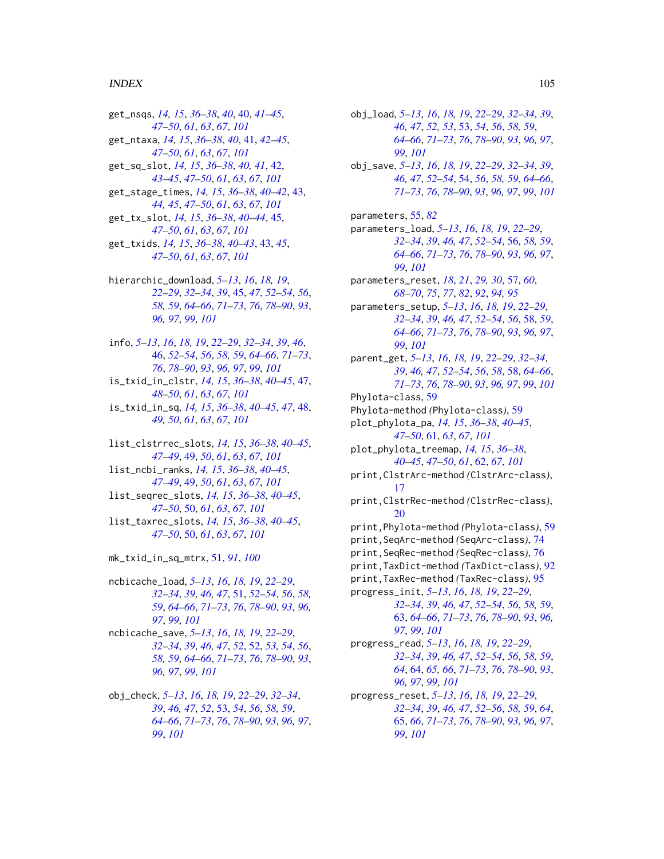#### INDEX 105

get\_nsqs, *[14,](#page-13-1) [15](#page-14-1)*, *[36](#page-35-0)[–38](#page-37-1)*, *[40](#page-39-1)*, [40,](#page-39-1) *[41–](#page-40-1)[45](#page-44-2)*, *[47](#page-46-1)[–50](#page-49-2)*, *[61](#page-60-1)*, *[63](#page-62-1)*, *[67](#page-66-1)*, *[101](#page-100-0)* get\_ntaxa, *[14,](#page-13-1) [15](#page-14-1)*, *[36](#page-35-0)[–38](#page-37-1)*, *[40](#page-39-1)*, [41,](#page-40-1) *[42–](#page-41-1)[45](#page-44-2)*, *[47](#page-46-1)[–50](#page-49-2)*, *[61](#page-60-1)*, *[63](#page-62-1)*, *[67](#page-66-1)*, *[101](#page-100-0)* get\_sq\_slot, *[14,](#page-13-1) [15](#page-14-1)*, *[36–](#page-35-0)[38](#page-37-1)*, *[40,](#page-39-1) [41](#page-40-1)*, [42,](#page-41-1) *[43](#page-42-2)[–45](#page-44-2)*, *[47](#page-46-1)[–50](#page-49-2)*, *[61](#page-60-1)*, *[63](#page-62-1)*, *[67](#page-66-1)*, *[101](#page-100-0)* get\_stage\_times, *[14,](#page-13-1) [15](#page-14-1)*, *[36–](#page-35-0)[38](#page-37-1)*, *[40–](#page-39-1)[42](#page-41-1)*, [43,](#page-42-2) *[44,](#page-43-0) [45](#page-44-2)*, *[47](#page-46-1)[–50](#page-49-2)*, *[61](#page-60-1)*, *[63](#page-62-1)*, *[67](#page-66-1)*, *[101](#page-100-0)* get\_tx\_slot, *[14,](#page-13-1) [15](#page-14-1)*, *[36–](#page-35-0)[38](#page-37-1)*, *[40–](#page-39-1)[44](#page-43-0)*, [45,](#page-44-2) *[47](#page-46-1)[–50](#page-49-2)*, *[61](#page-60-1)*, *[63](#page-62-1)*, *[67](#page-66-1)*, *[101](#page-100-0)* get\_txids, *[14,](#page-13-1) [15](#page-14-1)*, *[36](#page-35-0)[–38](#page-37-1)*, *[40–](#page-39-1)[43](#page-42-2)*, [43,](#page-42-2) *[45](#page-44-2)*, *[47](#page-46-1)[–50](#page-49-2)*, *[61](#page-60-1)*, *[63](#page-62-1)*, *[67](#page-66-1)*, *[101](#page-100-0)*

hierarchic\_download, *[5–](#page-4-1)[13](#page-12-2)*, *[16](#page-15-1)*, *[18,](#page-17-1) [19](#page-18-1)*, *[22](#page-21-1)[–29](#page-28-1)*, *[32](#page-31-1)[–34](#page-33-0)*, *[39](#page-38-2)*, [45,](#page-44-2) *[47](#page-46-1)*, *[52–](#page-51-1)[54](#page-53-1)*, *[56](#page-55-1)*, *[58,](#page-57-2) [59](#page-58-1)*, *[64](#page-63-1)[–66](#page-65-1)*, *[71–](#page-70-2)[73](#page-72-1)*, *[76](#page-75-1)*, *[78–](#page-77-1)[90](#page-89-0)*, *[93](#page-92-1)*, *[96,](#page-95-1) [97](#page-96-1)*, *[99](#page-98-1)*, *[101](#page-100-0)*

info, *[5](#page-4-1)[–13](#page-12-2)*, *[16](#page-15-1)*, *[18,](#page-17-1) [19](#page-18-1)*, *[22–](#page-21-1)[29](#page-28-1)*, *[32–](#page-31-1)[34](#page-33-0)*, *[39](#page-38-2)*, *[46](#page-45-1)*, [46,](#page-45-1) *[52](#page-51-1)[–54](#page-53-1)*, *[56](#page-55-1)*, *[58,](#page-57-2) [59](#page-58-1)*, *[64–](#page-63-1)[66](#page-65-1)*, *[71–](#page-70-2)[73](#page-72-1)*, *[76](#page-75-1)*, *[78](#page-77-1)[–90](#page-89-0)*, *[93](#page-92-1)*, *[96,](#page-95-1) [97](#page-96-1)*, *[99](#page-98-1)*, *[101](#page-100-0)*

is\_txid\_in\_clstr, *[14,](#page-13-1) [15](#page-14-1)*, *[36–](#page-35-0)[38](#page-37-1)*, *[40–](#page-39-1)[45](#page-44-2)*, [47,](#page-46-1) *[48](#page-47-1)[–50](#page-49-2)*, *[61](#page-60-1)*, *[63](#page-62-1)*, *[67](#page-66-1)*, *[101](#page-100-0)*

- is\_txid\_in\_sq, *[14,](#page-13-1) [15](#page-14-1)*, *[36–](#page-35-0)[38](#page-37-1)*, *[40–](#page-39-1)[45](#page-44-2)*, *[47](#page-46-1)*, [48,](#page-47-1) *[49,](#page-48-2) [50](#page-49-2)*, *[61](#page-60-1)*, *[63](#page-62-1)*, *[67](#page-66-1)*, *[101](#page-100-0)*
- list\_clstrrec\_slots, *[14,](#page-13-1) [15](#page-14-1)*, *[36–](#page-35-0)[38](#page-37-1)*, *[40–](#page-39-1)[45](#page-44-2)*, *[47](#page-46-1)[–49](#page-48-2)*, [49,](#page-48-2) *[50](#page-49-2)*, *[61](#page-60-1)*, *[63](#page-62-1)*, *[67](#page-66-1)*, *[101](#page-100-0)* list\_ncbi\_ranks, *[14,](#page-13-1) [15](#page-14-1)*, *[36–](#page-35-0)[38](#page-37-1)*, *[40–](#page-39-1)[45](#page-44-2)*, *[47](#page-46-1)[–49](#page-48-2)*, [49,](#page-48-2) *[50](#page-49-2)*, *[61](#page-60-1)*, *[63](#page-62-1)*, *[67](#page-66-1)*, *[101](#page-100-0)* list\_seqrec\_slots, *[14,](#page-13-1) [15](#page-14-1)*, *[36–](#page-35-0)[38](#page-37-1)*, *[40–](#page-39-1)[45](#page-44-2)*, *[47](#page-46-1)[–50](#page-49-2)*, [50,](#page-49-2) *[61](#page-60-1)*, *[63](#page-62-1)*, *[67](#page-66-1)*, *[101](#page-100-0)* list\_taxrec\_slots, *[14,](#page-13-1) [15](#page-14-1)*, *[36–](#page-35-0)[38](#page-37-1)*, *[40–](#page-39-1)[45](#page-44-2)*, *[47](#page-46-1)[–50](#page-49-2)*, [50,](#page-49-2) *[61](#page-60-1)*, *[63](#page-62-1)*, *[67](#page-66-1)*, *[101](#page-100-0)*

mk\_txid\_in\_sq\_mtrx, [51,](#page-50-2) *[91](#page-90-1)*, *[100](#page-99-2)*

ncbicache\_load, *[5](#page-4-1)[–13](#page-12-2)*, *[16](#page-15-1)*, *[18,](#page-17-1) [19](#page-18-1)*, *[22–](#page-21-1)[29](#page-28-1)*, *[32](#page-31-1)[–34](#page-33-0)*, *[39](#page-38-2)*, *[46,](#page-45-1) [47](#page-46-1)*, [51,](#page-50-2) *[52–](#page-51-1)[54](#page-53-1)*, *[56](#page-55-1)*, *[58,](#page-57-2) [59](#page-58-1)*, *[64](#page-63-1)[–66](#page-65-1)*, *[71–](#page-70-2)[73](#page-72-1)*, *[76](#page-75-1)*, *[78–](#page-77-1)[90](#page-89-0)*, *[93](#page-92-1)*, *[96,](#page-95-1) [97](#page-96-1)*, *[99](#page-98-1)*, *[101](#page-100-0)*

- ncbicache\_save, *[5](#page-4-1)[–13](#page-12-2)*, *[16](#page-15-1)*, *[18,](#page-17-1) [19](#page-18-1)*, *[22–](#page-21-1)[29](#page-28-1)*, *[32](#page-31-1)[–34](#page-33-0)*, *[39](#page-38-2)*, *[46,](#page-45-1) [47](#page-46-1)*, *[52](#page-51-1)*, [52,](#page-51-1) *[53,](#page-52-2) [54](#page-53-1)*, *[56](#page-55-1)*, *[58,](#page-57-2) [59](#page-58-1)*, *[64](#page-63-1)[–66](#page-65-1)*, *[71–](#page-70-2)[73](#page-72-1)*, *[76](#page-75-1)*, *[78–](#page-77-1)[90](#page-89-0)*, *[93](#page-92-1)*, *[96,](#page-95-1) [97](#page-96-1)*, *[99](#page-98-1)*, *[101](#page-100-0)*
- obj\_check, *[5](#page-4-1)[–13](#page-12-2)*, *[16](#page-15-1)*, *[18,](#page-17-1) [19](#page-18-1)*, *[22–](#page-21-1)[29](#page-28-1)*, *[32–](#page-31-1)[34](#page-33-0)*, *[39](#page-38-2)*, *[46,](#page-45-1) [47](#page-46-1)*, *[52](#page-51-1)*, [53,](#page-52-2) *[54](#page-53-1)*, *[56](#page-55-1)*, *[58,](#page-57-2) [59](#page-58-1)*, *[64](#page-63-1)[–66](#page-65-1)*, *[71](#page-70-2)[–73](#page-72-1)*, *[76](#page-75-1)*, *[78–](#page-77-1)[90](#page-89-0)*, *[93](#page-92-1)*, *[96,](#page-95-1) [97](#page-96-1)*, *[99](#page-98-1)*, *[101](#page-100-0)*

obj\_load, *[5](#page-4-1)[–13](#page-12-2)*, *[16](#page-15-1)*, *[18,](#page-17-1) [19](#page-18-1)*, *[22](#page-21-1)[–29](#page-28-1)*, *[32](#page-31-1)[–34](#page-33-0)*, *[39](#page-38-2)*, *[46,](#page-45-1) [47](#page-46-1)*, *[52,](#page-51-1) [53](#page-52-2)*, [53,](#page-52-2) *[54](#page-53-1)*, *[56](#page-55-1)*, *[58,](#page-57-2) [59](#page-58-1)*, *[64](#page-63-1)[–66](#page-65-1)*, *[71](#page-70-2)[–73](#page-72-1)*, *[76](#page-75-1)*, *[78](#page-77-1)[–90](#page-89-0)*, *[93](#page-92-1)*, *[96,](#page-95-1) [97](#page-96-1)*, *[99](#page-98-1)*, *[101](#page-100-0)* obj\_save, *[5](#page-4-1)[–13](#page-12-2)*, *[16](#page-15-1)*, *[18,](#page-17-1) [19](#page-18-1)*, *[22](#page-21-1)[–29](#page-28-1)*, *[32](#page-31-1)[–34](#page-33-0)*, *[39](#page-38-2)*, *[46,](#page-45-1) [47](#page-46-1)*, *[52](#page-51-1)[–54](#page-53-1)*, [54,](#page-53-1) *[56](#page-55-1)*, *[58,](#page-57-2) [59](#page-58-1)*, *[64](#page-63-1)[–66](#page-65-1)*, *[71](#page-70-2)[–73](#page-72-1)*, *[76](#page-75-1)*, *[78](#page-77-1)[–90](#page-89-0)*, *[93](#page-92-1)*, *[96,](#page-95-1) [97](#page-96-1)*, *[99](#page-98-1)*, *[101](#page-100-0)* parameters, [55,](#page-54-1) *[82](#page-81-1)* parameters\_load, *[5](#page-4-1)[–13](#page-12-2)*, *[16](#page-15-1)*, *[18,](#page-17-1) [19](#page-18-1)*, *[22](#page-21-1)[–29](#page-28-1)*, *[32](#page-31-1)[–34](#page-33-0)*, *[39](#page-38-2)*, *[46,](#page-45-1) [47](#page-46-1)*, *[52](#page-51-1)[–54](#page-53-1)*, [56,](#page-55-1) *[58,](#page-57-2) [59](#page-58-1)*, *[64](#page-63-1)[–66](#page-65-1)*, *[71](#page-70-2)[–73](#page-72-1)*, *[76](#page-75-1)*, *[78](#page-77-1)[–90](#page-89-0)*, *[93](#page-92-1)*, *[96,](#page-95-1) [97](#page-96-1)*, *[99](#page-98-1)*, *[101](#page-100-0)* parameters\_reset, *[18](#page-17-1)*, *[21](#page-20-1)*, *[29,](#page-28-1) [30](#page-29-1)*, [57,](#page-56-1) *[60](#page-59-0)*, *[68](#page-67-1)[–70](#page-69-1)*, *[75](#page-74-1)*, *[77](#page-76-0)*, *[82](#page-81-1)*, *[92](#page-91-1)*, *[94,](#page-93-1) [95](#page-94-1)* parameters\_setup, *[5](#page-4-1)[–13](#page-12-2)*, *[16](#page-15-1)*, *[18,](#page-17-1) [19](#page-18-1)*, *[22](#page-21-1)[–29](#page-28-1)*, *[32](#page-31-1)[–34](#page-33-0)*, *[39](#page-38-2)*, *[46,](#page-45-1) [47](#page-46-1)*, *[52](#page-51-1)[–54](#page-53-1)*, *[56](#page-55-1)*, [58,](#page-57-2) *[59](#page-58-1)*, *[64](#page-63-1)[–66](#page-65-1)*, *[71](#page-70-2)[–73](#page-72-1)*, *[76](#page-75-1)*, *[78](#page-77-1)[–90](#page-89-0)*, *[93](#page-92-1)*, *[96,](#page-95-1) [97](#page-96-1)*, *[99](#page-98-1)*, *[101](#page-100-0)* parent\_get, *[5](#page-4-1)[–13](#page-12-2)*, *[16](#page-15-1)*, *[18,](#page-17-1) [19](#page-18-1)*, *[22](#page-21-1)[–29](#page-28-1)*, *[32](#page-31-1)[–34](#page-33-0)*, *[39](#page-38-2)*, *[46,](#page-45-1) [47](#page-46-1)*, *[52](#page-51-1)[–54](#page-53-1)*, *[56](#page-55-1)*, *[58](#page-57-2)*, [58,](#page-57-2) *[64](#page-63-1)[–66](#page-65-1)*, *[71](#page-70-2)[–73](#page-72-1)*, *[76](#page-75-1)*, *[78](#page-77-1)[–90](#page-89-0)*, *[93](#page-92-1)*, *[96,](#page-95-1) [97](#page-96-1)*, *[99](#page-98-1)*, *[101](#page-100-0)* Phylota-class, [59](#page-58-1) Phylota-method *(*Phylota-class*)*, [59](#page-58-1) plot\_phylota\_pa, *[14,](#page-13-1) [15](#page-14-1)*, *[36](#page-35-0)[–38](#page-37-1)*, *[40](#page-39-1)[–45](#page-44-2)*, *[47](#page-46-1)[–50](#page-49-2)*, [61,](#page-60-1) *[63](#page-62-1)*, *[67](#page-66-1)*, *[101](#page-100-0)* plot\_phylota\_treemap, *[14,](#page-13-1) [15](#page-14-1)*, *[36](#page-35-0)[–38](#page-37-1)*, *[40](#page-39-1)[–45](#page-44-2)*, *[47](#page-46-1)[–50](#page-49-2)*, *[61](#page-60-1)*, [62,](#page-61-1) *[67](#page-66-1)*, *[101](#page-100-0)* print,ClstrArc-method *(*ClstrArc-class*)*, [17](#page-16-1) print,ClstrRec-method *(*ClstrRec-class*)*, [20](#page-19-1) print,Phylota-method *(*Phylota-class*)*, [59](#page-58-1) print,SeqArc-method *(*SeqArc-class*)*, [74](#page-73-1) print,SeqRec-method *(*SeqRec-class*)*, [76](#page-75-1) print,TaxDict-method *(*TaxDict-class*)*, [92](#page-91-1) print,TaxRec-method *(*TaxRec-class*)*, [95](#page-94-1) progress\_init, *[5](#page-4-1)[–13](#page-12-2)*, *[16](#page-15-1)*, *[18,](#page-17-1) [19](#page-18-1)*, *[22](#page-21-1)[–29](#page-28-1)*, *[32](#page-31-1)[–34](#page-33-0)*, *[39](#page-38-2)*, *[46,](#page-45-1) [47](#page-46-1)*, *[52](#page-51-1)[–54](#page-53-1)*, *[56](#page-55-1)*, *[58,](#page-57-2) [59](#page-58-1)*, [63,](#page-62-1) *[64](#page-63-1)[–66](#page-65-1)*, *[71](#page-70-2)[–73](#page-72-1)*, *[76](#page-75-1)*, *[78](#page-77-1)[–90](#page-89-0)*, *[93](#page-92-1)*, *[96,](#page-95-1) [97](#page-96-1)*, *[99](#page-98-1)*, *[101](#page-100-0)* progress\_read, *[5](#page-4-1)[–13](#page-12-2)*, *[16](#page-15-1)*, *[18,](#page-17-1) [19](#page-18-1)*, *[22](#page-21-1)[–29](#page-28-1)*, *[32](#page-31-1)[–34](#page-33-0)*, *[39](#page-38-2)*, *[46,](#page-45-1) [47](#page-46-1)*, *[52](#page-51-1)[–54](#page-53-1)*, *[56](#page-55-1)*, *[58,](#page-57-2) [59](#page-58-1)*, *[64](#page-63-1)*, [64,](#page-63-1) *[65,](#page-64-2) [66](#page-65-1)*, *[71](#page-70-2)[–73](#page-72-1)*, *[76](#page-75-1)*, *[78](#page-77-1)[–90](#page-89-0)*, *[93](#page-92-1)*, *[96,](#page-95-1) [97](#page-96-1)*, *[99](#page-98-1)*, *[101](#page-100-0)* progress\_reset, *[5](#page-4-1)[–13](#page-12-2)*, *[16](#page-15-1)*, *[18,](#page-17-1) [19](#page-18-1)*, *[22](#page-21-1)[–29](#page-28-1)*, *[32](#page-31-1)[–34](#page-33-0)*, *[39](#page-38-2)*, *[46,](#page-45-1) [47](#page-46-1)*, *[52](#page-51-1)[–56](#page-55-1)*, *[58,](#page-57-2) [59](#page-58-1)*, *[64](#page-63-1)*, [65,](#page-64-2) *[66](#page-65-1)*, *[71](#page-70-2)[–73](#page-72-1)*, *[76](#page-75-1)*, *[78](#page-77-1)[–90](#page-89-0)*, *[93](#page-92-1)*, *[96,](#page-95-1) [97](#page-96-1)*, *[99](#page-98-1)*, *[101](#page-100-0)*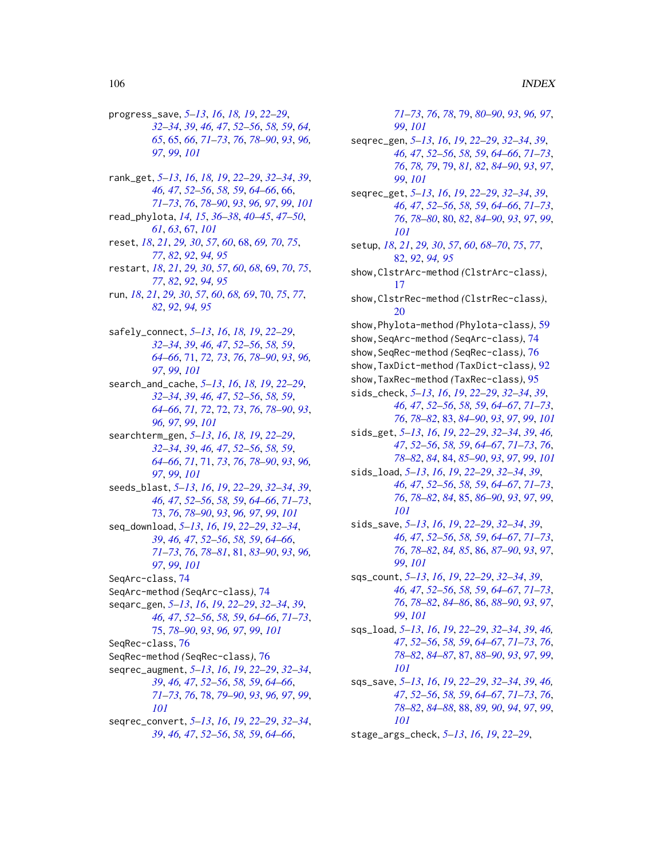progress\_save, *[5](#page-4-1)[–13](#page-12-2)*, *[16](#page-15-1)*, *[18,](#page-17-1) [19](#page-18-1)*, *[22–](#page-21-1)[29](#page-28-1)*, *[32](#page-31-1)[–34](#page-33-0)*, *[39](#page-38-2)*, *[46,](#page-45-1) [47](#page-46-1)*, *[52–](#page-51-1)[56](#page-55-1)*, *[58,](#page-57-2) [59](#page-58-1)*, *[64,](#page-63-1) [65](#page-64-2)*, [65,](#page-64-2) *[66](#page-65-1)*, *[71–](#page-70-2)[73](#page-72-1)*, *[76](#page-75-1)*, *[78–](#page-77-1)[90](#page-89-0)*, *[93](#page-92-1)*, *[96,](#page-95-1) [97](#page-96-1)*, *[99](#page-98-1)*, *[101](#page-100-0)*

rank\_get, *[5](#page-4-1)[–13](#page-12-2)*, *[16](#page-15-1)*, *[18,](#page-17-1) [19](#page-18-1)*, *[22–](#page-21-1)[29](#page-28-1)*, *[32–](#page-31-1)[34](#page-33-0)*, *[39](#page-38-2)*, *[46,](#page-45-1) [47](#page-46-1)*, *[52](#page-51-1)[–56](#page-55-1)*, *[58,](#page-57-2) [59](#page-58-1)*, *[64–](#page-63-1)[66](#page-65-1)*, [66,](#page-65-1) *[71](#page-70-2)[–73](#page-72-1)*, *[76](#page-75-1)*, *[78–](#page-77-1)[90](#page-89-0)*, *[93](#page-92-1)*, *[96,](#page-95-1) [97](#page-96-1)*, *[99](#page-98-1)*, *[101](#page-100-0)* read\_phylota, *[14,](#page-13-1) [15](#page-14-1)*, *[36–](#page-35-0)[38](#page-37-1)*, *[40–](#page-39-1)[45](#page-44-2)*, *[47–](#page-46-1)[50](#page-49-2)*, *[61](#page-60-1)*, *[63](#page-62-1)*, [67,](#page-66-1) *[101](#page-100-0)* reset, *[18](#page-17-1)*, *[21](#page-20-1)*, *[29,](#page-28-1) [30](#page-29-1)*, *[57](#page-56-1)*, *[60](#page-59-0)*, [68,](#page-67-1) *[69,](#page-68-1) [70](#page-69-1)*, *[75](#page-74-1)*, *[77](#page-76-0)*, *[82](#page-81-1)*, *[92](#page-91-1)*, *[94,](#page-93-1) [95](#page-94-1)* restart, *[18](#page-17-1)*, *[21](#page-20-1)*, *[29,](#page-28-1) [30](#page-29-1)*, *[57](#page-56-1)*, *[60](#page-59-0)*, *[68](#page-67-1)*, [69,](#page-68-1) *[70](#page-69-1)*, *[75](#page-74-1)*, *[77](#page-76-0)*, *[82](#page-81-1)*, *[92](#page-91-1)*, *[94,](#page-93-1) [95](#page-94-1)* run, *[18](#page-17-1)*, *[21](#page-20-1)*, *[29,](#page-28-1) [30](#page-29-1)*, *[57](#page-56-1)*, *[60](#page-59-0)*, *[68,](#page-67-1) [69](#page-68-1)*, [70,](#page-69-1) *[75](#page-74-1)*, *[77](#page-76-0)*, *[82](#page-81-1)*, *[92](#page-91-1)*, *[94,](#page-93-1) [95](#page-94-1)* safely\_connect, *[5](#page-4-1)[–13](#page-12-2)*, *[16](#page-15-1)*, *[18,](#page-17-1) [19](#page-18-1)*, *[22–](#page-21-1)[29](#page-28-1)*, *[32](#page-31-1)[–34](#page-33-0)*, *[39](#page-38-2)*, *[46,](#page-45-1) [47](#page-46-1)*, *[52–](#page-51-1)[56](#page-55-1)*, *[58,](#page-57-2) [59](#page-58-1)*, *[64](#page-63-1)[–66](#page-65-1)*, [71,](#page-70-2) *[72,](#page-71-1) [73](#page-72-1)*, *[76](#page-75-1)*, *[78–](#page-77-1)[90](#page-89-0)*, *[93](#page-92-1)*, *[96,](#page-95-1) [97](#page-96-1)*, *[99](#page-98-1)*, *[101](#page-100-0)* search\_and\_cache, *[5](#page-4-1)[–13](#page-12-2)*, *[16](#page-15-1)*, *[18,](#page-17-1) [19](#page-18-1)*, *[22–](#page-21-1)[29](#page-28-1)*, *[32](#page-31-1)[–34](#page-33-0)*, *[39](#page-38-2)*, *[46,](#page-45-1) [47](#page-46-1)*, *[52–](#page-51-1)[56](#page-55-1)*, *[58,](#page-57-2) [59](#page-58-1)*, *[64](#page-63-1)[–66](#page-65-1)*, *[71,](#page-70-2) [72](#page-71-1)*, [72,](#page-71-1) *[73](#page-72-1)*, *[76](#page-75-1)*, *[78–](#page-77-1)[90](#page-89-0)*, *[93](#page-92-1)*, *[96,](#page-95-1) [97](#page-96-1)*, *[99](#page-98-1)*, *[101](#page-100-0)* searchterm\_gen, *[5](#page-4-1)[–13](#page-12-2)*, *[16](#page-15-1)*, *[18,](#page-17-1) [19](#page-18-1)*, *[22–](#page-21-1)[29](#page-28-1)*, *[32](#page-31-1)[–34](#page-33-0)*, *[39](#page-38-2)*, *[46,](#page-45-1) [47](#page-46-1)*, *[52–](#page-51-1)[56](#page-55-1)*, *[58,](#page-57-2) [59](#page-58-1)*, *[64](#page-63-1)[–66](#page-65-1)*, *[71](#page-70-2)*, [71,](#page-70-2) *[73](#page-72-1)*, *[76](#page-75-1)*, *[78–](#page-77-1)[90](#page-89-0)*, *[93](#page-92-1)*, *[96,](#page-95-1) [97](#page-96-1)*, *[99](#page-98-1)*, *[101](#page-100-0)* seeds\_blast, *[5](#page-4-1)[–13](#page-12-2)*, *[16](#page-15-1)*, *[19](#page-18-1)*, *[22–](#page-21-1)[29](#page-28-1)*, *[32–](#page-31-1)[34](#page-33-0)*, *[39](#page-38-2)*, *[46,](#page-45-1) [47](#page-46-1)*, *[52](#page-51-1)[–56](#page-55-1)*, *[58,](#page-57-2) [59](#page-58-1)*, *[64–](#page-63-1)[66](#page-65-1)*, *[71–](#page-70-2)[73](#page-72-1)*, [73,](#page-72-1) *[76](#page-75-1)*, *[78](#page-77-1)[–90](#page-89-0)*, *[93](#page-92-1)*, *[96,](#page-95-1) [97](#page-96-1)*, *[99](#page-98-1)*, *[101](#page-100-0)* seq\_download, *[5](#page-4-1)[–13](#page-12-2)*, *[16](#page-15-1)*, *[19](#page-18-1)*, *[22–](#page-21-1)[29](#page-28-1)*, *[32–](#page-31-1)[34](#page-33-0)*, *[39](#page-38-2)*, *[46,](#page-45-1) [47](#page-46-1)*, *[52–](#page-51-1)[56](#page-55-1)*, *[58,](#page-57-2) [59](#page-58-1)*, *[64–](#page-63-1)[66](#page-65-1)*, *[71](#page-70-2)[–73](#page-72-1)*, *[76](#page-75-1)*, *[78–](#page-77-1)[81](#page-80-1)*, [81,](#page-80-1) *[83–](#page-82-1)[90](#page-89-0)*, *[93](#page-92-1)*, *[96,](#page-95-1) [97](#page-96-1)*, *[99](#page-98-1)*, *[101](#page-100-0)* SeqArc-class, [74](#page-73-1) SeqArc-method *(*SeqArc-class*)*, [74](#page-73-1) seqarc\_gen, *[5](#page-4-1)[–13](#page-12-2)*, *[16](#page-15-1)*, *[19](#page-18-1)*, *[22–](#page-21-1)[29](#page-28-1)*, *[32–](#page-31-1)[34](#page-33-0)*, *[39](#page-38-2)*, *[46,](#page-45-1) [47](#page-46-1)*, *[52](#page-51-1)[–56](#page-55-1)*, *[58,](#page-57-2) [59](#page-58-1)*, *[64–](#page-63-1)[66](#page-65-1)*, *[71–](#page-70-2)[73](#page-72-1)*, [75,](#page-74-1) *[78](#page-77-1)[–90](#page-89-0)*, *[93](#page-92-1)*, *[96,](#page-95-1) [97](#page-96-1)*, *[99](#page-98-1)*, *[101](#page-100-0)* SeqRec-class, [76](#page-75-1) SeqRec-method *(*SeqRec-class*)*, [76](#page-75-1) seqrec\_augment, *[5](#page-4-1)[–13](#page-12-2)*, *[16](#page-15-1)*, *[19](#page-18-1)*, *[22–](#page-21-1)[29](#page-28-1)*, *[32–](#page-31-1)[34](#page-33-0)*, *[39](#page-38-2)*, *[46,](#page-45-1) [47](#page-46-1)*, *[52–](#page-51-1)[56](#page-55-1)*, *[58,](#page-57-2) [59](#page-58-1)*, *[64–](#page-63-1)[66](#page-65-1)*, *[71](#page-70-2)[–73](#page-72-1)*, *[76](#page-75-1)*, [78,](#page-77-1) *[79–](#page-78-2)[90](#page-89-0)*, *[93](#page-92-1)*, *[96,](#page-95-1) [97](#page-96-1)*, *[99](#page-98-1)*, *[101](#page-100-0)* seqrec\_convert, *[5](#page-4-1)[–13](#page-12-2)*, *[16](#page-15-1)*, *[19](#page-18-1)*, *[22–](#page-21-1)[29](#page-28-1)*, *[32–](#page-31-1)[34](#page-33-0)*, *[39](#page-38-2)*, *[46,](#page-45-1) [47](#page-46-1)*, *[52–](#page-51-1)[56](#page-55-1)*, *[58,](#page-57-2) [59](#page-58-1)*, *[64–](#page-63-1)[66](#page-65-1)*,

*[71](#page-70-2)[–73](#page-72-1)*, *[76](#page-75-1)*, *[78](#page-77-1)*, [79,](#page-78-2) *[80](#page-79-1)[–90](#page-89-0)*, *[93](#page-92-1)*, *[96,](#page-95-1) [97](#page-96-1)*, *[99](#page-98-1)*, *[101](#page-100-0)* seqrec\_gen, *[5](#page-4-1)[–13](#page-12-2)*, *[16](#page-15-1)*, *[19](#page-18-1)*, *[22](#page-21-1)[–29](#page-28-1)*, *[32](#page-31-1)[–34](#page-33-0)*, *[39](#page-38-2)*, *[46,](#page-45-1) [47](#page-46-1)*, *[52](#page-51-1)[–56](#page-55-1)*, *[58,](#page-57-2) [59](#page-58-1)*, *[64](#page-63-1)[–66](#page-65-1)*, *[71](#page-70-2)[–73](#page-72-1)*, *[76](#page-75-1)*, *[78,](#page-77-1) [79](#page-78-2)*, [79,](#page-78-2) *[81,](#page-80-1) [82](#page-81-1)*, *[84](#page-83-1)[–90](#page-89-0)*, *[93](#page-92-1)*, *[97](#page-96-1)*, *[99](#page-98-1)*, *[101](#page-100-0)* seqrec\_get, *[5](#page-4-1)[–13](#page-12-2)*, *[16](#page-15-1)*, *[19](#page-18-1)*, *[22](#page-21-1)[–29](#page-28-1)*, *[32](#page-31-1)[–34](#page-33-0)*, *[39](#page-38-2)*, *[46,](#page-45-1) [47](#page-46-1)*, *[52](#page-51-1)[–56](#page-55-1)*, *[58,](#page-57-2) [59](#page-58-1)*, *[64](#page-63-1)[–66](#page-65-1)*, *[71](#page-70-2)[–73](#page-72-1)*, *[76](#page-75-1)*, *[78](#page-77-1)[–80](#page-79-1)*, [80,](#page-79-1) *[82](#page-81-1)*, *[84](#page-83-1)[–90](#page-89-0)*, *[93](#page-92-1)*, *[97](#page-96-1)*, *[99](#page-98-1)*, *[101](#page-100-0)* setup, *[18](#page-17-1)*, *[21](#page-20-1)*, *[29,](#page-28-1) [30](#page-29-1)*, *[57](#page-56-1)*, *[60](#page-59-0)*, *[68](#page-67-1)[–70](#page-69-1)*, *[75](#page-74-1)*, *[77](#page-76-0)*, [82,](#page-81-1) *[92](#page-91-1)*, *[94,](#page-93-1) [95](#page-94-1)* show,ClstrArc-method *(*ClstrArc-class*)*, [17](#page-16-1) show,ClstrRec-method *(*ClstrRec-class*)*, [20](#page-19-1) show,Phylota-method *(*Phylota-class*)*, [59](#page-58-1) show,SeqArc-method *(*SeqArc-class*)*, [74](#page-73-1) show,SeqRec-method *(*SeqRec-class*)*, [76](#page-75-1) show,TaxDict-method *(*TaxDict-class*)*, [92](#page-91-1) show,TaxRec-method *(*TaxRec-class*)*, [95](#page-94-1) sids\_check, *[5](#page-4-1)[–13](#page-12-2)*, *[16](#page-15-1)*, *[19](#page-18-1)*, *[22](#page-21-1)[–29](#page-28-1)*, *[32](#page-31-1)[–34](#page-33-0)*, *[39](#page-38-2)*, *[46,](#page-45-1) [47](#page-46-1)*, *[52](#page-51-1)[–56](#page-55-1)*, *[58,](#page-57-2) [59](#page-58-1)*, *[64](#page-63-1)[–67](#page-66-1)*, *[71](#page-70-2)[–73](#page-72-1)*, *[76](#page-75-1)*, *[78](#page-77-1)[–82](#page-81-1)*, [83,](#page-82-1) *[84–](#page-83-1)[90](#page-89-0)*, *[93](#page-92-1)*, *[97](#page-96-1)*, *[99](#page-98-1)*, *[101](#page-100-0)* sids\_get, *[5](#page-4-1)[–13](#page-12-2)*, *[16](#page-15-1)*, *[19](#page-18-1)*, *[22](#page-21-1)[–29](#page-28-1)*, *[32](#page-31-1)[–34](#page-33-0)*, *[39](#page-38-2)*, *[46,](#page-45-1) [47](#page-46-1)*, *[52](#page-51-1)[–56](#page-55-1)*, *[58,](#page-57-2) [59](#page-58-1)*, *[64](#page-63-1)[–67](#page-66-1)*, *[71](#page-70-2)[–73](#page-72-1)*, *[76](#page-75-1)*, *[78](#page-77-1)[–82](#page-81-1)*, *[84](#page-83-1)*, [84,](#page-83-1) *[85–](#page-84-1)[90](#page-89-0)*, *[93](#page-92-1)*, *[97](#page-96-1)*, *[99](#page-98-1)*, *[101](#page-100-0)* sids\_load, *[5](#page-4-1)[–13](#page-12-2)*, *[16](#page-15-1)*, *[19](#page-18-1)*, *[22](#page-21-1)[–29](#page-28-1)*, *[32](#page-31-1)[–34](#page-33-0)*, *[39](#page-38-2)*, *[46,](#page-45-1) [47](#page-46-1)*, *[52](#page-51-1)[–56](#page-55-1)*, *[58,](#page-57-2) [59](#page-58-1)*, *[64](#page-63-1)[–67](#page-66-1)*, *[71](#page-70-2)[–73](#page-72-1)*, *[76](#page-75-1)*, *[78](#page-77-1)[–82](#page-81-1)*, *[84](#page-83-1)*, [85,](#page-84-1) *[86](#page-85-2)[–90](#page-89-0)*, *[93](#page-92-1)*, *[97](#page-96-1)*, *[99](#page-98-1)*, *[101](#page-100-0)* sids\_save, *[5](#page-4-1)[–13](#page-12-2)*, *[16](#page-15-1)*, *[19](#page-18-1)*, *[22](#page-21-1)[–29](#page-28-1)*, *[32](#page-31-1)[–34](#page-33-0)*, *[39](#page-38-2)*, *[46,](#page-45-1) [47](#page-46-1)*, *[52](#page-51-1)[–56](#page-55-1)*, *[58,](#page-57-2) [59](#page-58-1)*, *[64](#page-63-1)[–67](#page-66-1)*, *[71](#page-70-2)[–73](#page-72-1)*, *[76](#page-75-1)*, *[78](#page-77-1)[–82](#page-81-1)*, *[84,](#page-83-1) [85](#page-84-1)*, [86,](#page-85-2) *[87](#page-86-1)[–90](#page-89-0)*, *[93](#page-92-1)*, *[97](#page-96-1)*, *[99](#page-98-1)*, *[101](#page-100-0)* sqs\_count, *[5](#page-4-1)[–13](#page-12-2)*, *[16](#page-15-1)*, *[19](#page-18-1)*, *[22](#page-21-1)[–29](#page-28-1)*, *[32](#page-31-1)[–34](#page-33-0)*, *[39](#page-38-2)*, *[46,](#page-45-1) [47](#page-46-1)*, *[52](#page-51-1)[–56](#page-55-1)*, *[58,](#page-57-2) [59](#page-58-1)*, *[64](#page-63-1)[–67](#page-66-1)*, *[71](#page-70-2)[–73](#page-72-1)*, *[76](#page-75-1)*, *[78](#page-77-1)[–82](#page-81-1)*, *[84](#page-83-1)[–86](#page-85-2)*, [86,](#page-85-2) *[88](#page-87-1)[–90](#page-89-0)*, *[93](#page-92-1)*, *[97](#page-96-1)*, *[99](#page-98-1)*, *[101](#page-100-0)* sqs\_load, *[5](#page-4-1)[–13](#page-12-2)*, *[16](#page-15-1)*, *[19](#page-18-1)*, *[22](#page-21-1)[–29](#page-28-1)*, *[32](#page-31-1)[–34](#page-33-0)*, *[39](#page-38-2)*, *[46,](#page-45-1) [47](#page-46-1)*, *[52](#page-51-1)[–56](#page-55-1)*, *[58,](#page-57-2) [59](#page-58-1)*, *[64](#page-63-1)[–67](#page-66-1)*, *[71](#page-70-2)[–73](#page-72-1)*, *[76](#page-75-1)*, *[78](#page-77-1)[–82](#page-81-1)*, *[84](#page-83-1)[–87](#page-86-1)*, [87,](#page-86-1) *[88](#page-87-1)[–90](#page-89-0)*, *[93](#page-92-1)*, *[97](#page-96-1)*, *[99](#page-98-1)*, *[101](#page-100-0)* sqs\_save, *[5](#page-4-1)[–13](#page-12-2)*, *[16](#page-15-1)*, *[19](#page-18-1)*, *[22](#page-21-1)[–29](#page-28-1)*, *[32](#page-31-1)[–34](#page-33-0)*, *[39](#page-38-2)*, *[46,](#page-45-1) [47](#page-46-1)*, *[52](#page-51-1)[–56](#page-55-1)*, *[58,](#page-57-2) [59](#page-58-1)*, *[64](#page-63-1)[–67](#page-66-1)*, *[71](#page-70-2)[–73](#page-72-1)*, *[76](#page-75-1)*, *[78](#page-77-1)[–82](#page-81-1)*, *[84](#page-83-1)[–88](#page-87-1)*, [88,](#page-87-1) *[89,](#page-88-2) [90](#page-89-0)*, *[94](#page-93-1)*, *[97](#page-96-1)*, *[99](#page-98-1)*, *[101](#page-100-0)* stage\_args\_check, *[5](#page-4-1)[–13](#page-12-2)*, *[16](#page-15-1)*, *[19](#page-18-1)*, *[22](#page-21-1)[–29](#page-28-1)*,